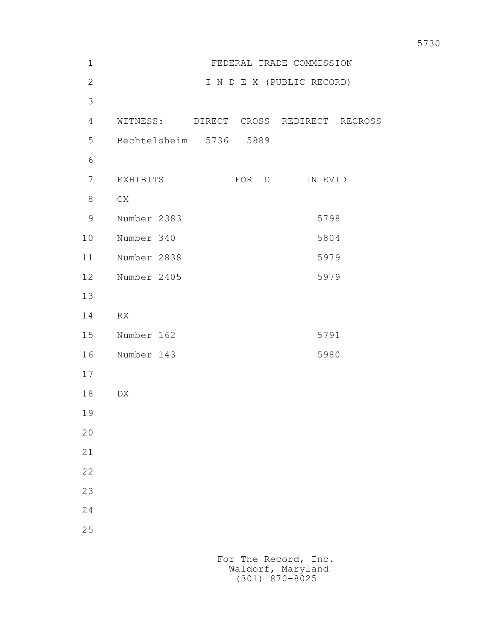| $\mathbf 1$  | FEDERAL TRADE COMMISSION |                        |                                        |
|--------------|--------------------------|------------------------|----------------------------------------|
| $\mathbf{2}$ |                          |                        | I N D E X (PUBLIC RECORD)              |
| 3            |                          |                        |                                        |
| 4            |                          |                        | WITNESS: DIRECT CROSS REDIRECT RECROSS |
| 5            |                          | Bechtelsheim 5736 5889 |                                        |
| 6            |                          |                        |                                        |
| 7            | EXHIBITS                 | FOR ID                 | IN EVID                                |
| 8            | C X                      |                        |                                        |
| 9            | Number 2383              |                        | 5798                                   |
| 10           | Number 340               |                        | 5804                                   |
| 11           | Number 2838              |                        | 5979                                   |
| 12           | Number 2405              |                        | 5979                                   |
| 13           |                          |                        |                                        |
| 14           | RX                       |                        |                                        |
| 15           | Number 162               |                        | 5791                                   |
| 16           | Number 143               |                        | 5980                                   |
| 17           |                          |                        |                                        |
| 18           | DX                       |                        |                                        |
| 19           |                          |                        |                                        |
| 20           |                          |                        |                                        |
| 21           |                          |                        |                                        |
| 22           |                          |                        |                                        |
| 23           |                          |                        |                                        |
| 24           |                          |                        |                                        |
| 25           |                          |                        |                                        |
|              |                          | For The Record, Inc.   |                                        |
|              |                          |                        |                                        |

Waldorf, Maryland (301) 870-8025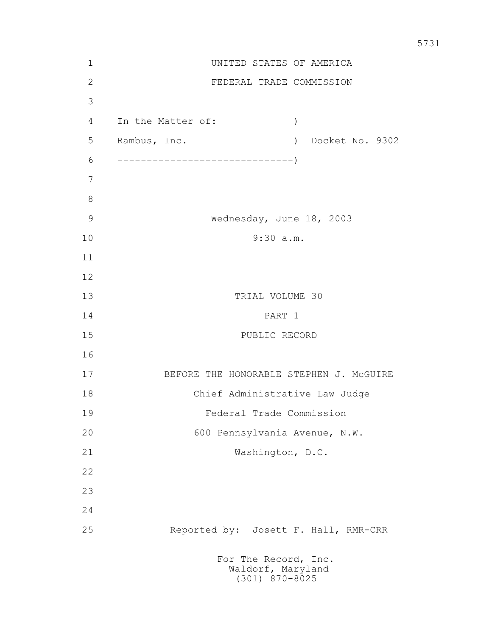| $\mathbf 1$   | UNITED STATES OF AMERICA                            |
|---------------|-----------------------------------------------------|
| $\mathbf{2}$  | FEDERAL TRADE COMMISSION                            |
| 3             |                                                     |
| 4             | In the Matter of:<br>$\left( \right)$               |
| 5             | Rambus, Inc.<br>Docket No. 9302<br>$\left( \right)$ |
| 6             |                                                     |
| 7             |                                                     |
| $8\,$         |                                                     |
| $\mathcal{G}$ | Wednesday, June 18, 2003                            |
| 10            | 9:30 a.m.                                           |
| 11            |                                                     |
| 12            |                                                     |
| 13            | TRIAL VOLUME 30                                     |
| 14            | PART 1                                              |
| 15            | PUBLIC RECORD                                       |
| 16            |                                                     |
| 17            | BEFORE THE HONORABLE STEPHEN J. MCGUIRE             |
| 18            | Chief Administrative Law Judge                      |
| 19            | Federal Trade Commission                            |
| 20            | 600 Pennsylvania Avenue, N.W.                       |
| 21            | Washington, D.C.                                    |
| 22            |                                                     |
| 23            |                                                     |
| 24            |                                                     |
| 25            | Reported by: Josett F. Hall, RMR-CRR                |
|               | For The Record, Inc.<br>Waldorf, Maryland           |

(301) 870-8025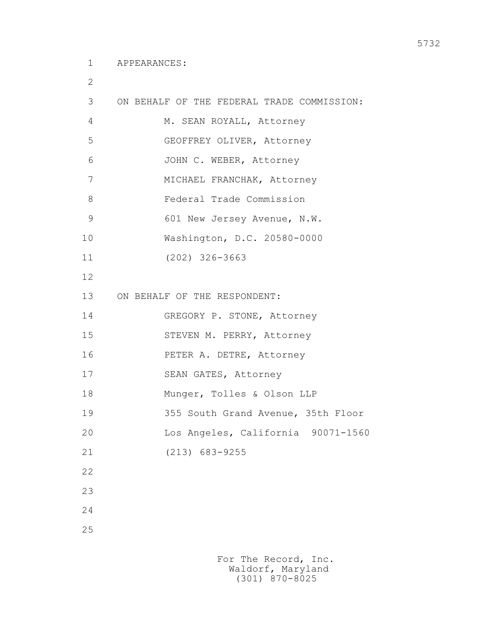2

| 3  | ON BEHALF OF THE FEDERAL TRADE COMMISSION: |
|----|--------------------------------------------|
| 4  | M. SEAN ROYALL, Attorney                   |
| 5  | GEOFFREY OLIVER, Attorney                  |
| 6  | JOHN C. WEBER, Attorney                    |
| 7  | MICHAEL FRANCHAK, Attorney                 |
| 8  | Federal Trade Commission                   |
| 9  | 601 New Jersey Avenue, N.W.                |
| 10 | Washington, D.C. 20580-0000                |
| 11 | $(202)$ 326-3663                           |
| 12 |                                            |
| 13 | ON BEHALF OF THE RESPONDENT:               |
| 14 | GREGORY P. STONE, Attorney                 |
| 15 | STEVEN M. PERRY, Attorney                  |
| 16 | PETER A. DETRE, Attorney                   |
| 17 | SEAN GATES, Attorney                       |
| 18 | Munger, Tolles & Olson LLP                 |
| 19 | 355 South Grand Avenue, 35th Floor         |
| 20 | Los Angeles, California 90071-1560         |
| 21 | $(213)$ 683-9255                           |
| 22 |                                            |
| 23 |                                            |
| 24 |                                            |
| 25 |                                            |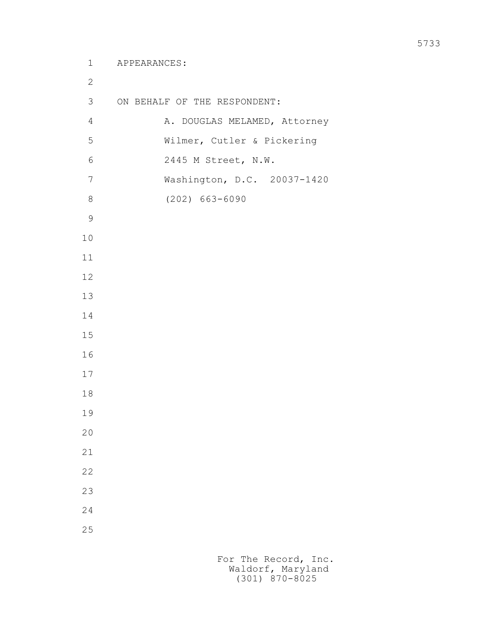```
 1 APPEARANCES:
2
        3 ON BEHALF OF THE RESPONDENT:
       4 A. DOUGLAS MELAMED, Attorney
        5 Wilmer, Cutler & Pickering
        6 2445 M Street, N.W.
        7 Washington, D.C. 20037-1420
        8 (202) 663-6090
9
       10
       11
       12
       13
       14
       15
       16
       17
       18
       19
       20
       21
       22
       23
       24
       25
```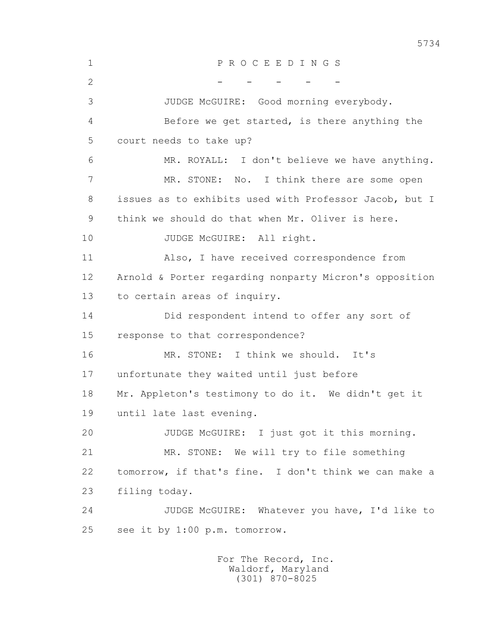1 P R O C E E D I N G S  $2$  - - - - 3 JUDGE McGUIRE: Good morning everybody. 4 Before we get started, is there anything the 5 court needs to take up? 6 MR. ROYALL: I don't believe we have anything. 7 MR. STONE: No. I think there are some open 8 issues as to exhibits used with Professor Jacob, but I 9 think we should do that when Mr. Oliver is here. 10 JUDGE McGUIRE: All right. 11 Also, I have received correspondence from 12 Arnold & Porter regarding nonparty Micron's opposition 13 to certain areas of inquiry. 14 Did respondent intend to offer any sort of 15 response to that correspondence? 16 MR. STONE: I think we should. It's 17 unfortunate they waited until just before 18 Mr. Appleton's testimony to do it. We didn't get it 19 until late last evening. 20 JUDGE McGUIRE: I just got it this morning. 21 MR. STONE: We will try to file something 22 tomorrow, if that's fine. I don't think we can make a 23 filing today. 24 JUDGE McGUIRE: Whatever you have, I'd like to 25 see it by 1:00 p.m. tomorrow.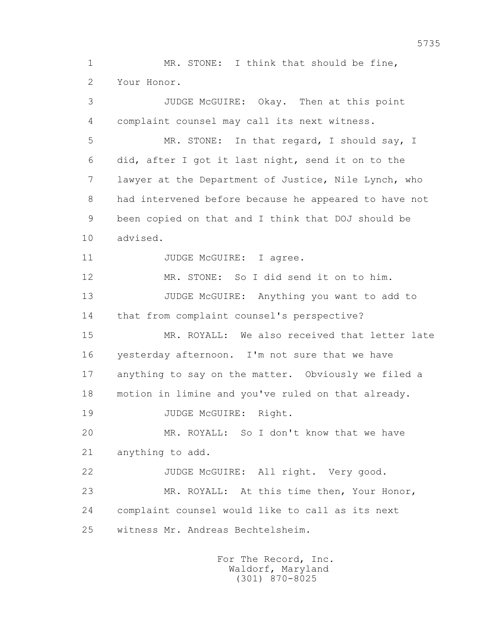1 MR. STONE: I think that should be fine, 2 Your Honor.

 3 JUDGE McGUIRE: Okay. Then at this point 4 complaint counsel may call its next witness. 5 MR. STONE: In that regard, I should say, I 6 did, after I got it last night, send it on to the 7 lawyer at the Department of Justice, Nile Lynch, who 8 had intervened before because he appeared to have not 9 been copied on that and I think that DOJ should be 10 advised. 11 JUDGE McGUIRE: I agree. 12 MR. STONE: So I did send it on to him. 13 JUDGE McGUIRE: Anything you want to add to 14 that from complaint counsel's perspective? 15 MR. ROYALL: We also received that letter late 16 yesterday afternoon. I'm not sure that we have 17 anything to say on the matter. Obviously we filed a 18 motion in limine and you've ruled on that already. 19 JUDGE McGUIRE: Right. 20 MR. ROYALL: So I don't know that we have 21 anything to add. 22 JUDGE McGUIRE: All right. Very good. 23 MR. ROYALL: At this time then, Your Honor, 24 complaint counsel would like to call as its next 25 witness Mr. Andreas Bechtelsheim.

> For The Record, Inc. Waldorf, Maryland (301) 870-8025

5735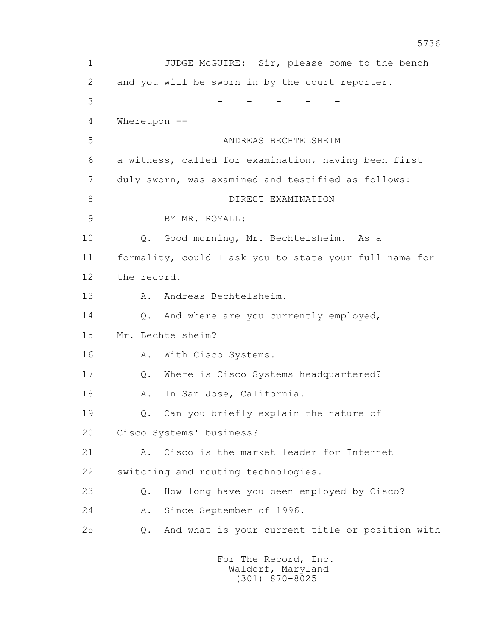1 JUDGE McGUIRE: Sir, please come to the bench 2 and you will be sworn in by the court reporter. 3 - - - - - 4 Whereupon -- 5 ANDREAS BECHTELSHEIM 6 a witness, called for examination, having been first 7 duly sworn, was examined and testified as follows: 8 DIRECT EXAMINATION 9 BY MR. ROYALL: 10 Q. Good morning, Mr. Bechtelsheim. As a 11 formality, could I ask you to state your full name for 12 the record. 13 A. Andreas Bechtelsheim. 14 Q. And where are you currently employed, 15 Mr. Bechtelsheim? 16 A. With Cisco Systems. 17 Q. Where is Cisco Systems headquartered? 18 A. In San Jose, California. 19 Q. Can you briefly explain the nature of 20 Cisco Systems' business? 21 A. Cisco is the market leader for Internet 22 switching and routing technologies. 23 Q. How long have you been employed by Cisco? 24 A. Since September of 1996. 25 Q. And what is your current title or position with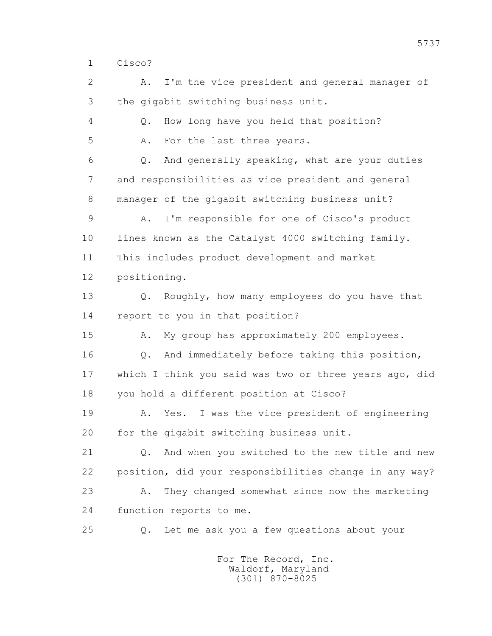1 Cisco?

 2 A. I'm the vice president and general manager of 3 the gigabit switching business unit. 4 Q. How long have you held that position? 5 A. For the last three years. 6 Q. And generally speaking, what are your duties 7 and responsibilities as vice president and general 8 manager of the gigabit switching business unit? 9 A. I'm responsible for one of Cisco's product 10 lines known as the Catalyst 4000 switching family. 11 This includes product development and market 12 positioning. 13 Q. Roughly, how many employees do you have that 14 report to you in that position? 15 A. My group has approximately 200 employees. 16 Q. And immediately before taking this position, 17 which I think you said was two or three years ago, did 18 you hold a different position at Cisco? 19 A. Yes. I was the vice president of engineering 20 for the gigabit switching business unit. 21 Q. And when you switched to the new title and new 22 position, did your responsibilities change in any way? 23 A. They changed somewhat since now the marketing 24 function reports to me. 25 Q. Let me ask you a few questions about your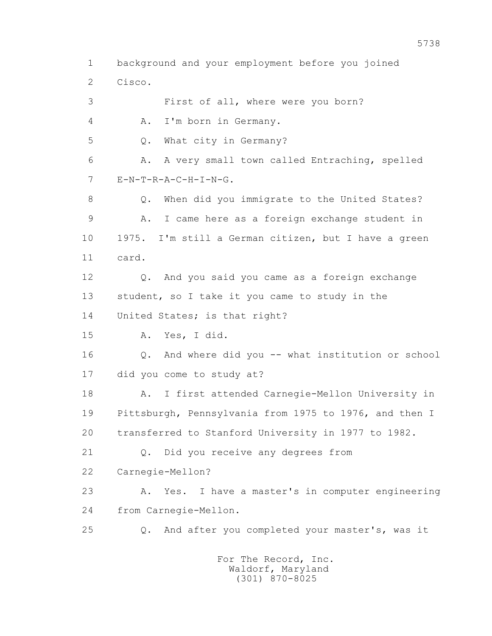1 background and your employment before you joined 2 Cisco. 3 First of all, where were you born? 4 A. I'm born in Germany. 5 Q. What city in Germany? 6 A. A very small town called Entraching, spelled 7 E-N-T-R-A-C-H-I-N-G. 8 Q. When did you immigrate to the United States? 9 A. I came here as a foreign exchange student in 10 1975. I'm still a German citizen, but I have a green 11 card. 12 Q. And you said you came as a foreign exchange 13 student, so I take it you came to study in the 14 United States; is that right? 15 A. Yes, I did. 16 Q. And where did you -- what institution or school 17 did you come to study at? 18 A. I first attended Carnegie-Mellon University in 19 Pittsburgh, Pennsylvania from 1975 to 1976, and then I 20 transferred to Stanford University in 1977 to 1982. 21 Q. Did you receive any degrees from 22 Carnegie-Mellon? 23 A. Yes. I have a master's in computer engineering 24 from Carnegie-Mellon. 25 Q. And after you completed your master's, was it For The Record, Inc.

 Waldorf, Maryland (301) 870-8025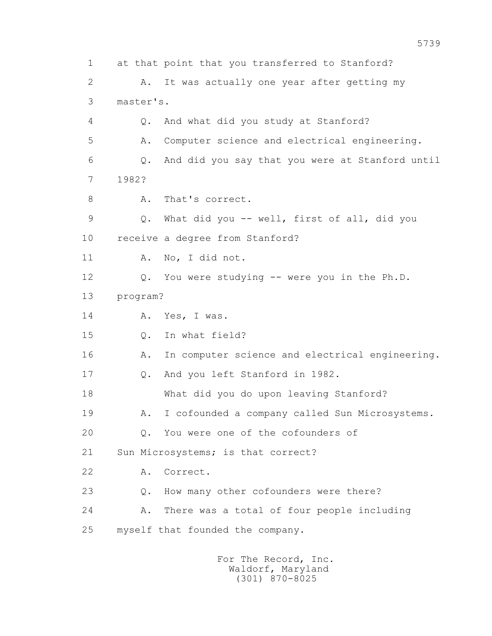1 at that point that you transferred to Stanford? 2 A. It was actually one year after getting my 3 master's. 4 Q. And what did you study at Stanford? 5 A. Computer science and electrical engineering. 6 Q. And did you say that you were at Stanford until 7 1982? 8 A. That's correct. 9 Q. What did you -- well, first of all, did you 10 receive a degree from Stanford? 11 A. No, I did not. 12 Q. You were studying -- were you in the Ph.D. 13 program? 14 A. Yes, I was. 15 0. In what field? 16 A. In computer science and electrical engineering. 17 Q. And you left Stanford in 1982. 18 What did you do upon leaving Stanford? 19 A. I cofounded a company called Sun Microsystems. 20 Q. You were one of the cofounders of 21 Sun Microsystems; is that correct? 22 A. Correct. 23 Q. How many other cofounders were there? 24 A. There was a total of four people including 25 myself that founded the company.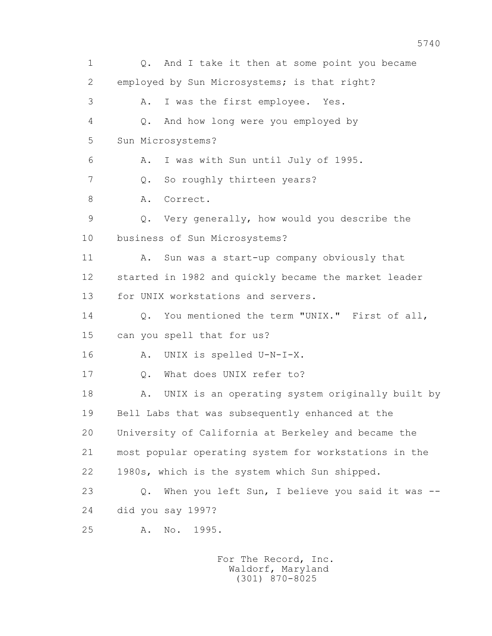1 Q. And I take it then at some point you became 2 employed by Sun Microsystems; is that right? 3 A. I was the first employee. Yes. 4 Q. And how long were you employed by 5 Sun Microsystems? 6 A. I was with Sun until July of 1995. 7 0. So roughly thirteen years? 8 A. Correct. 9 Q. Very generally, how would you describe the 10 business of Sun Microsystems? 11 A. Sun was a start-up company obviously that 12 started in 1982 and quickly became the market leader 13 for UNIX workstations and servers. 14 0. You mentioned the term "UNIX." First of all, 15 can you spell that for us? 16 A. UNIX is spelled U-N-I-X. 17 Q. What does UNIX refer to? 18 A. UNIX is an operating system originally built by 19 Bell Labs that was subsequently enhanced at the 20 University of California at Berkeley and became the 21 most popular operating system for workstations in the 22 1980s, which is the system which Sun shipped. 23 Q. When you left Sun, I believe you said it was -- 24 did you say 1997? 25 A. No. 1995.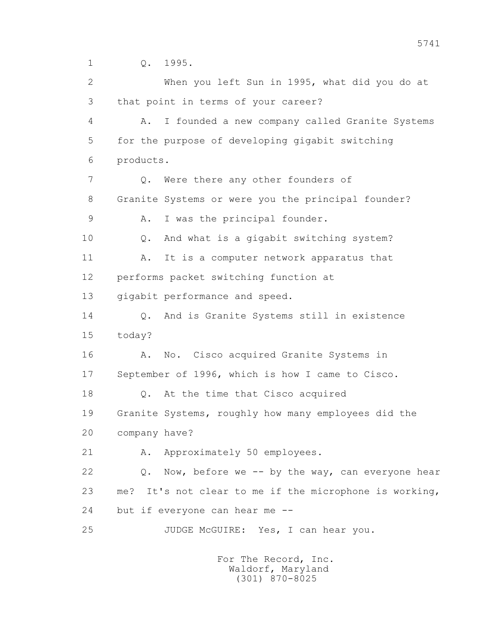1 Q. 1995.

 2 When you left Sun in 1995, what did you do at 3 that point in terms of your career? 4 A. I founded a new company called Granite Systems 5 for the purpose of developing gigabit switching 6 products. 7 Q. Were there any other founders of 8 Granite Systems or were you the principal founder? 9 A. I was the principal founder. 10 Q. And what is a gigabit switching system? 11 A. It is a computer network apparatus that 12 performs packet switching function at 13 gigabit performance and speed. 14 0. And is Granite Systems still in existence 15 today? 16 A. No. Cisco acquired Granite Systems in 17 September of 1996, which is how I came to Cisco. 18 Q. At the time that Cisco acquired 19 Granite Systems, roughly how many employees did the 20 company have? 21 A. Approximately 50 employees. 22 Q. Now, before we -- by the way, can everyone hear 23 me? It's not clear to me if the microphone is working, 24 but if everyone can hear me -- 25 JUDGE McGUIRE: Yes, I can hear you.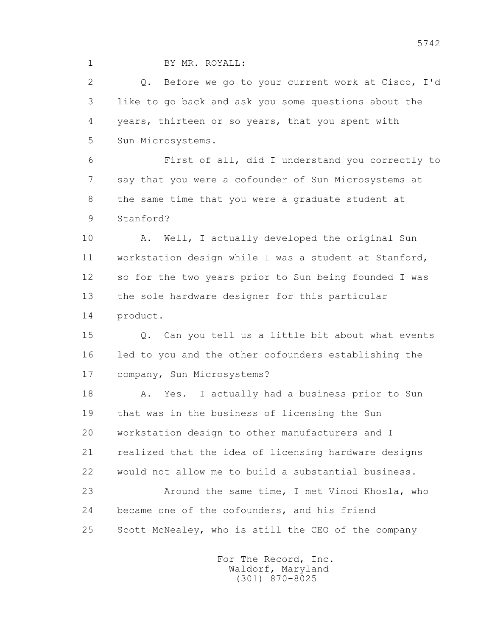1 BY MR. ROYALL:

 2 Q. Before we go to your current work at Cisco, I'd 3 like to go back and ask you some questions about the 4 years, thirteen or so years, that you spent with 5 Sun Microsystems.

 6 First of all, did I understand you correctly to 7 say that you were a cofounder of Sun Microsystems at 8 the same time that you were a graduate student at 9 Stanford?

10 A. Well, I actually developed the original Sun 11 workstation design while I was a student at Stanford, 12 so for the two years prior to Sun being founded I was 13 the sole hardware designer for this particular 14 product.

 15 Q. Can you tell us a little bit about what events 16 led to you and the other cofounders establishing the 17 company, Sun Microsystems?

 18 A. Yes. I actually had a business prior to Sun 19 that was in the business of licensing the Sun 20 workstation design to other manufacturers and I 21 realized that the idea of licensing hardware designs 22 would not allow me to build a substantial business. 23 Around the same time, I met Vinod Khosla, who 24 became one of the cofounders, and his friend

25 Scott McNealey, who is still the CEO of the company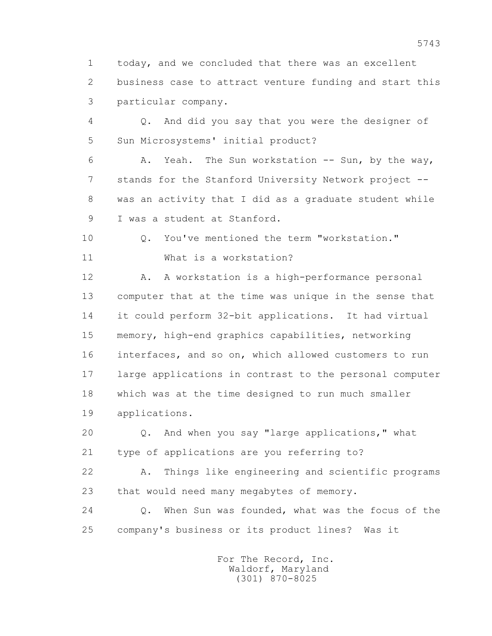1 today, and we concluded that there was an excellent 2 business case to attract venture funding and start this 3 particular company.

 4 Q. And did you say that you were the designer of 5 Sun Microsystems' initial product?

 6 A. Yeah. The Sun workstation -- Sun, by the way, 7 stands for the Stanford University Network project -- 8 was an activity that I did as a graduate student while 9 I was a student at Stanford.

 10 Q. You've mentioned the term "workstation." 11 What is a workstation?

12 A. A workstation is a high-performance personal 13 computer that at the time was unique in the sense that 14 it could perform 32-bit applications. It had virtual 15 memory, high-end graphics capabilities, networking 16 interfaces, and so on, which allowed customers to run 17 large applications in contrast to the personal computer 18 which was at the time designed to run much smaller 19 applications.

 20 Q. And when you say "large applications," what 21 type of applications are you referring to?

 22 A. Things like engineering and scientific programs 23 that would need many megabytes of memory.

24 0. When Sun was founded, what was the focus of the 25 company's business or its product lines? Was it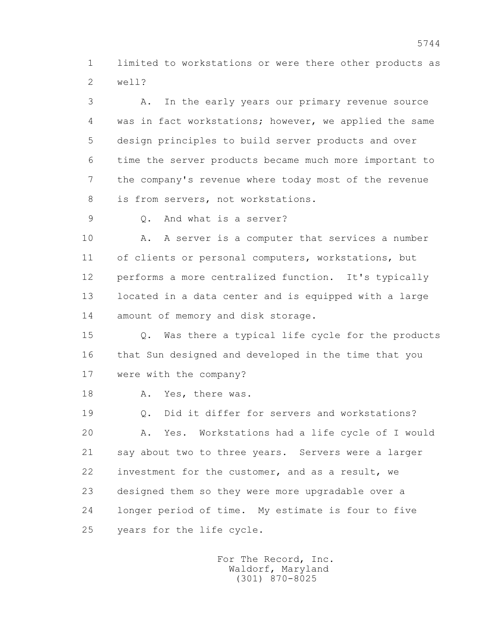1 limited to workstations or were there other products as 2 well?

 3 A. In the early years our primary revenue source 4 was in fact workstations; however, we applied the same 5 design principles to build server products and over 6 time the server products became much more important to 7 the company's revenue where today most of the revenue 8 is from servers, not workstations.

9 Q. And what is a server?

10 A. A server is a computer that services a number 11 of clients or personal computers, workstations, but 12 performs a more centralized function. It's typically 13 located in a data center and is equipped with a large 14 amount of memory and disk storage.

 15 Q. Was there a typical life cycle for the products 16 that Sun designed and developed in the time that you 17 were with the company?

18 A. Yes, there was.

 19 Q. Did it differ for servers and workstations? 20 A. Yes. Workstations had a life cycle of I would 21 say about two to three years. Servers were a larger 22 investment for the customer, and as a result, we 23 designed them so they were more upgradable over a 24 longer period of time. My estimate is four to five 25 years for the life cycle.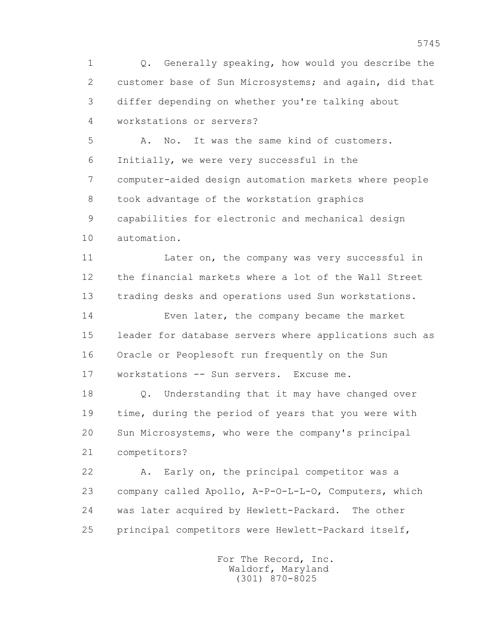1 Q. Generally speaking, how would you describe the 2 customer base of Sun Microsystems; and again, did that 3 differ depending on whether you're talking about 4 workstations or servers?

 5 A. No. It was the same kind of customers. 6 Initially, we were very successful in the 7 computer-aided design automation markets where people 8 took advantage of the workstation graphics 9 capabilities for electronic and mechanical design 10 automation.

 11 Later on, the company was very successful in 12 the financial markets where a lot of the Wall Street 13 trading desks and operations used Sun workstations.

 14 Even later, the company became the market 15 leader for database servers where applications such as 16 Oracle or Peoplesoft run frequently on the Sun 17 workstations -- Sun servers. Excuse me.

 18 Q. Understanding that it may have changed over 19 time, during the period of years that you were with 20 Sun Microsystems, who were the company's principal 21 competitors?

 22 A. Early on, the principal competitor was a 23 company called Apollo, A-P-O-L-L-O, Computers, which 24 was later acquired by Hewlett-Packard. The other 25 principal competitors were Hewlett-Packard itself,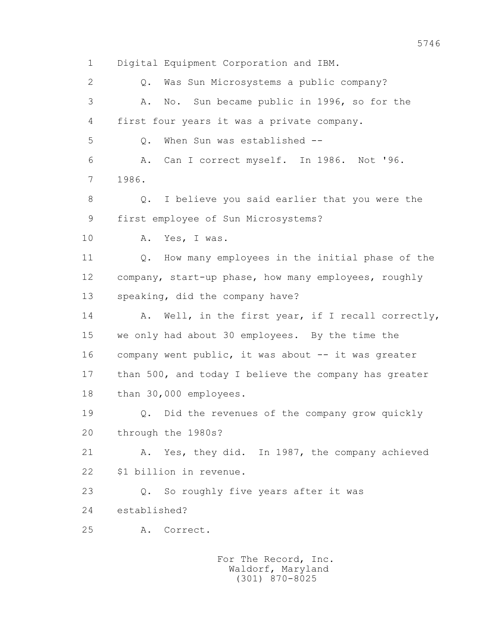1 Digital Equipment Corporation and IBM. 2 Q. Was Sun Microsystems a public company? 3 A. No. Sun became public in 1996, so for the 4 first four years it was a private company. 5 Q. When Sun was established -- 6 A. Can I correct myself. In 1986. Not '96. 7 1986. 8 Q. I believe you said earlier that you were the 9 first employee of Sun Microsystems? 10 A. Yes, I was. 11 Q. How many employees in the initial phase of the 12 company, start-up phase, how many employees, roughly 13 speaking, did the company have? 14 A. Well, in the first year, if I recall correctly, 15 we only had about 30 employees. By the time the 16 company went public, it was about -- it was greater 17 than 500, and today I believe the company has greater 18 than 30,000 employees. 19 Q. Did the revenues of the company grow quickly 20 through the 1980s? 21 A. Yes, they did. In 1987, the company achieved 22 \$1 billion in revenue. 23 Q. So roughly five years after it was 24 established? 25 A. Correct. For The Record, Inc.

 Waldorf, Maryland (301) 870-8025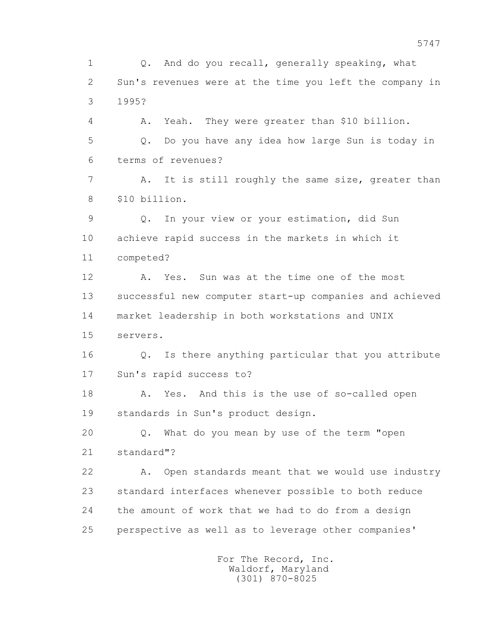1 Q. And do you recall, generally speaking, what 2 Sun's revenues were at the time you left the company in 3 1995? 4 A. Yeah. They were greater than \$10 billion. 5 Q. Do you have any idea how large Sun is today in 6 terms of revenues? 7 A. It is still roughly the same size, greater than 8 \$10 billion. 9 Q. In your view or your estimation, did Sun 10 achieve rapid success in the markets in which it 11 competed? 12 A. Yes. Sun was at the time one of the most 13 successful new computer start-up companies and achieved 14 market leadership in both workstations and UNIX 15 servers. 16 Q. Is there anything particular that you attribute 17 Sun's rapid success to? 18 A. Yes. And this is the use of so-called open 19 standards in Sun's product design. 20 Q. What do you mean by use of the term "open 21 standard"? 22 A. Open standards meant that we would use industry 23 standard interfaces whenever possible to both reduce 24 the amount of work that we had to do from a design 25 perspective as well as to leverage other companies'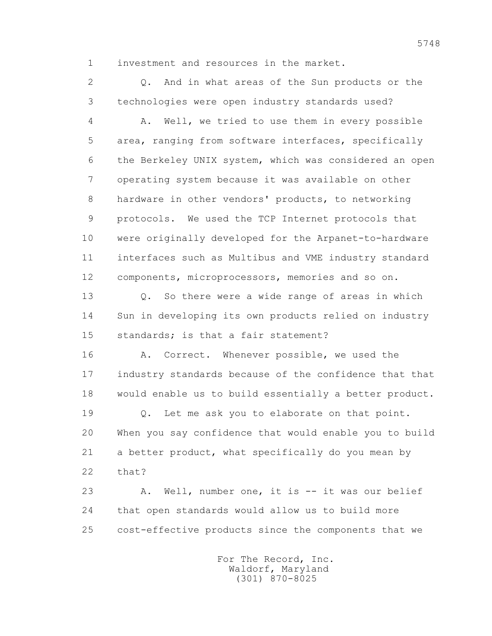1 investment and resources in the market.

 2 Q. And in what areas of the Sun products or the 3 technologies were open industry standards used?

 4 A. Well, we tried to use them in every possible 5 area, ranging from software interfaces, specifically 6 the Berkeley UNIX system, which was considered an open 7 operating system because it was available on other 8 hardware in other vendors' products, to networking 9 protocols. We used the TCP Internet protocols that 10 were originally developed for the Arpanet-to-hardware 11 interfaces such as Multibus and VME industry standard 12 components, microprocessors, memories and so on.

 13 Q. So there were a wide range of areas in which 14 Sun in developing its own products relied on industry 15 standards; is that a fair statement?

16 A. Correct. Whenever possible, we used the 17 industry standards because of the confidence that that 18 would enable us to build essentially a better product.

 19 Q. Let me ask you to elaborate on that point. 20 When you say confidence that would enable you to build 21 a better product, what specifically do you mean by 22 that?

 23 A. Well, number one, it is -- it was our belief 24 that open standards would allow us to build more 25 cost-effective products since the components that we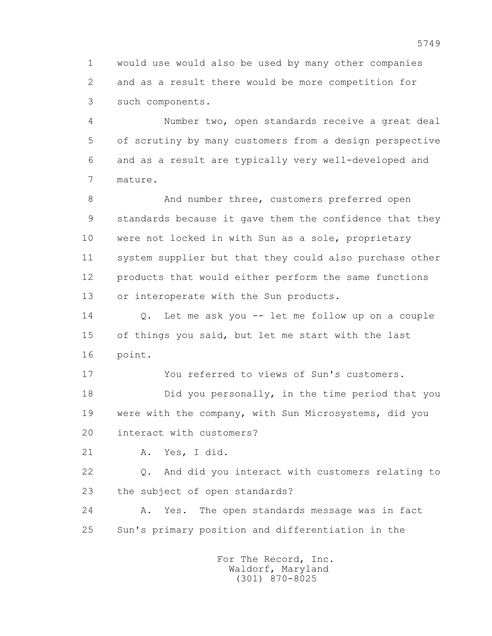1 would use would also be used by many other companies 2 and as a result there would be more competition for 3 such components.

 4 Number two, open standards receive a great deal 5 of scrutiny by many customers from a design perspective 6 and as a result are typically very well-developed and 7 mature.

8 And number three, customers preferred open 9 standards because it gave them the confidence that they 10 were not locked in with Sun as a sole, proprietary 11 system supplier but that they could also purchase other 12 products that would either perform the same functions 13 or interoperate with the Sun products.

 14 Q. Let me ask you -- let me follow up on a couple 15 of things you said, but let me start with the last 16 point.

17 You referred to views of Sun's customers.

 18 Did you personally, in the time period that you 19 were with the company, with Sun Microsystems, did you 20 interact with customers?

21 A. Yes, I did.

 22 Q. And did you interact with customers relating to 23 the subject of open standards?

 24 A. Yes. The open standards message was in fact 25 Sun's primary position and differentiation in the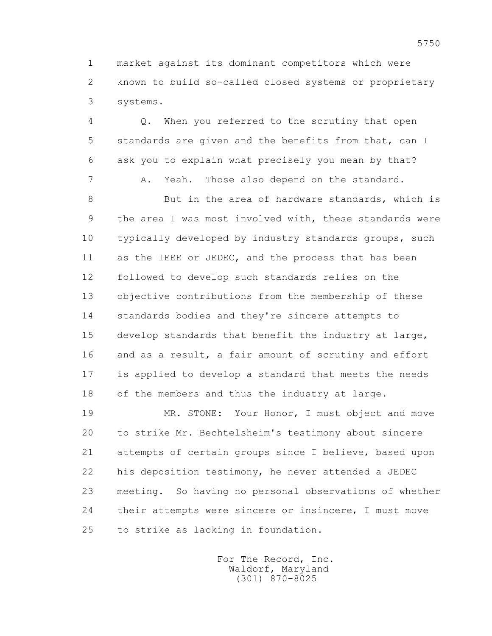1 market against its dominant competitors which were 2 known to build so-called closed systems or proprietary 3 systems.

 4 Q. When you referred to the scrutiny that open 5 standards are given and the benefits from that, can I 6 ask you to explain what precisely you mean by that? 7 A. Yeah. Those also depend on the standard.

 8 But in the area of hardware standards, which is 9 the area I was most involved with, these standards were 10 typically developed by industry standards groups, such 11 as the IEEE or JEDEC, and the process that has been 12 followed to develop such standards relies on the 13 objective contributions from the membership of these 14 standards bodies and they're sincere attempts to 15 develop standards that benefit the industry at large, 16 and as a result, a fair amount of scrutiny and effort 17 is applied to develop a standard that meets the needs 18 of the members and thus the industry at large.

 19 MR. STONE: Your Honor, I must object and move 20 to strike Mr. Bechtelsheim's testimony about sincere 21 attempts of certain groups since I believe, based upon 22 his deposition testimony, he never attended a JEDEC 23 meeting. So having no personal observations of whether 24 their attempts were sincere or insincere, I must move 25 to strike as lacking in foundation.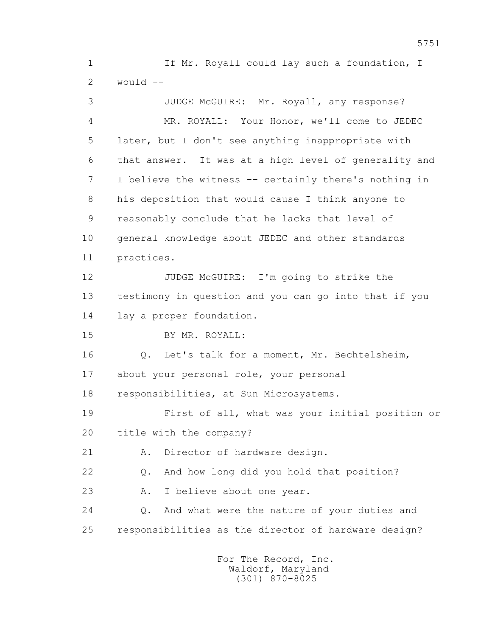1 If Mr. Royall could lay such a foundation, I 2 would --

 3 JUDGE McGUIRE: Mr. Royall, any response? 4 MR. ROYALL: Your Honor, we'll come to JEDEC 5 later, but I don't see anything inappropriate with 6 that answer. It was at a high level of generality and 7 I believe the witness -- certainly there's nothing in 8 his deposition that would cause I think anyone to 9 reasonably conclude that he lacks that level of 10 general knowledge about JEDEC and other standards 11 practices. 12 JUDGE McGUIRE: I'm going to strike the 13 testimony in question and you can go into that if you 14 lay a proper foundation. 15 BY MR. ROYALL: 16 Q. Let's talk for a moment, Mr. Bechtelsheim, 17 about your personal role, your personal 18 responsibilities, at Sun Microsystems. 19 First of all, what was your initial position or 20 title with the company? 21 A. Director of hardware design. 22 Q. And how long did you hold that position? 23 A. I believe about one year. 24 Q. And what were the nature of your duties and 25 responsibilities as the director of hardware design?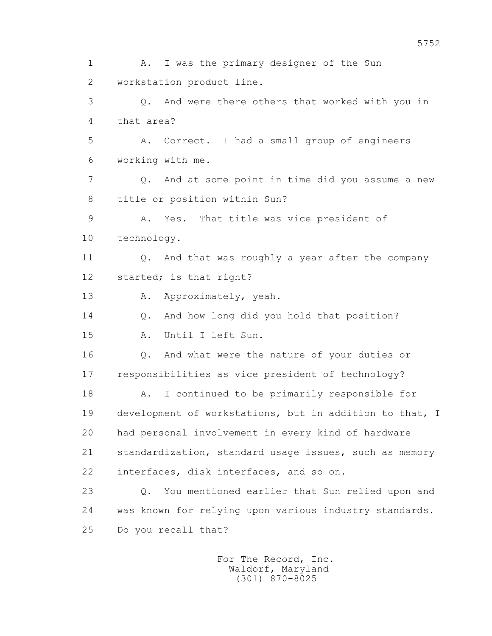1 A. I was the primary designer of the Sun 2 workstation product line. 3 Q. And were there others that worked with you in 4 that area? 5 A. Correct. I had a small group of engineers 6 working with me. 7 Q. And at some point in time did you assume a new 8 title or position within Sun? 9 A. Yes. That title was vice president of 10 technology. 11 Q. And that was roughly a year after the company 12 started; is that right? 13 A. Approximately, yeah. 14 Q. And how long did you hold that position? 15 A. Until I left Sun. 16 Q. And what were the nature of your duties or 17 responsibilities as vice president of technology? 18 A. I continued to be primarily responsible for 19 development of workstations, but in addition to that, I 20 had personal involvement in every kind of hardware 21 standardization, standard usage issues, such as memory 22 interfaces, disk interfaces, and so on. 23 Q. You mentioned earlier that Sun relied upon and 24 was known for relying upon various industry standards. 25 Do you recall that?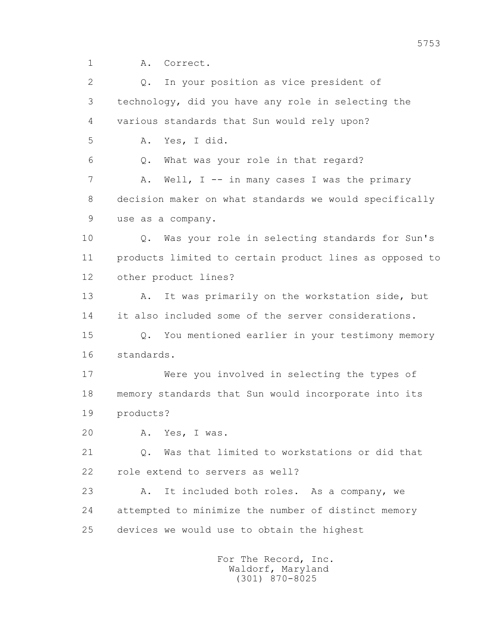1 A. Correct.

2 0. In your position as vice president of 3 technology, did you have any role in selecting the 4 various standards that Sun would rely upon? 5 A. Yes, I did. 6 Q. What was your role in that regard? 7 A. Well, I -- in many cases I was the primary 8 decision maker on what standards we would specifically 9 use as a company. 10 Q. Was your role in selecting standards for Sun's 11 products limited to certain product lines as opposed to 12 other product lines? 13 A. It was primarily on the workstation side, but 14 it also included some of the server considerations. 15 Q. You mentioned earlier in your testimony memory 16 standards. 17 Were you involved in selecting the types of 18 memory standards that Sun would incorporate into its 19 products? 20 A. Yes, I was. 21 Q. Was that limited to workstations or did that 22 role extend to servers as well? 23 A. It included both roles. As a company, we 24 attempted to minimize the number of distinct memory 25 devices we would use to obtain the highest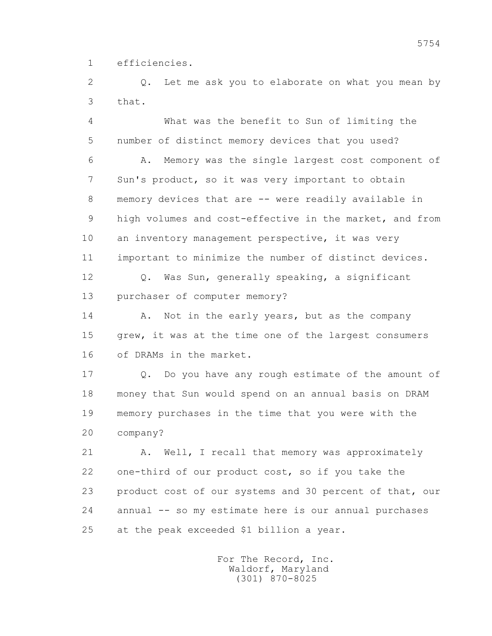1 efficiencies.

 2 Q. Let me ask you to elaborate on what you mean by 3 that.

 4 What was the benefit to Sun of limiting the 5 number of distinct memory devices that you used?

 6 A. Memory was the single largest cost component of 7 Sun's product, so it was very important to obtain 8 memory devices that are -- were readily available in 9 high volumes and cost-effective in the market, and from 10 an inventory management perspective, it was very 11 important to minimize the number of distinct devices.

 12 Q. Was Sun, generally speaking, a significant 13 purchaser of computer memory?

14 A. Not in the early years, but as the company 15 grew, it was at the time one of the largest consumers 16 of DRAMs in the market.

 17 Q. Do you have any rough estimate of the amount of 18 money that Sun would spend on an annual basis on DRAM 19 memory purchases in the time that you were with the 20 company?

21 A. Well, I recall that memory was approximately 22 one-third of our product cost, so if you take the 23 product cost of our systems and 30 percent of that, our 24 annual -- so my estimate here is our annual purchases 25 at the peak exceeded \$1 billion a year.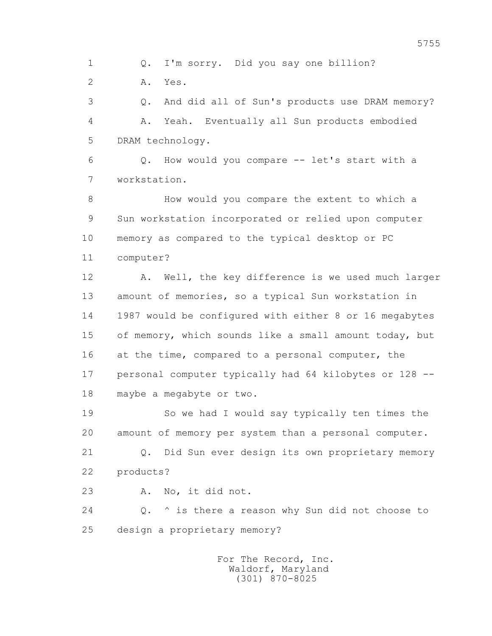1 Q. I'm sorry. Did you say one billion?

2 A. Yes.

 3 Q. And did all of Sun's products use DRAM memory? 4 A. Yeah. Eventually all Sun products embodied 5 DRAM technology.

 6 Q. How would you compare -- let's start with a 7 workstation.

 8 How would you compare the extent to which a 9 Sun workstation incorporated or relied upon computer 10 memory as compared to the typical desktop or PC 11 computer?

12 A. Well, the key difference is we used much larger 13 amount of memories, so a typical Sun workstation in 14 1987 would be configured with either 8 or 16 megabytes 15 of memory, which sounds like a small amount today, but 16 at the time, compared to a personal computer, the 17 personal computer typically had 64 kilobytes or 128 -- 18 maybe a megabyte or two.

 19 So we had I would say typically ten times the 20 amount of memory per system than a personal computer.

 21 Q. Did Sun ever design its own proprietary memory 22 products?

23 A. No, it did not.

 24 Q. ^ is there a reason why Sun did not choose to 25 design a proprietary memory?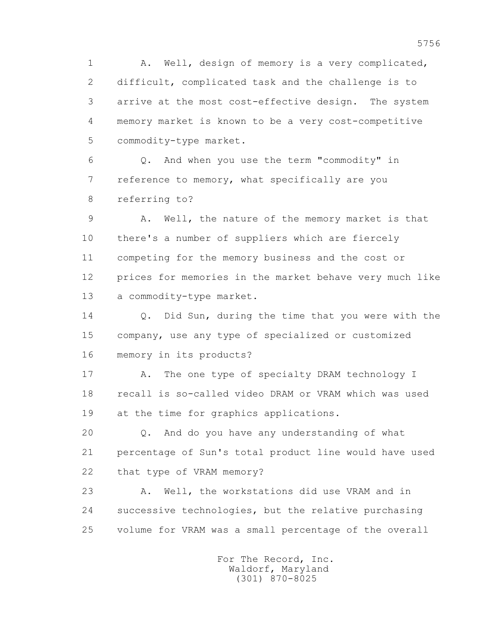1 A. Well, design of memory is a very complicated, 2 difficult, complicated task and the challenge is to 3 arrive at the most cost-effective design. The system 4 memory market is known to be a very cost-competitive 5 commodity-type market.

 6 Q. And when you use the term "commodity" in 7 reference to memory, what specifically are you 8 referring to?

 9 A. Well, the nature of the memory market is that 10 there's a number of suppliers which are fiercely 11 competing for the memory business and the cost or 12 prices for memories in the market behave very much like 13 a commodity-type market.

14 0. Did Sun, during the time that you were with the 15 company, use any type of specialized or customized 16 memory in its products?

17 A. The one type of specialty DRAM technology I 18 recall is so-called video DRAM or VRAM which was used 19 at the time for graphics applications.

 20 Q. And do you have any understanding of what 21 percentage of Sun's total product line would have used 22 that type of VRAM memory?

 23 A. Well, the workstations did use VRAM and in 24 successive technologies, but the relative purchasing 25 volume for VRAM was a small percentage of the overall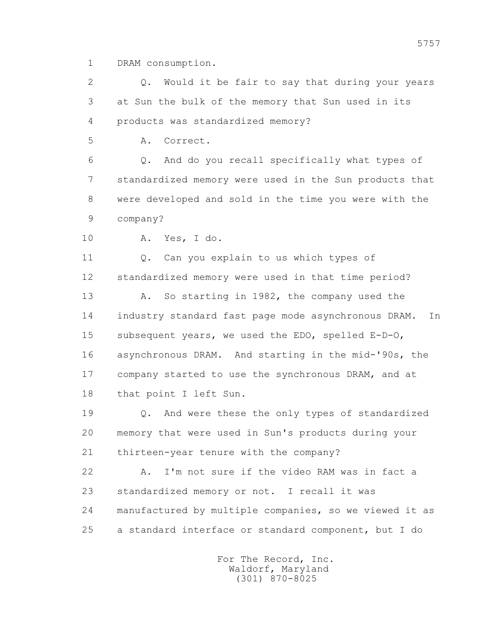1 DRAM consumption.

 2 Q. Would it be fair to say that during your years 3 at Sun the bulk of the memory that Sun used in its 4 products was standardized memory?

5 A. Correct.

 6 Q. And do you recall specifically what types of 7 standardized memory were used in the Sun products that 8 were developed and sold in the time you were with the 9 company?

10 A. Yes, I do.

 11 Q. Can you explain to us which types of 12 standardized memory were used in that time period?

 13 A. So starting in 1982, the company used the 14 industry standard fast page mode asynchronous DRAM. In 15 subsequent years, we used the EDO, spelled E-D-O, 16 asynchronous DRAM. And starting in the mid-'90s, the 17 company started to use the synchronous DRAM, and at 18 that point I left Sun.

 19 Q. And were these the only types of standardized 20 memory that were used in Sun's products during your 21 thirteen-year tenure with the company?

 22 A. I'm not sure if the video RAM was in fact a 23 standardized memory or not. I recall it was 24 manufactured by multiple companies, so we viewed it as 25 a standard interface or standard component, but I do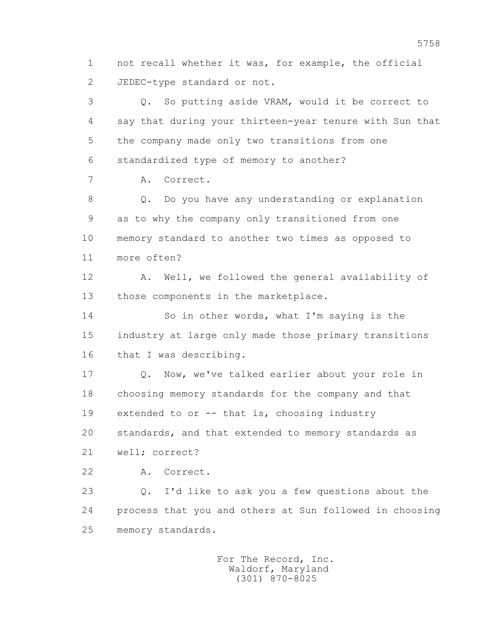1 not recall whether it was, for example, the official 2 JEDEC-type standard or not.

 3 Q. So putting aside VRAM, would it be correct to 4 say that during your thirteen-year tenure with Sun that 5 the company made only two transitions from one 6 standardized type of memory to another? 7 A. Correct.

 8 Q. Do you have any understanding or explanation 9 as to why the company only transitioned from one 10 memory standard to another two times as opposed to 11 more often?

 12 A. Well, we followed the general availability of 13 those components in the marketplace.

 14 So in other words, what I'm saying is the 15 industry at large only made those primary transitions 16 that I was describing.

 17 Q. Now, we've talked earlier about your role in 18 choosing memory standards for the company and that 19 extended to or -- that is, choosing industry 20 standards, and that extended to memory standards as 21 well; correct?

22 A. Correct.

 23 Q. I'd like to ask you a few questions about the 24 process that you and others at Sun followed in choosing 25 memory standards.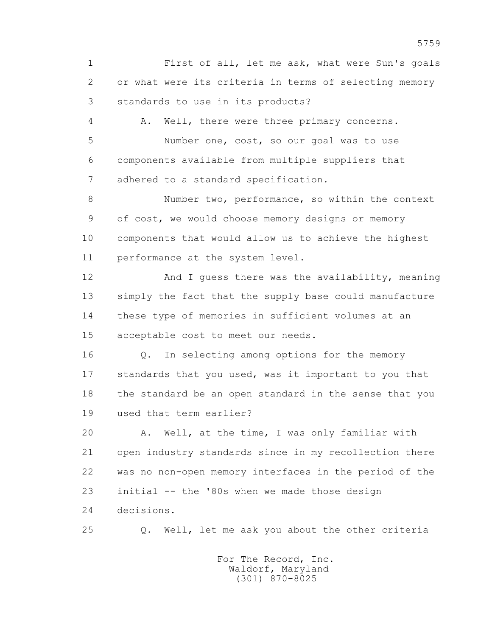1 First of all, let me ask, what were Sun's goals 2 or what were its criteria in terms of selecting memory 3 standards to use in its products?

 4 A. Well, there were three primary concerns. 5 Number one, cost, so our goal was to use 6 components available from multiple suppliers that 7 adhered to a standard specification.

 8 Number two, performance, so within the context 9 of cost, we would choose memory designs or memory 10 components that would allow us to achieve the highest 11 performance at the system level.

 12 And I guess there was the availability, meaning 13 simply the fact that the supply base could manufacture 14 these type of memories in sufficient volumes at an 15 acceptable cost to meet our needs.

 16 Q. In selecting among options for the memory 17 standards that you used, was it important to you that 18 the standard be an open standard in the sense that you 19 used that term earlier?

 20 A. Well, at the time, I was only familiar with 21 open industry standards since in my recollection there 22 was no non-open memory interfaces in the period of the 23 initial -- the '80s when we made those design 24 decisions.

25 Q. Well, let me ask you about the other criteria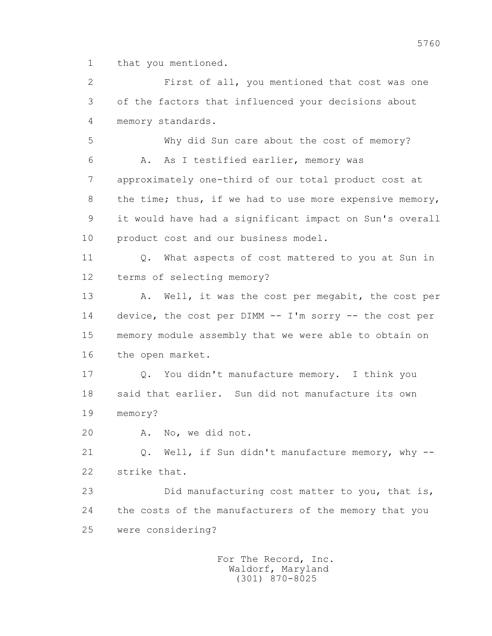1 that you mentioned.

 2 First of all, you mentioned that cost was one 3 of the factors that influenced your decisions about 4 memory standards.

 5 Why did Sun care about the cost of memory? 6 A. As I testified earlier, memory was 7 approximately one-third of our total product cost at 8 the time; thus, if we had to use more expensive memory, 9 it would have had a significant impact on Sun's overall 10 product cost and our business model.

11 0. What aspects of cost mattered to you at Sun in 12 terms of selecting memory?

13 A. Well, it was the cost per megabit, the cost per 14 device, the cost per DIMM -- I'm sorry -- the cost per 15 memory module assembly that we were able to obtain on 16 the open market.

 17 Q. You didn't manufacture memory. I think you 18 said that earlier. Sun did not manufacture its own 19 memory?

20 A. No, we did not.

21 Q. Well, if Sun didn't manufacture memory, why --22 strike that.

 23 Did manufacturing cost matter to you, that is, 24 the costs of the manufacturers of the memory that you 25 were considering?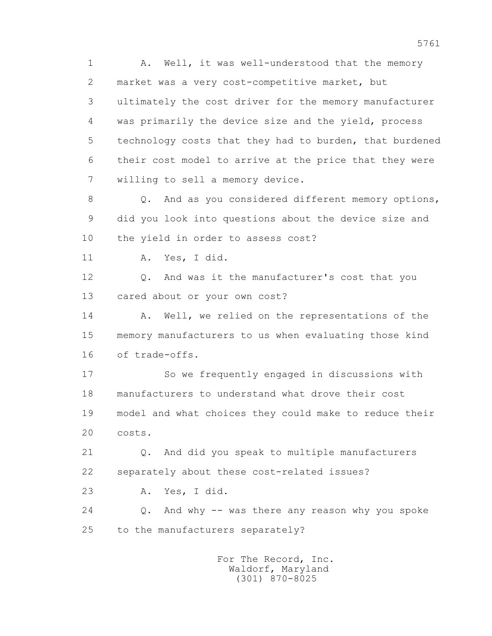1 A. Well, it was well-understood that the memory 2 market was a very cost-competitive market, but 3 ultimately the cost driver for the memory manufacturer 4 was primarily the device size and the yield, process 5 technology costs that they had to burden, that burdened 6 their cost model to arrive at the price that they were 7 willing to sell a memory device.

8 Q. And as you considered different memory options, 9 did you look into questions about the device size and 10 the yield in order to assess cost?

11 A. Yes, I did.

 12 Q. And was it the manufacturer's cost that you 13 cared about or your own cost?

14 A. Well, we relied on the representations of the 15 memory manufacturers to us when evaluating those kind 16 of trade-offs.

 17 So we frequently engaged in discussions with 18 manufacturers to understand what drove their cost 19 model and what choices they could make to reduce their 20 costs.

 21 Q. And did you speak to multiple manufacturers 22 separately about these cost-related issues?

23 A. Yes, I did.

 24 Q. And why -- was there any reason why you spoke 25 to the manufacturers separately?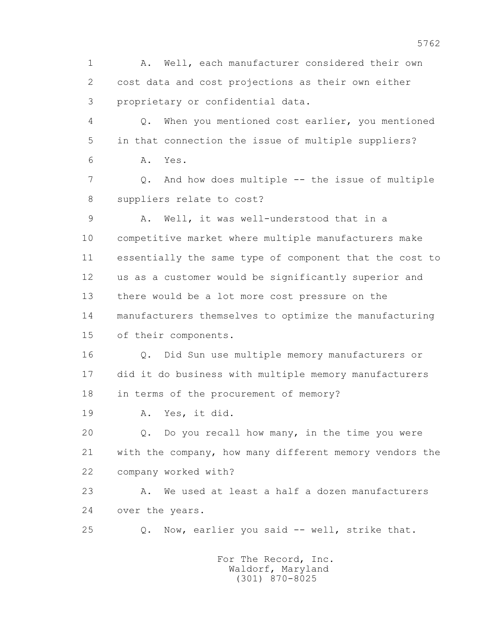1 A. Well, each manufacturer considered their own 2 cost data and cost projections as their own either 3 proprietary or confidential data. 4 Q. When you mentioned cost earlier, you mentioned 5 in that connection the issue of multiple suppliers? 6 A. Yes. 7 Q. And how does multiple -- the issue of multiple 8 suppliers relate to cost? 9 A. Well, it was well-understood that in a 10 competitive market where multiple manufacturers make 11 essentially the same type of component that the cost to 12 us as a customer would be significantly superior and 13 there would be a lot more cost pressure on the 14 manufacturers themselves to optimize the manufacturing 15 of their components. 16 Q. Did Sun use multiple memory manufacturers or 17 did it do business with multiple memory manufacturers 18 in terms of the procurement of memory? 19 A. Yes, it did. 20 Q. Do you recall how many, in the time you were 21 with the company, how many different memory vendors the 22 company worked with? 23 A. We used at least a half a dozen manufacturers 24 over the years. 25 Q. Now, earlier you said -- well, strike that. For The Record, Inc.

 Waldorf, Maryland (301) 870-8025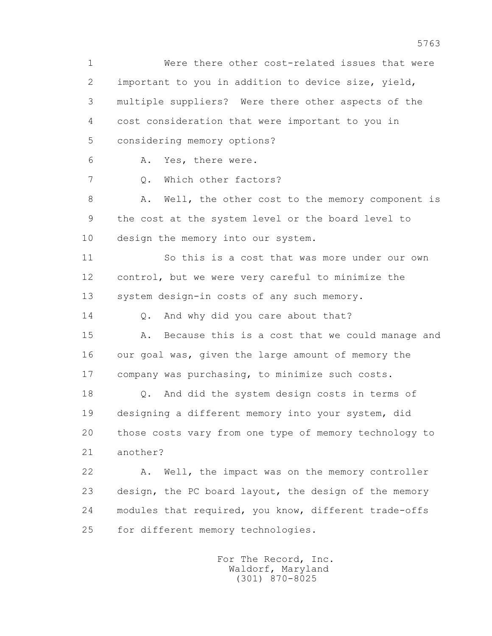1 Were there other cost-related issues that were 2 important to you in addition to device size, yield, 3 multiple suppliers? Were there other aspects of the 4 cost consideration that were important to you in 5 considering memory options? 6 A. Yes, there were. 7 0. Which other factors? 8 A. Well, the other cost to the memory component is 9 the cost at the system level or the board level to 10 design the memory into our system. 11 So this is a cost that was more under our own 12 control, but we were very careful to minimize the 13 system design-in costs of any such memory. 14 O. And why did you care about that? 15 A. Because this is a cost that we could manage and 16 our goal was, given the large amount of memory the 17 company was purchasing, to minimize such costs. 18 Q. And did the system design costs in terms of 19 designing a different memory into your system, did 20 those costs vary from one type of memory technology to 21 another? 22 A. Well, the impact was on the memory controller 23 design, the PC board layout, the design of the memory 24 modules that required, you know, different trade-offs 25 for different memory technologies.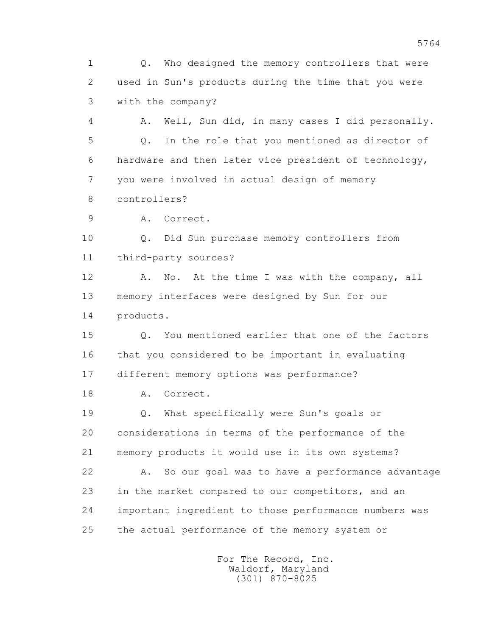1 Q. Who designed the memory controllers that were 2 used in Sun's products during the time that you were 3 with the company?

 4 A. Well, Sun did, in many cases I did personally. 5 Q. In the role that you mentioned as director of 6 hardware and then later vice president of technology, 7 you were involved in actual design of memory 8 controllers?

9 A. Correct.

 10 Q. Did Sun purchase memory controllers from 11 third-party sources?

12 A. No. At the time I was with the company, all 13 memory interfaces were designed by Sun for our 14 products.

 15 Q. You mentioned earlier that one of the factors 16 that you considered to be important in evaluating 17 different memory options was performance?

18 A. Correct.

 19 Q. What specifically were Sun's goals or 20 considerations in terms of the performance of the 21 memory products it would use in its own systems?

 22 A. So our goal was to have a performance advantage 23 in the market compared to our competitors, and an 24 important ingredient to those performance numbers was 25 the actual performance of the memory system or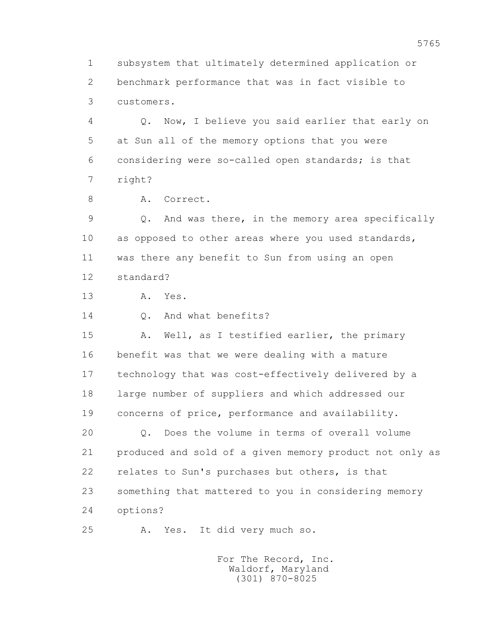1 subsystem that ultimately determined application or 2 benchmark performance that was in fact visible to 3 customers.

 4 Q. Now, I believe you said earlier that early on 5 at Sun all of the memory options that you were 6 considering were so-called open standards; is that 7 right?

8 A. Correct.

 9 Q. And was there, in the memory area specifically 10 as opposed to other areas where you used standards, 11 was there any benefit to Sun from using an open 12 standard?

13 A. Yes.

14 0. And what benefits?

 15 A. Well, as I testified earlier, the primary 16 benefit was that we were dealing with a mature 17 technology that was cost-effectively delivered by a 18 large number of suppliers and which addressed our 19 concerns of price, performance and availability.

 20 Q. Does the volume in terms of overall volume 21 produced and sold of a given memory product not only as 22 relates to Sun's purchases but others, is that 23 something that mattered to you in considering memory 24 options?

25 A. Yes. It did very much so.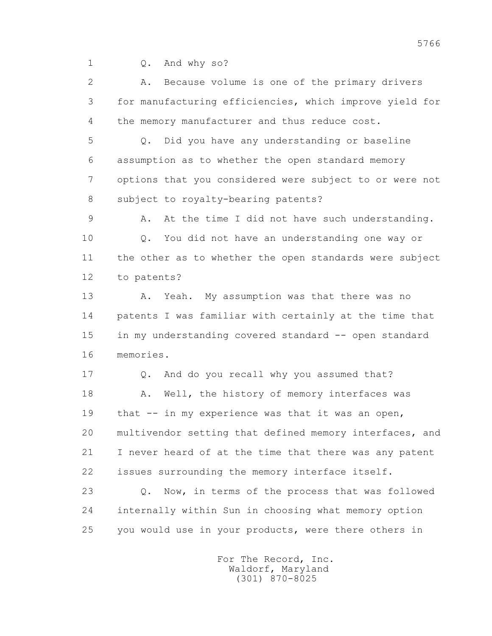1 Q. And why so?

 2 A. Because volume is one of the primary drivers 3 for manufacturing efficiencies, which improve yield for 4 the memory manufacturer and thus reduce cost.

 5 Q. Did you have any understanding or baseline 6 assumption as to whether the open standard memory 7 options that you considered were subject to or were not 8 subject to royalty-bearing patents?

 9 A. At the time I did not have such understanding. 10 Q. You did not have an understanding one way or 11 the other as to whether the open standards were subject 12 to patents?

13 A. Yeah. My assumption was that there was no 14 patents I was familiar with certainly at the time that 15 in my understanding covered standard -- open standard 16 memories.

 17 Q. And do you recall why you assumed that? 18 A. Well, the history of memory interfaces was 19 that -- in my experience was that it was an open, 20 multivendor setting that defined memory interfaces, and 21 I never heard of at the time that there was any patent 22 issues surrounding the memory interface itself.

 23 Q. Now, in terms of the process that was followed 24 internally within Sun in choosing what memory option 25 you would use in your products, were there others in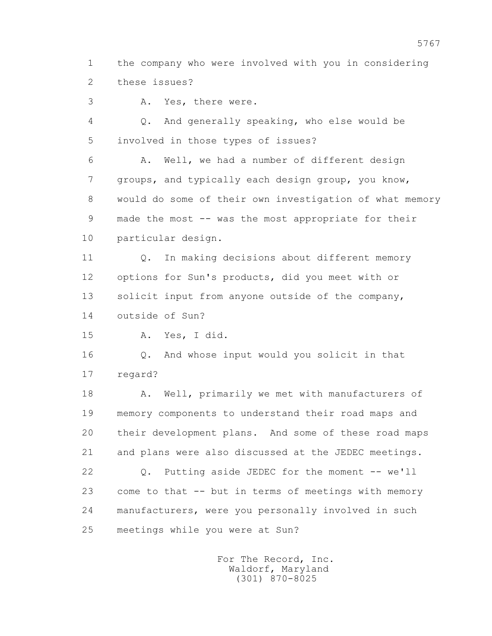1 the company who were involved with you in considering 2 these issues?

3 A. Yes, there were.

 4 Q. And generally speaking, who else would be 5 involved in those types of issues?

 6 A. Well, we had a number of different design 7 groups, and typically each design group, you know, 8 would do some of their own investigation of what memory 9 made the most -- was the most appropriate for their 10 particular design.

 11 Q. In making decisions about different memory 12 options for Sun's products, did you meet with or 13 solicit input from anyone outside of the company, 14 outside of Sun?

15 A. Yes, I did.

 16 Q. And whose input would you solicit in that 17 regard?

18 A. Well, primarily we met with manufacturers of 19 memory components to understand their road maps and 20 their development plans. And some of these road maps 21 and plans were also discussed at the JEDEC meetings. 22 Q. Putting aside JEDEC for the moment -- we'll 23 come to that -- but in terms of meetings with memory 24 manufacturers, were you personally involved in such 25 meetings while you were at Sun?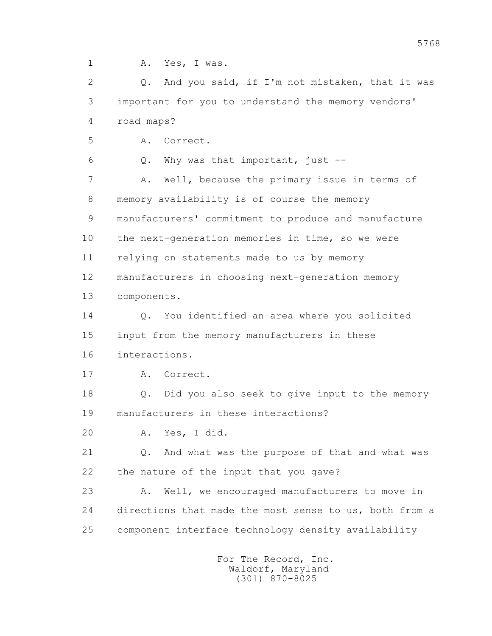1 A. Yes, I was.

 2 Q. And you said, if I'm not mistaken, that it was 3 important for you to understand the memory vendors' 4 road maps? 5 A. Correct. 6 Q. Why was that important, just -- 7 A. Well, because the primary issue in terms of

 8 memory availability is of course the memory 9 manufacturers' commitment to produce and manufacture 10 the next-generation memories in time, so we were 11 relying on statements made to us by memory 12 manufacturers in choosing next-generation memory 13 components.

 14 Q. You identified an area where you solicited 15 input from the memory manufacturers in these 16 interactions.

17 A. Correct.

 18 Q. Did you also seek to give input to the memory 19 manufacturers in these interactions?

20 A. Yes, I did.

 21 Q. And what was the purpose of that and what was 22 the nature of the input that you gave?

 23 A. Well, we encouraged manufacturers to move in 24 directions that made the most sense to us, both from a 25 component interface technology density availability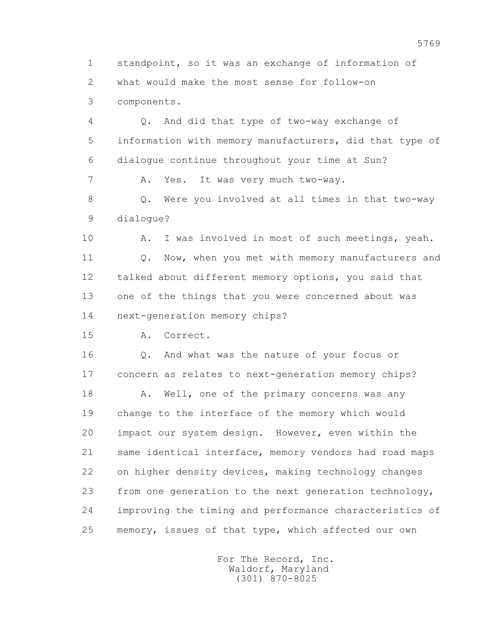1 standpoint, so it was an exchange of information of 2 what would make the most sense for follow-on 3 components.

 4 Q. And did that type of two-way exchange of 5 information with memory manufacturers, did that type of 6 dialogue continue throughout your time at Sun? 7 A. Yes. It was very much two-way.

 8 Q. Were you involved at all times in that two-way 9 dialogue?

 10 A. I was involved in most of such meetings, yeah. 11 0. Now, when you met with memory manufacturers and 12 talked about different memory options, you said that 13 one of the things that you were concerned about was 14 next-generation memory chips?

15 A. Correct.

 16 Q. And what was the nature of your focus or 17 concern as relates to next-generation memory chips?

18 A. Well, one of the primary concerns was any 19 change to the interface of the memory which would 20 impact our system design. However, even within the 21 same identical interface, memory vendors had road maps 22 on higher density devices, making technology changes 23 from one generation to the next generation technology, 24 improving the timing and performance characteristics of 25 memory, issues of that type, which affected our own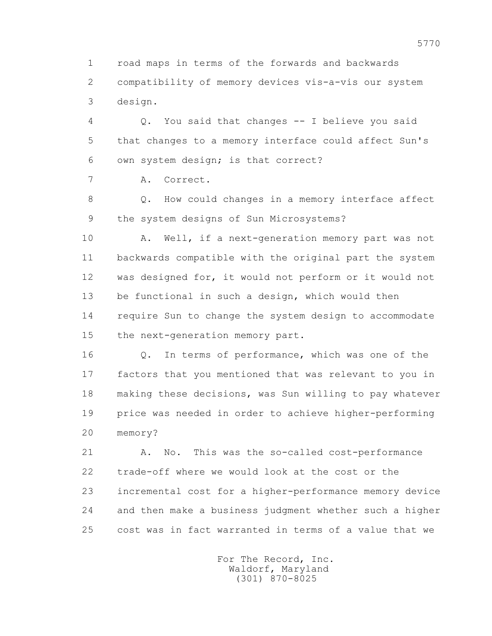1 road maps in terms of the forwards and backwards 2 compatibility of memory devices vis-a-vis our system 3 design.

 4 Q. You said that changes -- I believe you said 5 that changes to a memory interface could affect Sun's 6 own system design; is that correct?

7 A. Correct.

 8 Q. How could changes in a memory interface affect 9 the system designs of Sun Microsystems?

10 A. Well, if a next-generation memory part was not 11 backwards compatible with the original part the system 12 was designed for, it would not perform or it would not 13 be functional in such a design, which would then 14 require Sun to change the system design to accommodate 15 the next-generation memory part.

 16 Q. In terms of performance, which was one of the 17 factors that you mentioned that was relevant to you in 18 making these decisions, was Sun willing to pay whatever 19 price was needed in order to achieve higher-performing 20 memory?

 21 A. No. This was the so-called cost-performance 22 trade-off where we would look at the cost or the 23 incremental cost for a higher-performance memory device 24 and then make a business judgment whether such a higher 25 cost was in fact warranted in terms of a value that we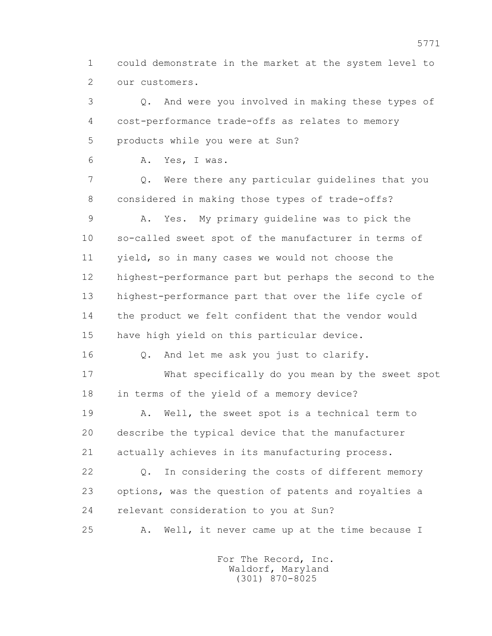1 could demonstrate in the market at the system level to 2 our customers.

 3 Q. And were you involved in making these types of 4 cost-performance trade-offs as relates to memory 5 products while you were at Sun?

6 A. Yes, I was.

 7 Q. Were there any particular guidelines that you 8 considered in making those types of trade-offs?

 9 A. Yes. My primary guideline was to pick the 10 so-called sweet spot of the manufacturer in terms of 11 yield, so in many cases we would not choose the 12 highest-performance part but perhaps the second to the 13 highest-performance part that over the life cycle of 14 the product we felt confident that the vendor would 15 have high yield on this particular device.

16 Q. And let me ask you just to clarify.

 17 What specifically do you mean by the sweet spot 18 in terms of the yield of a memory device?

 19 A. Well, the sweet spot is a technical term to 20 describe the typical device that the manufacturer 21 actually achieves in its manufacturing process.

 22 Q. In considering the costs of different memory 23 options, was the question of patents and royalties a 24 relevant consideration to you at Sun?

25 A. Well, it never came up at the time because I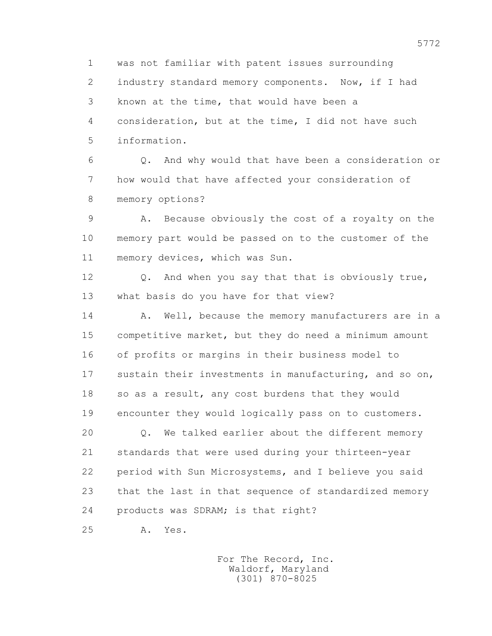1 was not familiar with patent issues surrounding 2 industry standard memory components. Now, if I had 3 known at the time, that would have been a 4 consideration, but at the time, I did not have such 5 information.

 6 Q. And why would that have been a consideration or 7 how would that have affected your consideration of 8 memory options?

 9 A. Because obviously the cost of a royalty on the 10 memory part would be passed on to the customer of the 11 memory devices, which was Sun.

 12 Q. And when you say that that is obviously true, 13 what basis do you have for that view?

14 A. Well, because the memory manufacturers are in a 15 competitive market, but they do need a minimum amount 16 of profits or margins in their business model to 17 sustain their investments in manufacturing, and so on, 18 so as a result, any cost burdens that they would 19 encounter they would logically pass on to customers.

 20 Q. We talked earlier about the different memory 21 standards that were used during your thirteen-year 22 period with Sun Microsystems, and I believe you said 23 that the last in that sequence of standardized memory 24 products was SDRAM; is that right?

25 A. Yes.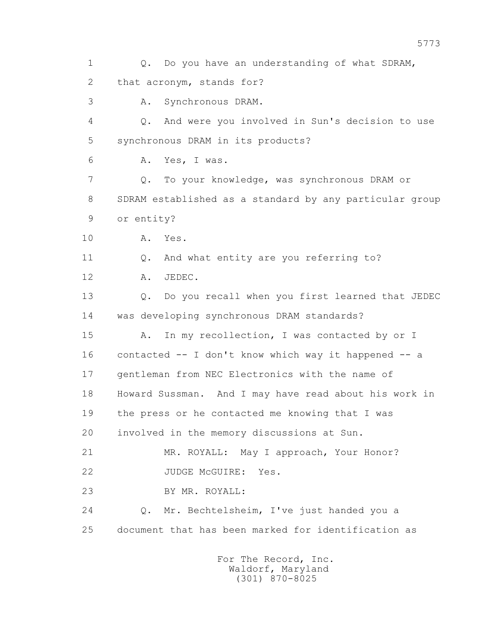1 Q. Do you have an understanding of what SDRAM, 2 that acronym, stands for? 3 A. Synchronous DRAM. 4 Q. And were you involved in Sun's decision to use 5 synchronous DRAM in its products? 6 A. Yes, I was. 7 Q. To your knowledge, was synchronous DRAM or 8 SDRAM established as a standard by any particular group 9 or entity? 10 A. Yes. 11 0. And what entity are you referring to? 12 A. JEDEC. 13 Q. Do you recall when you first learned that JEDEC 14 was developing synchronous DRAM standards? 15 A. In my recollection, I was contacted by or I 16 contacted -- I don't know which way it happened -- a 17 gentleman from NEC Electronics with the name of 18 Howard Sussman. And I may have read about his work in 19 the press or he contacted me knowing that I was 20 involved in the memory discussions at Sun. 21 MR. ROYALL: May I approach, Your Honor? 22 JUDGE McGUIRE: Yes. 23 BY MR. ROYALL: 24 Q. Mr. Bechtelsheim, I've just handed you a 25 document that has been marked for identification as For The Record, Inc.

 Waldorf, Maryland (301) 870-8025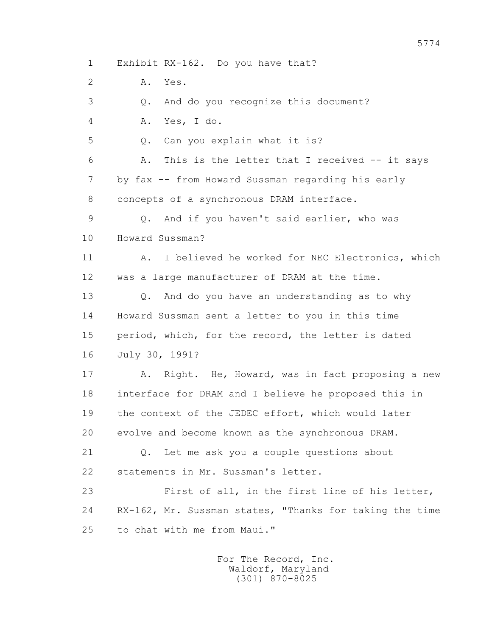1 Exhibit RX-162. Do you have that?

2 A. Yes.

3 Q. And do you recognize this document?

4 A. Yes, I do.

5 Q. Can you explain what it is?

 6 A. This is the letter that I received -- it says 7 by fax -- from Howard Sussman regarding his early 8 concepts of a synchronous DRAM interface.

 9 Q. And if you haven't said earlier, who was 10 Howard Sussman?

 11 A. I believed he worked for NEC Electronics, which 12 was a large manufacturer of DRAM at the time.

 13 Q. And do you have an understanding as to why 14 Howard Sussman sent a letter to you in this time 15 period, which, for the record, the letter is dated 16 July 30, 1991?

17 A. Right. He, Howard, was in fact proposing a new 18 interface for DRAM and I believe he proposed this in 19 the context of the JEDEC effort, which would later 20 evolve and become known as the synchronous DRAM.

 21 Q. Let me ask you a couple questions about 22 statements in Mr. Sussman's letter.

 23 First of all, in the first line of his letter, 24 RX-162, Mr. Sussman states, "Thanks for taking the time 25 to chat with me from Maui."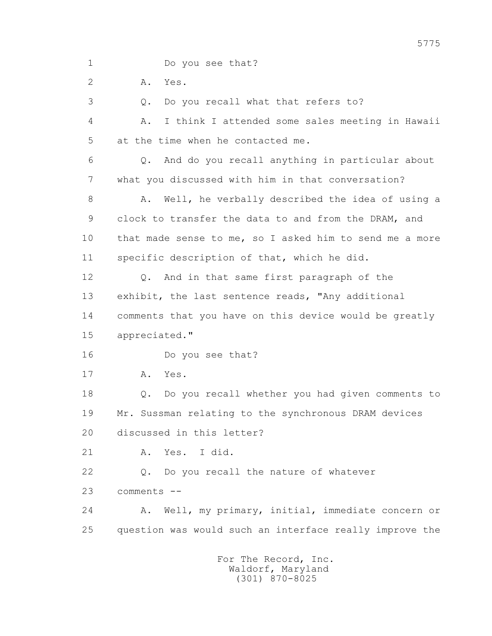1 Do you see that?

2 A. Yes.

3 Q. Do you recall what that refers to?

 4 A. I think I attended some sales meeting in Hawaii 5 at the time when he contacted me.

 6 Q. And do you recall anything in particular about 7 what you discussed with him in that conversation?

8 A. Well, he verbally described the idea of using a 9 clock to transfer the data to and from the DRAM, and 10 that made sense to me, so I asked him to send me a more 11 specific description of that, which he did.

 12 Q. And in that same first paragraph of the 13 exhibit, the last sentence reads, "Any additional 14 comments that you have on this device would be greatly 15 appreciated."

16 Do you see that?

17 A. Yes.

 18 Q. Do you recall whether you had given comments to 19 Mr. Sussman relating to the synchronous DRAM devices 20 discussed in this letter?

21 A. Yes. I did.

22 Q. Do you recall the nature of whatever

23 comments --

 24 A. Well, my primary, initial, immediate concern or 25 question was would such an interface really improve the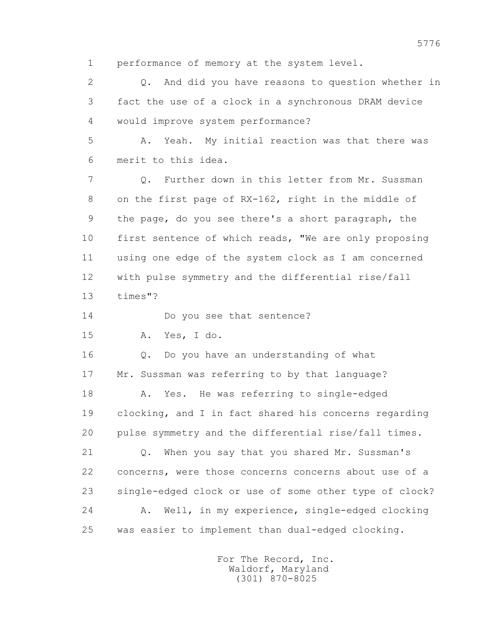1 performance of memory at the system level.

 2 Q. And did you have reasons to question whether in 3 fact the use of a clock in a synchronous DRAM device 4 would improve system performance?

 5 A. Yeah. My initial reaction was that there was 6 merit to this idea.

 7 Q. Further down in this letter from Mr. Sussman 8 on the first page of RX-162, right in the middle of 9 the page, do you see there's a short paragraph, the 10 first sentence of which reads, "We are only proposing 11 using one edge of the system clock as I am concerned 12 with pulse symmetry and the differential rise/fall 13 times"?

14 Do you see that sentence?

15 A. Yes, I do.

 16 Q. Do you have an understanding of what 17 Mr. Sussman was referring to by that language? 18 A. Yes. He was referring to single-edged 19 clocking, and I in fact shared his concerns regarding 20 pulse symmetry and the differential rise/fall times.

 21 Q. When you say that you shared Mr. Sussman's 22 concerns, were those concerns concerns about use of a 23 single-edged clock or use of some other type of clock? 24 A. Well, in my experience, single-edged clocking 25 was easier to implement than dual-edged clocking.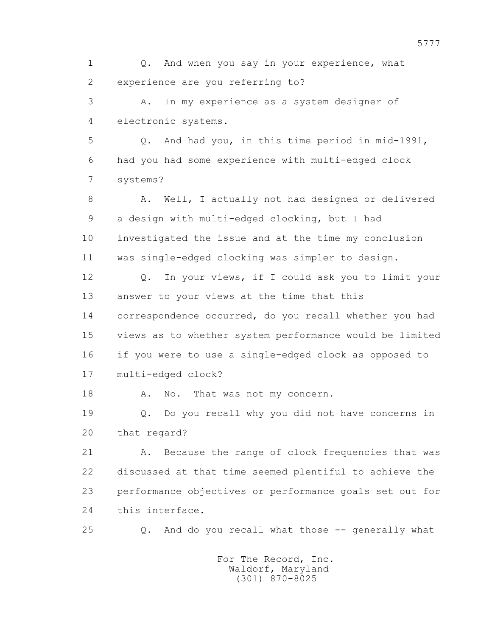1 Q. And when you say in your experience, what 2 experience are you referring to?

 3 A. In my experience as a system designer of 4 electronic systems.

 5 Q. And had you, in this time period in mid-1991, 6 had you had some experience with multi-edged clock 7 systems?

8 A. Well, I actually not had designed or delivered 9 a design with multi-edged clocking, but I had 10 investigated the issue and at the time my conclusion 11 was single-edged clocking was simpler to design.

 12 Q. In your views, if I could ask you to limit your 13 answer to your views at the time that this 14 correspondence occurred, do you recall whether you had 15 views as to whether system performance would be limited 16 if you were to use a single-edged clock as opposed to 17 multi-edged clock?

18 A. No. That was not my concern.

 19 Q. Do you recall why you did not have concerns in 20 that regard?

21 A. Because the range of clock frequencies that was 22 discussed at that time seemed plentiful to achieve the 23 performance objectives or performance goals set out for 24 this interface.

25 Q. And do you recall what those -- generally what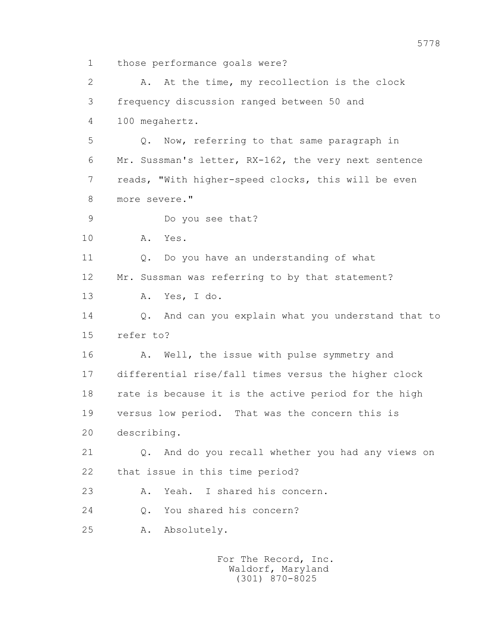1 those performance goals were?

 2 A. At the time, my recollection is the clock 3 frequency discussion ranged between 50 and 4 100 megahertz. 5 Q. Now, referring to that same paragraph in 6 Mr. Sussman's letter, RX-162, the very next sentence 7 reads, "With higher-speed clocks, this will be even 8 more severe." 9 Do you see that? 10 A. Yes. 11 Q. Do you have an understanding of what 12 Mr. Sussman was referring to by that statement? 13 A. Yes, I do. 14 Q. And can you explain what you understand that to 15 refer to? 16 A. Well, the issue with pulse symmetry and 17 differential rise/fall times versus the higher clock 18 rate is because it is the active period for the high 19 versus low period. That was the concern this is 20 describing. 21 Q. And do you recall whether you had any views on 22 that issue in this time period? 23 A. Yeah. I shared his concern. 24 0. You shared his concern? 25 A. Absolutely.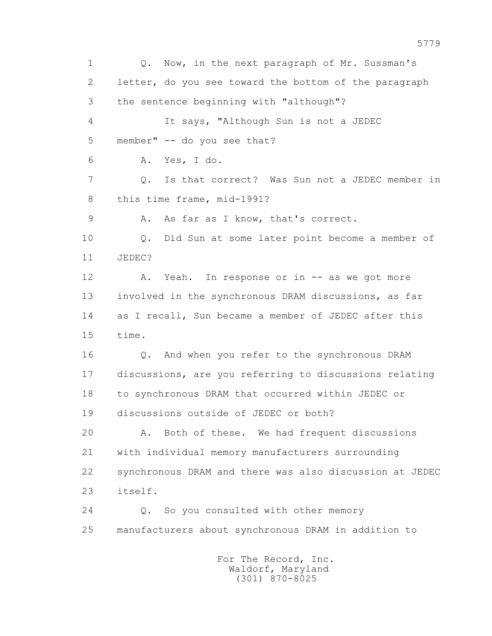1 Q. Now, in the next paragraph of Mr. Sussman's 2 letter, do you see toward the bottom of the paragraph 3 the sentence beginning with "although"? 4 It says, "Although Sun is not a JEDEC 5 member" -- do you see that? 6 A. Yes, I do. 7 Q. Is that correct? Was Sun not a JEDEC member in 8 this time frame, mid-1991? 9 A. As far as I know, that's correct. 10 Q. Did Sun at some later point become a member of 11 JEDEC? 12 A. Yeah. In response or in -- as we got more 13 involved in the synchronous DRAM discussions, as far 14 as I recall, Sun became a member of JEDEC after this 15 time. 16 Q. And when you refer to the synchronous DRAM 17 discussions, are you referring to discussions relating 18 to synchronous DRAM that occurred within JEDEC or 19 discussions outside of JEDEC or both? 20 A. Both of these. We had frequent discussions 21 with individual memory manufacturers surrounding 22 synchronous DRAM and there was also discussion at JEDEC 23 itself. 24 Q. So you consulted with other memory 25 manufacturers about synchronous DRAM in addition to For The Record, Inc.

 Waldorf, Maryland (301) 870-8025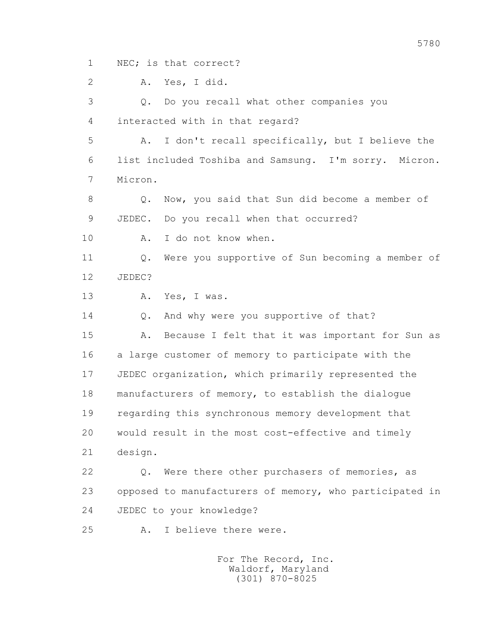1 NEC; is that correct?

2 A. Yes, I did.

 3 Q. Do you recall what other companies you 4 interacted with in that regard?

 5 A. I don't recall specifically, but I believe the 6 list included Toshiba and Samsung. I'm sorry. Micron. 7 Micron.

 8 Q. Now, you said that Sun did become a member of 9 JEDEC. Do you recall when that occurred?

10 A. I do not know when.

 11 Q. Were you supportive of Sun becoming a member of 12 JEDEC?

13 A. Yes, I was.

14 Q. And why were you supportive of that?

 15 A. Because I felt that it was important for Sun as 16 a large customer of memory to participate with the 17 JEDEC organization, which primarily represented the 18 manufacturers of memory, to establish the dialogue 19 regarding this synchronous memory development that 20 would result in the most cost-effective and timely 21 design.

 22 Q. Were there other purchasers of memories, as 23 opposed to manufacturers of memory, who participated in 24 JEDEC to your knowledge?

25 A. I believe there were.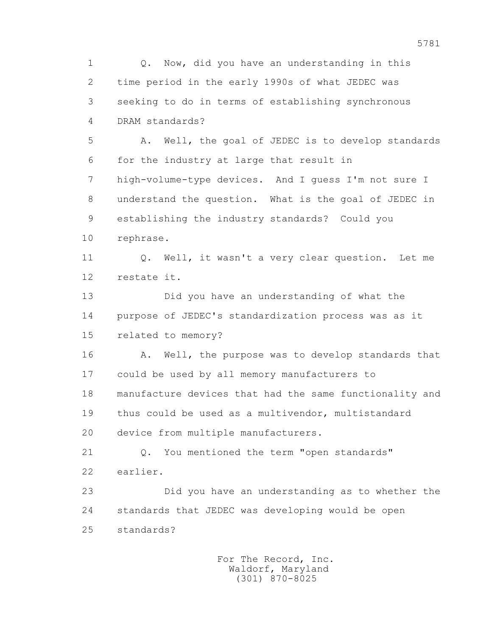1 Q. Now, did you have an understanding in this 2 time period in the early 1990s of what JEDEC was 3 seeking to do in terms of establishing synchronous 4 DRAM standards? 5 A. Well, the goal of JEDEC is to develop standards 6 for the industry at large that result in 7 high-volume-type devices. And I guess I'm not sure I

 8 understand the question. What is the goal of JEDEC in 9 establishing the industry standards? Could you

10 rephrase.

 11 Q. Well, it wasn't a very clear question. Let me 12 restate it.

 13 Did you have an understanding of what the 14 purpose of JEDEC's standardization process was as it 15 related to memory?

16 A. Well, the purpose was to develop standards that 17 could be used by all memory manufacturers to 18 manufacture devices that had the same functionality and 19 thus could be used as a multivendor, multistandard 20 device from multiple manufacturers.

 21 Q. You mentioned the term "open standards" 22 earlier.

 23 Did you have an understanding as to whether the 24 standards that JEDEC was developing would be open 25 standards?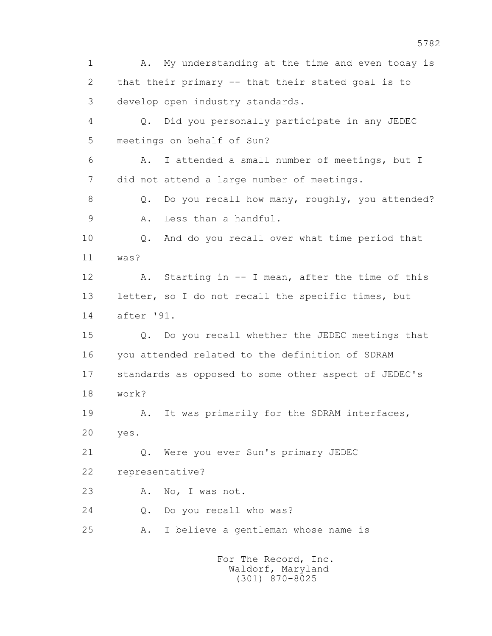1 A. My understanding at the time and even today is 2 that their primary -- that their stated goal is to 3 develop open industry standards. 4 Q. Did you personally participate in any JEDEC 5 meetings on behalf of Sun? 6 A. I attended a small number of meetings, but I 7 did not attend a large number of meetings. 8 Q. Do you recall how many, roughly, you attended? 9 A. Less than a handful. 10 Q. And do you recall over what time period that 11 was? 12 A. Starting in -- I mean, after the time of this 13 letter, so I do not recall the specific times, but 14 after '91. 15 Q. Do you recall whether the JEDEC meetings that 16 you attended related to the definition of SDRAM 17 standards as opposed to some other aspect of JEDEC's 18 work? 19 A. It was primarily for the SDRAM interfaces, 20 yes. 21 Q. Were you ever Sun's primary JEDEC 22 representative? 23 A. No, I was not. 24 Q. Do you recall who was? 25 A. I believe a gentleman whose name is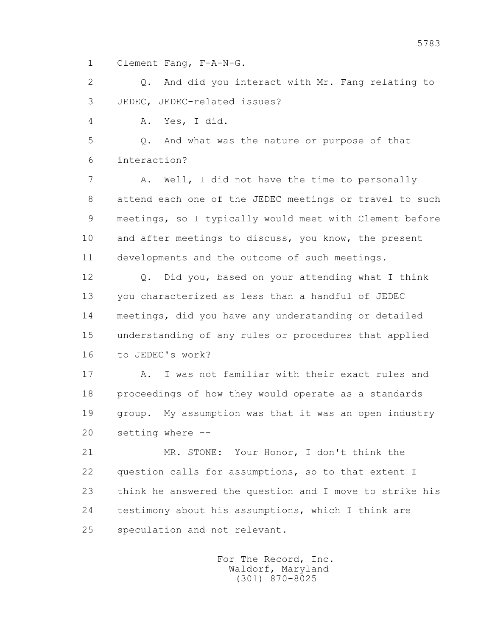1 Clement Fang, F-A-N-G.

2 0. And did you interact with Mr. Fang relating to 3 JEDEC, JEDEC-related issues?

4 A. Yes, I did.

 5 Q. And what was the nature or purpose of that 6 interaction?

 7 A. Well, I did not have the time to personally 8 attend each one of the JEDEC meetings or travel to such 9 meetings, so I typically would meet with Clement before 10 and after meetings to discuss, you know, the present 11 developments and the outcome of such meetings.

 12 Q. Did you, based on your attending what I think 13 you characterized as less than a handful of JEDEC 14 meetings, did you have any understanding or detailed 15 understanding of any rules or procedures that applied 16 to JEDEC's work?

 17 A. I was not familiar with their exact rules and 18 proceedings of how they would operate as a standards 19 group. My assumption was that it was an open industry 20 setting where --

 21 MR. STONE: Your Honor, I don't think the 22 question calls for assumptions, so to that extent I 23 think he answered the question and I move to strike his 24 testimony about his assumptions, which I think are 25 speculation and not relevant.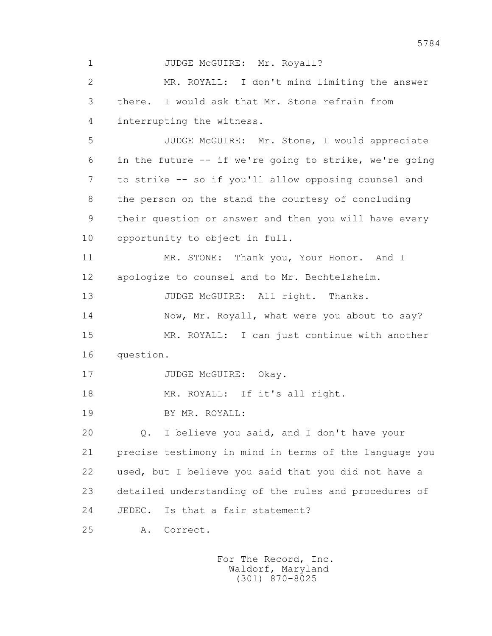1 JUDGE McGUIRE: Mr. Royall? 2 MR. ROYALL: I don't mind limiting the answer 3 there. I would ask that Mr. Stone refrain from 4 interrupting the witness. 5 JUDGE McGUIRE: Mr. Stone, I would appreciate 6 in the future -- if we're going to strike, we're going 7 to strike -- so if you'll allow opposing counsel and 8 the person on the stand the courtesy of concluding 9 their question or answer and then you will have every 10 opportunity to object in full. 11 MR. STONE: Thank you, Your Honor. And I 12 apologize to counsel and to Mr. Bechtelsheim. 13 JUDGE McGUIRE: All right. Thanks. 14 Now, Mr. Royall, what were you about to say? 15 MR. ROYALL: I can just continue with another 16 question. 17 JUDGE McGUIRE: Okay. 18 MR. ROYALL: If it's all right. 19 BY MR. ROYALL: 20 Q. I believe you said, and I don't have your 21 precise testimony in mind in terms of the language you 22 used, but I believe you said that you did not have a 23 detailed understanding of the rules and procedures of 24 JEDEC. Is that a fair statement? 25 A. Correct.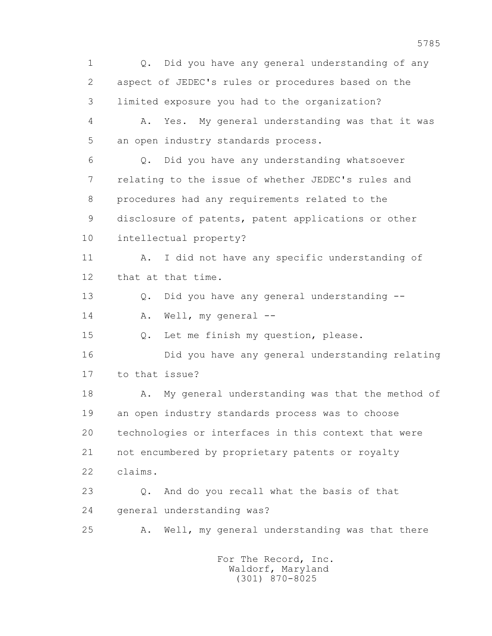1 Q. Did you have any general understanding of any 2 aspect of JEDEC's rules or procedures based on the 3 limited exposure you had to the organization? 4 A. Yes. My general understanding was that it was 5 an open industry standards process. 6 Q. Did you have any understanding whatsoever 7 relating to the issue of whether JEDEC's rules and 8 procedures had any requirements related to the 9 disclosure of patents, patent applications or other 10 intellectual property? 11 A. I did not have any specific understanding of 12 that at that time. 13 Q. Did you have any general understanding -- 14 A. Well, my general -- 15 Q. Let me finish my question, please. 16 Did you have any general understanding relating 17 to that issue? 18 A. My general understanding was that the method of 19 an open industry standards process was to choose 20 technologies or interfaces in this context that were 21 not encumbered by proprietary patents or royalty 22 claims. 23 Q. And do you recall what the basis of that 24 general understanding was? 25 A. Well, my general understanding was that there For The Record, Inc. Waldorf, Maryland

(301) 870-8025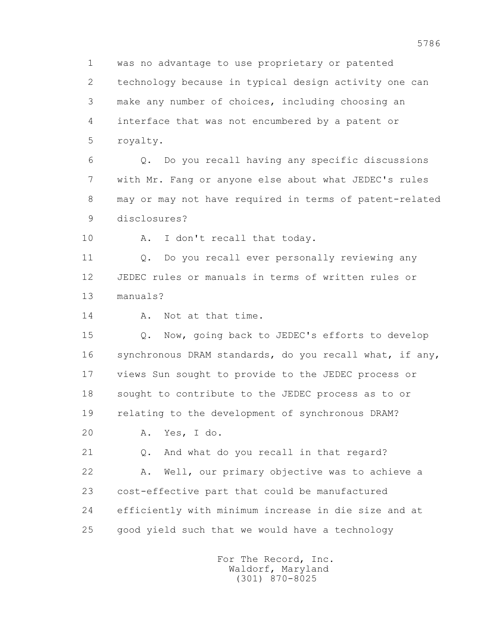1 was no advantage to use proprietary or patented 2 technology because in typical design activity one can 3 make any number of choices, including choosing an 4 interface that was not encumbered by a patent or 5 royalty.

 6 Q. Do you recall having any specific discussions 7 with Mr. Fang or anyone else about what JEDEC's rules 8 may or may not have required in terms of patent-related 9 disclosures?

10 A. I don't recall that today.

 11 Q. Do you recall ever personally reviewing any 12 JEDEC rules or manuals in terms of written rules or 13 manuals?

14 A. Not at that time.

 15 Q. Now, going back to JEDEC's efforts to develop 16 synchronous DRAM standards, do you recall what, if any, 17 views Sun sought to provide to the JEDEC process or 18 sought to contribute to the JEDEC process as to or 19 relating to the development of synchronous DRAM?

20 A. Yes, I do.

 21 Q. And what do you recall in that regard? 22 A. Well, our primary objective was to achieve a 23 cost-effective part that could be manufactured 24 efficiently with minimum increase in die size and at 25 good yield such that we would have a technology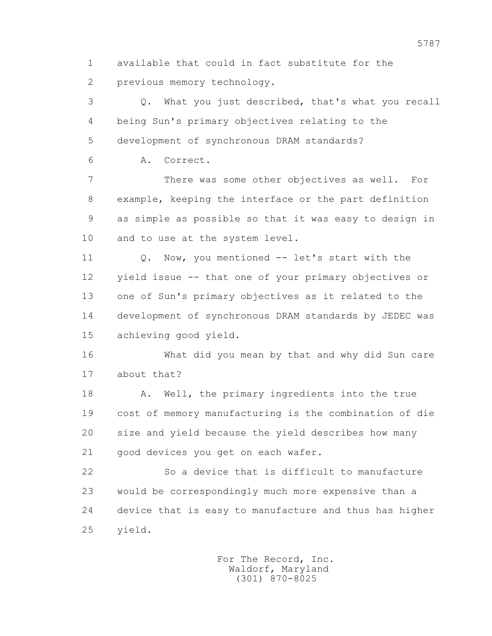1 available that could in fact substitute for the 2 previous memory technology.

 3 Q. What you just described, that's what you recall 4 being Sun's primary objectives relating to the 5 development of synchronous DRAM standards?

6 A. Correct.

 7 There was some other objectives as well. For 8 example, keeping the interface or the part definition 9 as simple as possible so that it was easy to design in 10 and to use at the system level.

11 0. Now, you mentioned -- let's start with the 12 yield issue -- that one of your primary objectives or 13 one of Sun's primary objectives as it related to the 14 development of synchronous DRAM standards by JEDEC was 15 achieving good yield.

 16 What did you mean by that and why did Sun care 17 about that?

 18 A. Well, the primary ingredients into the true 19 cost of memory manufacturing is the combination of die 20 size and yield because the yield describes how many 21 good devices you get on each wafer.

 22 So a device that is difficult to manufacture 23 would be correspondingly much more expensive than a 24 device that is easy to manufacture and thus has higher 25 yield.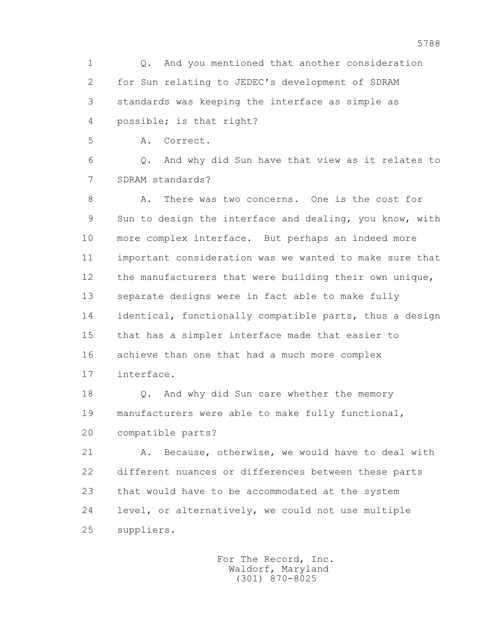1 Q. And you mentioned that another consideration 2 for Sun relating to JEDEC's development of SDRAM 3 standards was keeping the interface as simple as 4 possible; is that right?

5 A. Correct.

 6 Q. And why did Sun have that view as it relates to 7 SDRAM standards?

 8 A. There was two concerns. One is the cost for 9 Sun to design the interface and dealing, you know, with 10 more complex interface. But perhaps an indeed more 11 important consideration was we wanted to make sure that 12 the manufacturers that were building their own unique, 13 separate designs were in fact able to make fully 14 identical, functionally compatible parts, thus a design 15 that has a simpler interface made that easier to 16 achieve than one that had a much more complex 17 interface.

 18 Q. And why did Sun care whether the memory 19 manufacturers were able to make fully functional, 20 compatible parts?

 21 A. Because, otherwise, we would have to deal with 22 different nuances or differences between these parts 23 that would have to be accommodated at the system 24 level, or alternatively, we could not use multiple 25 suppliers.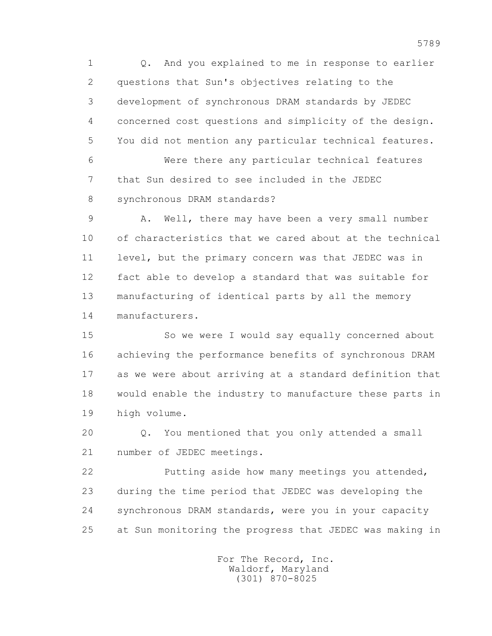1 Q. And you explained to me in response to earlier 2 questions that Sun's objectives relating to the 3 development of synchronous DRAM standards by JEDEC 4 concerned cost questions and simplicity of the design. 5 You did not mention any particular technical features. 6 Were there any particular technical features 7 that Sun desired to see included in the JEDEC 8 synchronous DRAM standards?

9 A. Well, there may have been a very small number 10 of characteristics that we cared about at the technical 11 level, but the primary concern was that JEDEC was in 12 fact able to develop a standard that was suitable for 13 manufacturing of identical parts by all the memory 14 manufacturers.

 15 So we were I would say equally concerned about 16 achieving the performance benefits of synchronous DRAM 17 as we were about arriving at a standard definition that 18 would enable the industry to manufacture these parts in 19 high volume.

 20 Q. You mentioned that you only attended a small 21 number of JEDEC meetings.

 22 Putting aside how many meetings you attended, 23 during the time period that JEDEC was developing the 24 synchronous DRAM standards, were you in your capacity 25 at Sun monitoring the progress that JEDEC was making in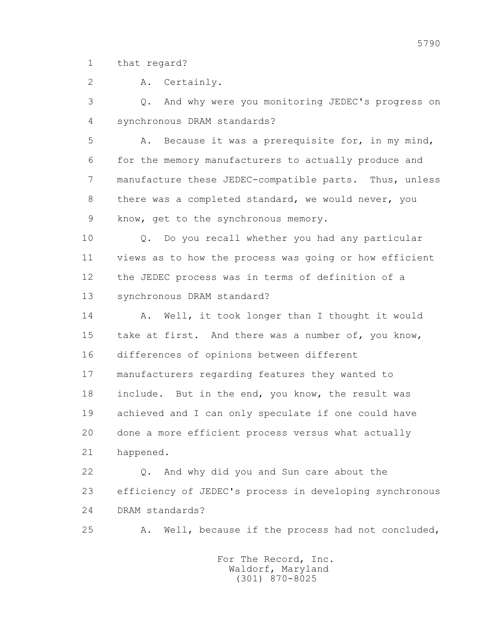1 that regard?

2 A. Certainly.

 3 Q. And why were you monitoring JEDEC's progress on 4 synchronous DRAM standards?

 5 A. Because it was a prerequisite for, in my mind, 6 for the memory manufacturers to actually produce and 7 manufacture these JEDEC-compatible parts. Thus, unless 8 there was a completed standard, we would never, you 9 know, get to the synchronous memory.

 10 Q. Do you recall whether you had any particular 11 views as to how the process was going or how efficient 12 the JEDEC process was in terms of definition of a 13 synchronous DRAM standard?

14 A. Well, it took longer than I thought it would 15 take at first. And there was a number of, you know, 16 differences of opinions between different 17 manufacturers regarding features they wanted to 18 include. But in the end, you know, the result was 19 achieved and I can only speculate if one could have 20 done a more efficient process versus what actually 21 happened.

 22 Q. And why did you and Sun care about the 23 efficiency of JEDEC's process in developing synchronous 24 DRAM standards?

25 A. Well, because if the process had not concluded,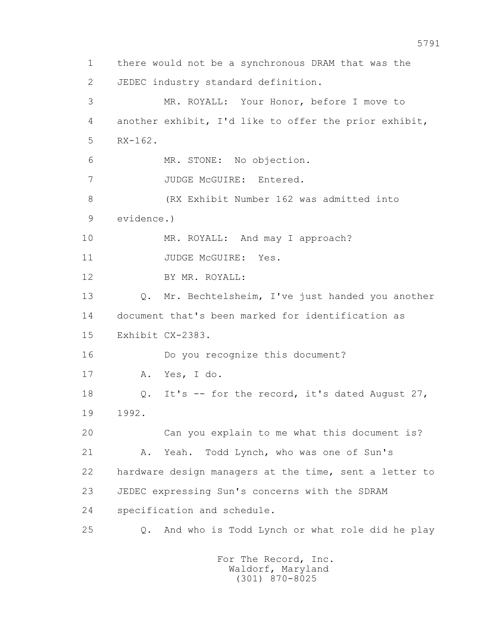1 there would not be a synchronous DRAM that was the 2 JEDEC industry standard definition. 3 MR. ROYALL: Your Honor, before I move to 4 another exhibit, I'd like to offer the prior exhibit, 5 RX-162. 6 MR. STONE: No objection. 7 JUDGE McGUIRE: Entered. 8 (RX Exhibit Number 162 was admitted into 9 evidence.) 10 MR. ROYALL: And may I approach? 11 JUDGE McGUIRE: Yes. 12 BY MR. ROYALL: 13 Q. Mr. Bechtelsheim, I've just handed you another 14 document that's been marked for identification as 15 Exhibit CX-2383. 16 Do you recognize this document? 17 A. Yes, I do. 18 Q. It's -- for the record, it's dated August 27, 19 1992. 20 Can you explain to me what this document is? 21 A. Yeah. Todd Lynch, who was one of Sun's 22 hardware design managers at the time, sent a letter to 23 JEDEC expressing Sun's concerns with the SDRAM 24 specification and schedule. 25 Q. And who is Todd Lynch or what role did he play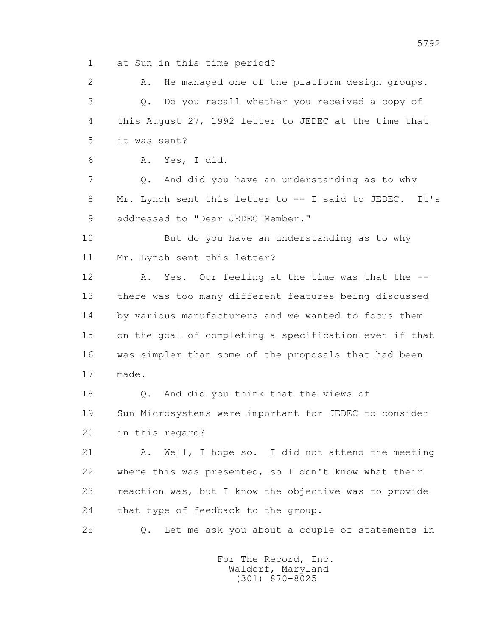1 at Sun in this time period?

 2 A. He managed one of the platform design groups. 3 Q. Do you recall whether you received a copy of 4 this August 27, 1992 letter to JEDEC at the time that 5 it was sent?

6 A. Yes, I did.

 7 Q. And did you have an understanding as to why 8 Mr. Lynch sent this letter to -- I said to JEDEC. It's 9 addressed to "Dear JEDEC Member."

 10 But do you have an understanding as to why 11 Mr. Lynch sent this letter?

 12 A. Yes. Our feeling at the time was that the -- 13 there was too many different features being discussed 14 by various manufacturers and we wanted to focus them 15 on the goal of completing a specification even if that 16 was simpler than some of the proposals that had been 17 made.

 18 Q. And did you think that the views of 19 Sun Microsystems were important for JEDEC to consider 20 in this regard?

 21 A. Well, I hope so. I did not attend the meeting 22 where this was presented, so I don't know what their 23 reaction was, but I know the objective was to provide 24 that type of feedback to the group.

25 Q. Let me ask you about a couple of statements in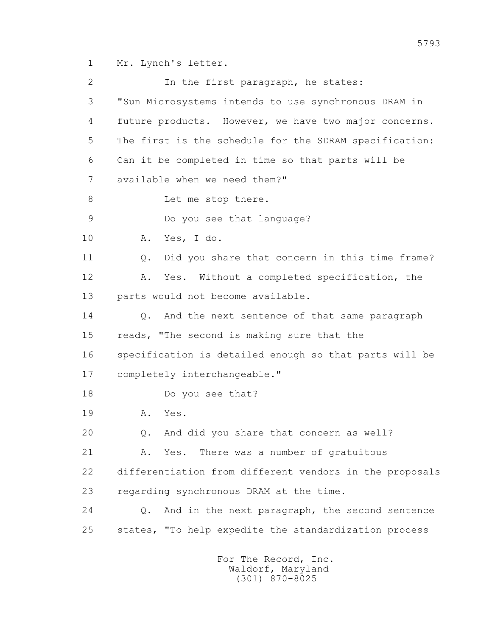1 Mr. Lynch's letter.

2 In the first paragraph, he states: 3 "Sun Microsystems intends to use synchronous DRAM in 4 future products. However, we have two major concerns. 5 The first is the schedule for the SDRAM specification: 6 Can it be completed in time so that parts will be 7 available when we need them?" 8 Let me stop there. 9 Do you see that language? 10 A. Yes, I do. 11 Q. Did you share that concern in this time frame? 12 A. Yes. Without a completed specification, the 13 parts would not become available. 14 0. And the next sentence of that same paragraph 15 reads, "The second is making sure that the 16 specification is detailed enough so that parts will be 17 completely interchangeable." 18 Do you see that? 19 A. Yes. 20 Q. And did you share that concern as well? 21 A. Yes. There was a number of gratuitous 22 differentiation from different vendors in the proposals 23 regarding synchronous DRAM at the time. 24 Q. And in the next paragraph, the second sentence 25 states, "To help expedite the standardization process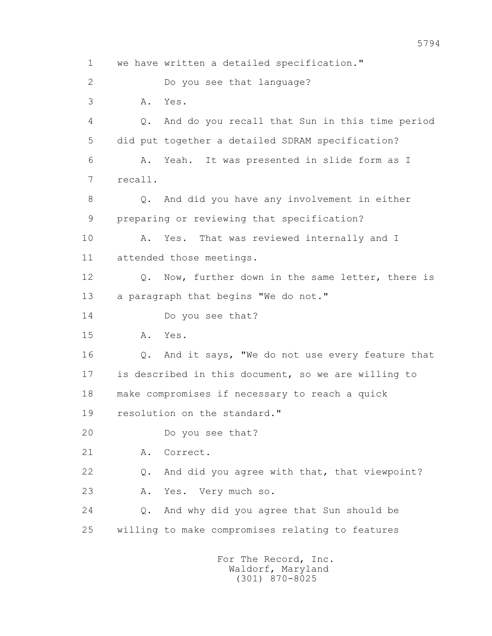1 we have written a detailed specification." 2 Do you see that language? 3 A. Yes. 4 Q. And do you recall that Sun in this time period 5 did put together a detailed SDRAM specification? 6 A. Yeah. It was presented in slide form as I 7 recall. 8 Q. And did you have any involvement in either 9 preparing or reviewing that specification? 10 A. Yes. That was reviewed internally and I 11 attended those meetings. 12 Q. Now, further down in the same letter, there is 13 a paragraph that begins "We do not." 14 Do you see that? 15 A. Yes. 16 Q. And it says, "We do not use every feature that 17 is described in this document, so we are willing to 18 make compromises if necessary to reach a quick 19 resolution on the standard." 20 Do you see that? 21 A. Correct. 22 Q. And did you agree with that, that viewpoint? 23 A. Yes. Very much so. 24 Q. And why did you agree that Sun should be 25 willing to make compromises relating to features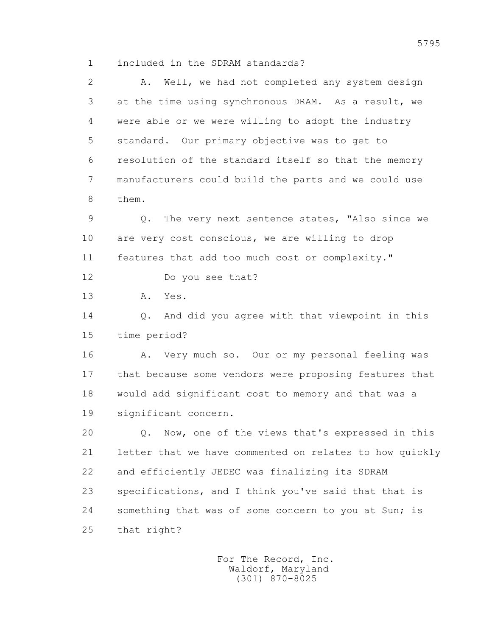1 included in the SDRAM standards?

 2 A. Well, we had not completed any system design 3 at the time using synchronous DRAM. As a result, we 4 were able or we were willing to adopt the industry 5 standard. Our primary objective was to get to 6 resolution of the standard itself so that the memory 7 manufacturers could build the parts and we could use 8 them. 9 Q. The very next sentence states, "Also since we 10 are very cost conscious, we are willing to drop 11 features that add too much cost or complexity." 12 Do you see that? 13 A. Yes. 14 Q. And did you agree with that viewpoint in this 15 time period? 16 A. Very much so. Our or my personal feeling was 17 that because some vendors were proposing features that 18 would add significant cost to memory and that was a 19 significant concern. 20 Q. Now, one of the views that's expressed in this 21 letter that we have commented on relates to how quickly 22 and efficiently JEDEC was finalizing its SDRAM 23 specifications, and I think you've said that that is 24 something that was of some concern to you at Sun; is 25 that right?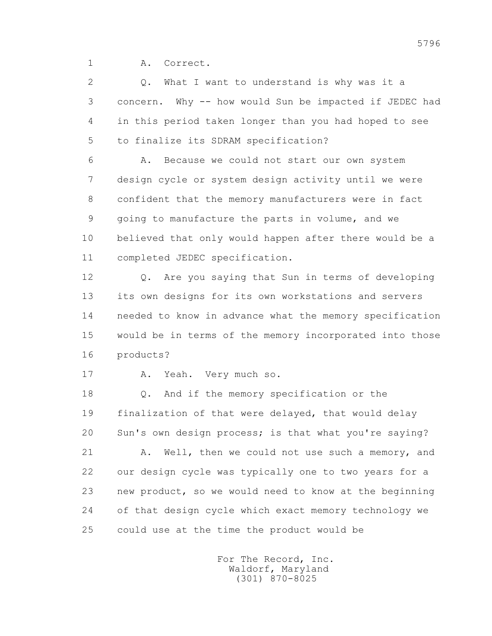1 A. Correct.

 2 Q. What I want to understand is why was it a 3 concern. Why -- how would Sun be impacted if JEDEC had 4 in this period taken longer than you had hoped to see 5 to finalize its SDRAM specification?

 6 A. Because we could not start our own system 7 design cycle or system design activity until we were 8 confident that the memory manufacturers were in fact 9 going to manufacture the parts in volume, and we 10 believed that only would happen after there would be a 11 completed JEDEC specification.

 12 Q. Are you saying that Sun in terms of developing 13 its own designs for its own workstations and servers 14 needed to know in advance what the memory specification 15 would be in terms of the memory incorporated into those 16 products?

17 A. Yeah. Very much so.

 18 Q. And if the memory specification or the 19 finalization of that were delayed, that would delay 20 Sun's own design process; is that what you're saying?

21 A. Well, then we could not use such a memory, and 22 our design cycle was typically one to two years for a 23 new product, so we would need to know at the beginning 24 of that design cycle which exact memory technology we 25 could use at the time the product would be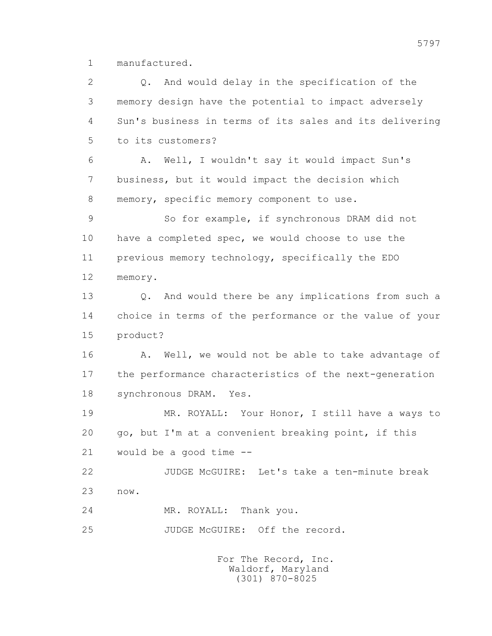1 manufactured.

 2 Q. And would delay in the specification of the 3 memory design have the potential to impact adversely 4 Sun's business in terms of its sales and its delivering 5 to its customers? 6 A. Well, I wouldn't say it would impact Sun's 7 business, but it would impact the decision which 8 memory, specific memory component to use. 9 So for example, if synchronous DRAM did not 10 have a completed spec, we would choose to use the 11 previous memory technology, specifically the EDO 12 memory. 13 Q. And would there be any implications from such a 14 choice in terms of the performance or the value of your 15 product? 16 A. Well, we would not be able to take advantage of 17 the performance characteristics of the next-generation 18 synchronous DRAM. Yes. 19 MR. ROYALL: Your Honor, I still have a ways to 20 go, but I'm at a convenient breaking point, if this 21 would be a good time -- 22 JUDGE McGUIRE: Let's take a ten-minute break 23 now. 24 MR. ROYALL: Thank you. 25 JUDGE McGUIRE: Off the record.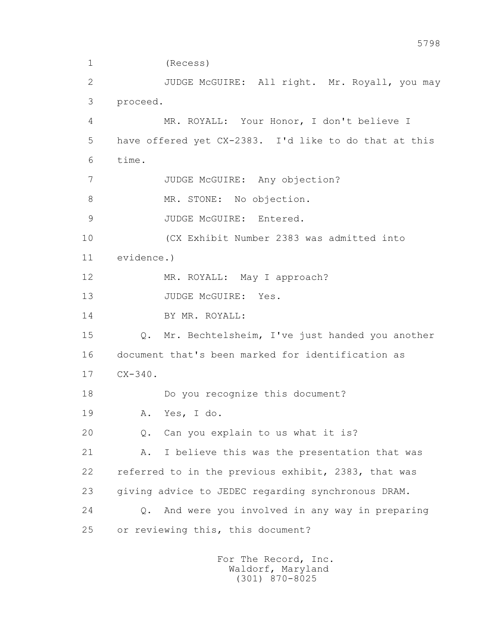1 (Recess) 2 JUDGE McGUIRE: All right. Mr. Royall, you may 3 proceed. 4 MR. ROYALL: Your Honor, I don't believe I 5 have offered yet CX-2383. I'd like to do that at this 6 time. 7 JUDGE McGUIRE: Any objection? 8 MR. STONE: No objection. 9 JUDGE McGUIRE: Entered. 10 (CX Exhibit Number 2383 was admitted into 11 evidence.) 12 MR. ROYALL: May I approach? 13 JUDGE McGUIRE: Yes. 14 BY MR. ROYALL: 15 Q. Mr. Bechtelsheim, I've just handed you another 16 document that's been marked for identification as 17 CX-340. 18 Do you recognize this document? 19 A. Yes, I do. 20 Q. Can you explain to us what it is? 21 A. I believe this was the presentation that was 22 referred to in the previous exhibit, 2383, that was 23 giving advice to JEDEC regarding synchronous DRAM. 24 Q. And were you involved in any way in preparing 25 or reviewing this, this document?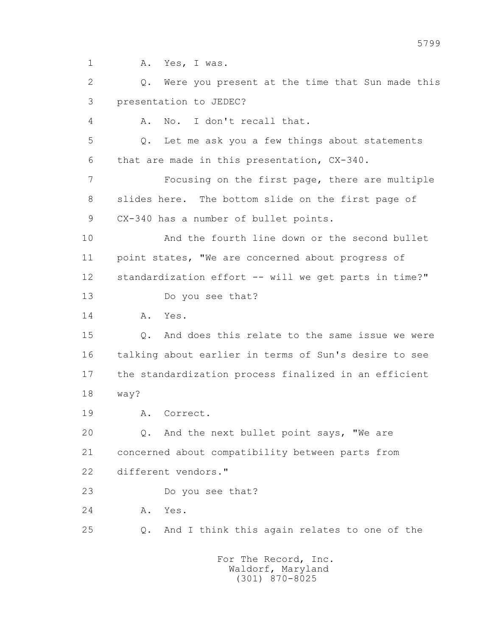1 A. Yes, I was.

 2 Q. Were you present at the time that Sun made this 3 presentation to JEDEC?

4 A. No. I don't recall that.

 5 Q. Let me ask you a few things about statements 6 that are made in this presentation, CX-340.

 7 Focusing on the first page, there are multiple 8 slides here. The bottom slide on the first page of 9 CX-340 has a number of bullet points.

 10 And the fourth line down or the second bullet 11 point states, "We are concerned about progress of 12 standardization effort -- will we get parts in time?"

13 Do you see that?

14 A. Yes.

 15 Q. And does this relate to the same issue we were 16 talking about earlier in terms of Sun's desire to see 17 the standardization process finalized in an efficient 18 way?

19 A. Correct.

 20 Q. And the next bullet point says, "We are 21 concerned about compatibility between parts from 22 different vendors."

23 Do you see that?

24 A. Yes.

25 Q. And I think this again relates to one of the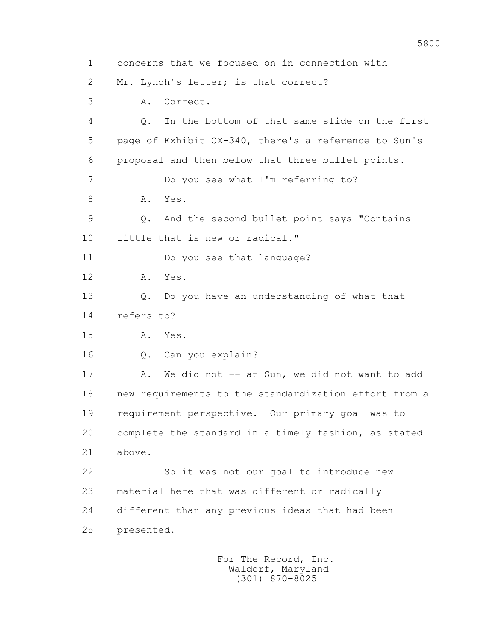1 concerns that we focused on in connection with 2 Mr. Lynch's letter; is that correct? 3 A. Correct. 4 Q. In the bottom of that same slide on the first 5 page of Exhibit CX-340, there's a reference to Sun's 6 proposal and then below that three bullet points. 7 Do you see what I'm referring to? 8 A. Yes. 9 Q. And the second bullet point says "Contains 10 little that is new or radical." 11 Do you see that language? 12 A. Yes. 13 Q. Do you have an understanding of what that 14 refers to? 15 A. Yes. 16 Q. Can you explain? 17 A. We did not -- at Sun, we did not want to add 18 new requirements to the standardization effort from a 19 requirement perspective. Our primary goal was to 20 complete the standard in a timely fashion, as stated 21 above. 22 So it was not our goal to introduce new 23 material here that was different or radically 24 different than any previous ideas that had been 25 presented.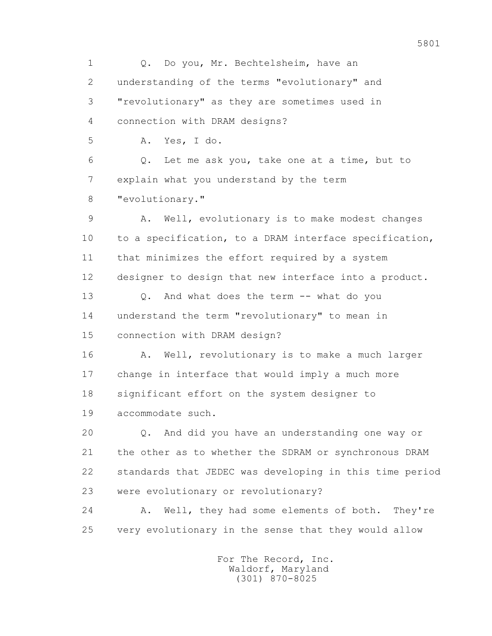1 Q. Do you, Mr. Bechtelsheim, have an 2 understanding of the terms "evolutionary" and 3 "revolutionary" as they are sometimes used in 4 connection with DRAM designs? 5 A. Yes, I do. 6 Q. Let me ask you, take one at a time, but to 7 explain what you understand by the term 8 "evolutionary." 9 A. Well, evolutionary is to make modest changes 10 to a specification, to a DRAM interface specification, 11 that minimizes the effort required by a system 12 designer to design that new interface into a product. 13 Q. And what does the term -- what do you 14 understand the term "revolutionary" to mean in 15 connection with DRAM design? 16 A. Well, revolutionary is to make a much larger 17 change in interface that would imply a much more 18 significant effort on the system designer to 19 accommodate such. 20 Q. And did you have an understanding one way or 21 the other as to whether the SDRAM or synchronous DRAM 22 standards that JEDEC was developing in this time period 23 were evolutionary or revolutionary? 24 A. Well, they had some elements of both. They're 25 very evolutionary in the sense that they would allow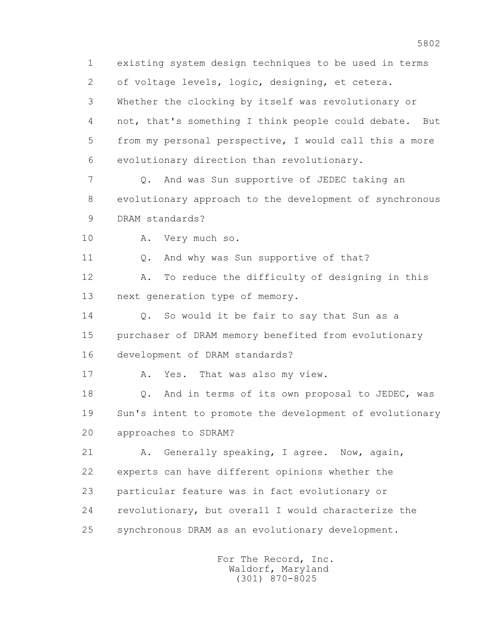1 existing system design techniques to be used in terms 2 of voltage levels, logic, designing, et cetera. 3 Whether the clocking by itself was revolutionary or 4 not, that's something I think people could debate. But 5 from my personal perspective, I would call this a more 6 evolutionary direction than revolutionary. 7 Q. And was Sun supportive of JEDEC taking an 8 evolutionary approach to the development of synchronous 9 DRAM standards? 10 A. Very much so. 11 Q. And why was Sun supportive of that? 12 A. To reduce the difficulty of designing in this 13 next generation type of memory. 14 0. So would it be fair to say that Sun as a 15 purchaser of DRAM memory benefited from evolutionary 16 development of DRAM standards? 17 A. Yes. That was also my view. 18 Q. And in terms of its own proposal to JEDEC, was 19 Sun's intent to promote the development of evolutionary 20 approaches to SDRAM? 21 A. Generally speaking, I agree. Now, again, 22 experts can have different opinions whether the 23 particular feature was in fact evolutionary or 24 revolutionary, but overall I would characterize the 25 synchronous DRAM as an evolutionary development.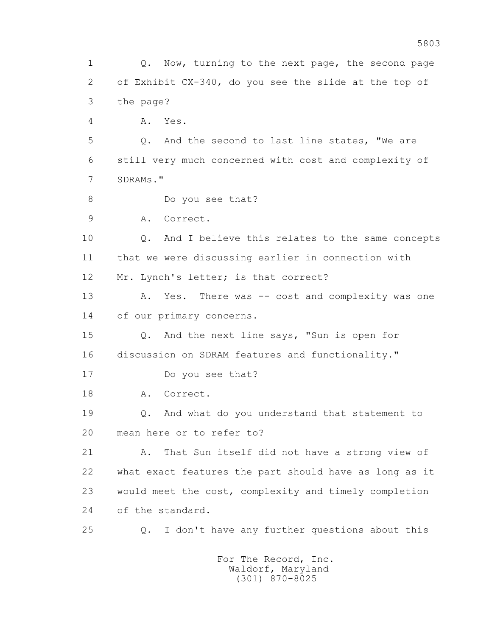1 Q. Now, turning to the next page, the second page 2 of Exhibit CX-340, do you see the slide at the top of 3 the page? 4 A. Yes. 5 Q. And the second to last line states, "We are 6 still very much concerned with cost and complexity of 7 SDRAMs." 8 Do you see that? 9 A. Correct. 10 Q. And I believe this relates to the same concepts 11 that we were discussing earlier in connection with 12 Mr. Lynch's letter; is that correct? 13 A. Yes. There was -- cost and complexity was one 14 of our primary concerns. 15 Q. And the next line says, "Sun is open for 16 discussion on SDRAM features and functionality." 17 Do you see that? 18 A. Correct. 19 Q. And what do you understand that statement to 20 mean here or to refer to? 21 A. That Sun itself did not have a strong view of 22 what exact features the part should have as long as it 23 would meet the cost, complexity and timely completion 24 of the standard. 25 Q. I don't have any further questions about this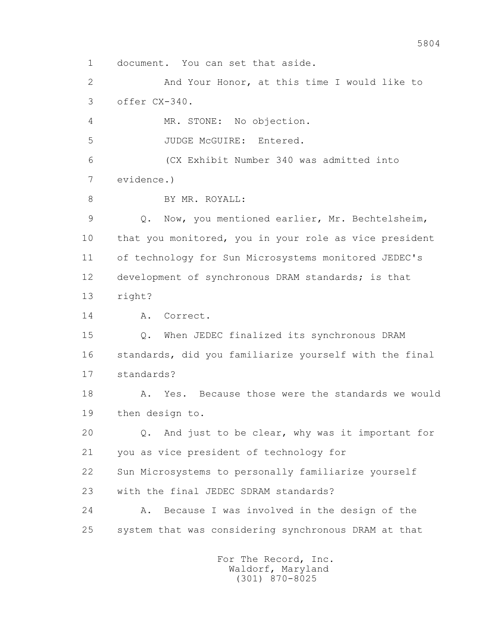1 document. You can set that aside. 2 And Your Honor, at this time I would like to 3 offer CX-340. 4 MR. STONE: No objection. 5 JUDGE McGUIRE: Entered. 6 (CX Exhibit Number 340 was admitted into 7 evidence.) 8 BY MR. ROYALL: 9 Q. Now, you mentioned earlier, Mr. Bechtelsheim, 10 that you monitored, you in your role as vice president 11 of technology for Sun Microsystems monitored JEDEC's 12 development of synchronous DRAM standards; is that 13 right? 14 A. Correct. 15 Q. When JEDEC finalized its synchronous DRAM 16 standards, did you familiarize yourself with the final 17 standards? 18 A. Yes. Because those were the standards we would 19 then design to. 20 Q. And just to be clear, why was it important for 21 you as vice president of technology for 22 Sun Microsystems to personally familiarize yourself 23 with the final JEDEC SDRAM standards? 24 A. Because I was involved in the design of the 25 system that was considering synchronous DRAM at that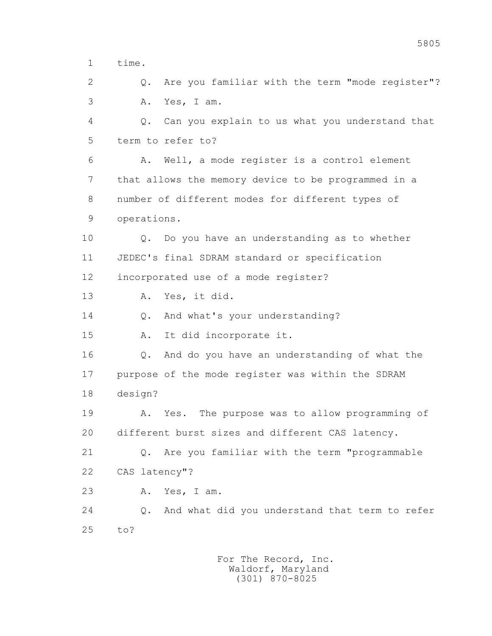1 time.

 2 Q. Are you familiar with the term "mode register"? 3 A. Yes, I am.

 4 Q. Can you explain to us what you understand that 5 term to refer to?

 6 A. Well, a mode register is a control element 7 that allows the memory device to be programmed in a 8 number of different modes for different types of 9 operations.

 10 Q. Do you have an understanding as to whether 11 JEDEC's final SDRAM standard or specification 12 incorporated use of a mode register?

13 A. Yes, it did.

14 Q. And what's your understanding?

15 A. It did incorporate it.

 16 Q. And do you have an understanding of what the 17 purpose of the mode register was within the SDRAM 18 design?

 19 A. Yes. The purpose was to allow programming of 20 different burst sizes and different CAS latency.

 21 Q. Are you familiar with the term "programmable 22 CAS latency"?

23 A. Yes, I am.

 24 Q. And what did you understand that term to refer 25 to?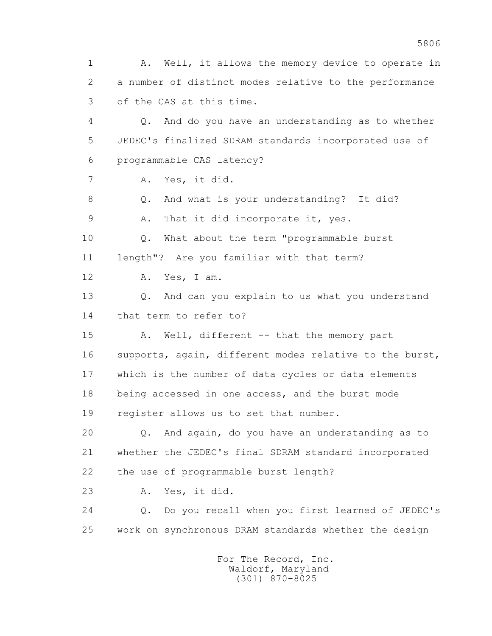1 A. Well, it allows the memory device to operate in 2 a number of distinct modes relative to the performance 3 of the CAS at this time. 4 Q. And do you have an understanding as to whether 5 JEDEC's finalized SDRAM standards incorporated use of 6 programmable CAS latency? 7 A. Yes, it did. 8 Q. And what is your understanding? It did? 9 A. That it did incorporate it, yes. 10 Q. What about the term "programmable burst 11 length"? Are you familiar with that term? 12 A. Yes, I am. 13 Q. And can you explain to us what you understand 14 that term to refer to? 15 A. Well, different -- that the memory part 16 supports, again, different modes relative to the burst, 17 which is the number of data cycles or data elements 18 being accessed in one access, and the burst mode 19 register allows us to set that number. 20 Q. And again, do you have an understanding as to 21 whether the JEDEC's final SDRAM standard incorporated 22 the use of programmable burst length? 23 A. Yes, it did. 24 Q. Do you recall when you first learned of JEDEC's 25 work on synchronous DRAM standards whether the design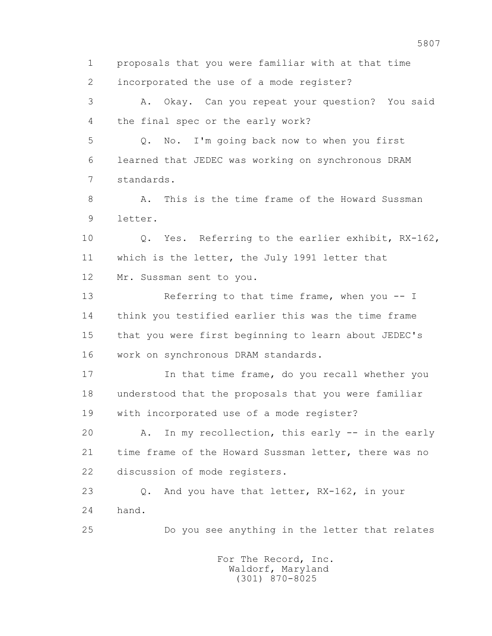1 proposals that you were familiar with at that time 2 incorporated the use of a mode register? 3 A. Okay. Can you repeat your question? You said 4 the final spec or the early work? 5 Q. No. I'm going back now to when you first 6 learned that JEDEC was working on synchronous DRAM 7 standards. 8 A. This is the time frame of the Howard Sussman 9 letter. 10 Q. Yes. Referring to the earlier exhibit, RX-162, 11 which is the letter, the July 1991 letter that 12 Mr. Sussman sent to you. 13 Referring to that time frame, when you -- I 14 think you testified earlier this was the time frame 15 that you were first beginning to learn about JEDEC's 16 work on synchronous DRAM standards. 17 In that time frame, do you recall whether you 18 understood that the proposals that you were familiar 19 with incorporated use of a mode register? 20 A. In my recollection, this early -- in the early 21 time frame of the Howard Sussman letter, there was no 22 discussion of mode registers. 23 Q. And you have that letter, RX-162, in your 24 hand. 25 Do you see anything in the letter that relates For The Record, Inc. Waldorf, Maryland

(301) 870-8025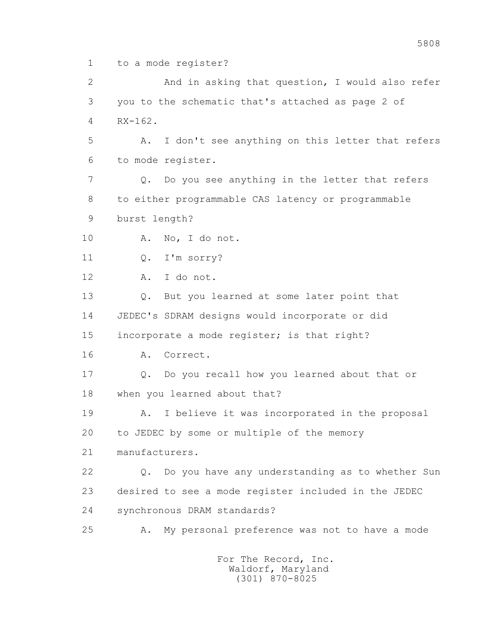1 to a mode register?

 2 And in asking that question, I would also refer 3 you to the schematic that's attached as page 2 of 4 RX-162. 5 A. I don't see anything on this letter that refers 6 to mode register. 7 Q. Do you see anything in the letter that refers 8 to either programmable CAS latency or programmable 9 burst length? 10 A. No, I do not. 11 0. I'm sorry? 12 A. I do not. 13 Q. But you learned at some later point that 14 JEDEC's SDRAM designs would incorporate or did 15 incorporate a mode register; is that right? 16 A. Correct. 17 Q. Do you recall how you learned about that or 18 when you learned about that? 19 A. I believe it was incorporated in the proposal 20 to JEDEC by some or multiple of the memory 21 manufacturers. 22 Q. Do you have any understanding as to whether Sun 23 desired to see a mode register included in the JEDEC 24 synchronous DRAM standards? 25 A. My personal preference was not to have a mode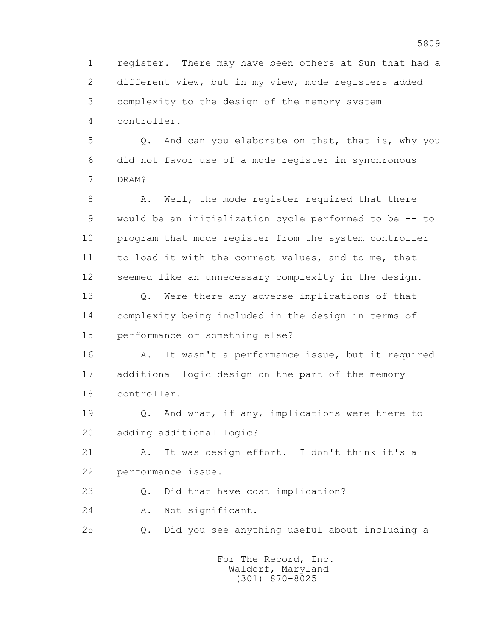1 register. There may have been others at Sun that had a 2 different view, but in my view, mode registers added 3 complexity to the design of the memory system 4 controller.

 5 Q. And can you elaborate on that, that is, why you 6 did not favor use of a mode register in synchronous 7 DRAM?

8 A. Well, the mode register required that there 9 would be an initialization cycle performed to be -- to 10 program that mode register from the system controller 11 to load it with the correct values, and to me, that 12 seemed like an unnecessary complexity in the design.

 13 Q. Were there any adverse implications of that 14 complexity being included in the design in terms of 15 performance or something else?

 16 A. It wasn't a performance issue, but it required 17 additional logic design on the part of the memory 18 controller.

 19 Q. And what, if any, implications were there to 20 adding additional logic?

 21 A. It was design effort. I don't think it's a 22 performance issue.

23 Q. Did that have cost implication?

24 A. Not significant.

25 Q. Did you see anything useful about including a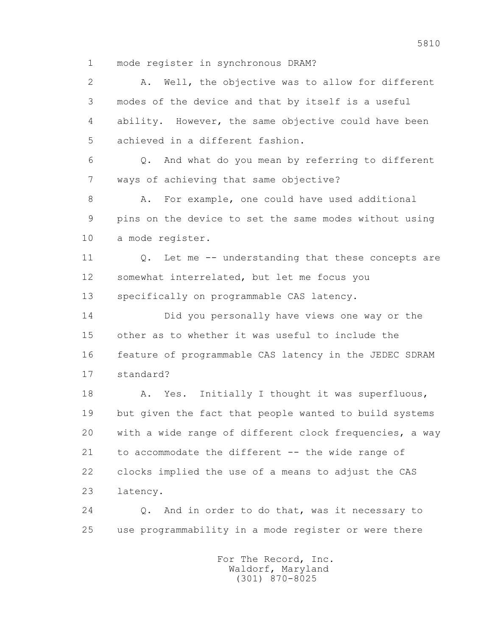1 mode register in synchronous DRAM?

 2 A. Well, the objective was to allow for different 3 modes of the device and that by itself is a useful 4 ability. However, the same objective could have been 5 achieved in a different fashion. 6 Q. And what do you mean by referring to different 7 ways of achieving that same objective? 8 A. For example, one could have used additional 9 pins on the device to set the same modes without using 10 a mode register. 11 0. Let me -- understanding that these concepts are 12 somewhat interrelated, but let me focus you 13 specifically on programmable CAS latency. 14 Did you personally have views one way or the 15 other as to whether it was useful to include the 16 feature of programmable CAS latency in the JEDEC SDRAM 17 standard? 18 A. Yes. Initially I thought it was superfluous, 19 but given the fact that people wanted to build systems 20 with a wide range of different clock frequencies, a way 21 to accommodate the different -- the wide range of 22 clocks implied the use of a means to adjust the CAS 23 latency. 24 Q. And in order to do that, was it necessary to

> For The Record, Inc. Waldorf, Maryland (301) 870-8025

25 use programmability in a mode register or were there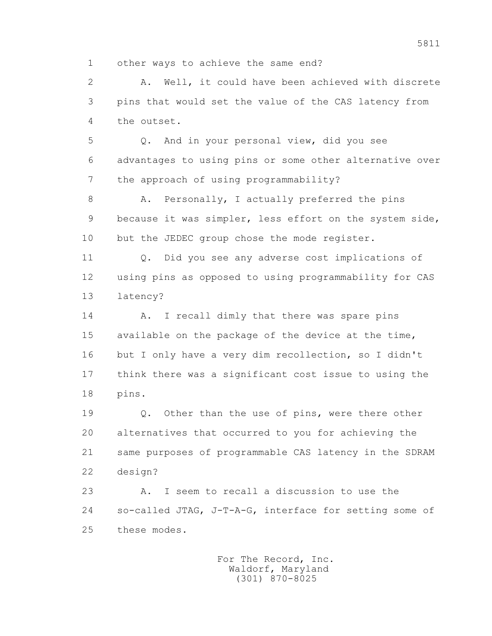1 other ways to achieve the same end?

 2 A. Well, it could have been achieved with discrete 3 pins that would set the value of the CAS latency from 4 the outset.

 5 Q. And in your personal view, did you see 6 advantages to using pins or some other alternative over 7 the approach of using programmability?

8 A. Personally, I actually preferred the pins 9 because it was simpler, less effort on the system side, 10 but the JEDEC group chose the mode register.

 11 Q. Did you see any adverse cost implications of 12 using pins as opposed to using programmability for CAS 13 latency?

14 A. I recall dimly that there was spare pins 15 available on the package of the device at the time, 16 but I only have a very dim recollection, so I didn't 17 think there was a significant cost issue to using the 18 pins.

19 0. Other than the use of pins, were there other 20 alternatives that occurred to you for achieving the 21 same purposes of programmable CAS latency in the SDRAM 22 design?

 23 A. I seem to recall a discussion to use the 24 so-called JTAG, J-T-A-G, interface for setting some of 25 these modes.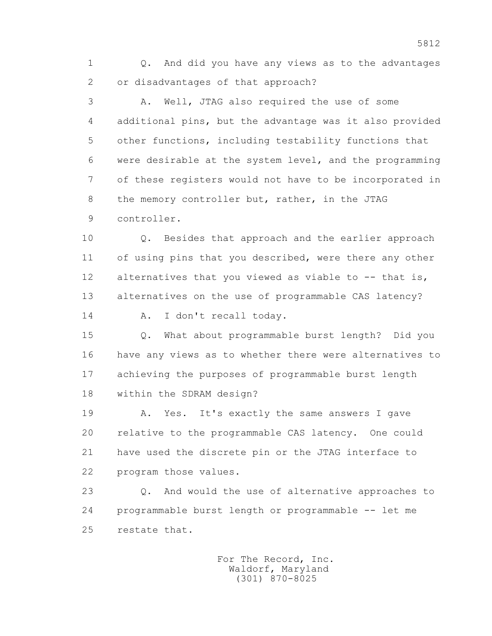1 Q. And did you have any views as to the advantages 2 or disadvantages of that approach?

 3 A. Well, JTAG also required the use of some 4 additional pins, but the advantage was it also provided 5 other functions, including testability functions that 6 were desirable at the system level, and the programming 7 of these registers would not have to be incorporated in 8 the memory controller but, rather, in the JTAG 9 controller.

 10 Q. Besides that approach and the earlier approach 11 of using pins that you described, were there any other 12 alternatives that you viewed as viable to -- that is, 13 alternatives on the use of programmable CAS latency?

14 A. I don't recall today.

 15 Q. What about programmable burst length? Did you 16 have any views as to whether there were alternatives to 17 achieving the purposes of programmable burst length 18 within the SDRAM design?

 19 A. Yes. It's exactly the same answers I gave 20 relative to the programmable CAS latency. One could 21 have used the discrete pin or the JTAG interface to 22 program those values.

 23 Q. And would the use of alternative approaches to 24 programmable burst length or programmable -- let me 25 restate that.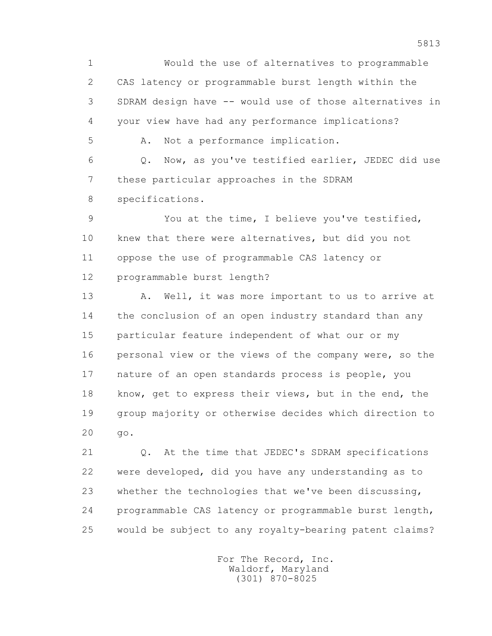1 Would the use of alternatives to programmable 2 CAS latency or programmable burst length within the 3 SDRAM design have -- would use of those alternatives in 4 your view have had any performance implications? 5 A. Not a performance implication. 6 Q. Now, as you've testified earlier, JEDEC did use

 7 these particular approaches in the SDRAM 8 specifications.

 9 You at the time, I believe you've testified, 10 knew that there were alternatives, but did you not 11 oppose the use of programmable CAS latency or 12 programmable burst length?

13 A. Well, it was more important to us to arrive at 14 the conclusion of an open industry standard than any 15 particular feature independent of what our or my 16 personal view or the views of the company were, so the 17 nature of an open standards process is people, you 18 know, get to express their views, but in the end, the 19 group majority or otherwise decides which direction to 20 go.

 21 Q. At the time that JEDEC's SDRAM specifications 22 were developed, did you have any understanding as to 23 whether the technologies that we've been discussing, 24 programmable CAS latency or programmable burst length, 25 would be subject to any royalty-bearing patent claims?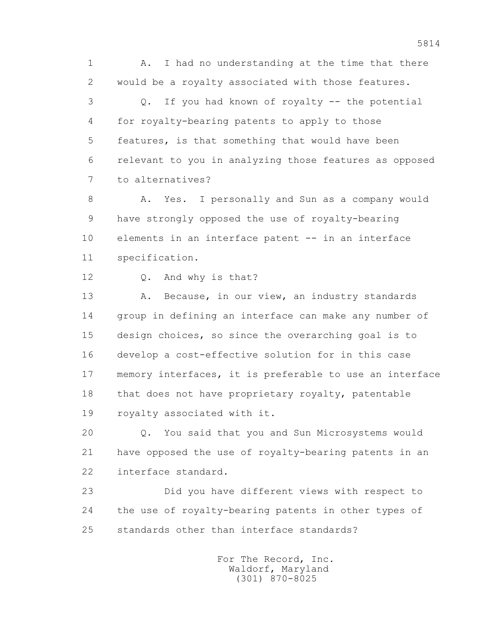1 A. I had no understanding at the time that there 2 would be a royalty associated with those features. 3 Q. If you had known of royalty -- the potential 4 for royalty-bearing patents to apply to those 5 features, is that something that would have been 6 relevant to you in analyzing those features as opposed 7 to alternatives?

 8 A. Yes. I personally and Sun as a company would 9 have strongly opposed the use of royalty-bearing 10 elements in an interface patent -- in an interface 11 specification.

12 Q. And why is that?

13 A. Because, in our view, an industry standards 14 group in defining an interface can make any number of 15 design choices, so since the overarching goal is to 16 develop a cost-effective solution for in this case 17 memory interfaces, it is preferable to use an interface 18 that does not have proprietary royalty, patentable 19 royalty associated with it.

 20 Q. You said that you and Sun Microsystems would 21 have opposed the use of royalty-bearing patents in an 22 interface standard.

 23 Did you have different views with respect to 24 the use of royalty-bearing patents in other types of 25 standards other than interface standards?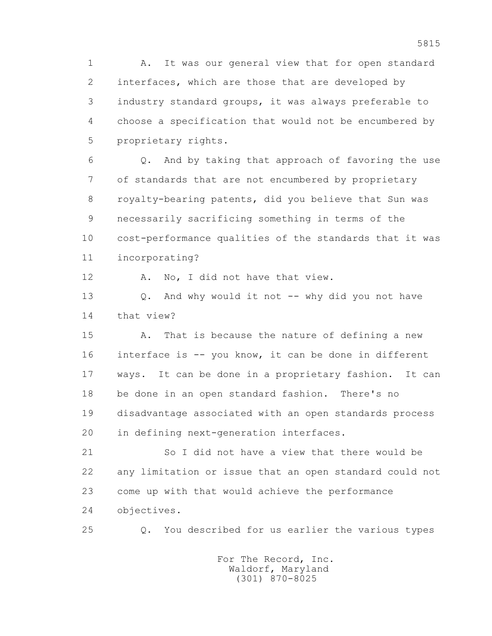1 A. It was our general view that for open standard 2 interfaces, which are those that are developed by 3 industry standard groups, it was always preferable to 4 choose a specification that would not be encumbered by 5 proprietary rights.

 6 Q. And by taking that approach of favoring the use 7 of standards that are not encumbered by proprietary 8 royalty-bearing patents, did you believe that Sun was 9 necessarily sacrificing something in terms of the 10 cost-performance qualities of the standards that it was 11 incorporating?

12 A. No, I did not have that view.

13 0. And why would it not -- why did you not have 14 that view?

 15 A. That is because the nature of defining a new 16 interface is -- you know, it can be done in different 17 ways. It can be done in a proprietary fashion. It can 18 be done in an open standard fashion. There's no 19 disadvantage associated with an open standards process 20 in defining next-generation interfaces.

 21 So I did not have a view that there would be 22 any limitation or issue that an open standard could not 23 come up with that would achieve the performance 24 objectives.

25 Q. You described for us earlier the various types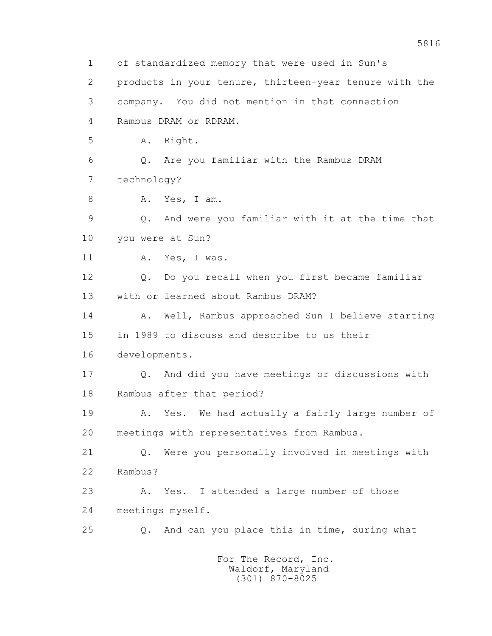1 of standardized memory that were used in Sun's 2 products in your tenure, thirteen-year tenure with the 3 company. You did not mention in that connection 4 Rambus DRAM or RDRAM. 5 A. Right. 6 Q. Are you familiar with the Rambus DRAM 7 technology? 8 A. Yes, I am. 9 Q. And were you familiar with it at the time that 10 you were at Sun? 11 A. Yes, I was. 12 Q. Do you recall when you first became familiar 13 with or learned about Rambus DRAM? 14 A. Well, Rambus approached Sun I believe starting 15 in 1989 to discuss and describe to us their 16 developments. 17 Q. And did you have meetings or discussions with 18 Rambus after that period? 19 A. Yes. We had actually a fairly large number of 20 meetings with representatives from Rambus. 21 Q. Were you personally involved in meetings with 22 Rambus? 23 A. Yes. I attended a large number of those 24 meetings myself. 25 Q. And can you place this in time, during what For The Record, Inc. Waldorf, Maryland

5816

(301) 870-8025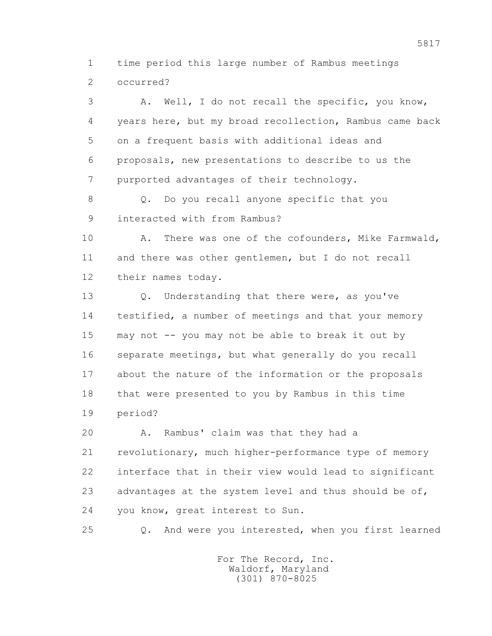1 time period this large number of Rambus meetings 2 occurred?

 3 A. Well, I do not recall the specific, you know, 4 years here, but my broad recollection, Rambus came back 5 on a frequent basis with additional ideas and 6 proposals, new presentations to describe to us the 7 purported advantages of their technology.

8 Q. Do you recall anyone specific that you 9 interacted with from Rambus?

10 A. There was one of the cofounders, Mike Farmwald, 11 and there was other gentlemen, but I do not recall 12 their names today.

13 0. Understanding that there were, as you've 14 testified, a number of meetings and that your memory 15 may not -- you may not be able to break it out by 16 separate meetings, but what generally do you recall 17 about the nature of the information or the proposals 18 that were presented to you by Rambus in this time 19 period?

 20 A. Rambus' claim was that they had a 21 revolutionary, much higher-performance type of memory 22 interface that in their view would lead to significant 23 advantages at the system level and thus should be of, 24 you know, great interest to Sun.

25 Q. And were you interested, when you first learned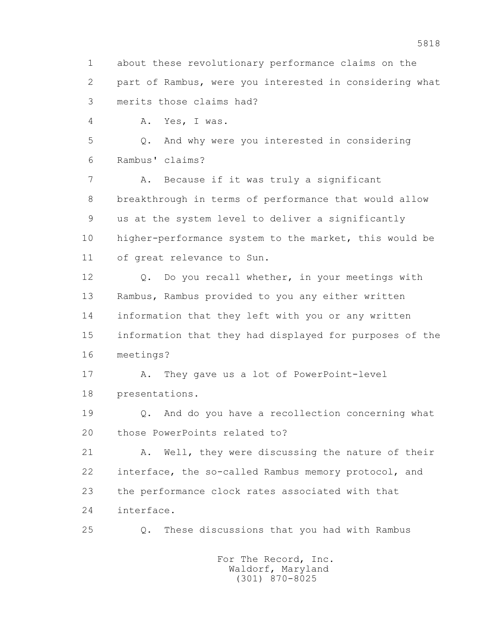1 about these revolutionary performance claims on the 2 part of Rambus, were you interested in considering what 3 merits those claims had?

4 A. Yes, I was.

 5 Q. And why were you interested in considering 6 Rambus' claims?

 7 A. Because if it was truly a significant 8 breakthrough in terms of performance that would allow 9 us at the system level to deliver a significantly 10 higher-performance system to the market, this would be 11 of great relevance to Sun.

 12 Q. Do you recall whether, in your meetings with 13 Rambus, Rambus provided to you any either written 14 information that they left with you or any written 15 information that they had displayed for purposes of the 16 meetings?

 17 A. They gave us a lot of PowerPoint-level 18 presentations.

 19 Q. And do you have a recollection concerning what 20 those PowerPoints related to?

 21 A. Well, they were discussing the nature of their 22 interface, the so-called Rambus memory protocol, and 23 the performance clock rates associated with that 24 interface.

25 Q. These discussions that you had with Rambus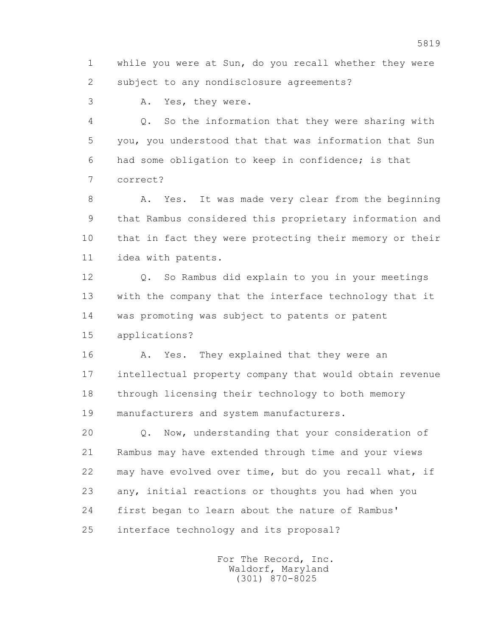1 while you were at Sun, do you recall whether they were 2 subject to any nondisclosure agreements?

3 A. Yes, they were.

 4 Q. So the information that they were sharing with 5 you, you understood that that was information that Sun 6 had some obligation to keep in confidence; is that 7 correct?

8 A. Yes. It was made very clear from the beginning 9 that Rambus considered this proprietary information and 10 that in fact they were protecting their memory or their 11 idea with patents.

 12 Q. So Rambus did explain to you in your meetings 13 with the company that the interface technology that it 14 was promoting was subject to patents or patent 15 applications?

16 A. Yes. They explained that they were an 17 intellectual property company that would obtain revenue 18 through licensing their technology to both memory 19 manufacturers and system manufacturers.

 20 Q. Now, understanding that your consideration of 21 Rambus may have extended through time and your views 22 may have evolved over time, but do you recall what, if 23 any, initial reactions or thoughts you had when you 24 first began to learn about the nature of Rambus' 25 interface technology and its proposal?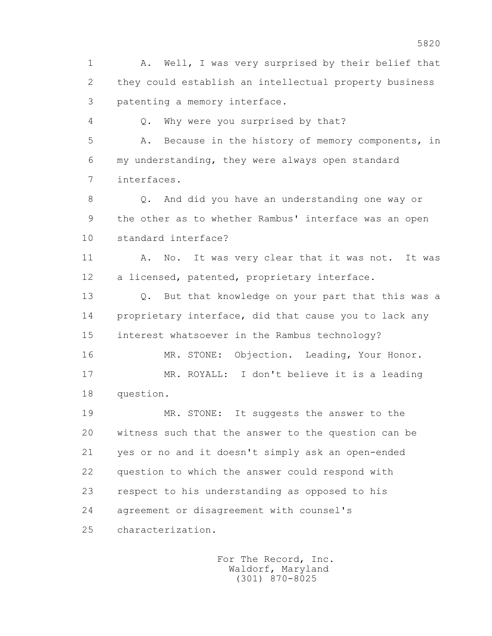1 A. Well, I was very surprised by their belief that 2 they could establish an intellectual property business 3 patenting a memory interface.

4 Q. Why were you surprised by that?

 5 A. Because in the history of memory components, in 6 my understanding, they were always open standard 7 interfaces.

 8 Q. And did you have an understanding one way or 9 the other as to whether Rambus' interface was an open 10 standard interface?

11 A. No. It was very clear that it was not. It was 12 a licensed, patented, proprietary interface.

 13 Q. But that knowledge on your part that this was a 14 proprietary interface, did that cause you to lack any 15 interest whatsoever in the Rambus technology?

 16 MR. STONE: Objection. Leading, Your Honor. 17 MR. ROYALL: I don't believe it is a leading 18 question.

 19 MR. STONE: It suggests the answer to the 20 witness such that the answer to the question can be 21 yes or no and it doesn't simply ask an open-ended 22 question to which the answer could respond with 23 respect to his understanding as opposed to his 24 agreement or disagreement with counsel's 25 characterization.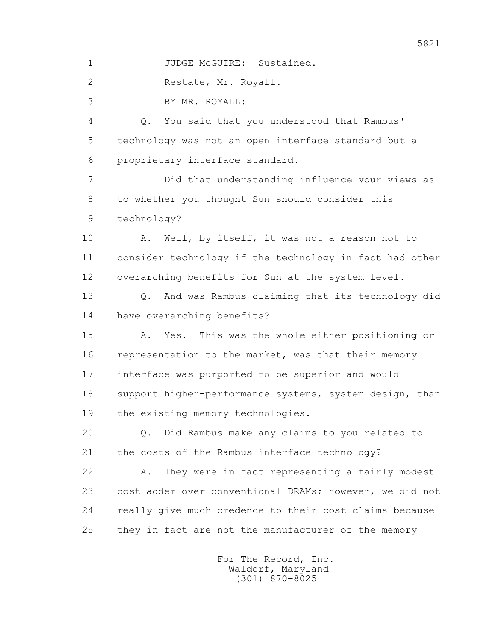1 JUDGE McGUIRE: Sustained.

2 Restate, Mr. Royall.

3 BY MR. ROYALL:

 4 Q. You said that you understood that Rambus' 5 technology was not an open interface standard but a 6 proprietary interface standard.

 7 Did that understanding influence your views as 8 to whether you thought Sun should consider this 9 technology?

 10 A. Well, by itself, it was not a reason not to 11 consider technology if the technology in fact had other 12 overarching benefits for Sun at the system level.

 13 Q. And was Rambus claiming that its technology did 14 have overarching benefits?

 15 A. Yes. This was the whole either positioning or 16 representation to the market, was that their memory 17 interface was purported to be superior and would 18 support higher-performance systems, system design, than 19 the existing memory technologies.

 20 Q. Did Rambus make any claims to you related to 21 the costs of the Rambus interface technology?

 22 A. They were in fact representing a fairly modest 23 cost adder over conventional DRAMs; however, we did not 24 really give much credence to their cost claims because 25 they in fact are not the manufacturer of the memory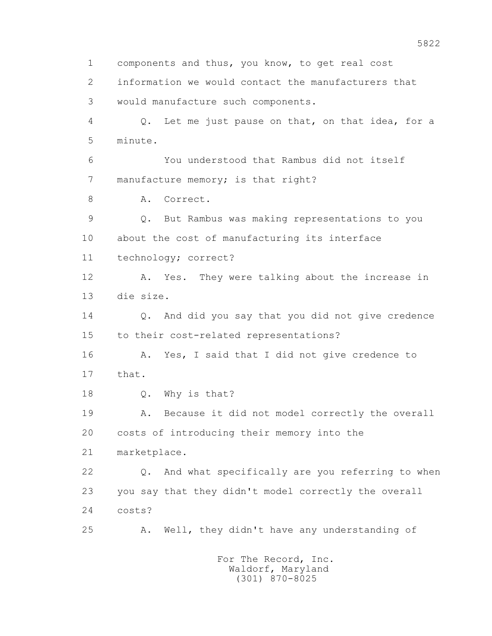1 components and thus, you know, to get real cost 2 information we would contact the manufacturers that 3 would manufacture such components. 4 Q. Let me just pause on that, on that idea, for a 5 minute. 6 You understood that Rambus did not itself 7 manufacture memory; is that right? 8 A. Correct. 9 Q. But Rambus was making representations to you 10 about the cost of manufacturing its interface 11 technology; correct? 12 A. Yes. They were talking about the increase in 13 die size. 14 Q. And did you say that you did not give credence 15 to their cost-related representations? 16 A. Yes, I said that I did not give credence to 17 that. 18 Q. Why is that? 19 A. Because it did not model correctly the overall 20 costs of introducing their memory into the 21 marketplace. 22 Q. And what specifically are you referring to when 23 you say that they didn't model correctly the overall 24 costs? 25 A. Well, they didn't have any understanding of For The Record, Inc.

 Waldorf, Maryland (301) 870-8025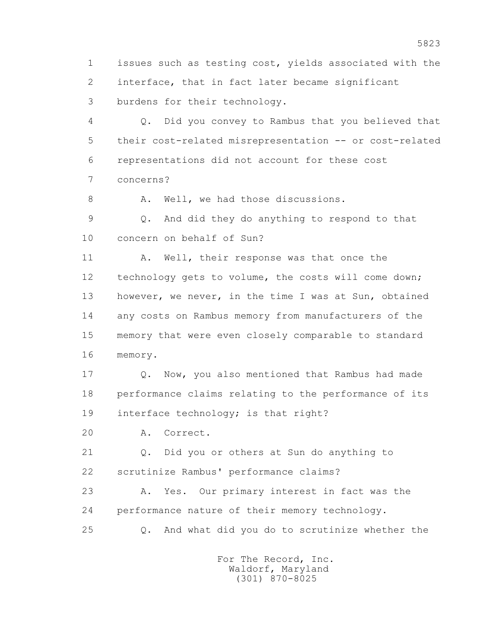1 issues such as testing cost, yields associated with the 2 interface, that in fact later became significant 3 burdens for their technology.

 4 Q. Did you convey to Rambus that you believed that 5 their cost-related misrepresentation -- or cost-related 6 representations did not account for these cost 7 concerns?

8 A. Well, we had those discussions.

 9 Q. And did they do anything to respond to that 10 concern on behalf of Sun?

11 A. Well, their response was that once the 12 technology gets to volume, the costs will come down; 13 however, we never, in the time I was at Sun, obtained 14 any costs on Rambus memory from manufacturers of the 15 memory that were even closely comparable to standard 16 memory.

 17 Q. Now, you also mentioned that Rambus had made 18 performance claims relating to the performance of its 19 interface technology; is that right?

20 A. Correct.

 21 Q. Did you or others at Sun do anything to 22 scrutinize Rambus' performance claims?

 23 A. Yes. Our primary interest in fact was the 24 performance nature of their memory technology.

25 Q. And what did you do to scrutinize whether the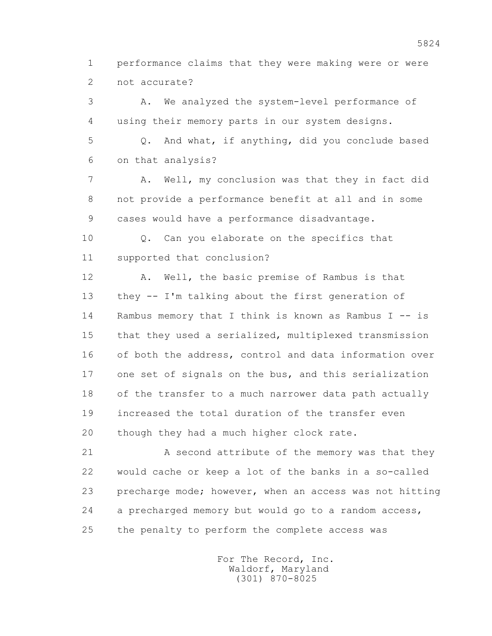1 performance claims that they were making were or were 2 not accurate?

 3 A. We analyzed the system-level performance of 4 using their memory parts in our system designs. 5 Q. And what, if anything, did you conclude based 6 on that analysis? 7 A. Well, my conclusion was that they in fact did 8 not provide a performance benefit at all and in some 9 cases would have a performance disadvantage. 10 Q. Can you elaborate on the specifics that 11 supported that conclusion? 12 A. Well, the basic premise of Rambus is that 13 they -- I'm talking about the first generation of 14 Rambus memory that I think is known as Rambus I -- is 15 that they used a serialized, multiplexed transmission 16 of both the address, control and data information over 17 one set of signals on the bus, and this serialization 18 of the transfer to a much narrower data path actually 19 increased the total duration of the transfer even

20 though they had a much higher clock rate.

21 A second attribute of the memory was that they 22 would cache or keep a lot of the banks in a so-called 23 precharge mode; however, when an access was not hitting 24 a precharged memory but would go to a random access, 25 the penalty to perform the complete access was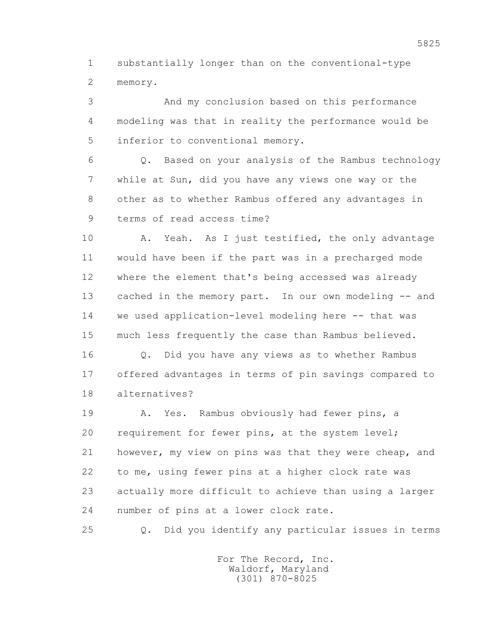1 substantially longer than on the conventional-type 2 memory.

 3 And my conclusion based on this performance 4 modeling was that in reality the performance would be 5 inferior to conventional memory.

 6 Q. Based on your analysis of the Rambus technology 7 while at Sun, did you have any views one way or the 8 other as to whether Rambus offered any advantages in 9 terms of read access time?

10 A. Yeah. As I just testified, the only advantage 11 would have been if the part was in a precharged mode 12 where the element that's being accessed was already 13 cached in the memory part. In our own modeling -- and 14 we used application-level modeling here -- that was 15 much less frequently the case than Rambus believed.

 16 Q. Did you have any views as to whether Rambus 17 offered advantages in terms of pin savings compared to 18 alternatives?

 19 A. Yes. Rambus obviously had fewer pins, a 20 requirement for fewer pins, at the system level; 21 however, my view on pins was that they were cheap, and 22 to me, using fewer pins at a higher clock rate was 23 actually more difficult to achieve than using a larger 24 number of pins at a lower clock rate.

25 Q. Did you identify any particular issues in terms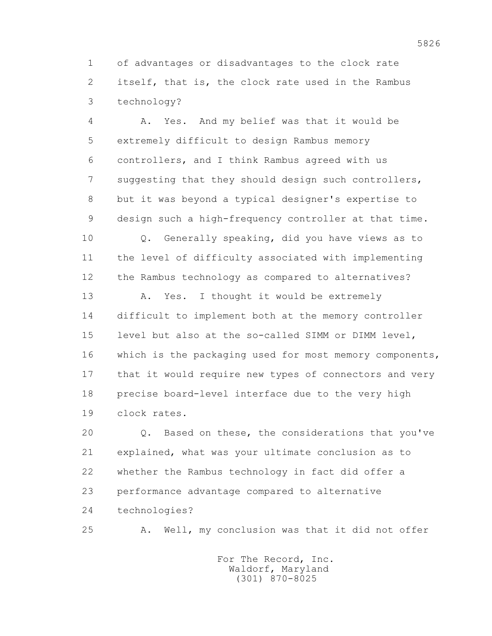1 of advantages or disadvantages to the clock rate 2 itself, that is, the clock rate used in the Rambus 3 technology?

 4 A. Yes. And my belief was that it would be 5 extremely difficult to design Rambus memory 6 controllers, and I think Rambus agreed with us 7 suggesting that they should design such controllers, 8 but it was beyond a typical designer's expertise to 9 design such a high-frequency controller at that time.

 10 Q. Generally speaking, did you have views as to 11 the level of difficulty associated with implementing 12 the Rambus technology as compared to alternatives?

13 A. Yes. I thought it would be extremely 14 difficult to implement both at the memory controller 15 level but also at the so-called SIMM or DIMM level, 16 which is the packaging used for most memory components, 17 that it would require new types of connectors and very 18 precise board-level interface due to the very high 19 clock rates.

 20 Q. Based on these, the considerations that you've 21 explained, what was your ultimate conclusion as to 22 whether the Rambus technology in fact did offer a 23 performance advantage compared to alternative 24 technologies?

25 A. Well, my conclusion was that it did not offer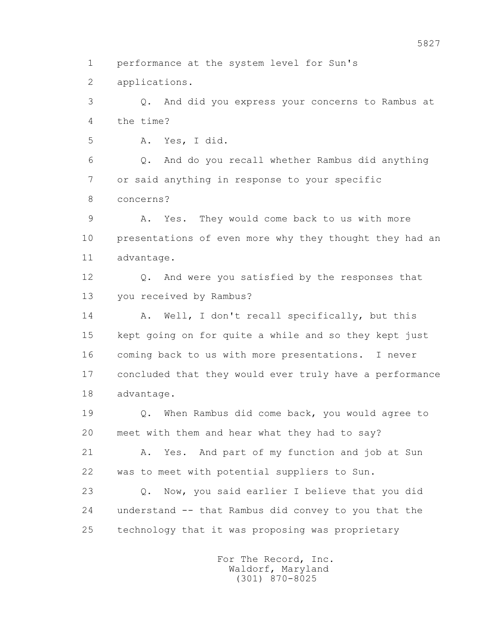1 performance at the system level for Sun's

2 applications.

 3 Q. And did you express your concerns to Rambus at 4 the time?

5 A. Yes, I did.

 6 Q. And do you recall whether Rambus did anything 7 or said anything in response to your specific 8 concerns?

 9 A. Yes. They would come back to us with more 10 presentations of even more why they thought they had an 11 advantage.

 12 Q. And were you satisfied by the responses that 13 you received by Rambus?

14 A. Well, I don't recall specifically, but this 15 kept going on for quite a while and so they kept just 16 coming back to us with more presentations. I never 17 concluded that they would ever truly have a performance 18 advantage.

 19 Q. When Rambus did come back, you would agree to 20 meet with them and hear what they had to say?

 21 A. Yes. And part of my function and job at Sun 22 was to meet with potential suppliers to Sun.

 23 Q. Now, you said earlier I believe that you did 24 understand -- that Rambus did convey to you that the 25 technology that it was proposing was proprietary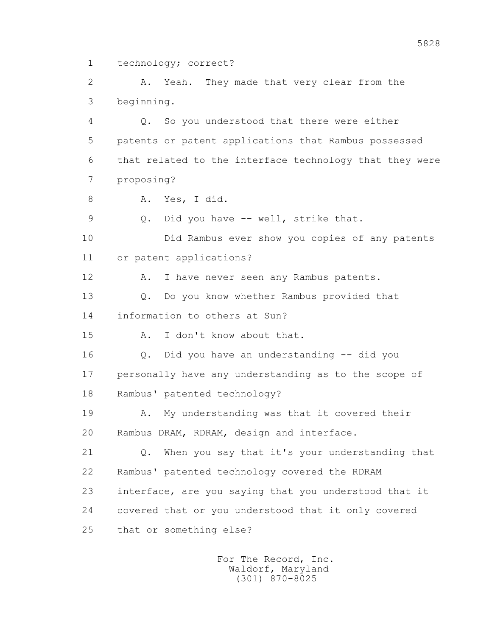1 technology; correct?

 2 A. Yeah. They made that very clear from the 3 beginning.

 4 Q. So you understood that there were either 5 patents or patent applications that Rambus possessed 6 that related to the interface technology that they were 7 proposing?

8 A. Yes, I did.

9 Q. Did you have -- well, strike that.

 10 Did Rambus ever show you copies of any patents 11 or patent applications?

12 A. I have never seen any Rambus patents.

 13 Q. Do you know whether Rambus provided that 14 information to others at Sun?

15 A. I don't know about that.

 16 Q. Did you have an understanding -- did you 17 personally have any understanding as to the scope of 18 Rambus' patented technology?

 19 A. My understanding was that it covered their 20 Rambus DRAM, RDRAM, design and interface.

 21 Q. When you say that it's your understanding that 22 Rambus' patented technology covered the RDRAM 23 interface, are you saying that you understood that it 24 covered that or you understood that it only covered 25 that or something else?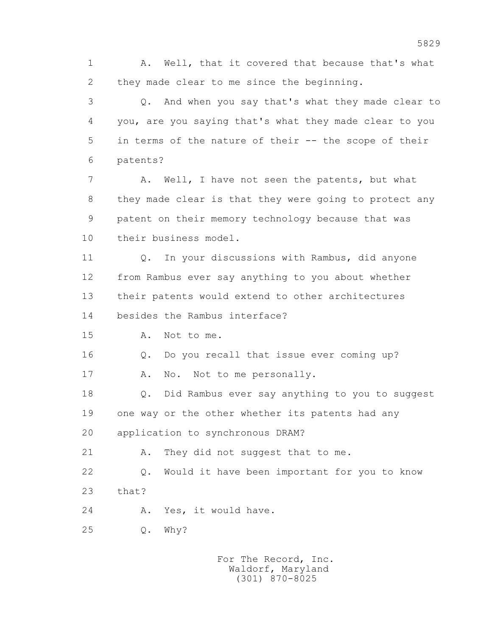1 A. Well, that it covered that because that's what 2 they made clear to me since the beginning.

 3 Q. And when you say that's what they made clear to 4 you, are you saying that's what they made clear to you 5 in terms of the nature of their -- the scope of their 6 patents?

 7 A. Well, I have not seen the patents, but what 8 they made clear is that they were going to protect any 9 patent on their memory technology because that was 10 their business model.

 11 Q. In your discussions with Rambus, did anyone 12 from Rambus ever say anything to you about whether 13 their patents would extend to other architectures 14 besides the Rambus interface?

15 A. Not to me.

16 Q. Do you recall that issue ever coming up?

17 A. No. Not to me personally.

 18 Q. Did Rambus ever say anything to you to suggest 19 one way or the other whether its patents had any 20 application to synchronous DRAM?

21 A. They did not suggest that to me.

 22 Q. Would it have been important for you to know 23 that?

24 A. Yes, it would have.

25 Q. Why?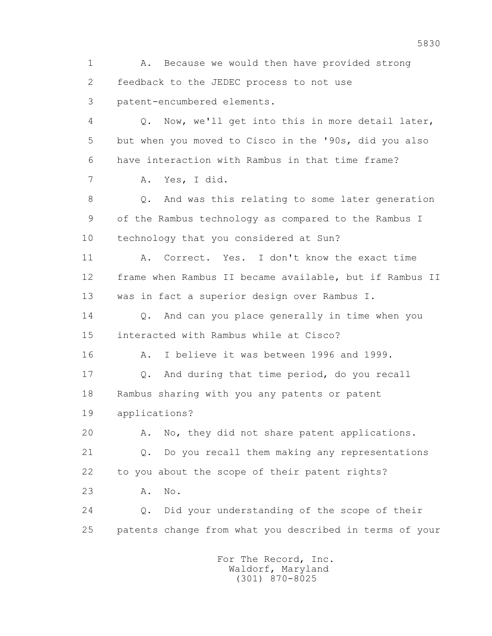1 A. Because we would then have provided strong 2 feedback to the JEDEC process to not use 3 patent-encumbered elements. 4 Q. Now, we'll get into this in more detail later, 5 but when you moved to Cisco in the '90s, did you also 6 have interaction with Rambus in that time frame? 7 A. Yes, I did. 8 Q. And was this relating to some later generation 9 of the Rambus technology as compared to the Rambus I 10 technology that you considered at Sun? 11 A. Correct. Yes. I don't know the exact time 12 frame when Rambus II became available, but if Rambus II 13 was in fact a superior design over Rambus I. 14 0. And can you place generally in time when you 15 interacted with Rambus while at Cisco? 16 A. I believe it was between 1996 and 1999. 17 Q. And during that time period, do you recall 18 Rambus sharing with you any patents or patent 19 applications? 20 A. No, they did not share patent applications. 21 Q. Do you recall them making any representations 22 to you about the scope of their patent rights? 23 A. No. 24 Q. Did your understanding of the scope of their 25 patents change from what you described in terms of your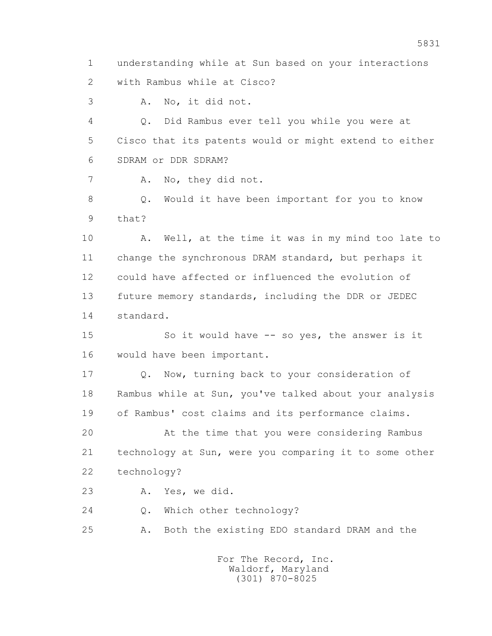1 understanding while at Sun based on your interactions 2 with Rambus while at Cisco?

3 A. No, it did not.

 4 Q. Did Rambus ever tell you while you were at 5 Cisco that its patents would or might extend to either 6 SDRAM or DDR SDRAM?

7 A. No, they did not.

 8 Q. Would it have been important for you to know 9 that?

 10 A. Well, at the time it was in my mind too late to 11 change the synchronous DRAM standard, but perhaps it 12 could have affected or influenced the evolution of 13 future memory standards, including the DDR or JEDEC 14 standard.

15 So it would have -- so yes, the answer is it 16 would have been important.

 17 Q. Now, turning back to your consideration of 18 Rambus while at Sun, you've talked about your analysis 19 of Rambus' cost claims and its performance claims.

 20 At the time that you were considering Rambus 21 technology at Sun, were you comparing it to some other 22 technology?

23 A. Yes, we did.

24 Q. Which other technology?

25 A. Both the existing EDO standard DRAM and the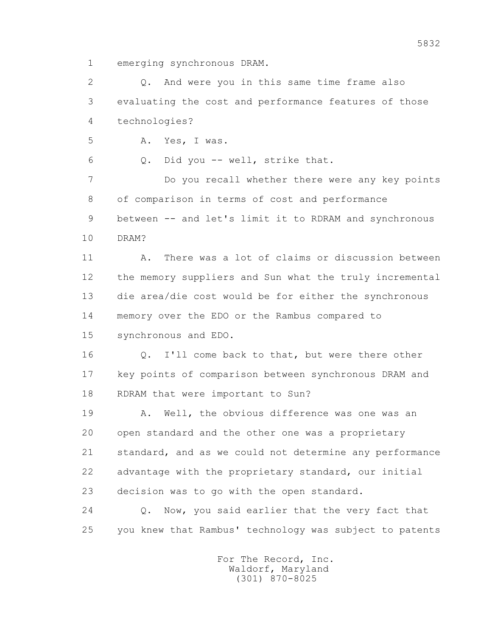1 emerging synchronous DRAM.

 2 Q. And were you in this same time frame also 3 evaluating the cost and performance features of those 4 technologies?

5 A. Yes, I was.

6 Q. Did you -- well, strike that.

 7 Do you recall whether there were any key points 8 of comparison in terms of cost and performance 9 between -- and let's limit it to RDRAM and synchronous 10 DRAM?

 11 A. There was a lot of claims or discussion between 12 the memory suppliers and Sun what the truly incremental 13 die area/die cost would be for either the synchronous 14 memory over the EDO or the Rambus compared to 15 synchronous and EDO.

 16 Q. I'll come back to that, but were there other 17 key points of comparison between synchronous DRAM and 18 RDRAM that were important to Sun?

 19 A. Well, the obvious difference was one was an 20 open standard and the other one was a proprietary 21 standard, and as we could not determine any performance 22 advantage with the proprietary standard, our initial 23 decision was to go with the open standard.

 24 Q. Now, you said earlier that the very fact that 25 you knew that Rambus' technology was subject to patents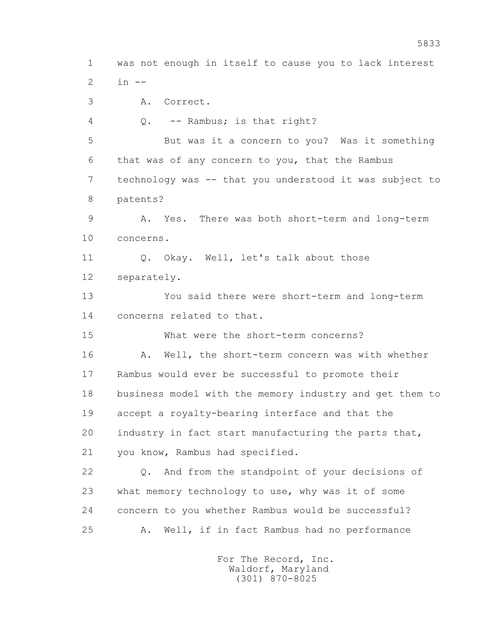1 was not enough in itself to cause you to lack interest 2 in --

3 A. Correct.

4 Q. -- Rambus; is that right?

 5 But was it a concern to you? Was it something 6 that was of any concern to you, that the Rambus 7 technology was -- that you understood it was subject to 8 patents?

 9 A. Yes. There was both short-term and long-term 10 concerns.

11 0. Okay. Well, let's talk about those 12 separately.

 13 You said there were short-term and long-term 14 concerns related to that.

15 What were the short-term concerns?

16 A. Well, the short-term concern was with whether 17 Rambus would ever be successful to promote their 18 business model with the memory industry and get them to 19 accept a royalty-bearing interface and that the 20 industry in fact start manufacturing the parts that, 21 you know, Rambus had specified.

 22 Q. And from the standpoint of your decisions of 23 what memory technology to use, why was it of some 24 concern to you whether Rambus would be successful? 25 A. Well, if in fact Rambus had no performance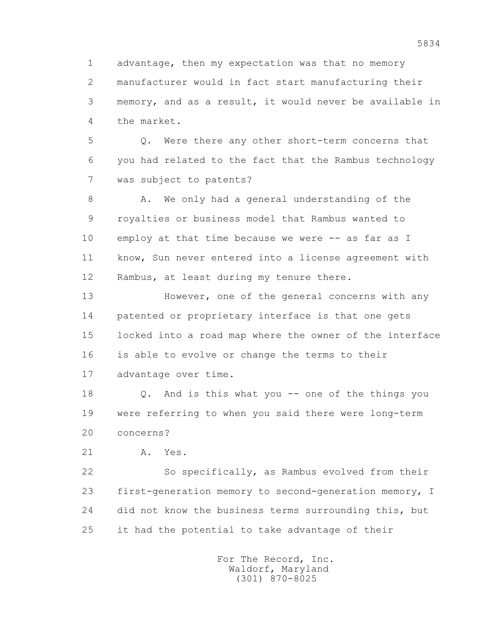1 advantage, then my expectation was that no memory 2 manufacturer would in fact start manufacturing their 3 memory, and as a result, it would never be available in 4 the market.

 5 Q. Were there any other short-term concerns that 6 you had related to the fact that the Rambus technology 7 was subject to patents?

8 A. We only had a general understanding of the 9 royalties or business model that Rambus wanted to 10 employ at that time because we were -- as far as I 11 know, Sun never entered into a license agreement with 12 Rambus, at least during my tenure there.

 13 However, one of the general concerns with any 14 patented or proprietary interface is that one gets 15 locked into a road map where the owner of the interface 16 is able to evolve or change the terms to their 17 advantage over time.

 18 Q. And is this what you -- one of the things you 19 were referring to when you said there were long-term 20 concerns?

21 A. Yes.

 22 So specifically, as Rambus evolved from their 23 first-generation memory to second-generation memory, I 24 did not know the business terms surrounding this, but 25 it had the potential to take advantage of their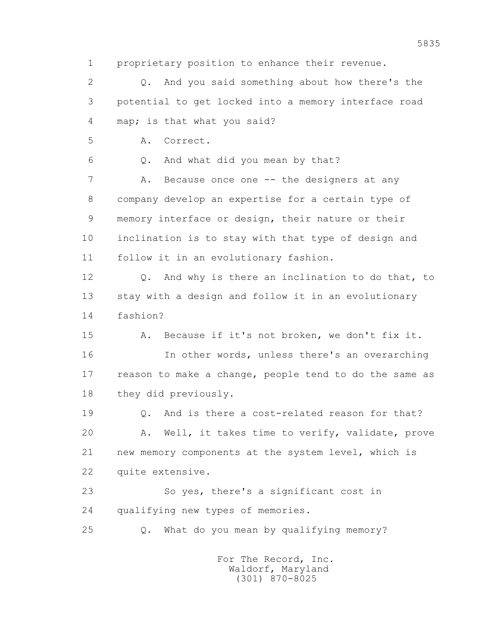1 proprietary position to enhance their revenue.

 2 Q. And you said something about how there's the 3 potential to get locked into a memory interface road 4 map; is that what you said?

5 A. Correct.

6 Q. And what did you mean by that?

7 A. Because once one -- the designers at any 8 company develop an expertise for a certain type of 9 memory interface or design, their nature or their 10 inclination is to stay with that type of design and 11 follow it in an evolutionary fashion.

 12 Q. And why is there an inclination to do that, to 13 stay with a design and follow it in an evolutionary 14 fashion?

 15 A. Because if it's not broken, we don't fix it. 16 In other words, unless there's an overarching 17 reason to make a change, people tend to do the same as 18 they did previously.

19 0. And is there a cost-related reason for that? 20 A. Well, it takes time to verify, validate, prove 21 new memory components at the system level, which is 22 quite extensive.

 23 So yes, there's a significant cost in 24 qualifying new types of memories.

25 Q. What do you mean by qualifying memory?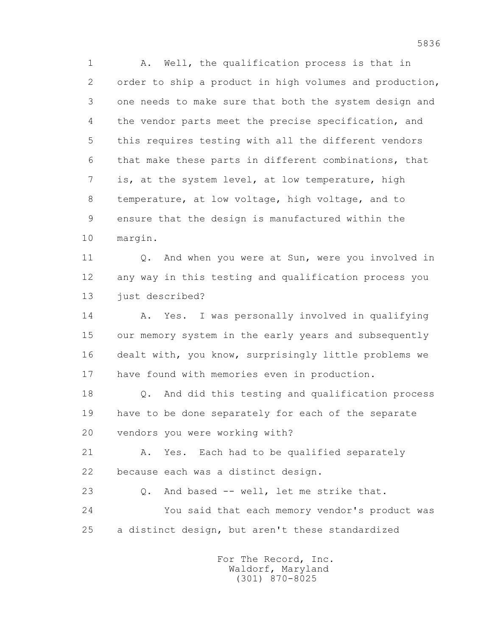1 A. Well, the qualification process is that in 2 order to ship a product in high volumes and production, 3 one needs to make sure that both the system design and 4 the vendor parts meet the precise specification, and 5 this requires testing with all the different vendors 6 that make these parts in different combinations, that 7 is, at the system level, at low temperature, high 8 temperature, at low voltage, high voltage, and to 9 ensure that the design is manufactured within the 10 margin.

11 0. And when you were at Sun, were you involved in 12 any way in this testing and qualification process you 13 just described?

 14 A. Yes. I was personally involved in qualifying 15 our memory system in the early years and subsequently 16 dealt with, you know, surprisingly little problems we 17 have found with memories even in production.

 18 Q. And did this testing and qualification process 19 have to be done separately for each of the separate 20 vendors you were working with?

21 A. Yes. Each had to be qualified separately 22 because each was a distinct design.

 23 Q. And based -- well, let me strike that. 24 You said that each memory vendor's product was 25 a distinct design, but aren't these standardized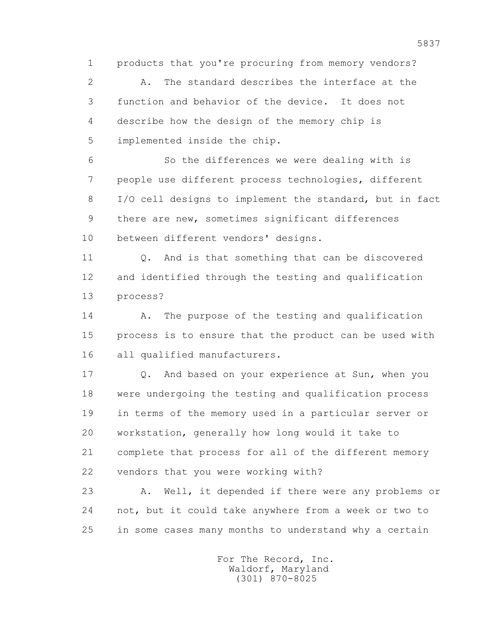1 products that you're procuring from memory vendors?

 2 A. The standard describes the interface at the 3 function and behavior of the device. It does not 4 describe how the design of the memory chip is 5 implemented inside the chip.

 6 So the differences we were dealing with is 7 people use different process technologies, different 8 I/O cell designs to implement the standard, but in fact 9 there are new, sometimes significant differences 10 between different vendors' designs.

 11 Q. And is that something that can be discovered 12 and identified through the testing and qualification 13 process?

14 A. The purpose of the testing and qualification 15 process is to ensure that the product can be used with 16 all qualified manufacturers.

17 Q. And based on your experience at Sun, when you 18 were undergoing the testing and qualification process 19 in terms of the memory used in a particular server or 20 workstation, generally how long would it take to 21 complete that process for all of the different memory 22 vendors that you were working with?

 23 A. Well, it depended if there were any problems or 24 not, but it could take anywhere from a week or two to 25 in some cases many months to understand why a certain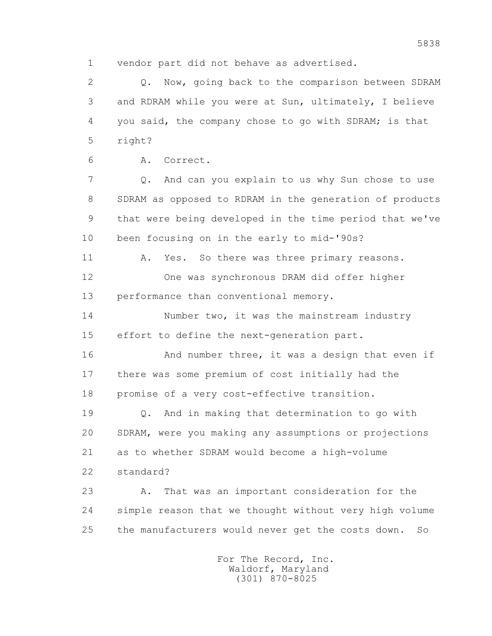1 vendor part did not behave as advertised.

 2 Q. Now, going back to the comparison between SDRAM 3 and RDRAM while you were at Sun, ultimately, I believe 4 you said, the company chose to go with SDRAM; is that 5 right?

6 A. Correct.

 7 Q. And can you explain to us why Sun chose to use 8 SDRAM as opposed to RDRAM in the generation of products 9 that were being developed in the time period that we've 10 been focusing on in the early to mid-'90s?

11 A. Yes. So there was three primary reasons.

 12 One was synchronous DRAM did offer higher 13 performance than conventional memory.

 14 Number two, it was the mainstream industry 15 effort to define the next-generation part.

16 And number three, it was a design that even if 17 there was some premium of cost initially had the 18 promise of a very cost-effective transition.

 19 Q. And in making that determination to go with 20 SDRAM, were you making any assumptions or projections 21 as to whether SDRAM would become a high-volume 22 standard?

 23 A. That was an important consideration for the 24 simple reason that we thought without very high volume 25 the manufacturers would never get the costs down. So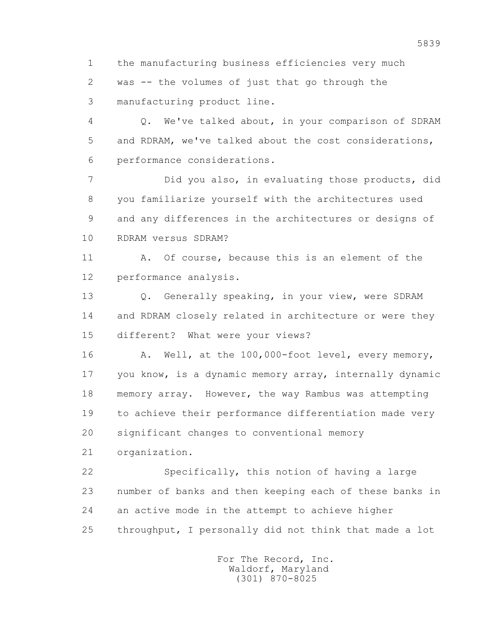1 the manufacturing business efficiencies very much 2 was -- the volumes of just that go through the 3 manufacturing product line.

 4 Q. We've talked about, in your comparison of SDRAM 5 and RDRAM, we've talked about the cost considerations, 6 performance considerations.

 7 Did you also, in evaluating those products, did 8 you familiarize yourself with the architectures used 9 and any differences in the architectures or designs of 10 RDRAM versus SDRAM?

 11 A. Of course, because this is an element of the 12 performance analysis.

13 0. Generally speaking, in your view, were SDRAM 14 and RDRAM closely related in architecture or were they 15 different? What were your views?

16 A. Well, at the 100,000-foot level, every memory, 17 you know, is a dynamic memory array, internally dynamic 18 memory array. However, the way Rambus was attempting 19 to achieve their performance differentiation made very 20 significant changes to conventional memory

21 organization.

 22 Specifically, this notion of having a large 23 number of banks and then keeping each of these banks in 24 an active mode in the attempt to achieve higher 25 throughput, I personally did not think that made a lot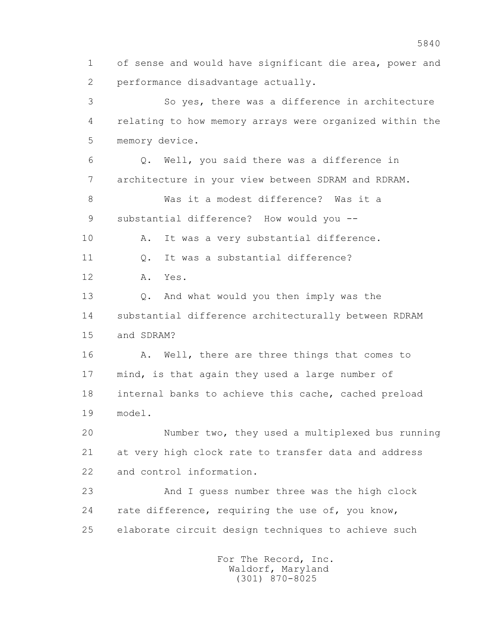1 of sense and would have significant die area, power and 2 performance disadvantage actually.

 3 So yes, there was a difference in architecture 4 relating to how memory arrays were organized within the 5 memory device.

 6 Q. Well, you said there was a difference in 7 architecture in your view between SDRAM and RDRAM.

 8 Was it a modest difference? Was it a 9 substantial difference? How would you --

10 A. It was a very substantial difference.

11 Q. It was a substantial difference?

12 A. Yes.

 13 Q. And what would you then imply was the 14 substantial difference architecturally between RDRAM 15 and SDRAM?

16 A. Well, there are three things that comes to 17 mind, is that again they used a large number of 18 internal banks to achieve this cache, cached preload 19 model.

 20 Number two, they used a multiplexed bus running 21 at very high clock rate to transfer data and address 22 and control information.

 23 And I guess number three was the high clock 24 rate difference, requiring the use of, you know, 25 elaborate circuit design techniques to achieve such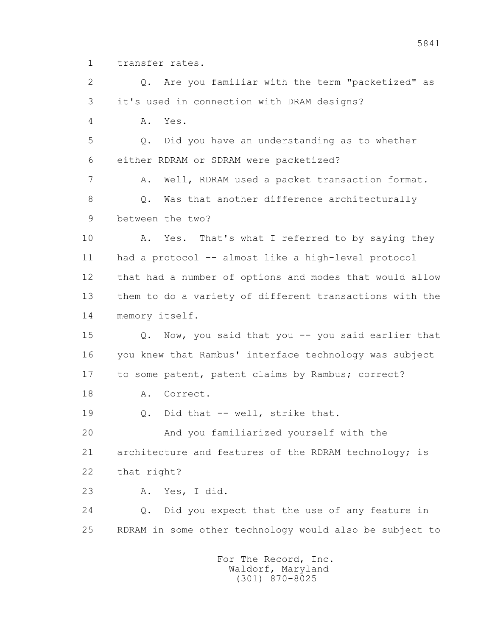1 transfer rates.

 2 Q. Are you familiar with the term "packetized" as 3 it's used in connection with DRAM designs? 4 A. Yes. 5 Q. Did you have an understanding as to whether 6 either RDRAM or SDRAM were packetized? 7 A. Well, RDRAM used a packet transaction format. 8 Q. Was that another difference architecturally 9 between the two? 10 A. Yes. That's what I referred to by saying they 11 had a protocol -- almost like a high-level protocol 12 that had a number of options and modes that would allow 13 them to do a variety of different transactions with the 14 memory itself. 15 Q. Now, you said that you -- you said earlier that 16 you knew that Rambus' interface technology was subject 17 to some patent, patent claims by Rambus; correct? 18 A. Correct. 19 Q. Did that -- well, strike that. 20 And you familiarized yourself with the 21 architecture and features of the RDRAM technology; is 22 that right? 23 A. Yes, I did. 24 Q. Did you expect that the use of any feature in 25 RDRAM in some other technology would also be subject to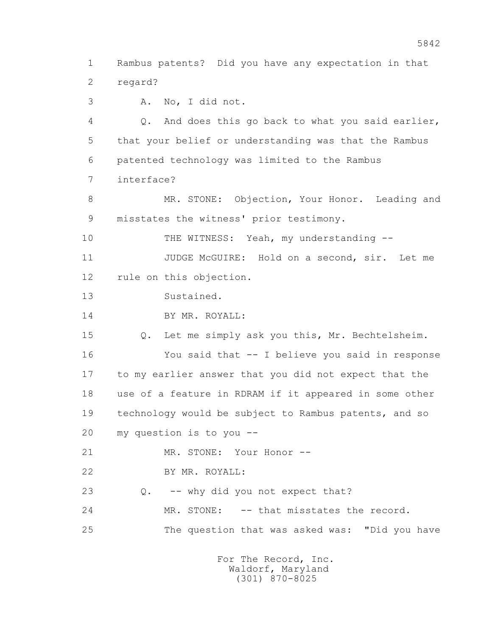1 Rambus patents? Did you have any expectation in that 2 regard?

3 A. No, I did not.

 4 Q. And does this go back to what you said earlier, 5 that your belief or understanding was that the Rambus 6 patented technology was limited to the Rambus 7 interface?

8 MR. STONE: Objection, Your Honor. Leading and 9 misstates the witness' prior testimony.

10 THE WITNESS: Yeah, my understanding --

 11 JUDGE McGUIRE: Hold on a second, sir. Let me 12 rule on this objection.

13 Sustained.

14 BY MR. ROYALL:

 15 Q. Let me simply ask you this, Mr. Bechtelsheim. 16 You said that -- I believe you said in response 17 to my earlier answer that you did not expect that the 18 use of a feature in RDRAM if it appeared in some other 19 technology would be subject to Rambus patents, and so 20 my question is to you --

21 MR. STONE: Your Honor --

22 BY MR. ROYALL:

23 Q. -- why did you not expect that?

24 MR. STONE: -- that misstates the record.

25 The question that was asked was: "Did you have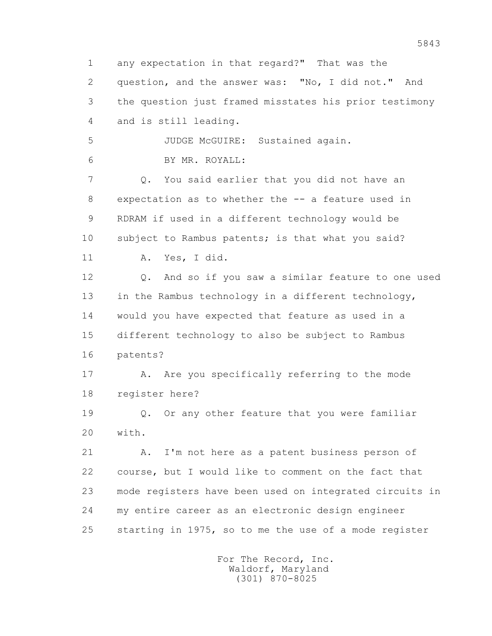1 any expectation in that regard?" That was the 2 question, and the answer was: "No, I did not." And 3 the question just framed misstates his prior testimony 4 and is still leading. 5 JUDGE McGUIRE: Sustained again. 6 BY MR. ROYALL: 7 Q. You said earlier that you did not have an 8 expectation as to whether the -- a feature used in 9 RDRAM if used in a different technology would be 10 subject to Rambus patents; is that what you said? 11 A. Yes, I did. 12 Q. And so if you saw a similar feature to one used 13 in the Rambus technology in a different technology, 14 would you have expected that feature as used in a 15 different technology to also be subject to Rambus 16 patents? 17 A. Are you specifically referring to the mode 18 register here? 19 Q. Or any other feature that you were familiar 20 with. 21 A. I'm not here as a patent business person of 22 course, but I would like to comment on the fact that 23 mode registers have been used on integrated circuits in 24 my entire career as an electronic design engineer 25 starting in 1975, so to me the use of a mode register For The Record, Inc.

 Waldorf, Maryland (301) 870-8025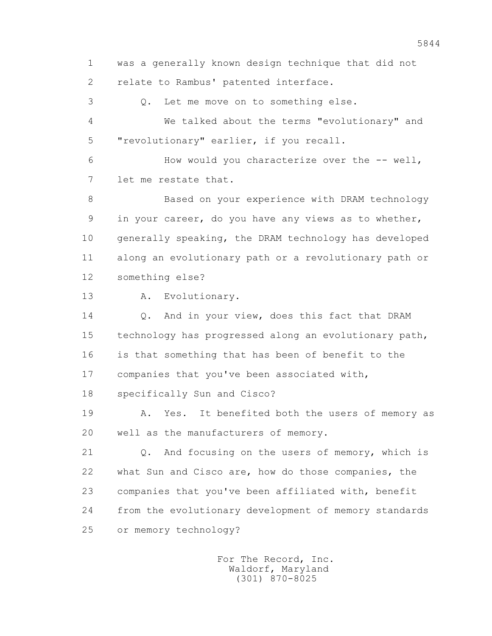1 was a generally known design technique that did not 2 relate to Rambus' patented interface.

 3 Q. Let me move on to something else. 4 We talked about the terms "evolutionary" and 5 "revolutionary" earlier, if you recall.

 6 How would you characterize over the -- well, 7 let me restate that.

 8 Based on your experience with DRAM technology 9 in your career, do you have any views as to whether, 10 generally speaking, the DRAM technology has developed 11 along an evolutionary path or a revolutionary path or 12 something else?

13 A. Evolutionary.

14 0. And in your view, does this fact that DRAM 15 technology has progressed along an evolutionary path, 16 is that something that has been of benefit to the 17 companies that you've been associated with,

18 specifically Sun and Cisco?

 19 A. Yes. It benefited both the users of memory as 20 well as the manufacturers of memory.

 21 Q. And focusing on the users of memory, which is 22 what Sun and Cisco are, how do those companies, the 23 companies that you've been affiliated with, benefit 24 from the evolutionary development of memory standards 25 or memory technology?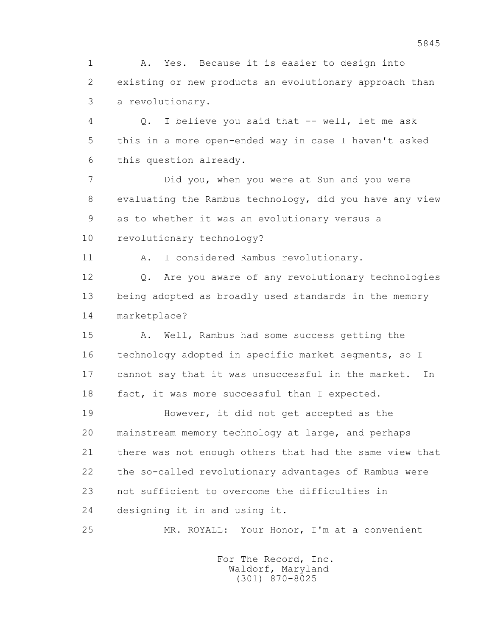1 A. Yes. Because it is easier to design into 2 existing or new products an evolutionary approach than 3 a revolutionary.

 4 Q. I believe you said that -- well, let me ask 5 this in a more open-ended way in case I haven't asked 6 this question already.

 7 Did you, when you were at Sun and you were 8 evaluating the Rambus technology, did you have any view 9 as to whether it was an evolutionary versus a 10 revolutionary technology?

11 A. I considered Rambus revolutionary.

 12 Q. Are you aware of any revolutionary technologies 13 being adopted as broadly used standards in the memory 14 marketplace?

 15 A. Well, Rambus had some success getting the 16 technology adopted in specific market segments, so I 17 cannot say that it was unsuccessful in the market. In 18 fact, it was more successful than I expected.

 19 However, it did not get accepted as the 20 mainstream memory technology at large, and perhaps 21 there was not enough others that had the same view that 22 the so-called revolutionary advantages of Rambus were 23 not sufficient to overcome the difficulties in 24 designing it in and using it.

25 MR. ROYALL: Your Honor, I'm at a convenient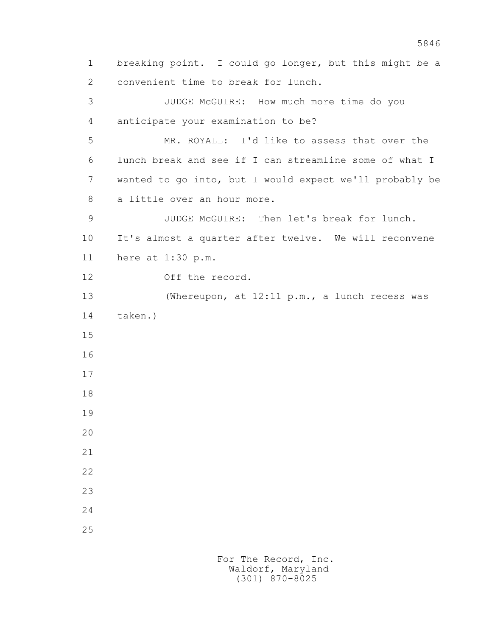1 breaking point. I could go longer, but this might be a 2 convenient time to break for lunch. 3 JUDGE McGUIRE: How much more time do you 4 anticipate your examination to be? 5 MR. ROYALL: I'd like to assess that over the 6 lunch break and see if I can streamline some of what I 7 wanted to go into, but I would expect we'll probably be 8 a little over an hour more. 9 JUDGE McGUIRE: Then let's break for lunch. 10 It's almost a quarter after twelve. We will reconvene 11 here at 1:30 p.m. 12 Off the record. 13 (Whereupon, at 12:11 p.m., a lunch recess was 14 taken.) 15 16 17 18 19 20 21 22 23 24 25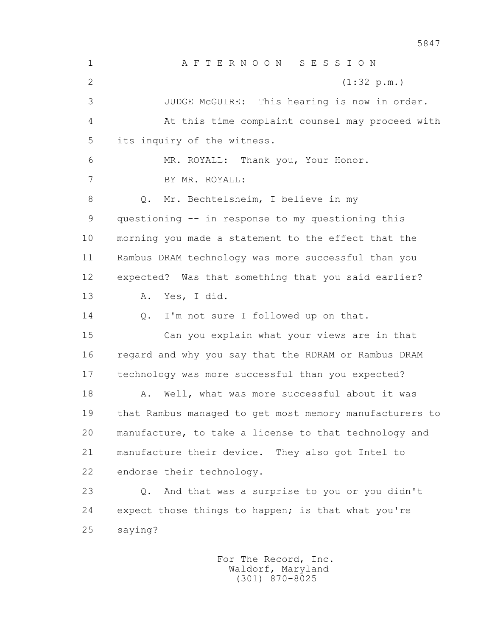1 A F T E R N O O N S E S S I O N 2 (1:32 p.m.) 3 JUDGE McGUIRE: This hearing is now in order. 4 At this time complaint counsel may proceed with 5 its inquiry of the witness. 6 MR. ROYALL: Thank you, Your Honor. 7 BY MR. ROYALL: 8 Q. Mr. Bechtelsheim, I believe in my 9 questioning -- in response to my questioning this 10 morning you made a statement to the effect that the 11 Rambus DRAM technology was more successful than you 12 expected? Was that something that you said earlier? 13 A. Yes, I did. 14 0. I'm not sure I followed up on that. 15 Can you explain what your views are in that 16 regard and why you say that the RDRAM or Rambus DRAM 17 technology was more successful than you expected? 18 A. Well, what was more successful about it was 19 that Rambus managed to get most memory manufacturers to 20 manufacture, to take a license to that technology and 21 manufacture their device. They also got Intel to 22 endorse their technology. 23 Q. And that was a surprise to you or you didn't 24 expect those things to happen; is that what you're 25 saying?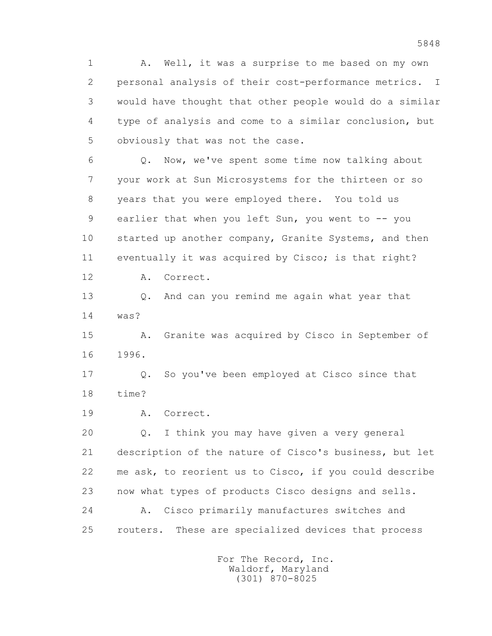1 A. Well, it was a surprise to me based on my own 2 personal analysis of their cost-performance metrics. I 3 would have thought that other people would do a similar 4 type of analysis and come to a similar conclusion, but 5 obviously that was not the case.

 6 Q. Now, we've spent some time now talking about 7 your work at Sun Microsystems for the thirteen or so 8 years that you were employed there. You told us 9 earlier that when you left Sun, you went to -- you 10 started up another company, Granite Systems, and then 11 eventually it was acquired by Cisco; is that right?

12 A. Correct.

 13 Q. And can you remind me again what year that 14 was?

 15 A. Granite was acquired by Cisco in September of 16 1996.

 17 Q. So you've been employed at Cisco since that 18 time?

19 A. Correct.

 20 Q. I think you may have given a very general 21 description of the nature of Cisco's business, but let 22 me ask, to reorient us to Cisco, if you could describe 23 now what types of products Cisco designs and sells. 24 A. Cisco primarily manufactures switches and 25 routers. These are specialized devices that process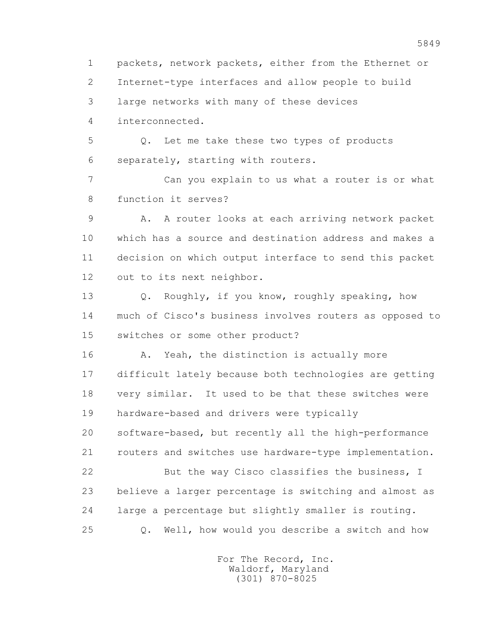1 packets, network packets, either from the Ethernet or 2 Internet-type interfaces and allow people to build 3 large networks with many of these devices 4 interconnected. 5 Q. Let me take these two types of products 6 separately, starting with routers.

 7 Can you explain to us what a router is or what 8 function it serves?

 9 A. A router looks at each arriving network packet 10 which has a source and destination address and makes a 11 decision on which output interface to send this packet 12 out to its next neighbor.

 13 Q. Roughly, if you know, roughly speaking, how 14 much of Cisco's business involves routers as opposed to 15 switches or some other product?

16 A. Yeah, the distinction is actually more 17 difficult lately because both technologies are getting 18 very similar. It used to be that these switches were 19 hardware-based and drivers were typically 20 software-based, but recently all the high-performance 21 routers and switches use hardware-type implementation. 22 But the way Cisco classifies the business, I 23 believe a larger percentage is switching and almost as 24 large a percentage but slightly smaller is routing. 25 Q. Well, how would you describe a switch and how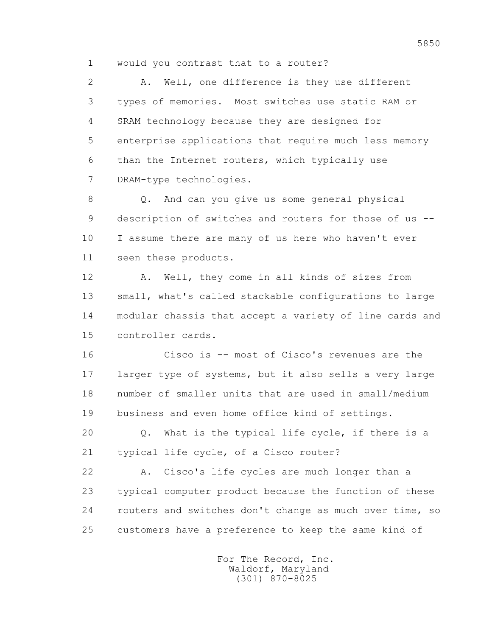1 would you contrast that to a router?

 2 A. Well, one difference is they use different 3 types of memories. Most switches use static RAM or 4 SRAM technology because they are designed for 5 enterprise applications that require much less memory 6 than the Internet routers, which typically use 7 DRAM-type technologies.

 8 Q. And can you give us some general physical 9 description of switches and routers for those of us -- 10 I assume there are many of us here who haven't ever 11 seen these products.

 12 A. Well, they come in all kinds of sizes from 13 small, what's called stackable configurations to large 14 modular chassis that accept a variety of line cards and 15 controller cards.

 16 Cisco is -- most of Cisco's revenues are the 17 larger type of systems, but it also sells a very large 18 number of smaller units that are used in small/medium 19 business and even home office kind of settings.

 20 Q. What is the typical life cycle, if there is a 21 typical life cycle, of a Cisco router?

 22 A. Cisco's life cycles are much longer than a 23 typical computer product because the function of these 24 routers and switches don't change as much over time, so 25 customers have a preference to keep the same kind of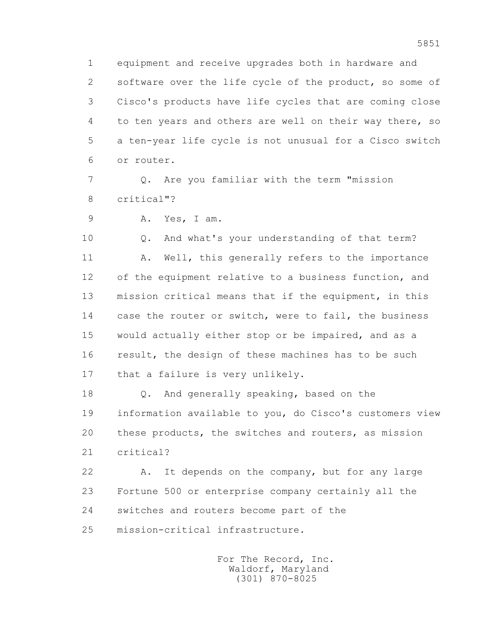1 equipment and receive upgrades both in hardware and 2 software over the life cycle of the product, so some of 3 Cisco's products have life cycles that are coming close 4 to ten years and others are well on their way there, so 5 a ten-year life cycle is not unusual for a Cisco switch 6 or router.

 7 Q. Are you familiar with the term "mission 8 critical"?

9 A. Yes, I am.

 10 Q. And what's your understanding of that term? 11 A. Well, this generally refers to the importance 12 of the equipment relative to a business function, and 13 mission critical means that if the equipment, in this 14 case the router or switch, were to fail, the business 15 would actually either stop or be impaired, and as a 16 result, the design of these machines has to be such 17 that a failure is very unlikely.

 18 Q. And generally speaking, based on the 19 information available to you, do Cisco's customers view 20 these products, the switches and routers, as mission 21 critical?

 22 A. It depends on the company, but for any large 23 Fortune 500 or enterprise company certainly all the 24 switches and routers become part of the 25 mission-critical infrastructure.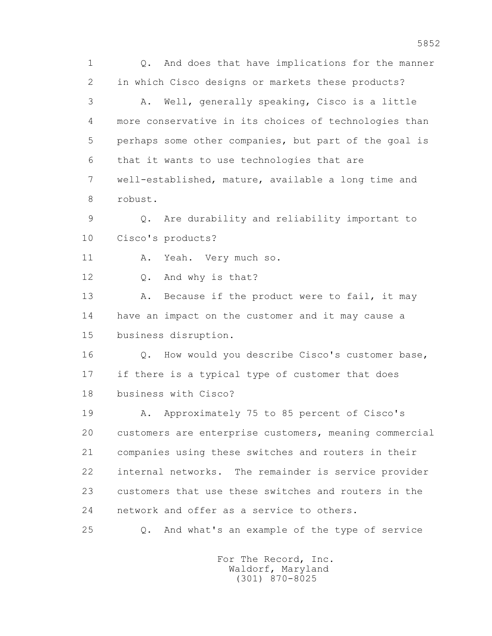1 Q. And does that have implications for the manner 2 in which Cisco designs or markets these products? 3 A. Well, generally speaking, Cisco is a little 4 more conservative in its choices of technologies than 5 perhaps some other companies, but part of the goal is 6 that it wants to use technologies that are 7 well-established, mature, available a long time and 8 robust. 9 Q. Are durability and reliability important to 10 Cisco's products? 11 A. Yeah. Very much so. 12 Q. And why is that? 13 A. Because if the product were to fail, it may 14 have an impact on the customer and it may cause a 15 business disruption. 16 0. How would you describe Cisco's customer base, 17 if there is a typical type of customer that does 18 business with Cisco? 19 A. Approximately 75 to 85 percent of Cisco's 20 customers are enterprise customers, meaning commercial 21 companies using these switches and routers in their 22 internal networks. The remainder is service provider 23 customers that use these switches and routers in the 24 network and offer as a service to others. 25 Q. And what's an example of the type of service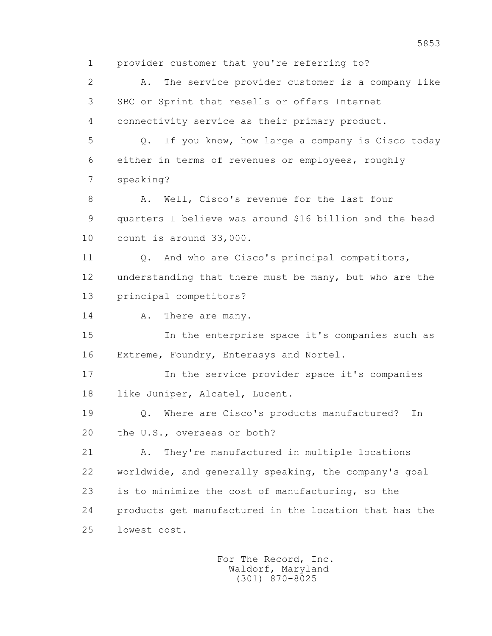1 provider customer that you're referring to?

 2 A. The service provider customer is a company like 3 SBC or Sprint that resells or offers Internet 4 connectivity service as their primary product.

 5 Q. If you know, how large a company is Cisco today 6 either in terms of revenues or employees, roughly 7 speaking?

8 A. Well, Cisco's revenue for the last four 9 quarters I believe was around \$16 billion and the head 10 count is around 33,000.

11 0. And who are Cisco's principal competitors, 12 understanding that there must be many, but who are the 13 principal competitors?

14 A. There are many.

 15 In the enterprise space it's companies such as 16 Extreme, Foundry, Enterasys and Nortel.

 17 In the service provider space it's companies 18 like Juniper, Alcatel, Lucent.

 19 Q. Where are Cisco's products manufactured? In 20 the U.S., overseas or both?

 21 A. They're manufactured in multiple locations 22 worldwide, and generally speaking, the company's goal 23 is to minimize the cost of manufacturing, so the 24 products get manufactured in the location that has the 25 lowest cost.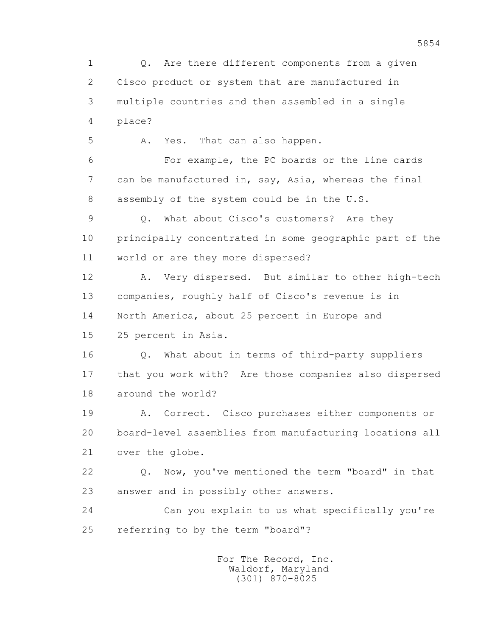1 Q. Are there different components from a given 2 Cisco product or system that are manufactured in 3 multiple countries and then assembled in a single 4 place? 5 A. Yes. That can also happen. 6 For example, the PC boards or the line cards 7 can be manufactured in, say, Asia, whereas the final 8 assembly of the system could be in the U.S. 9 Q. What about Cisco's customers? Are they 10 principally concentrated in some geographic part of the 11 world or are they more dispersed? 12 A. Very dispersed. But similar to other high-tech 13 companies, roughly half of Cisco's revenue is in 14 North America, about 25 percent in Europe and 15 25 percent in Asia. 16 Q. What about in terms of third-party suppliers 17 that you work with? Are those companies also dispersed 18 around the world? 19 A. Correct. Cisco purchases either components or 20 board-level assemblies from manufacturing locations all 21 over the globe. 22 Q. Now, you've mentioned the term "board" in that 23 answer and in possibly other answers. 24 Can you explain to us what specifically you're 25 referring to by the term "board"? For The Record, Inc. Waldorf, Maryland

(301) 870-8025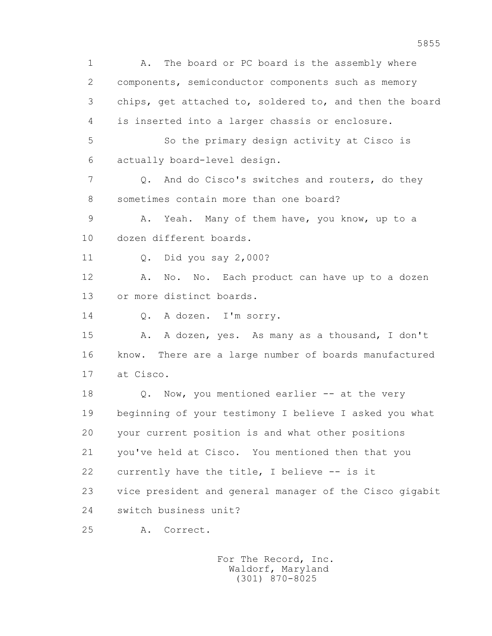1 A. The board or PC board is the assembly where 2 components, semiconductor components such as memory 3 chips, get attached to, soldered to, and then the board 4 is inserted into a larger chassis or enclosure. 5 So the primary design activity at Cisco is 6 actually board-level design. 7 Q. And do Cisco's switches and routers, do they 8 sometimes contain more than one board? 9 A. Yeah. Many of them have, you know, up to a 10 dozen different boards. 11 Q. Did you say 2,000? 12 A. No. No. Each product can have up to a dozen 13 or more distinct boards. 14 O. A dozen. I'm sorry. 15 A. A dozen, yes. As many as a thousand, I don't 16 know. There are a large number of boards manufactured 17 at Cisco. 18 Q. Now, you mentioned earlier -- at the very 19 beginning of your testimony I believe I asked you what 20 your current position is and what other positions 21 you've held at Cisco. You mentioned then that you 22 currently have the title, I believe -- is it 23 vice president and general manager of the Cisco gigabit 24 switch business unit? 25 A. Correct.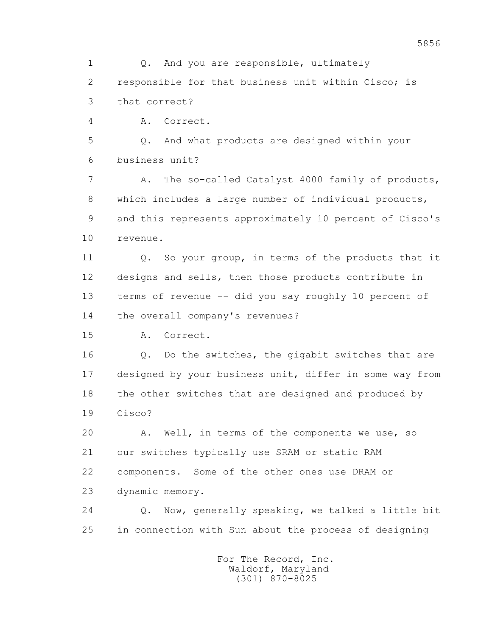1 Q. And you are responsible, ultimately 2 responsible for that business unit within Cisco; is 3 that correct? 4 A. Correct. 5 Q. And what products are designed within your 6 business unit?

7 A. The so-called Catalyst 4000 family of products, 8 which includes a large number of individual products, 9 and this represents approximately 10 percent of Cisco's 10 revenue.

11 0. So your group, in terms of the products that it 12 designs and sells, then those products contribute in 13 terms of revenue -- did you say roughly 10 percent of 14 the overall company's revenues?

15 A. Correct.

 16 Q. Do the switches, the gigabit switches that are 17 designed by your business unit, differ in some way from 18 the other switches that are designed and produced by 19 Cisco?

 20 A. Well, in terms of the components we use, so 21 our switches typically use SRAM or static RAM 22 components. Some of the other ones use DRAM or 23 dynamic memory.

 24 Q. Now, generally speaking, we talked a little bit 25 in connection with Sun about the process of designing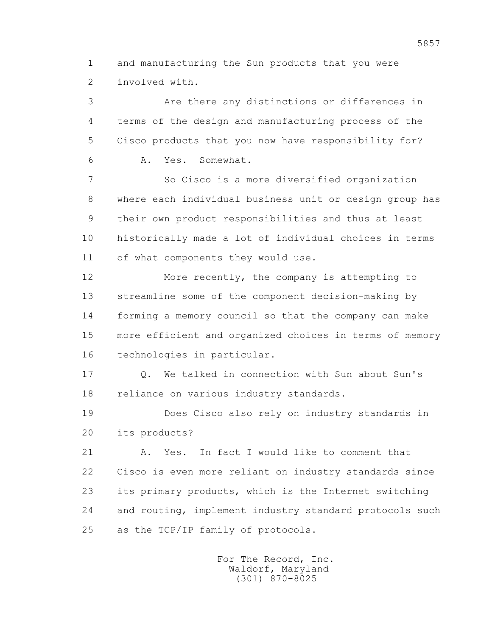1 and manufacturing the Sun products that you were 2 involved with.

 3 Are there any distinctions or differences in 4 terms of the design and manufacturing process of the 5 Cisco products that you now have responsibility for? 6 A. Yes. Somewhat.

 7 So Cisco is a more diversified organization 8 where each individual business unit or design group has 9 their own product responsibilities and thus at least 10 historically made a lot of individual choices in terms 11 of what components they would use.

 12 More recently, the company is attempting to 13 streamline some of the component decision-making by 14 forming a memory council so that the company can make 15 more efficient and organized choices in terms of memory 16 technologies in particular.

 17 Q. We talked in connection with Sun about Sun's 18 reliance on various industry standards.

 19 Does Cisco also rely on industry standards in 20 its products?

 21 A. Yes. In fact I would like to comment that 22 Cisco is even more reliant on industry standards since 23 its primary products, which is the Internet switching 24 and routing, implement industry standard protocols such 25 as the TCP/IP family of protocols.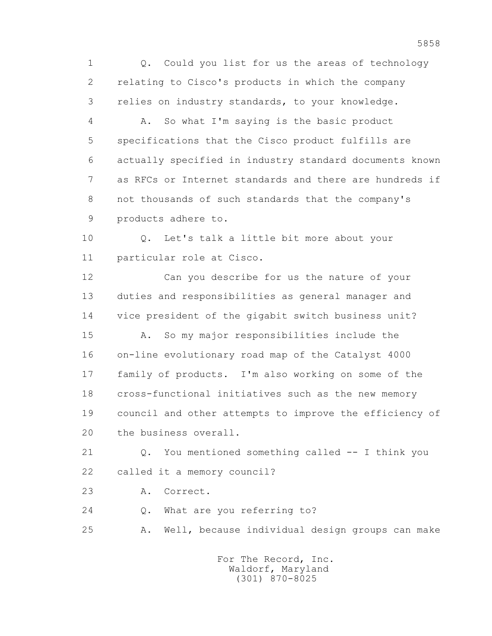1 Q. Could you list for us the areas of technology 2 relating to Cisco's products in which the company 3 relies on industry standards, to your knowledge.

 4 A. So what I'm saying is the basic product 5 specifications that the Cisco product fulfills are 6 actually specified in industry standard documents known 7 as RFCs or Internet standards and there are hundreds if 8 not thousands of such standards that the company's 9 products adhere to.

 10 Q. Let's talk a little bit more about your 11 particular role at Cisco.

 12 Can you describe for us the nature of your 13 duties and responsibilities as general manager and 14 vice president of the gigabit switch business unit?

 15 A. So my major responsibilities include the 16 on-line evolutionary road map of the Catalyst 4000 17 family of products. I'm also working on some of the 18 cross-functional initiatives such as the new memory 19 council and other attempts to improve the efficiency of 20 the business overall.

 21 Q. You mentioned something called -- I think you 22 called it a memory council?

23 A. Correct.

24 Q. What are you referring to?

25 A. Well, because individual design groups can make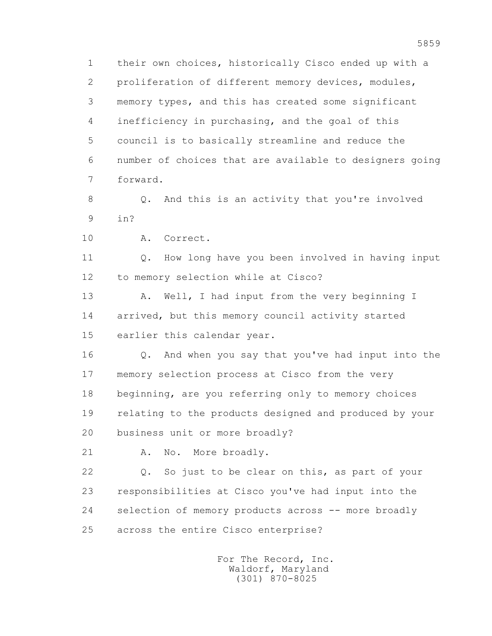1 their own choices, historically Cisco ended up with a 2 proliferation of different memory devices, modules, 3 memory types, and this has created some significant 4 inefficiency in purchasing, and the goal of this 5 council is to basically streamline and reduce the 6 number of choices that are available to designers going 7 forward.

 8 Q. And this is an activity that you're involved 9 in?

10 A. Correct.

11 0. How long have you been involved in having input 12 to memory selection while at Cisco?

13 A. Well, I had input from the very beginning I 14 arrived, but this memory council activity started 15 earlier this calendar year.

 16 Q. And when you say that you've had input into the 17 memory selection process at Cisco from the very 18 beginning, are you referring only to memory choices 19 relating to the products designed and produced by your 20 business unit or more broadly?

21 A. No. More broadly.

 22 Q. So just to be clear on this, as part of your 23 responsibilities at Cisco you've had input into the 24 selection of memory products across -- more broadly 25 across the entire Cisco enterprise?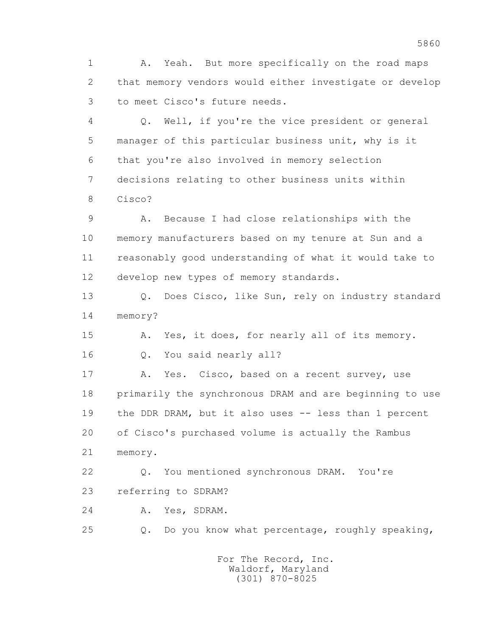1 A. Yeah. But more specifically on the road maps 2 that memory vendors would either investigate or develop 3 to meet Cisco's future needs.

 4 Q. Well, if you're the vice president or general 5 manager of this particular business unit, why is it 6 that you're also involved in memory selection 7 decisions relating to other business units within 8 Cisco?

 9 A. Because I had close relationships with the 10 memory manufacturers based on my tenure at Sun and a 11 reasonably good understanding of what it would take to 12 develop new types of memory standards.

 13 Q. Does Cisco, like Sun, rely on industry standard 14 memory?

15 A. Yes, it does, for nearly all of its memory.

16 Q. You said nearly all?

 17 A. Yes. Cisco, based on a recent survey, use 18 primarily the synchronous DRAM and are beginning to use 19 the DDR DRAM, but it also uses -- less than 1 percent 20 of Cisco's purchased volume is actually the Rambus 21 memory.

 22 Q. You mentioned synchronous DRAM. You're 23 referring to SDRAM?

24 A. Yes, SDRAM.

25 Q. Do you know what percentage, roughly speaking,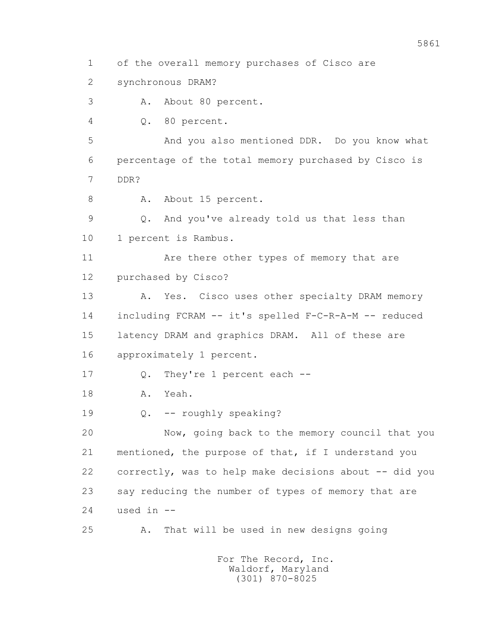1 of the overall memory purchases of Cisco are

2 synchronous DRAM?

3 A. About 80 percent.

4 Q. 80 percent.

 5 And you also mentioned DDR. Do you know what 6 percentage of the total memory purchased by Cisco is 7 DDR?

8 A. About 15 percent.

 9 Q. And you've already told us that less than 10 1 percent is Rambus.

11 Are there other types of memory that are 12 purchased by Cisco?

13 A. Yes. Cisco uses other specialty DRAM memory 14 including FCRAM -- it's spelled F-C-R-A-M -- reduced 15 latency DRAM and graphics DRAM. All of these are 16 approximately 1 percent.

17 Q. They're 1 percent each --

18 A. Yeah.

19 Q. -- roughly speaking?

 20 Now, going back to the memory council that you 21 mentioned, the purpose of that, if I understand you 22 correctly, was to help make decisions about -- did you 23 say reducing the number of types of memory that are  $24$  used in  $-$ 

25 A. That will be used in new designs going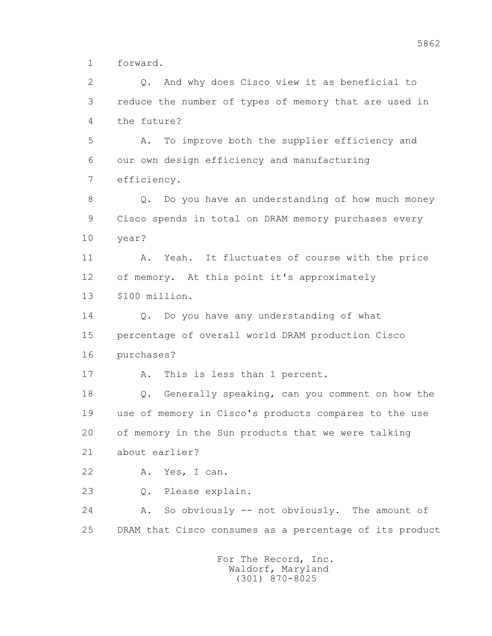1 forward.

 2 Q. And why does Cisco view it as beneficial to 3 reduce the number of types of memory that are used in 4 the future? 5 A. To improve both the supplier efficiency and 6 our own design efficiency and manufacturing 7 efficiency. 8 Q. Do you have an understanding of how much money 9 Cisco spends in total on DRAM memory purchases every 10 year? 11 A. Yeah. It fluctuates of course with the price 12 of memory. At this point it's approximately 13 \$100 million. 14 0. Do you have any understanding of what 15 percentage of overall world DRAM production Cisco 16 purchases? 17 A. This is less than 1 percent. 18 Q. Generally speaking, can you comment on how the 19 use of memory in Cisco's products compares to the use 20 of memory in the Sun products that we were talking 21 about earlier? 22 A. Yes, I can. 23 Q. Please explain. 24 A. So obviously -- not obviously. The amount of 25 DRAM that Cisco consumes as a percentage of its product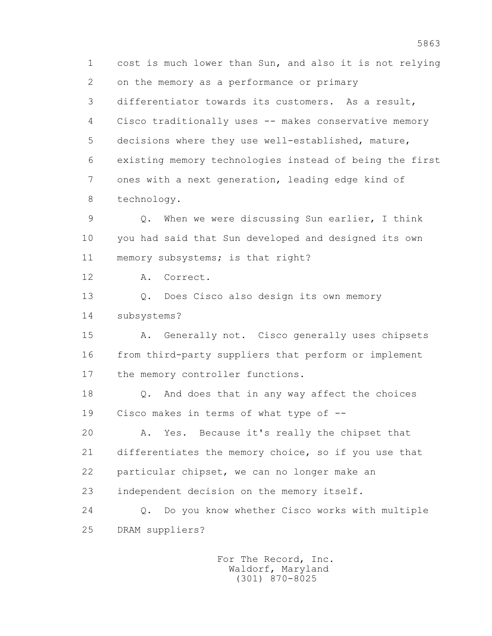1 cost is much lower than Sun, and also it is not relying 2 on the memory as a performance or primary 3 differentiator towards its customers. As a result, 4 Cisco traditionally uses -- makes conservative memory 5 decisions where they use well-established, mature, 6 existing memory technologies instead of being the first 7 ones with a next generation, leading edge kind of 8 technology. 9 Q. When we were discussing Sun earlier, I think 10 you had said that Sun developed and designed its own 11 memory subsystems; is that right? 12 A. Correct. 13 Q. Does Cisco also design its own memory 14 subsystems? 15 A. Generally not. Cisco generally uses chipsets 16 from third-party suppliers that perform or implement 17 the memory controller functions. 18 Q. And does that in any way affect the choices 19 Cisco makes in terms of what type of -- 20 A. Yes. Because it's really the chipset that 21 differentiates the memory choice, so if you use that 22 particular chipset, we can no longer make an 23 independent decision on the memory itself. 24 Q. Do you know whether Cisco works with multiple 25 DRAM suppliers?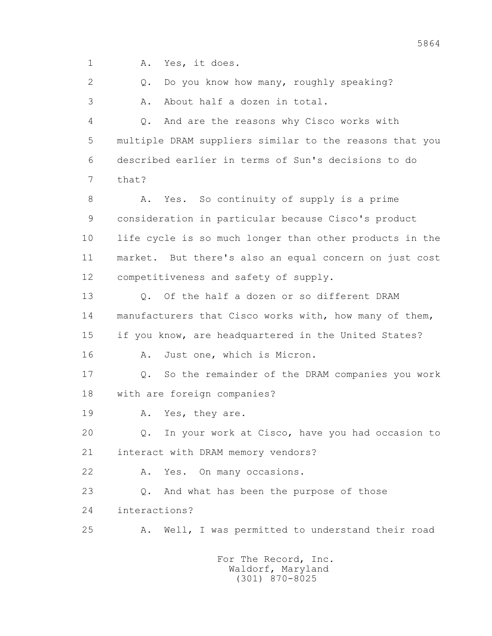1 A. Yes, it does.

2 0. Do you know how many, roughly speaking? 3 A. About half a dozen in total.

 4 Q. And are the reasons why Cisco works with 5 multiple DRAM suppliers similar to the reasons that you 6 described earlier in terms of Sun's decisions to do 7 that?

8 A. Yes. So continuity of supply is a prime 9 consideration in particular because Cisco's product 10 life cycle is so much longer than other products in the 11 market. But there's also an equal concern on just cost 12 competitiveness and safety of supply.

 13 Q. Of the half a dozen or so different DRAM 14 manufacturers that Cisco works with, how many of them, 15 if you know, are headquartered in the United States?

16 A. Just one, which is Micron.

 17 Q. So the remainder of the DRAM companies you work 18 with are foreign companies?

19 A. Yes, they are.

 20 Q. In your work at Cisco, have you had occasion to 21 interact with DRAM memory vendors?

22 A. Yes. On many occasions.

23 O. And what has been the purpose of those 24 interactions?

25 A. Well, I was permitted to understand their road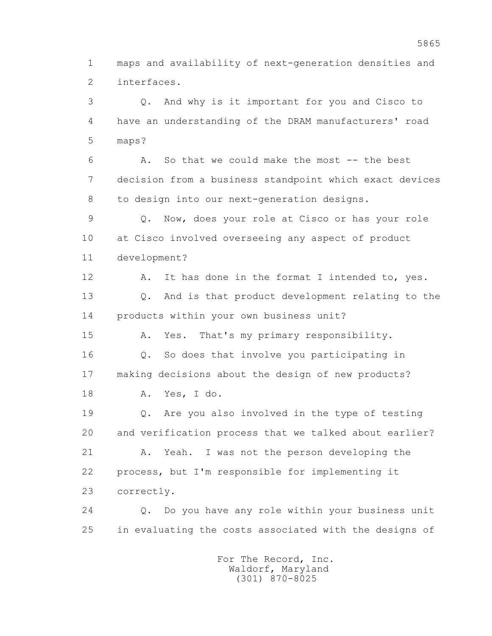1 maps and availability of next-generation densities and 2 interfaces.

 3 Q. And why is it important for you and Cisco to 4 have an understanding of the DRAM manufacturers' road 5 maps? 6 A. So that we could make the most -- the best 7 decision from a business standpoint which exact devices 8 to design into our next-generation designs. 9 Q. Now, does your role at Cisco or has your role 10 at Cisco involved overseeing any aspect of product 11 development? 12 A. It has done in the format I intended to, yes. 13 Q. And is that product development relating to the 14 products within your own business unit? 15 A. Yes. That's my primary responsibility. 16 Q. So does that involve you participating in 17 making decisions about the design of new products? 18 A. Yes, I do. 19 Q. Are you also involved in the type of testing 20 and verification process that we talked about earlier? 21 A. Yeah. I was not the person developing the 22 process, but I'm responsible for implementing it 23 correctly. 24 Q. Do you have any role within your business unit 25 in evaluating the costs associated with the designs of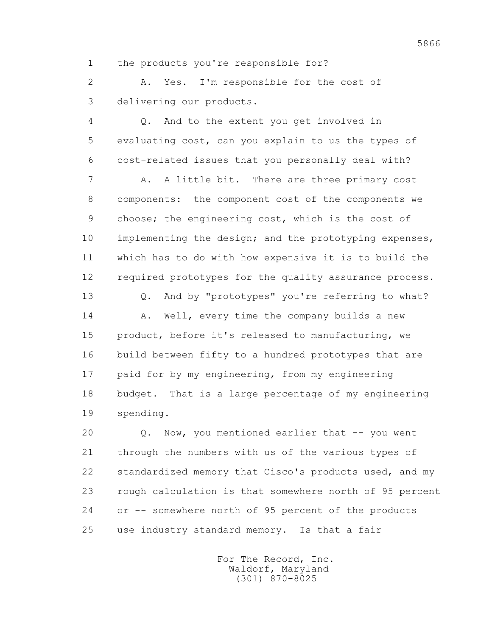1 the products you're responsible for?

 2 A. Yes. I'm responsible for the cost of 3 delivering our products.

 4 Q. And to the extent you get involved in 5 evaluating cost, can you explain to us the types of 6 cost-related issues that you personally deal with?

7 A. A little bit. There are three primary cost 8 components: the component cost of the components we 9 choose; the engineering cost, which is the cost of 10 implementing the design; and the prototyping expenses, 11 which has to do with how expensive it is to build the 12 required prototypes for the quality assurance process.

 13 Q. And by "prototypes" you're referring to what? 14 A. Well, every time the company builds a new 15 product, before it's released to manufacturing, we 16 build between fifty to a hundred prototypes that are 17 paid for by my engineering, from my engineering 18 budget. That is a large percentage of my engineering 19 spending.

20 Q. Now, you mentioned earlier that -- you went 21 through the numbers with us of the various types of 22 standardized memory that Cisco's products used, and my 23 rough calculation is that somewhere north of 95 percent 24 or -- somewhere north of 95 percent of the products 25 use industry standard memory. Is that a fair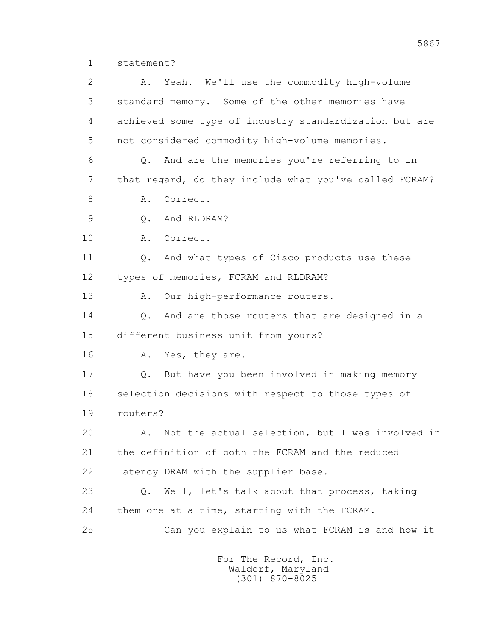1 statement?

 2 A. Yeah. We'll use the commodity high-volume 3 standard memory. Some of the other memories have 4 achieved some type of industry standardization but are 5 not considered commodity high-volume memories. 6 Q. And are the memories you're referring to in 7 that regard, do they include what you've called FCRAM? 8 A. Correct. 9 Q. And RLDRAM? 10 A. Correct. 11 Q. And what types of Cisco products use these 12 types of memories, FCRAM and RLDRAM? 13 A. Our high-performance routers. 14 0. And are those routers that are designed in a 15 different business unit from yours? 16 A. Yes, they are. 17 Q. But have you been involved in making memory 18 selection decisions with respect to those types of 19 routers? 20 A. Not the actual selection, but I was involved in 21 the definition of both the FCRAM and the reduced 22 latency DRAM with the supplier base. 23 Q. Well, let's talk about that process, taking 24 them one at a time, starting with the FCRAM. 25 Can you explain to us what FCRAM is and how it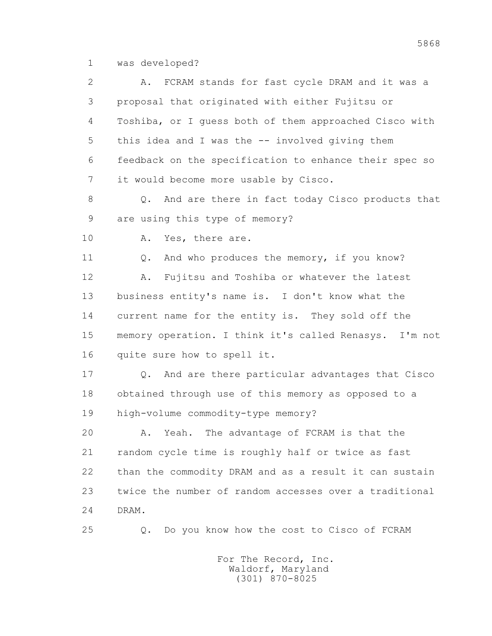1 was developed?

 2 A. FCRAM stands for fast cycle DRAM and it was a 3 proposal that originated with either Fujitsu or 4 Toshiba, or I guess both of them approached Cisco with 5 this idea and I was the -- involved giving them 6 feedback on the specification to enhance their spec so 7 it would become more usable by Cisco. 8 Q. And are there in fact today Cisco products that 9 are using this type of memory? 10 A. Yes, there are. 11 Q. And who produces the memory, if you know? 12 A. Fujitsu and Toshiba or whatever the latest 13 business entity's name is. I don't know what the 14 current name for the entity is. They sold off the 15 memory operation. I think it's called Renasys. I'm not 16 quite sure how to spell it. 17 Q. And are there particular advantages that Cisco 18 obtained through use of this memory as opposed to a 19 high-volume commodity-type memory? 20 A. Yeah. The advantage of FCRAM is that the 21 random cycle time is roughly half or twice as fast 22 than the commodity DRAM and as a result it can sustain 23 twice the number of random accesses over a traditional 24 DRAM. 25 Q. Do you know how the cost to Cisco of FCRAM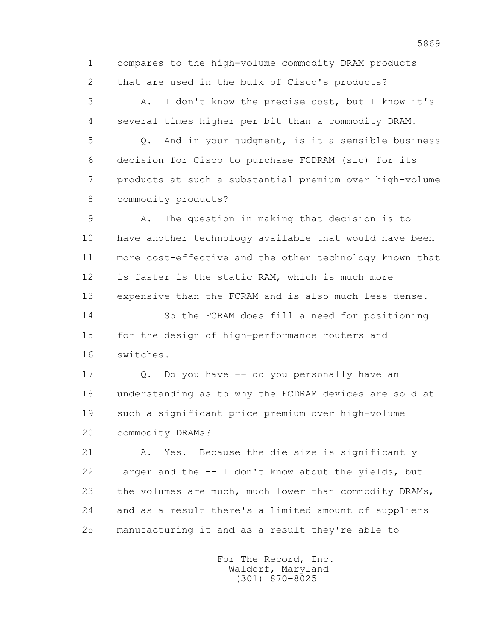1 compares to the high-volume commodity DRAM products 2 that are used in the bulk of Cisco's products?

 3 A. I don't know the precise cost, but I know it's 4 several times higher per bit than a commodity DRAM.

 5 Q. And in your judgment, is it a sensible business 6 decision for Cisco to purchase FCDRAM (sic) for its 7 products at such a substantial premium over high-volume 8 commodity products?

 9 A. The question in making that decision is to 10 have another technology available that would have been 11 more cost-effective and the other technology known that 12 is faster is the static RAM, which is much more 13 expensive than the FCRAM and is also much less dense. 14 So the FCRAM does fill a need for positioning 15 for the design of high-performance routers and 16 switches.

 17 Q. Do you have -- do you personally have an 18 understanding as to why the FCDRAM devices are sold at 19 such a significant price premium over high-volume 20 commodity DRAMs?

 21 A. Yes. Because the die size is significantly 22 larger and the -- I don't know about the yields, but 23 the volumes are much, much lower than commodity DRAMs, 24 and as a result there's a limited amount of suppliers 25 manufacturing it and as a result they're able to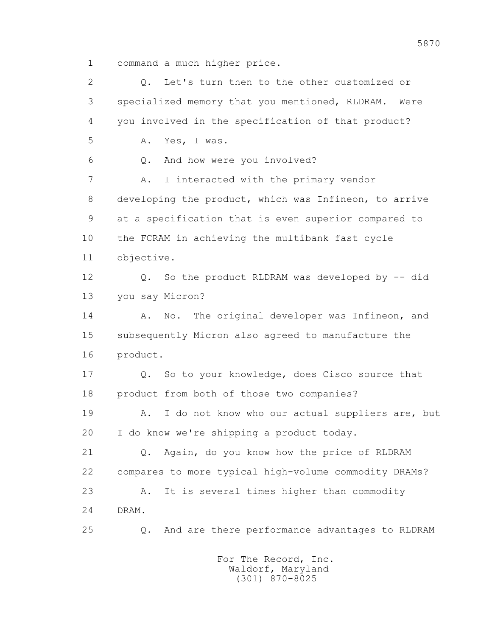1 command a much higher price.

 2 Q. Let's turn then to the other customized or 3 specialized memory that you mentioned, RLDRAM. Were 4 you involved in the specification of that product? 5 A. Yes, I was. 6 Q. And how were you involved? 7 A. I interacted with the primary vendor 8 developing the product, which was Infineon, to arrive 9 at a specification that is even superior compared to 10 the FCRAM in achieving the multibank fast cycle 11 objective. 12 Q. So the product RLDRAM was developed by -- did 13 you say Micron? 14 A. No. The original developer was Infineon, and 15 subsequently Micron also agreed to manufacture the 16 product. 17 Q. So to your knowledge, does Cisco source that 18 product from both of those two companies? 19 A. I do not know who our actual suppliers are, but 20 I do know we're shipping a product today. 21 Q. Again, do you know how the price of RLDRAM 22 compares to more typical high-volume commodity DRAMs? 23 A. It is several times higher than commodity 24 DRAM. 25 Q. And are there performance advantages to RLDRAM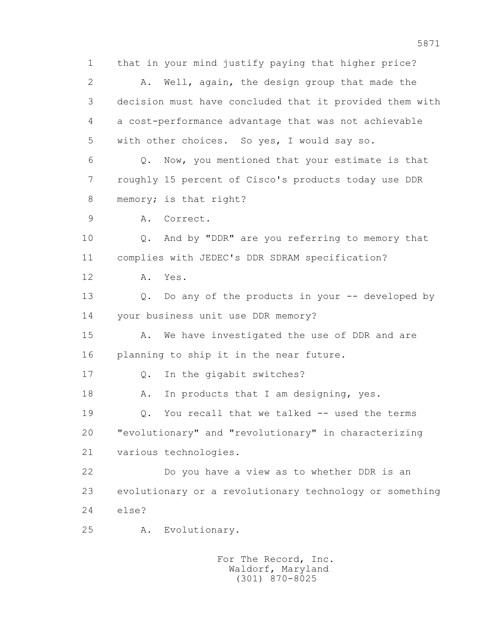1 that in your mind justify paying that higher price? 2 A. Well, again, the design group that made the 3 decision must have concluded that it provided them with 4 a cost-performance advantage that was not achievable 5 with other choices. So yes, I would say so. 6 Q. Now, you mentioned that your estimate is that 7 roughly 15 percent of Cisco's products today use DDR 8 memory; is that right? 9 A. Correct. 10 Q. And by "DDR" are you referring to memory that 11 complies with JEDEC's DDR SDRAM specification? 12 A. Yes. 13 Q. Do any of the products in your -- developed by 14 your business unit use DDR memory? 15 A. We have investigated the use of DDR and are 16 planning to ship it in the near future. 17 Q. In the gigabit switches? 18 A. In products that I am designing, yes. 19 Q. You recall that we talked -- used the terms 20 "evolutionary" and "revolutionary" in characterizing 21 various technologies. 22 Do you have a view as to whether DDR is an 23 evolutionary or a revolutionary technology or something 24 else? 25 A. Evolutionary.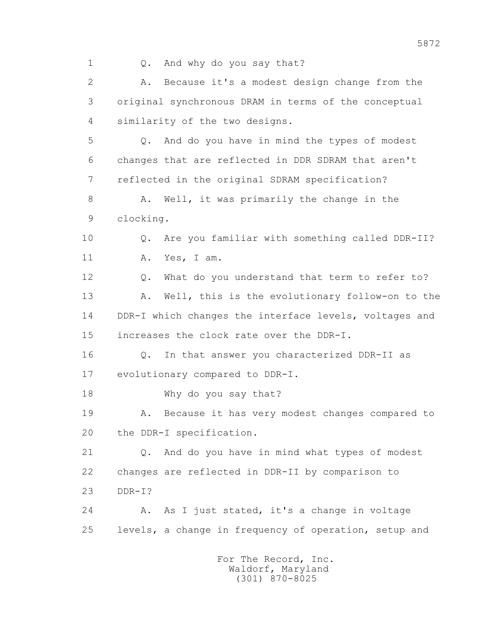- 
- 1 Q. And why do you say that?

 2 A. Because it's a modest design change from the 3 original synchronous DRAM in terms of the conceptual 4 similarity of the two designs. 5 Q. And do you have in mind the types of modest 6 changes that are reflected in DDR SDRAM that aren't 7 reflected in the original SDRAM specification? 8 A. Well, it was primarily the change in the 9 clocking. 10 Q. Are you familiar with something called DDR-II? 11 A. Yes, I am. 12 Q. What do you understand that term to refer to? 13 A. Well, this is the evolutionary follow-on to the 14 DDR-I which changes the interface levels, voltages and 15 increases the clock rate over the DDR-I. 16 Q. In that answer you characterized DDR-II as 17 evolutionary compared to DDR-I. 18 Why do you say that? 19 A. Because it has very modest changes compared to 20 the DDR-I specification. 21 Q. And do you have in mind what types of modest 22 changes are reflected in DDR-II by comparison to 23 DDR-I? 24 A. As I just stated, it's a change in voltage 25 levels, a change in frequency of operation, setup and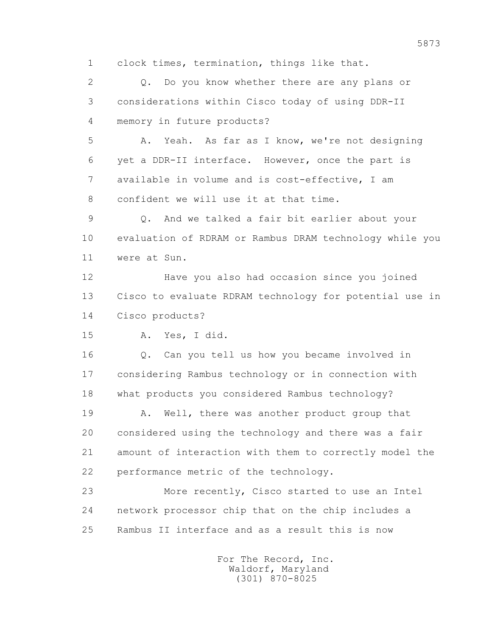1 clock times, termination, things like that.

 2 Q. Do you know whether there are any plans or 3 considerations within Cisco today of using DDR-II 4 memory in future products?

 5 A. Yeah. As far as I know, we're not designing 6 yet a DDR-II interface. However, once the part is 7 available in volume and is cost-effective, I am 8 confident we will use it at that time.

 9 Q. And we talked a fair bit earlier about your 10 evaluation of RDRAM or Rambus DRAM technology while you 11 were at Sun.

 12 Have you also had occasion since you joined 13 Cisco to evaluate RDRAM technology for potential use in 14 Cisco products?

15 A. Yes, I did.

 16 Q. Can you tell us how you became involved in 17 considering Rambus technology or in connection with 18 what products you considered Rambus technology?

19 A. Well, there was another product group that 20 considered using the technology and there was a fair 21 amount of interaction with them to correctly model the 22 performance metric of the technology.

 23 More recently, Cisco started to use an Intel 24 network processor chip that on the chip includes a 25 Rambus II interface and as a result this is now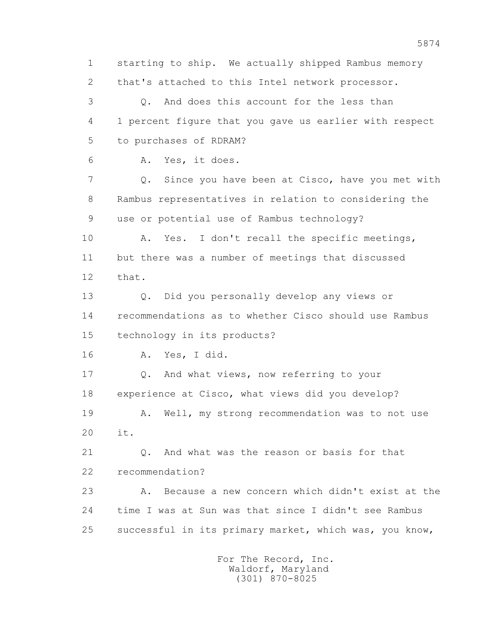1 starting to ship. We actually shipped Rambus memory 2 that's attached to this Intel network processor. 3 Q. And does this account for the less than 4 1 percent figure that you gave us earlier with respect 5 to purchases of RDRAM? 6 A. Yes, it does. 7 Q. Since you have been at Cisco, have you met with 8 Rambus representatives in relation to considering the 9 use or potential use of Rambus technology? 10 A. Yes. I don't recall the specific meetings, 11 but there was a number of meetings that discussed 12 that. 13 Q. Did you personally develop any views or 14 recommendations as to whether Cisco should use Rambus 15 technology in its products? 16 A. Yes, I did. 17 Q. And what views, now referring to your 18 experience at Cisco, what views did you develop? 19 A. Well, my strong recommendation was to not use 20 it. 21 Q. And what was the reason or basis for that 22 recommendation? 23 A. Because a new concern which didn't exist at the 24 time I was at Sun was that since I didn't see Rambus 25 successful in its primary market, which was, you know, For The Record, Inc.

 Waldorf, Maryland (301) 870-8025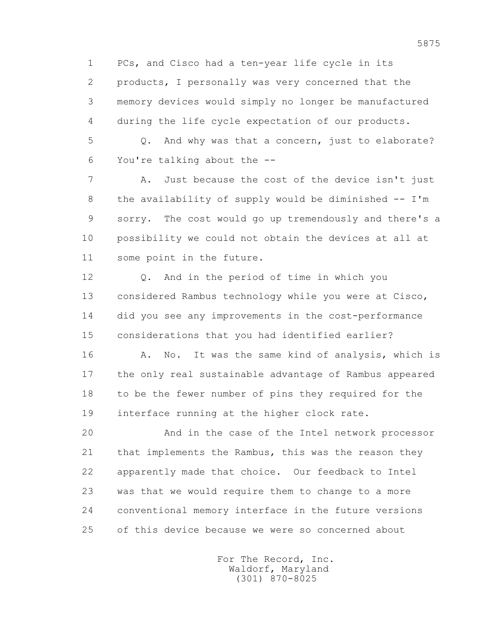1 PCs, and Cisco had a ten-year life cycle in its 2 products, I personally was very concerned that the 3 memory devices would simply no longer be manufactured 4 during the life cycle expectation of our products.

 5 Q. And why was that a concern, just to elaborate? 6 You're talking about the --

 7 A. Just because the cost of the device isn't just 8 the availability of supply would be diminished -- I'm 9 sorry. The cost would go up tremendously and there's a 10 possibility we could not obtain the devices at all at 11 some point in the future.

 12 Q. And in the period of time in which you 13 considered Rambus technology while you were at Cisco, 14 did you see any improvements in the cost-performance 15 considerations that you had identified earlier?

16 A. No. It was the same kind of analysis, which is 17 the only real sustainable advantage of Rambus appeared 18 to be the fewer number of pins they required for the 19 interface running at the higher clock rate.

 20 And in the case of the Intel network processor 21 that implements the Rambus, this was the reason they 22 apparently made that choice. Our feedback to Intel 23 was that we would require them to change to a more 24 conventional memory interface in the future versions 25 of this device because we were so concerned about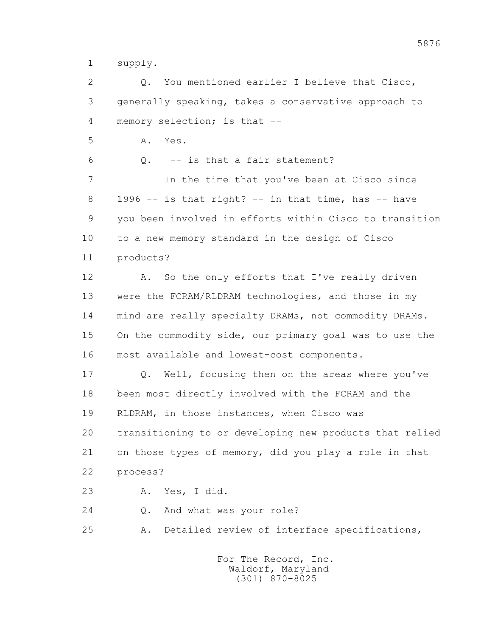1 supply.

 2 Q. You mentioned earlier I believe that Cisco, 3 generally speaking, takes a conservative approach to 4 memory selection; is that -- 5 A. Yes. 6 Q. -- is that a fair statement? 7 In the time that you've been at Cisco since  $8$  1996 -- is that right? -- in that time, has  $-$  have 9 you been involved in efforts within Cisco to transition 10 to a new memory standard in the design of Cisco 11 products? 12 A. So the only efforts that I've really driven 13 were the FCRAM/RLDRAM technologies, and those in my 14 mind are really specialty DRAMs, not commodity DRAMs. 15 On the commodity side, our primary goal was to use the 16 most available and lowest-cost components. 17 Q. Well, focusing then on the areas where you've 18 been most directly involved with the FCRAM and the 19 RLDRAM, in those instances, when Cisco was 20 transitioning to or developing new products that relied 21 on those types of memory, did you play a role in that 22 process? 23 A. Yes, I did. 24 O. And what was your role? 25 A. Detailed review of interface specifications,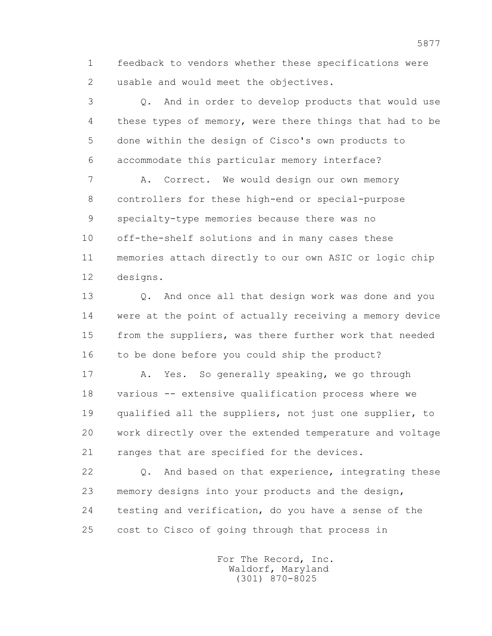1 feedback to vendors whether these specifications were 2 usable and would meet the objectives.

 3 Q. And in order to develop products that would use 4 these types of memory, were there things that had to be 5 done within the design of Cisco's own products to 6 accommodate this particular memory interface?

 7 A. Correct. We would design our own memory 8 controllers for these high-end or special-purpose 9 specialty-type memories because there was no 10 off-the-shelf solutions and in many cases these 11 memories attach directly to our own ASIC or logic chip 12 designs.

 13 Q. And once all that design work was done and you 14 were at the point of actually receiving a memory device 15 from the suppliers, was there further work that needed 16 to be done before you could ship the product?

 17 A. Yes. So generally speaking, we go through 18 various -- extensive qualification process where we 19 qualified all the suppliers, not just one supplier, to 20 work directly over the extended temperature and voltage 21 ranges that are specified for the devices.

 22 Q. And based on that experience, integrating these 23 memory designs into your products and the design, 24 testing and verification, do you have a sense of the 25 cost to Cisco of going through that process in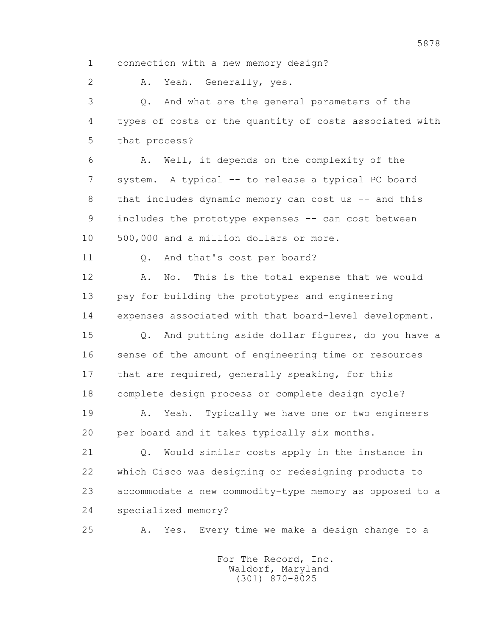1 connection with a new memory design?

2 A. Yeah. Generally, yes.

 3 Q. And what are the general parameters of the 4 types of costs or the quantity of costs associated with 5 that process?

 6 A. Well, it depends on the complexity of the 7 system. A typical -- to release a typical PC board 8 that includes dynamic memory can cost us -- and this 9 includes the prototype expenses -- can cost between 10 500,000 and a million dollars or more.

11 0. And that's cost per board?

 12 A. No. This is the total expense that we would 13 pay for building the prototypes and engineering 14 expenses associated with that board-level development.

 15 Q. And putting aside dollar figures, do you have a 16 sense of the amount of engineering time or resources 17 that are required, generally speaking, for this 18 complete design process or complete design cycle?

 19 A. Yeah. Typically we have one or two engineers 20 per board and it takes typically six months.

 21 Q. Would similar costs apply in the instance in 22 which Cisco was designing or redesigning products to 23 accommodate a new commodity-type memory as opposed to a 24 specialized memory?

25 A. Yes. Every time we make a design change to a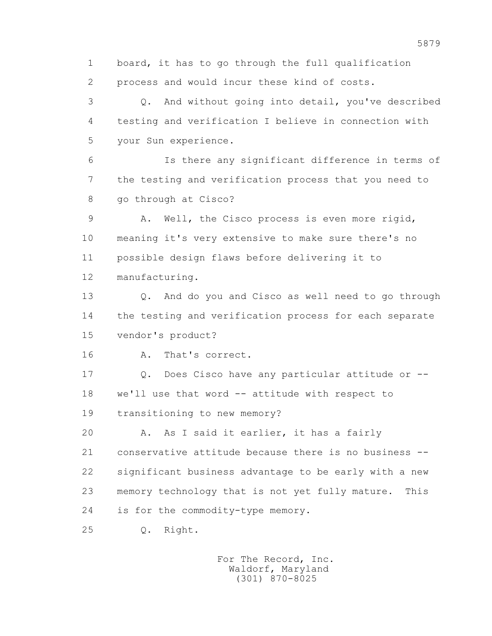1 board, it has to go through the full qualification 2 process and would incur these kind of costs.

 3 Q. And without going into detail, you've described 4 testing and verification I believe in connection with 5 your Sun experience.

 6 Is there any significant difference in terms of 7 the testing and verification process that you need to 8 go through at Cisco?

 9 A. Well, the Cisco process is even more rigid, 10 meaning it's very extensive to make sure there's no 11 possible design flaws before delivering it to 12 manufacturing.

 13 Q. And do you and Cisco as well need to go through 14 the testing and verification process for each separate 15 vendor's product?

16 A. That's correct.

 17 Q. Does Cisco have any particular attitude or -- 18 we'll use that word -- attitude with respect to 19 transitioning to new memory?

20 A. As I said it earlier, it has a fairly 21 conservative attitude because there is no business -- 22 significant business advantage to be early with a new 23 memory technology that is not yet fully mature. This 24 is for the commodity-type memory.

25 Q. Right.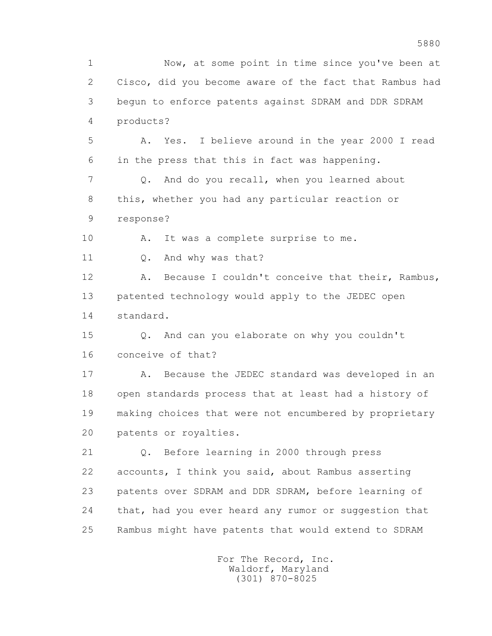1 Now, at some point in time since you've been at 2 Cisco, did you become aware of the fact that Rambus had 3 begun to enforce patents against SDRAM and DDR SDRAM 4 products? 5 A. Yes. I believe around in the year 2000 I read 6 in the press that this in fact was happening. 7 Q. And do you recall, when you learned about 8 this, whether you had any particular reaction or 9 response? 10 A. It was a complete surprise to me. 11 Q. And why was that? 12 A. Because I couldn't conceive that their, Rambus, 13 patented technology would apply to the JEDEC open 14 standard. 15 Q. And can you elaborate on why you couldn't 16 conceive of that? 17 A. Because the JEDEC standard was developed in an 18 open standards process that at least had a history of 19 making choices that were not encumbered by proprietary 20 patents or royalties. 21 Q. Before learning in 2000 through press 22 accounts, I think you said, about Rambus asserting 23 patents over SDRAM and DDR SDRAM, before learning of 24 that, had you ever heard any rumor or suggestion that 25 Rambus might have patents that would extend to SDRAM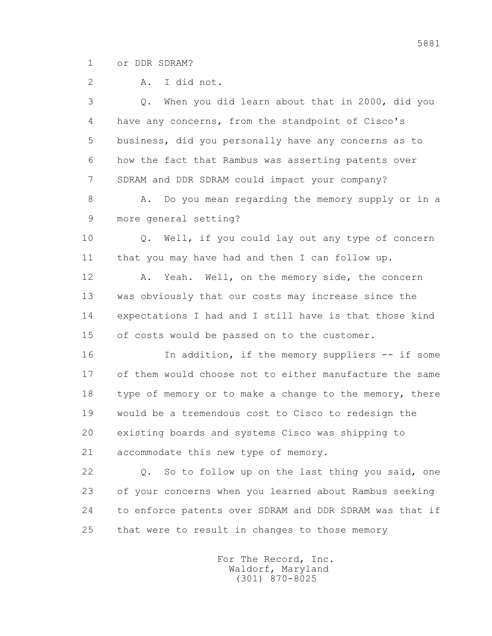1 or DDR SDRAM?

2 A. I did not.

 3 Q. When you did learn about that in 2000, did you 4 have any concerns, from the standpoint of Cisco's 5 business, did you personally have any concerns as to 6 how the fact that Rambus was asserting patents over 7 SDRAM and DDR SDRAM could impact your company?

8 A. Do you mean regarding the memory supply or in a 9 more general setting?

 10 Q. Well, if you could lay out any type of concern 11 that you may have had and then I can follow up.

 12 A. Yeah. Well, on the memory side, the concern 13 was obviously that our costs may increase since the 14 expectations I had and I still have is that those kind 15 of costs would be passed on to the customer.

16 16 In addition, if the memory suppliers -- if some 17 of them would choose not to either manufacture the same 18 type of memory or to make a change to the memory, there 19 would be a tremendous cost to Cisco to redesign the 20 existing boards and systems Cisco was shipping to 21 accommodate this new type of memory.

 22 Q. So to follow up on the last thing you said, one 23 of your concerns when you learned about Rambus seeking 24 to enforce patents over SDRAM and DDR SDRAM was that if 25 that were to result in changes to those memory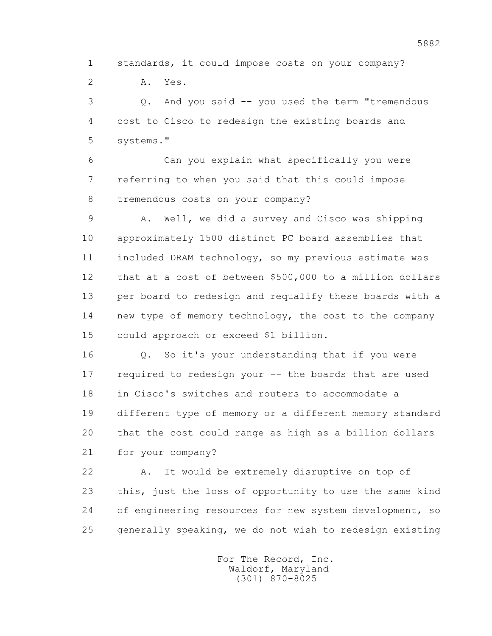1 standards, it could impose costs on your company?

2 A. Yes.

 3 Q. And you said -- you used the term "tremendous 4 cost to Cisco to redesign the existing boards and 5 systems."

 6 Can you explain what specifically you were 7 referring to when you said that this could impose 8 tremendous costs on your company?

 9 A. Well, we did a survey and Cisco was shipping 10 approximately 1500 distinct PC board assemblies that 11 included DRAM technology, so my previous estimate was 12 that at a cost of between \$500,000 to a million dollars 13 per board to redesign and requalify these boards with a 14 new type of memory technology, the cost to the company 15 could approach or exceed \$1 billion.

 16 Q. So it's your understanding that if you were 17 required to redesign your -- the boards that are used 18 in Cisco's switches and routers to accommodate a 19 different type of memory or a different memory standard 20 that the cost could range as high as a billion dollars 21 for your company?

 22 A. It would be extremely disruptive on top of 23 this, just the loss of opportunity to use the same kind 24 of engineering resources for new system development, so 25 generally speaking, we do not wish to redesign existing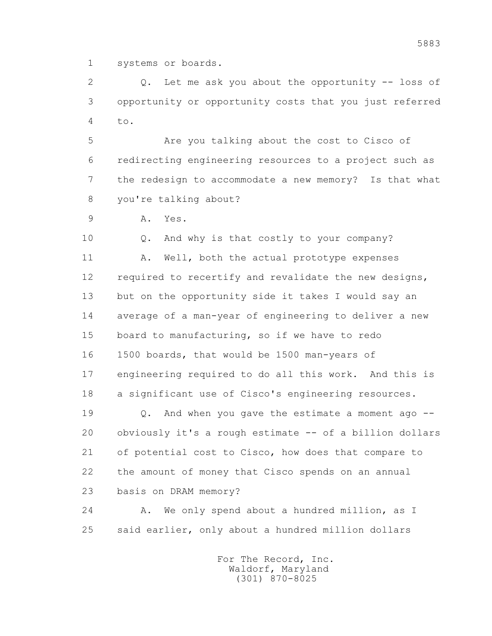1 systems or boards.

2 0. Let me ask you about the opportunity -- loss of 3 opportunity or opportunity costs that you just referred 4  $t_{\Omega}$ .

 5 Are you talking about the cost to Cisco of 6 redirecting engineering resources to a project such as 7 the redesign to accommodate a new memory? Is that what 8 you're talking about?

9 A. Yes.

 10 Q. And why is that costly to your company? 11 A. Well, both the actual prototype expenses 12 required to recertify and revalidate the new designs, 13 but on the opportunity side it takes I would say an 14 average of a man-year of engineering to deliver a new 15 board to manufacturing, so if we have to redo 16 1500 boards, that would be 1500 man-years of 17 engineering required to do all this work. And this is 18 a significant use of Cisco's engineering resources.

 19 Q. And when you gave the estimate a moment ago -- 20 obviously it's a rough estimate -- of a billion dollars 21 of potential cost to Cisco, how does that compare to 22 the amount of money that Cisco spends on an annual 23 basis on DRAM memory?

24 A. We only spend about a hundred million, as I 25 said earlier, only about a hundred million dollars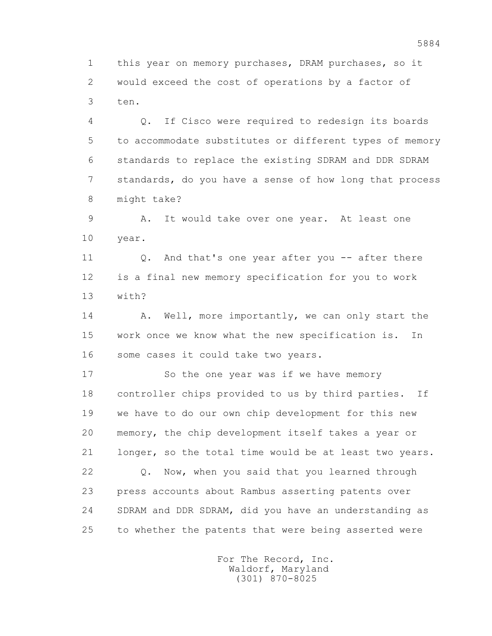1 this year on memory purchases, DRAM purchases, so it 2 would exceed the cost of operations by a factor of 3 ten.

 4 Q. If Cisco were required to redesign its boards 5 to accommodate substitutes or different types of memory 6 standards to replace the existing SDRAM and DDR SDRAM 7 standards, do you have a sense of how long that process 8 might take?

 9 A. It would take over one year. At least one 10 year.

11 0. And that's one year after you -- after there 12 is a final new memory specification for you to work 13 with?

14 A. Well, more importantly, we can only start the 15 work once we know what the new specification is. In 16 some cases it could take two years.

17 So the one year was if we have memory 18 controller chips provided to us by third parties. If 19 we have to do our own chip development for this new 20 memory, the chip development itself takes a year or 21 longer, so the total time would be at least two years. 22 Q. Now, when you said that you learned through 23 press accounts about Rambus asserting patents over 24 SDRAM and DDR SDRAM, did you have an understanding as 25 to whether the patents that were being asserted were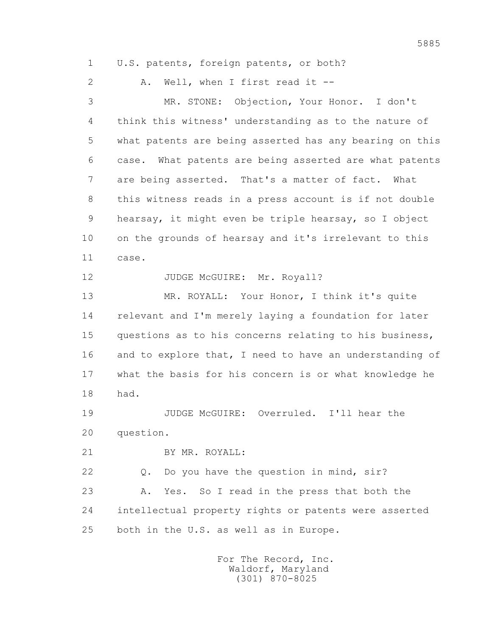1 U.S. patents, foreign patents, or both?

2 A. Well, when I first read it --

 3 MR. STONE: Objection, Your Honor. I don't 4 think this witness' understanding as to the nature of 5 what patents are being asserted has any bearing on this 6 case. What patents are being asserted are what patents 7 are being asserted. That's a matter of fact. What 8 this witness reads in a press account is if not double 9 hearsay, it might even be triple hearsay, so I object 10 on the grounds of hearsay and it's irrelevant to this 11 case.

12 JUDGE McGUIRE: Mr. Royall?

 13 MR. ROYALL: Your Honor, I think it's quite 14 relevant and I'm merely laying a foundation for later 15 questions as to his concerns relating to his business, 16 and to explore that, I need to have an understanding of 17 what the basis for his concern is or what knowledge he 18 had.

 19 JUDGE McGUIRE: Overruled. I'll hear the 20 question.

21 BY MR. ROYALL:

22 Q. Do you have the question in mind, sir?

 23 A. Yes. So I read in the press that both the 24 intellectual property rights or patents were asserted 25 both in the U.S. as well as in Europe.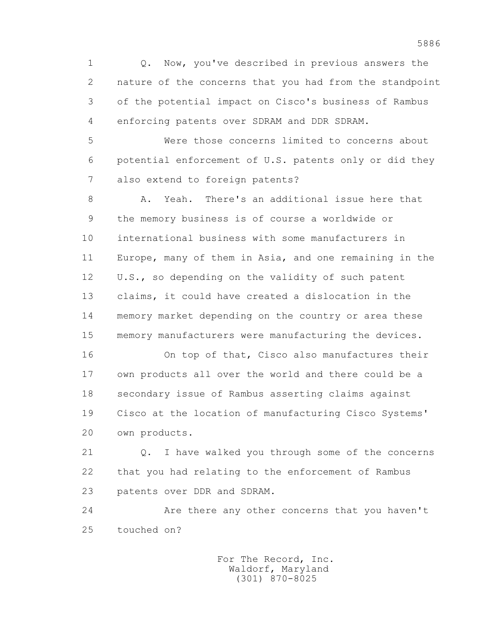1 Q. Now, you've described in previous answers the 2 nature of the concerns that you had from the standpoint 3 of the potential impact on Cisco's business of Rambus 4 enforcing patents over SDRAM and DDR SDRAM.

 5 Were those concerns limited to concerns about 6 potential enforcement of U.S. patents only or did they 7 also extend to foreign patents?

 8 A. Yeah. There's an additional issue here that 9 the memory business is of course a worldwide or 10 international business with some manufacturers in 11 Europe, many of them in Asia, and one remaining in the 12 U.S., so depending on the validity of such patent 13 claims, it could have created a dislocation in the 14 memory market depending on the country or area these 15 memory manufacturers were manufacturing the devices.

 16 On top of that, Cisco also manufactures their 17 own products all over the world and there could be a 18 secondary issue of Rambus asserting claims against 19 Cisco at the location of manufacturing Cisco Systems' 20 own products.

 21 Q. I have walked you through some of the concerns 22 that you had relating to the enforcement of Rambus 23 patents over DDR and SDRAM.

 24 Are there any other concerns that you haven't 25 touched on?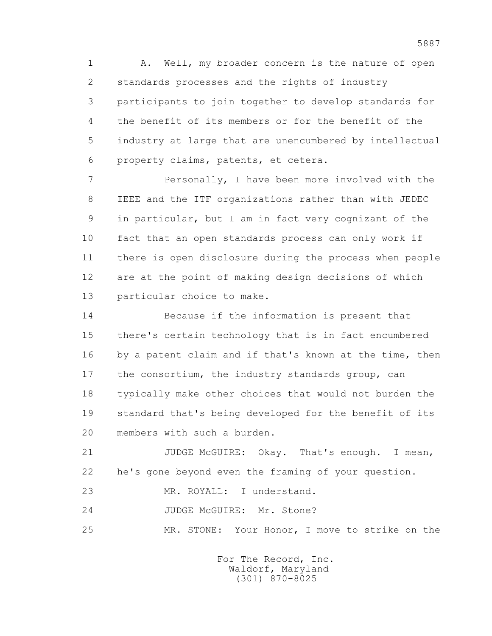1 A. Well, my broader concern is the nature of open 2 standards processes and the rights of industry 3 participants to join together to develop standards for 4 the benefit of its members or for the benefit of the 5 industry at large that are unencumbered by intellectual 6 property claims, patents, et cetera.

 7 Personally, I have been more involved with the 8 IEEE and the ITF organizations rather than with JEDEC 9 in particular, but I am in fact very cognizant of the 10 fact that an open standards process can only work if 11 there is open disclosure during the process when people 12 are at the point of making design decisions of which 13 particular choice to make.

 14 Because if the information is present that 15 there's certain technology that is in fact encumbered 16 by a patent claim and if that's known at the time, then 17 the consortium, the industry standards group, can 18 typically make other choices that would not burden the 19 standard that's being developed for the benefit of its 20 members with such a burden.

21 JUDGE McGUIRE: Okay. That's enough. I mean, 22 he's gone beyond even the framing of your question.

23 MR. ROYALL: I understand.

24 JUDGE McGUIRE: Mr. Stone?

25 MR. STONE: Your Honor, I move to strike on the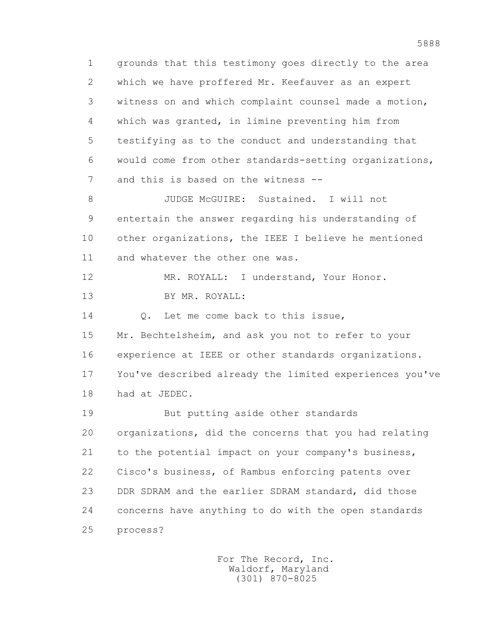1 grounds that this testimony goes directly to the area 2 which we have proffered Mr. Keefauver as an expert 3 witness on and which complaint counsel made a motion, 4 which was granted, in limine preventing him from 5 testifying as to the conduct and understanding that 6 would come from other standards-setting organizations, 7 and this is based on the witness -- 8 JUDGE McGUIRE: Sustained. I will not 9 entertain the answer regarding his understanding of 10 other organizations, the IEEE I believe he mentioned 11 and whatever the other one was. 12 MR. ROYALL: I understand, Your Honor. 13 BY MR. ROYALL: 14 O. Let me come back to this issue, 15 Mr. Bechtelsheim, and ask you not to refer to your 16 experience at IEEE or other standards organizations. 17 You've described already the limited experiences you've 18 had at JEDEC. 19 But putting aside other standards 20 organizations, did the concerns that you had relating 21 to the potential impact on your company's business, 22 Cisco's business, of Rambus enforcing patents over 23 DDR SDRAM and the earlier SDRAM standard, did those 24 concerns have anything to do with the open standards 25 process?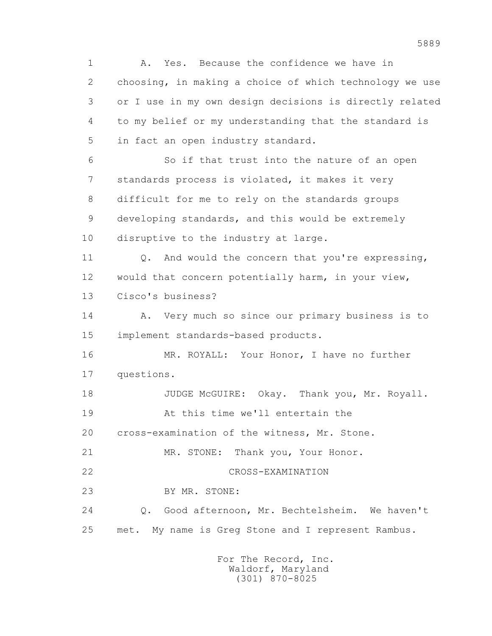1 A. Yes. Because the confidence we have in 2 choosing, in making a choice of which technology we use 3 or I use in my own design decisions is directly related 4 to my belief or my understanding that the standard is 5 in fact an open industry standard. 6 So if that trust into the nature of an open 7 standards process is violated, it makes it very 8 difficult for me to rely on the standards groups 9 developing standards, and this would be extremely 10 disruptive to the industry at large. 11 Q. And would the concern that you're expressing, 12 would that concern potentially harm, in your view, 13 Cisco's business? 14 A. Very much so since our primary business is to 15 implement standards-based products. 16 MR. ROYALL: Your Honor, I have no further 17 questions. 18 JUDGE McGUIRE: Okay. Thank you, Mr. Royall. 19 At this time we'll entertain the 20 cross-examination of the witness, Mr. Stone. 21 MR. STONE: Thank you, Your Honor. 22 CROSS-EXAMINATION 23 BY MR. STONE: 24 Q. Good afternoon, Mr. Bechtelsheim. We haven't 25 met. My name is Greg Stone and I represent Rambus.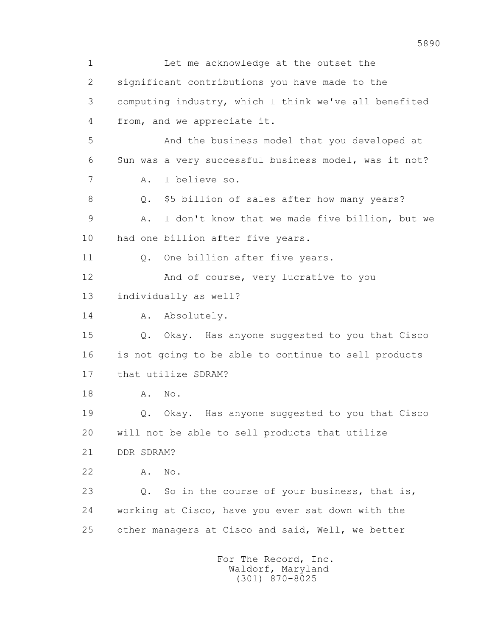1 Let me acknowledge at the outset the 2 significant contributions you have made to the 3 computing industry, which I think we've all benefited 4 from, and we appreciate it. 5 And the business model that you developed at 6 Sun was a very successful business model, was it not? 7 A. I believe so. 8 Q. \$5 billion of sales after how many years? 9 A. I don't know that we made five billion, but we 10 had one billion after five years. 11 0. One billion after five years. 12 And of course, very lucrative to you 13 individually as well? 14 A. Absolutely. 15 Q. Okay. Has anyone suggested to you that Cisco 16 is not going to be able to continue to sell products 17 that utilize SDRAM? 18 **A.** No. 19 Q. Okay. Has anyone suggested to you that Cisco 20 will not be able to sell products that utilize 21 DDR SDRAM? 22 A. No. 23 Q. So in the course of your business, that is, 24 working at Cisco, have you ever sat down with the 25 other managers at Cisco and said, Well, we better For The Record, Inc. Waldorf, Maryland

(301) 870-8025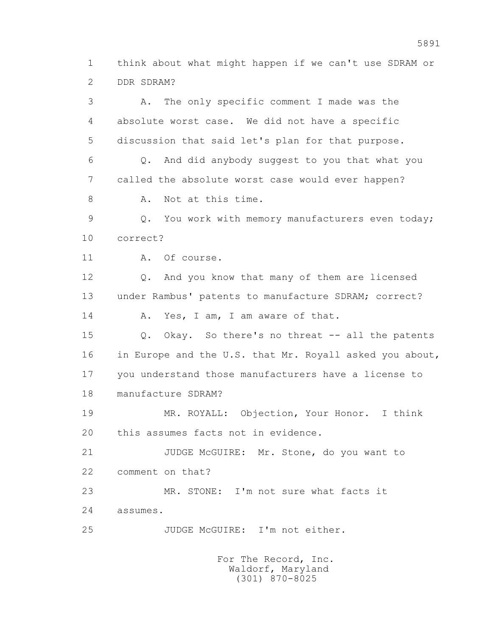1 think about what might happen if we can't use SDRAM or 2 DDR SDRAM?

 3 A. The only specific comment I made was the 4 absolute worst case. We did not have a specific 5 discussion that said let's plan for that purpose. 6 Q. And did anybody suggest to you that what you 7 called the absolute worst case would ever happen? 8 A. Not at this time. 9 Q. You work with memory manufacturers even today; 10 correct? 11 A. Of course. 12 Q. And you know that many of them are licensed 13 under Rambus' patents to manufacture SDRAM; correct? 14 A. Yes, I am, I am aware of that. 15 Q. Okay. So there's no threat -- all the patents 16 in Europe and the U.S. that Mr. Royall asked you about, 17 you understand those manufacturers have a license to 18 manufacture SDRAM? 19 MR. ROYALL: Objection, Your Honor. I think 20 this assumes facts not in evidence. 21 JUDGE McGUIRE: Mr. Stone, do you want to 22 comment on that? 23 MR. STONE: I'm not sure what facts it 24 assumes. 25 JUDGE McGUIRE: I'm not either.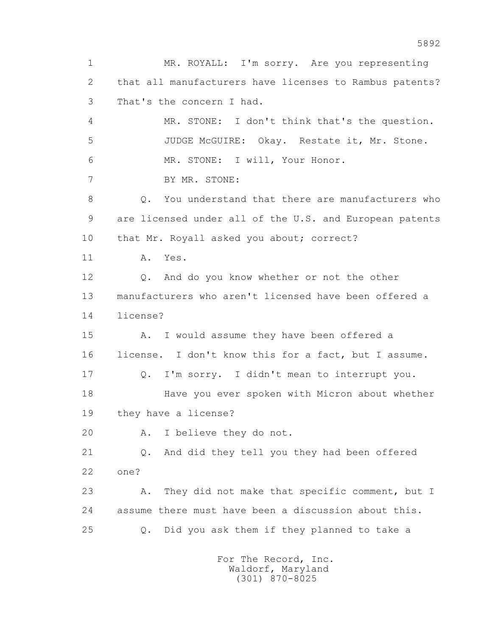1 MR. ROYALL: I'm sorry. Are you representing 2 that all manufacturers have licenses to Rambus patents? 3 That's the concern I had. 4 MR. STONE: I don't think that's the question. 5 JUDGE McGUIRE: Okay. Restate it, Mr. Stone. 6 MR. STONE: I will, Your Honor. 7 BY MR. STONE: 8 0. You understand that there are manufacturers who 9 are licensed under all of the U.S. and European patents 10 that Mr. Royall asked you about; correct? 11 A. Yes. 12 Q. And do you know whether or not the other 13 manufacturers who aren't licensed have been offered a 14 license? 15 A. I would assume they have been offered a 16 license. I don't know this for a fact, but I assume. 17 Q. I'm sorry. I didn't mean to interrupt you. 18 Have you ever spoken with Micron about whether 19 they have a license? 20 A. I believe they do not. 21 Q. And did they tell you they had been offered 22 one? 23 A. They did not make that specific comment, but I 24 assume there must have been a discussion about this. 25 Q. Did you ask them if they planned to take a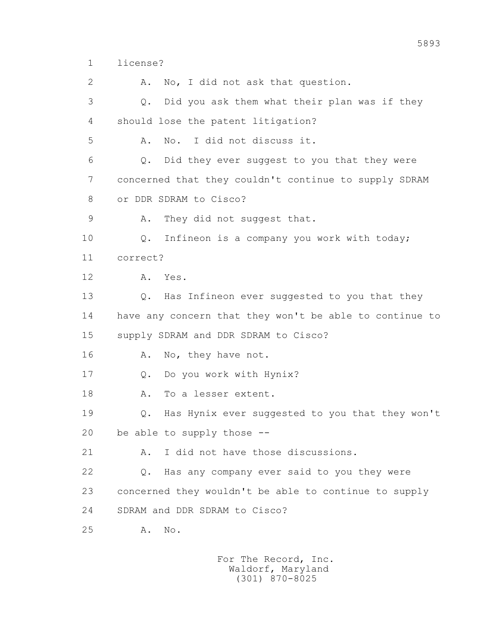1 license?

2 A. No, I did not ask that question. 3 Q. Did you ask them what their plan was if they 4 should lose the patent litigation? 5 A. No. I did not discuss it. 6 Q. Did they ever suggest to you that they were 7 concerned that they couldn't continue to supply SDRAM 8 or DDR SDRAM to Cisco? 9 A. They did not suggest that. 10 Q. Infineon is a company you work with today; 11 correct? 12 A. Yes. 13 Q. Has Infineon ever suggested to you that they 14 have any concern that they won't be able to continue to 15 supply SDRAM and DDR SDRAM to Cisco? 16 A. No, they have not. 17 Q. Do you work with Hynix? 18 A. To a lesser extent. 19 Q. Has Hynix ever suggested to you that they won't 20 be able to supply those -- 21 A. I did not have those discussions. 22 Q. Has any company ever said to you they were 23 concerned they wouldn't be able to continue to supply 24 SDRAM and DDR SDRAM to Cisco? 25 A. No.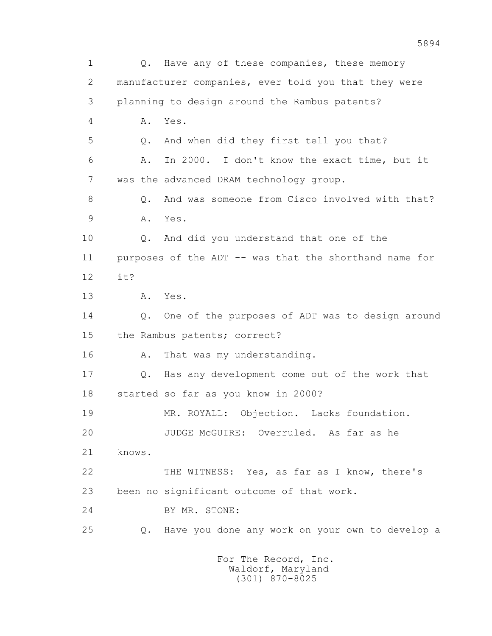1 0. Have any of these companies, these memory 2 manufacturer companies, ever told you that they were 3 planning to design around the Rambus patents? 4 A. Yes. 5 Q. And when did they first tell you that? 6 A. In 2000. I don't know the exact time, but it 7 was the advanced DRAM technology group. 8 0. And was someone from Cisco involved with that? 9 A. Yes. 10 Q. And did you understand that one of the 11 purposes of the ADT -- was that the shorthand name for 12 it? 13 A. Yes. 14 Q. One of the purposes of ADT was to design around 15 the Rambus patents; correct? 16 A. That was my understanding. 17 Q. Has any development come out of the work that 18 started so far as you know in 2000? 19 MR. ROYALL: Objection. Lacks foundation. 20 JUDGE McGUIRE: Overruled. As far as he 21 knows. 22 THE WITNESS: Yes, as far as I know, there's 23 been no significant outcome of that work. 24 BY MR. STONE: 25 Q. Have you done any work on your own to develop a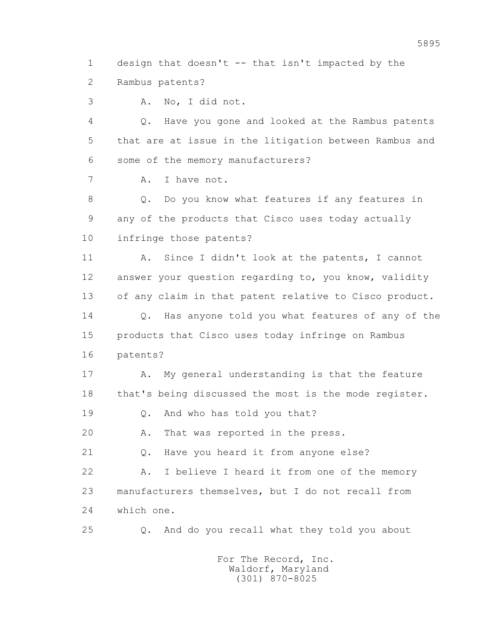1 design that doesn't -- that isn't impacted by the 2 Rambus patents?

3 A. No, I did not.

 4 Q. Have you gone and looked at the Rambus patents 5 that are at issue in the litigation between Rambus and 6 some of the memory manufacturers?

7 A. I have not.

 8 Q. Do you know what features if any features in 9 any of the products that Cisco uses today actually 10 infringe those patents?

 11 A. Since I didn't look at the patents, I cannot 12 answer your question regarding to, you know, validity 13 of any claim in that patent relative to Cisco product. 14 0. Has anyone told you what features of any of the 15 products that Cisco uses today infringe on Rambus

16 patents?

17 A. My general understanding is that the feature 18 that's being discussed the most is the mode register.

19 Q. And who has told you that?

20 A. That was reported in the press.

21 Q. Have you heard it from anyone else?

 22 A. I believe I heard it from one of the memory 23 manufacturers themselves, but I do not recall from 24 which one.

25 Q. And do you recall what they told you about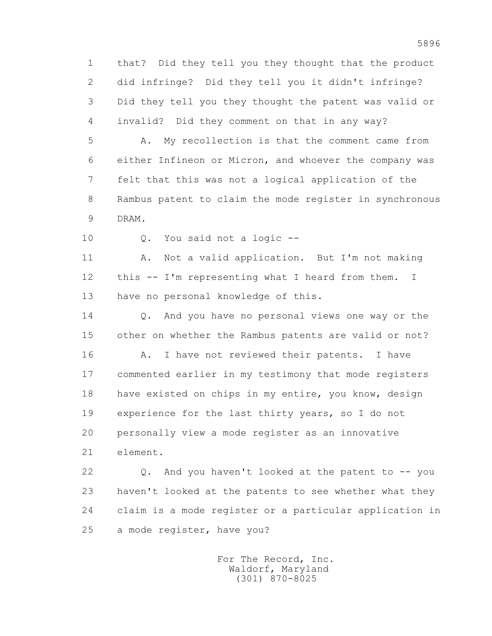1 that? Did they tell you they thought that the product 2 did infringe? Did they tell you it didn't infringe? 3 Did they tell you they thought the patent was valid or 4 invalid? Did they comment on that in any way?

 5 A. My recollection is that the comment came from 6 either Infineon or Micron, and whoever the company was 7 felt that this was not a logical application of the 8 Rambus patent to claim the mode register in synchronous 9 DRAM.

10 Q. You said not a logic --

 11 A. Not a valid application. But I'm not making 12 this -- I'm representing what I heard from them. I 13 have no personal knowledge of this.

 14 Q. And you have no personal views one way or the 15 other on whether the Rambus patents are valid or not? 16 A. I have not reviewed their patents. I have 17 commented earlier in my testimony that mode registers 18 have existed on chips in my entire, you know, design 19 experience for the last thirty years, so I do not 20 personally view a mode register as an innovative 21 element.

 22 Q. And you haven't looked at the patent to -- you 23 haven't looked at the patents to see whether what they 24 claim is a mode register or a particular application in 25 a mode register, have you?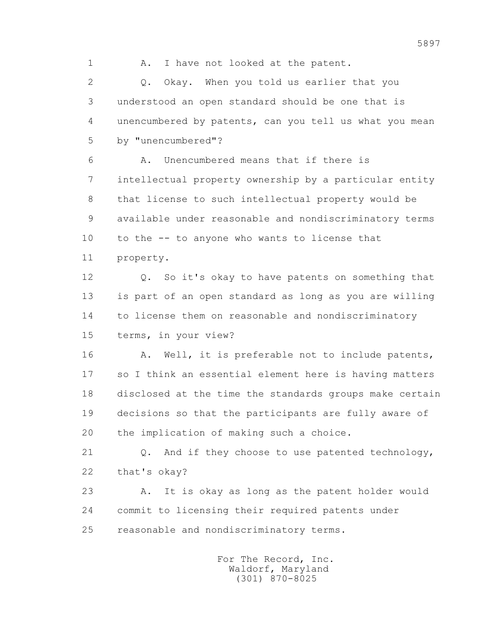1 A. I have not looked at the patent.

 2 Q. Okay. When you told us earlier that you 3 understood an open standard should be one that is 4 unencumbered by patents, can you tell us what you mean 5 by "unencumbered"?

 6 A. Unencumbered means that if there is 7 intellectual property ownership by a particular entity 8 that license to such intellectual property would be 9 available under reasonable and nondiscriminatory terms 10 to the -- to anyone who wants to license that 11 property.

 12 Q. So it's okay to have patents on something that 13 is part of an open standard as long as you are willing 14 to license them on reasonable and nondiscriminatory 15 terms, in your view?

16 A. Well, it is preferable not to include patents, 17 so I think an essential element here is having matters 18 disclosed at the time the standards groups make certain 19 decisions so that the participants are fully aware of 20 the implication of making such a choice.

21 Q. And if they choose to use patented technology, 22 that's okay?

 23 A. It is okay as long as the patent holder would 24 commit to licensing their required patents under 25 reasonable and nondiscriminatory terms.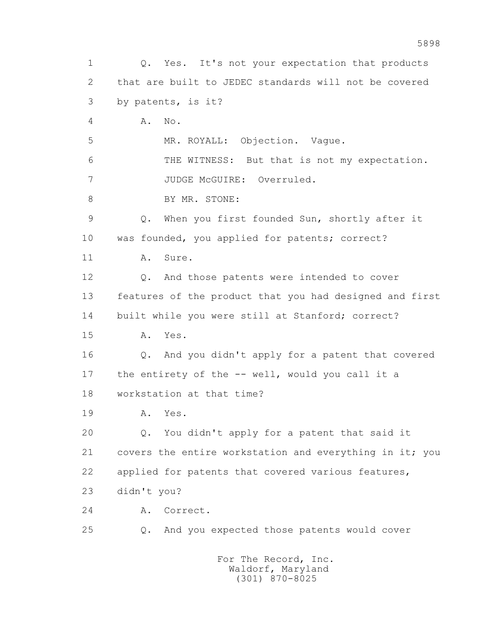1 Q. Yes. It's not your expectation that products 2 that are built to JEDEC standards will not be covered 3 by patents, is it? 4 A. No. 5 MR. ROYALL: Objection. Vague. 6 THE WITNESS: But that is not my expectation. 7 JUDGE McGUIRE: Overruled. 8 BY MR. STONE: 9 Q. When you first founded Sun, shortly after it 10 was founded, you applied for patents; correct? 11 A. Sure. 12 Q. And those patents were intended to cover 13 features of the product that you had designed and first 14 built while you were still at Stanford; correct? 15 A. Yes. 16 Q. And you didn't apply for a patent that covered 17 the entirety of the -- well, would you call it a 18 workstation at that time? 19 A. Yes. 20 Q. You didn't apply for a patent that said it 21 covers the entire workstation and everything in it; you 22 applied for patents that covered various features, 23 didn't you? 24 A. Correct. 25 Q. And you expected those patents would cover For The Record, Inc. Waldorf, Maryland

(301) 870-8025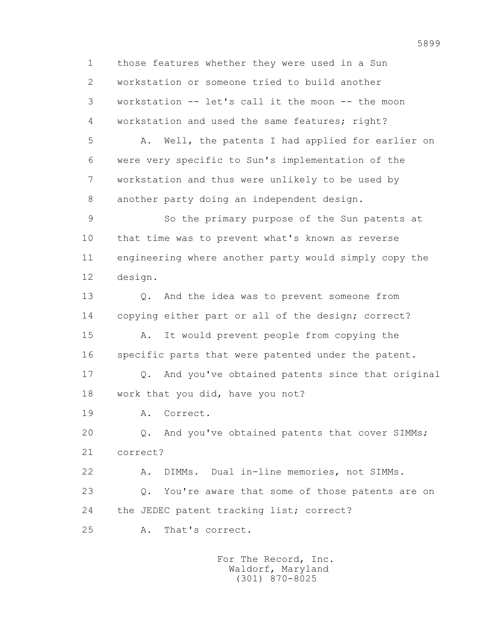1 those features whether they were used in a Sun 2 workstation or someone tried to build another 3 workstation -- let's call it the moon -- the moon 4 workstation and used the same features; right? 5 A. Well, the patents I had applied for earlier on 6 were very specific to Sun's implementation of the 7 workstation and thus were unlikely to be used by 8 another party doing an independent design. 9 So the primary purpose of the Sun patents at 10 that time was to prevent what's known as reverse 11 engineering where another party would simply copy the 12 design. 13 Q. And the idea was to prevent someone from 14 copying either part or all of the design; correct? 15 A. It would prevent people from copying the 16 specific parts that were patented under the patent. 17 Q. And you've obtained patents since that original 18 work that you did, have you not? 19 A. Correct. 20 Q. And you've obtained patents that cover SIMMs; 21 correct? 22 A. DIMMs. Dual in-line memories, not SIMMs. 23 Q. You're aware that some of those patents are on 24 the JEDEC patent tracking list; correct? 25 A. That's correct.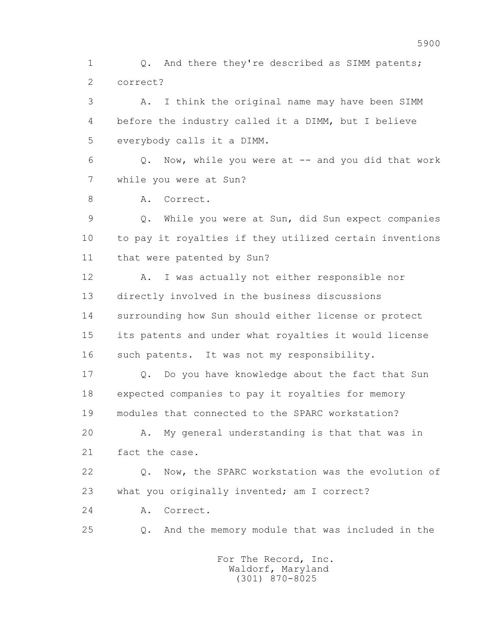1 0. And there they're described as SIMM patents; 2 correct?

 3 A. I think the original name may have been SIMM 4 before the industry called it a DIMM, but I believe 5 everybody calls it a DIMM.

 6 Q. Now, while you were at -- and you did that work 7 while you were at Sun?

8 A. Correct.

 9 Q. While you were at Sun, did Sun expect companies 10 to pay it royalties if they utilized certain inventions 11 that were patented by Sun?

 12 A. I was actually not either responsible nor 13 directly involved in the business discussions 14 surrounding how Sun should either license or protect 15 its patents and under what royalties it would license 16 such patents. It was not my responsibility.

 17 Q. Do you have knowledge about the fact that Sun 18 expected companies to pay it royalties for memory 19 modules that connected to the SPARC workstation?

 20 A. My general understanding is that that was in 21 fact the case.

 22 Q. Now, the SPARC workstation was the evolution of 23 what you originally invented; am I correct?

24 A. Correct.

25 Q. And the memory module that was included in the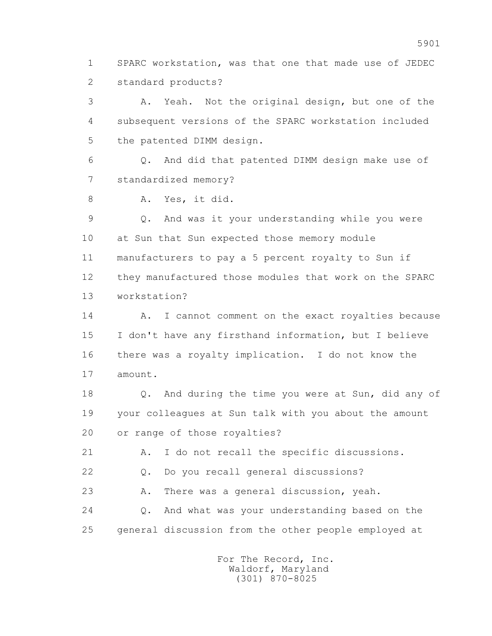1 SPARC workstation, was that one that made use of JEDEC 2 standard products?

 3 A. Yeah. Not the original design, but one of the 4 subsequent versions of the SPARC workstation included 5 the patented DIMM design.

 6 Q. And did that patented DIMM design make use of 7 standardized memory?

8 A. Yes, it did.

 9 Q. And was it your understanding while you were 10 at Sun that Sun expected those memory module 11 manufacturers to pay a 5 percent royalty to Sun if 12 they manufactured those modules that work on the SPARC 13 workstation?

14 A. I cannot comment on the exact royalties because 15 I don't have any firsthand information, but I believe 16 there was a royalty implication. I do not know the 17 amount.

 18 Q. And during the time you were at Sun, did any of 19 your colleagues at Sun talk with you about the amount 20 or range of those royalties?

21 A. I do not recall the specific discussions.

22 Q. Do you recall general discussions?

23 A. There was a general discussion, yeah.

 24 Q. And what was your understanding based on the 25 general discussion from the other people employed at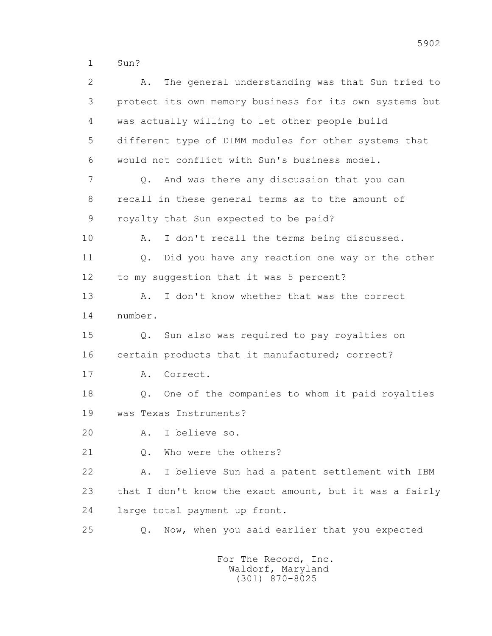1 Sun?

| 2  | The general understanding was that Sun tried to<br>Α.      |
|----|------------------------------------------------------------|
| 3  | protect its own memory business for its own systems but    |
| 4  | was actually willing to let other people build             |
| 5  | different type of DIMM modules for other systems that      |
| 6  | would not conflict with Sun's business model.              |
| 7  | And was there any discussion that you can<br>$Q_{\bullet}$ |
| 8  | recall in these general terms as to the amount of          |
| 9  | royalty that Sun expected to be paid?                      |
| 10 | I don't recall the terms being discussed.<br>Α.            |
| 11 | Did you have any reaction one way or the other<br>$Q$ .    |
| 12 | to my suggestion that it was 5 percent?                    |
| 13 | I don't know whether that was the correct<br>Α.            |
| 14 | number.                                                    |
| 15 | Q. Sun also was required to pay royalties on               |
| 16 | certain products that it manufactured; correct?            |
| 17 | Correct.<br>Α.                                             |
| 18 | Q. One of the companies to whom it paid royalties          |
| 19 | was Texas Instruments?                                     |
| 20 | I believe so.<br>Α.                                        |
| 21 | Who were the others?<br>$Q_{\bullet}$                      |
| 22 | I believe Sun had a patent settlement with IBM<br>Α.       |
| 23 | that I don't know the exact amount, but it was a fairly    |
| 24 | large total payment up front.                              |
| 25 | Now, when you said earlier that you expected<br>Q.         |
|    |                                                            |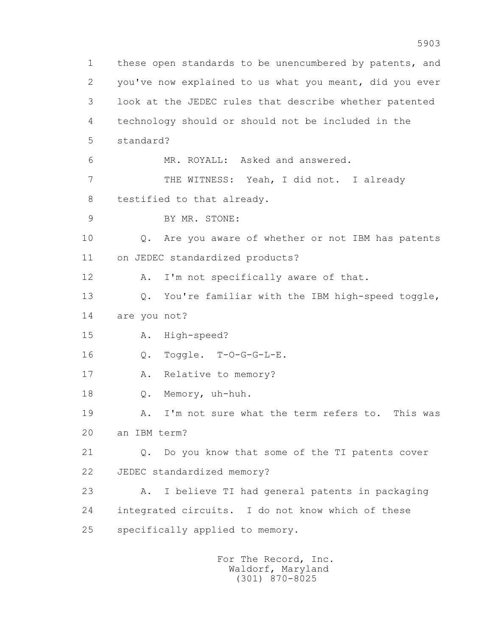1 these open standards to be unencumbered by patents, and 2 you've now explained to us what you meant, did you ever 3 look at the JEDEC rules that describe whether patented 4 technology should or should not be included in the 5 standard? 6 MR. ROYALL: Asked and answered. 7 THE WITNESS: Yeah, I did not. I already 8 testified to that already. 9 BY MR. STONE: 10 Q. Are you aware of whether or not IBM has patents 11 on JEDEC standardized products? 12 A. I'm not specifically aware of that. 13 Q. You're familiar with the IBM high-speed toggle, 14 are you not? 15 A. High-speed? 16 Q. Toggle. T-O-G-G-L-E. 17 A. Relative to memory? 18 Q. Memory, uh-huh. 19 A. I'm not sure what the term refers to. This was 20 an IBM term? 21 Q. Do you know that some of the TI patents cover 22 JEDEC standardized memory? 23 A. I believe TI had general patents in packaging 24 integrated circuits. I do not know which of these 25 specifically applied to memory.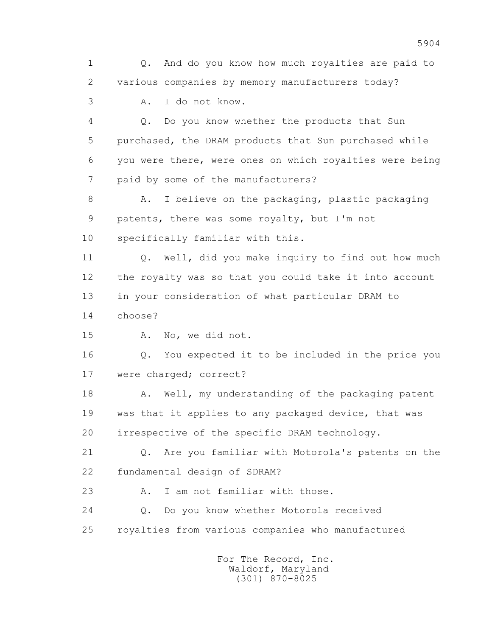1 Q. And do you know how much royalties are paid to 2 various companies by memory manufacturers today? 3 A. I do not know. 4 Q. Do you know whether the products that Sun 5 purchased, the DRAM products that Sun purchased while 6 you were there, were ones on which royalties were being 7 paid by some of the manufacturers? 8 A. I believe on the packaging, plastic packaging 9 patents, there was some royalty, but I'm not 10 specifically familiar with this. 11 Q. Well, did you make inquiry to find out how much 12 the royalty was so that you could take it into account 13 in your consideration of what particular DRAM to 14 choose? 15 A. No, we did not. 16 Q. You expected it to be included in the price you 17 were charged; correct? 18 A. Well, my understanding of the packaging patent 19 was that it applies to any packaged device, that was 20 irrespective of the specific DRAM technology. 21 Q. Are you familiar with Motorola's patents on the 22 fundamental design of SDRAM? 23 A. I am not familiar with those. 24 Q. Do you know whether Motorola received 25 royalties from various companies who manufactured For The Record, Inc.

 Waldorf, Maryland (301) 870-8025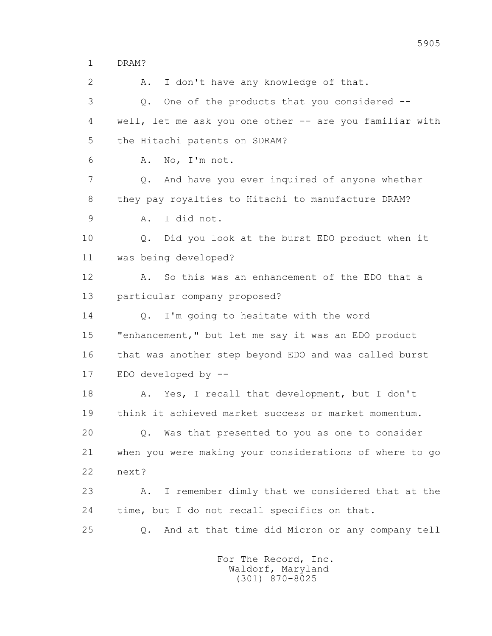1 DRAM?

 2 A. I don't have any knowledge of that. 3 Q. One of the products that you considered -- 4 well, let me ask you one other -- are you familiar with 5 the Hitachi patents on SDRAM? 6 A. No, I'm not. 7 Q. And have you ever inquired of anyone whether 8 they pay royalties to Hitachi to manufacture DRAM? 9 A. I did not. 10 Q. Did you look at the burst EDO product when it 11 was being developed? 12 A. So this was an enhancement of the EDO that a 13 particular company proposed? 14 O. I'm going to hesitate with the word 15 "enhancement," but let me say it was an EDO product 16 that was another step beyond EDO and was called burst 17 EDO developed by -- 18 A. Yes, I recall that development, but I don't 19 think it achieved market success or market momentum. 20 Q. Was that presented to you as one to consider 21 when you were making your considerations of where to go 22 next? 23 A. I remember dimly that we considered that at the 24 time, but I do not recall specifics on that. 25 Q. And at that time did Micron or any company tell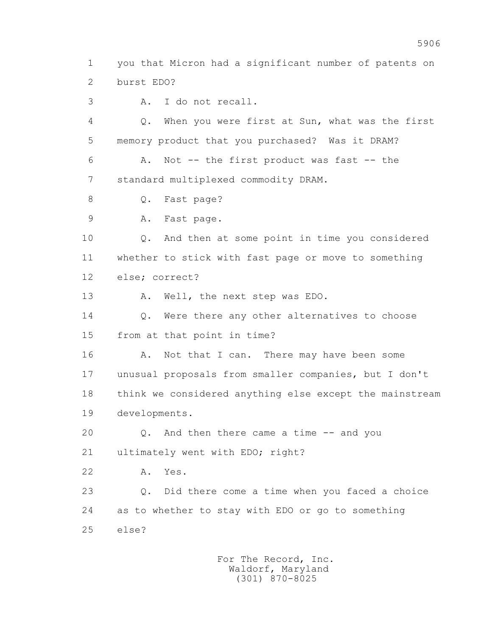1 you that Micron had a significant number of patents on 2 burst EDO?

3 A. I do not recall.

 4 Q. When you were first at Sun, what was the first 5 memory product that you purchased? Was it DRAM?

 6 A. Not -- the first product was fast -- the 7 standard multiplexed commodity DRAM.

8 Q. Fast page?

9 A. Fast page.

 10 Q. And then at some point in time you considered 11 whether to stick with fast page or move to something 12 else; correct?

13 A. Well, the next step was EDO.

14 0. Were there any other alternatives to choose 15 from at that point in time?

16 A. Not that I can. There may have been some 17 unusual proposals from smaller companies, but I don't 18 think we considered anything else except the mainstream 19 developments.

 20 Q. And then there came a time -- and you 21 ultimately went with EDO; right?

22 A. Yes.

 23 Q. Did there come a time when you faced a choice 24 as to whether to stay with EDO or go to something 25 else?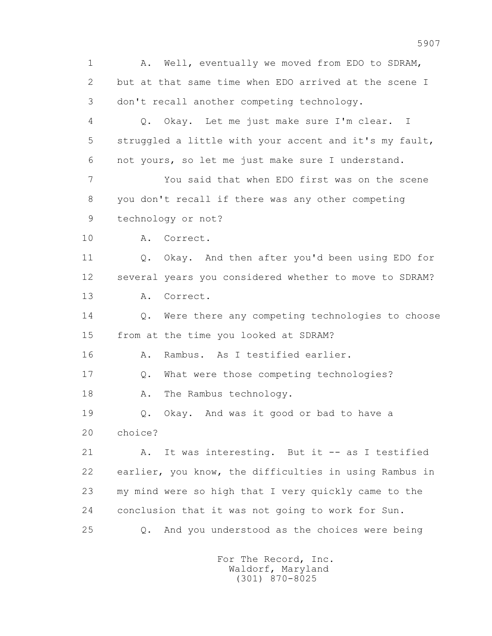1 A. Well, eventually we moved from EDO to SDRAM, 2 but at that same time when EDO arrived at the scene I 3 don't recall another competing technology. 4 Q. Okay. Let me just make sure I'm clear. I 5 struggled a little with your accent and it's my fault, 6 not yours, so let me just make sure I understand. 7 You said that when EDO first was on the scene 8 you don't recall if there was any other competing 9 technology or not? 10 A. Correct. 11 Q. Okay. And then after you'd been using EDO for 12 several years you considered whether to move to SDRAM? 13 A. Correct. 14 0. Were there any competing technologies to choose 15 from at the time you looked at SDRAM? 16 A. Rambus. As I testified earlier. 17 Q. What were those competing technologies? 18 A. The Rambus technology. 19 Q. Okay. And was it good or bad to have a 20 choice? 21 A. It was interesting. But it -- as I testified 22 earlier, you know, the difficulties in using Rambus in 23 my mind were so high that I very quickly came to the 24 conclusion that it was not going to work for Sun. 25 Q. And you understood as the choices were being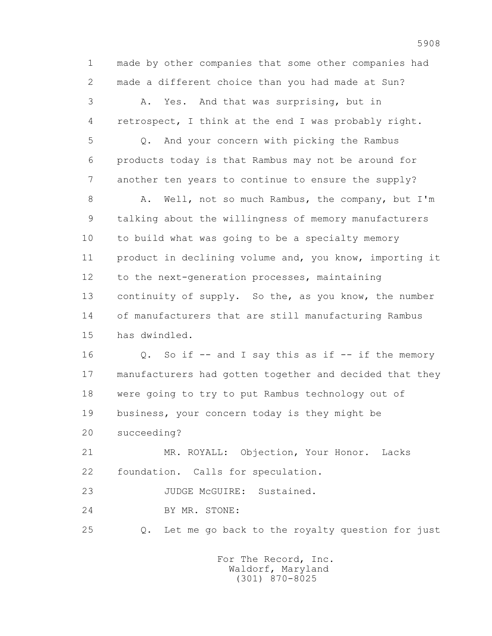1 made by other companies that some other companies had 2 made a different choice than you had made at Sun? 3 A. Yes. And that was surprising, but in 4 retrospect, I think at the end I was probably right. 5 Q. And your concern with picking the Rambus 6 products today is that Rambus may not be around for 7 another ten years to continue to ensure the supply? 8 A. Well, not so much Rambus, the company, but I'm 9 talking about the willingness of memory manufacturers 10 to build what was going to be a specialty memory 11 product in declining volume and, you know, importing it 12 to the next-generation processes, maintaining 13 continuity of supply. So the, as you know, the number 14 of manufacturers that are still manufacturing Rambus 15 has dwindled. 16 Q. So if -- and I say this as if -- if the memory 17 manufacturers had gotten together and decided that they 18 were going to try to put Rambus technology out of 19 business, your concern today is they might be 20 succeeding? 21 MR. ROYALL: Objection, Your Honor. Lacks 22 foundation. Calls for speculation. 23 JUDGE McGUIRE: Sustained. 24 BY MR. STONE: 25 Q. Let me go back to the royalty question for just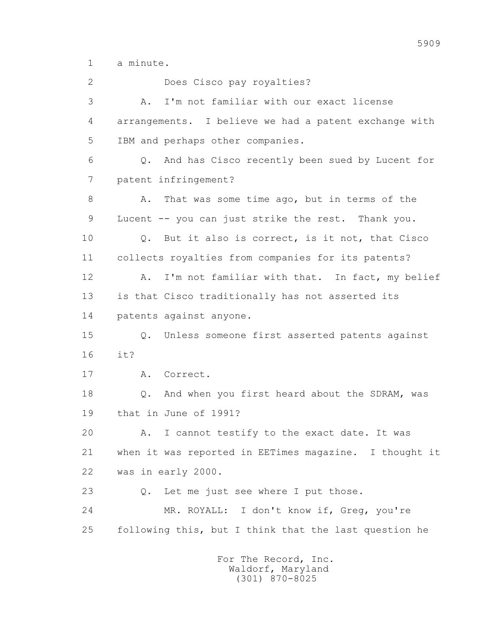1 a minute.

 2 Does Cisco pay royalties? 3 A. I'm not familiar with our exact license 4 arrangements. I believe we had a patent exchange with 5 IBM and perhaps other companies. 6 Q. And has Cisco recently been sued by Lucent for 7 patent infringement? 8 A. That was some time ago, but in terms of the 9 Lucent -- you can just strike the rest. Thank you. 10 Q. But it also is correct, is it not, that Cisco 11 collects royalties from companies for its patents? 12 A. I'm not familiar with that. In fact, my belief 13 is that Cisco traditionally has not asserted its 14 patents against anyone. 15 Q. Unless someone first asserted patents against 16 it? 17 A. Correct. 18 Q. And when you first heard about the SDRAM, was 19 that in June of 1991? 20 A. I cannot testify to the exact date. It was 21 when it was reported in EETimes magazine. I thought it 22 was in early 2000. 23 Q. Let me just see where I put those. 24 MR. ROYALL: I don't know if, Greg, you're 25 following this, but I think that the last question he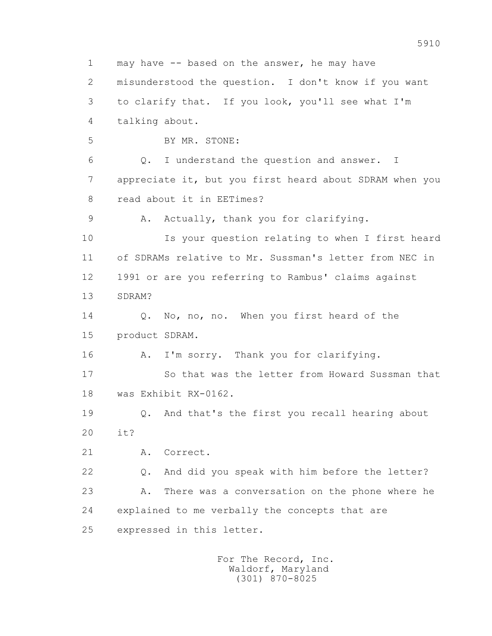1 may have -- based on the answer, he may have 2 misunderstood the question. I don't know if you want 3 to clarify that. If you look, you'll see what I'm 4 talking about. 5 BY MR. STONE: 6 Q. I understand the question and answer. I 7 appreciate it, but you first heard about SDRAM when you 8 read about it in EETimes? 9 A. Actually, thank you for clarifying. 10 Is your question relating to when I first heard 11 of SDRAMs relative to Mr. Sussman's letter from NEC in 12 1991 or are you referring to Rambus' claims against 13 SDRAM? 14 0. No, no, no. When you first heard of the 15 product SDRAM. 16 A. I'm sorry. Thank you for clarifying. 17 So that was the letter from Howard Sussman that 18 was Exhibit RX-0162. 19 Q. And that's the first you recall hearing about 20 it? 21 A. Correct. 22 Q. And did you speak with him before the letter? 23 A. There was a conversation on the phone where he 24 explained to me verbally the concepts that are 25 expressed in this letter.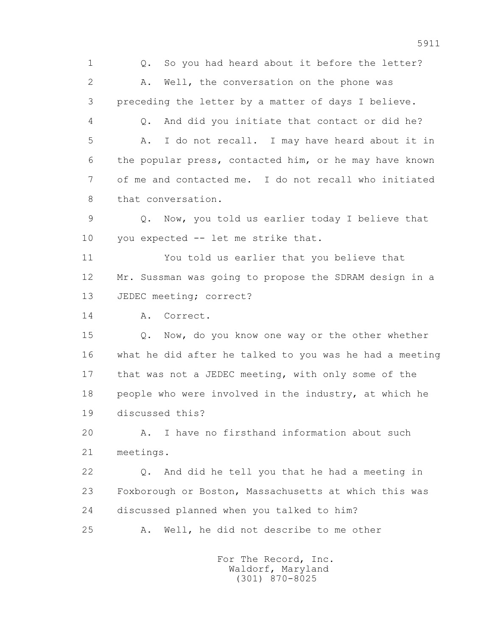1 Q. So you had heard about it before the letter? 2 A. Well, the conversation on the phone was 3 preceding the letter by a matter of days I believe. 4 Q. And did you initiate that contact or did he? 5 A. I do not recall. I may have heard about it in 6 the popular press, contacted him, or he may have known 7 of me and contacted me. I do not recall who initiated 8 that conversation.

 9 Q. Now, you told us earlier today I believe that 10 you expected -- let me strike that.

 11 You told us earlier that you believe that 12 Mr. Sussman was going to propose the SDRAM design in a 13 JEDEC meeting; correct?

14 A. Correct.

 15 Q. Now, do you know one way or the other whether 16 what he did after he talked to you was he had a meeting 17 that was not a JEDEC meeting, with only some of the 18 people who were involved in the industry, at which he 19 discussed this?

 20 A. I have no firsthand information about such 21 meetings.

 22 Q. And did he tell you that he had a meeting in 23 Foxborough or Boston, Massachusetts at which this was 24 discussed planned when you talked to him?

25 A. Well, he did not describe to me other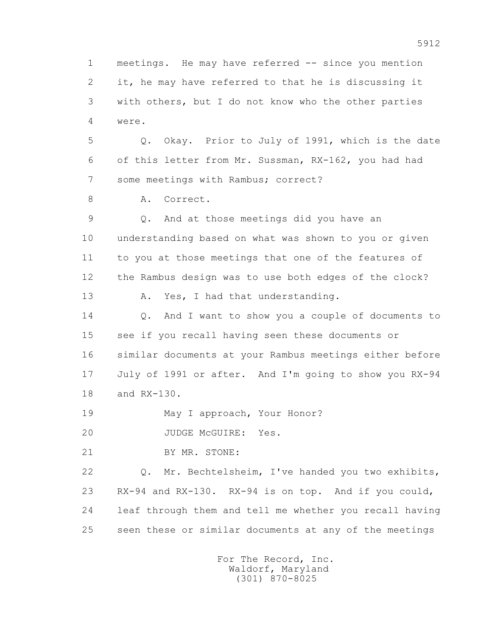1 meetings. He may have referred -- since you mention 2 it, he may have referred to that he is discussing it 3 with others, but I do not know who the other parties 4 were. 5 Q. Okay. Prior to July of 1991, which is the date 6 of this letter from Mr. Sussman, RX-162, you had had 7 some meetings with Rambus; correct? 8 A. Correct. 9 Q. And at those meetings did you have an 10 understanding based on what was shown to you or given 11 to you at those meetings that one of the features of 12 the Rambus design was to use both edges of the clock? 13 A. Yes, I had that understanding. 14 0. And I want to show you a couple of documents to 15 see if you recall having seen these documents or 16 similar documents at your Rambus meetings either before 17 July of 1991 or after. And I'm going to show you RX-94 18 and RX-130. 19 May I approach, Your Honor? 20 JUDGE McGUIRE: Yes. 21 BY MR. STONE: 22 Q. Mr. Bechtelsheim, I've handed you two exhibits, 23 RX-94 and RX-130. RX-94 is on top. And if you could, 24 leaf through them and tell me whether you recall having 25 seen these or similar documents at any of the meetings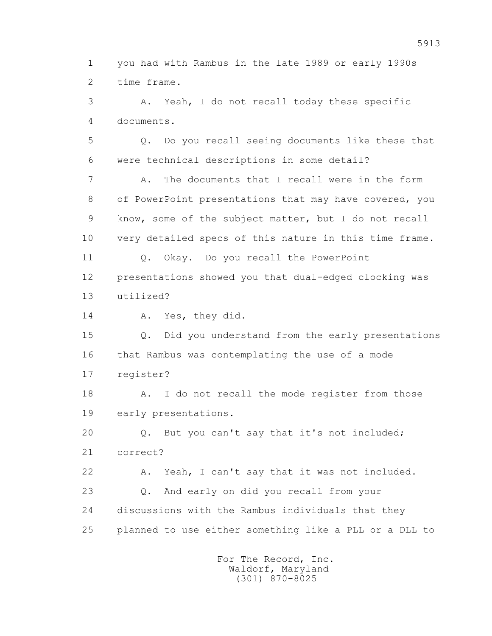1 you had with Rambus in the late 1989 or early 1990s 2 time frame.

 3 A. Yeah, I do not recall today these specific 4 documents.

 5 Q. Do you recall seeing documents like these that 6 were technical descriptions in some detail?

 7 A. The documents that I recall were in the form 8 of PowerPoint presentations that may have covered, you 9 know, some of the subject matter, but I do not recall 10 very detailed specs of this nature in this time frame.

 11 Q. Okay. Do you recall the PowerPoint 12 presentations showed you that dual-edged clocking was

13 utilized?

14 A. Yes, they did.

 15 Q. Did you understand from the early presentations 16 that Rambus was contemplating the use of a mode 17 register?

18 A. I do not recall the mode register from those 19 early presentations.

 20 Q. But you can't say that it's not included; 21 correct?

 22 A. Yeah, I can't say that it was not included. 23 Q. And early on did you recall from your 24 discussions with the Rambus individuals that they 25 planned to use either something like a PLL or a DLL to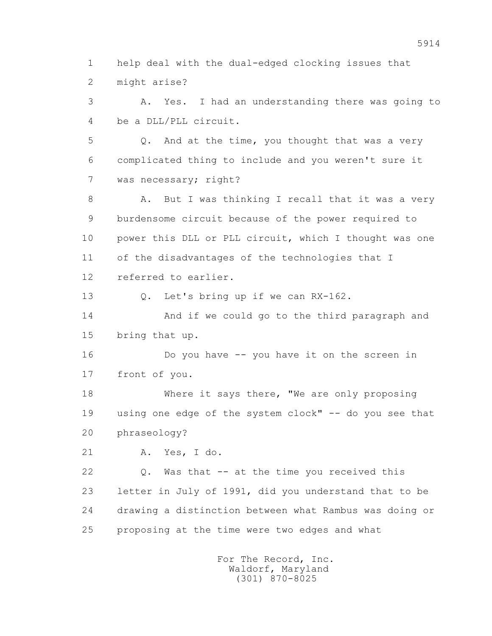1 help deal with the dual-edged clocking issues that 2 might arise?

 3 A. Yes. I had an understanding there was going to 4 be a DLL/PLL circuit.

 5 Q. And at the time, you thought that was a very 6 complicated thing to include and you weren't sure it 7 was necessary; right?

8 A. But I was thinking I recall that it was a very 9 burdensome circuit because of the power required to 10 power this DLL or PLL circuit, which I thought was one 11 of the disadvantages of the technologies that I 12 referred to earlier.

13 Q. Let's bring up if we can RX-162.

 14 And if we could go to the third paragraph and 15 bring that up.

 16 Do you have -- you have it on the screen in 17 front of you.

 18 Where it says there, "We are only proposing 19 using one edge of the system clock" -- do you see that 20 phraseology?

21 A. Yes, I do.

 22 Q. Was that -- at the time you received this 23 letter in July of 1991, did you understand that to be 24 drawing a distinction between what Rambus was doing or 25 proposing at the time were two edges and what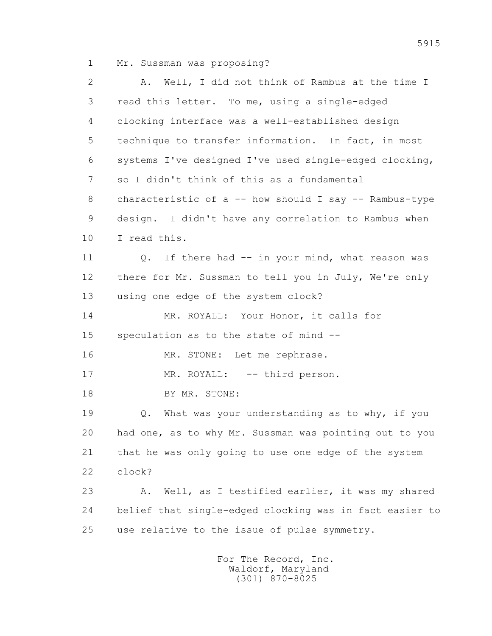1 Mr. Sussman was proposing?

 2 A. Well, I did not think of Rambus at the time I 3 read this letter. To me, using a single-edged 4 clocking interface was a well-established design 5 technique to transfer information. In fact, in most 6 systems I've designed I've used single-edged clocking, 7 so I didn't think of this as a fundamental 8 characteristic of a -- how should I say -- Rambus-type 9 design. I didn't have any correlation to Rambus when 10 I read this. 11 0. If there had -- in your mind, what reason was 12 there for Mr. Sussman to tell you in July, We're only 13 using one edge of the system clock? 14 MR. ROYALL: Your Honor, it calls for 15 speculation as to the state of mind -- 16 MR. STONE: Let me rephrase. 17 MR. ROYALL: -- third person. 18 BY MR. STONE: 19 Q. What was your understanding as to why, if you 20 had one, as to why Mr. Sussman was pointing out to you 21 that he was only going to use one edge of the system 22 clock? 23 A. Well, as I testified earlier, it was my shared 24 belief that single-edged clocking was in fact easier to 25 use relative to the issue of pulse symmetry. For The Record, Inc.

 Waldorf, Maryland (301) 870-8025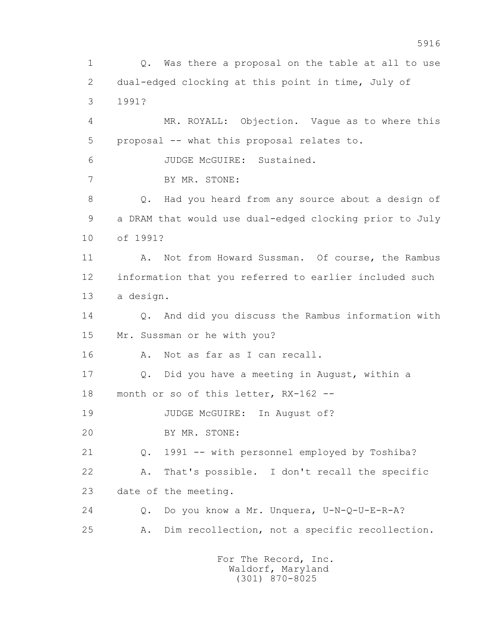1 Q. Was there a proposal on the table at all to use 2 dual-edged clocking at this point in time, July of 3 1991? 4 MR. ROYALL: Objection. Vague as to where this 5 proposal -- what this proposal relates to. 6 JUDGE McGUIRE: Sustained. 7 BY MR. STONE: 8 Q. Had you heard from any source about a design of 9 a DRAM that would use dual-edged clocking prior to July 10 of 1991? 11 A. Not from Howard Sussman. Of course, the Rambus 12 information that you referred to earlier included such 13 a design. 14 Q. And did you discuss the Rambus information with 15 Mr. Sussman or he with you? 16 A. Not as far as I can recall. 17 Q. Did you have a meeting in August, within a 18 month or so of this letter, RX-162 -- 19 JUDGE McGUIRE: In August of? 20 BY MR. STONE: 21 Q. 1991 -- with personnel employed by Toshiba? 22 A. That's possible. I don't recall the specific 23 date of the meeting. 24 Q. Do you know a Mr. Unquera, U-N-Q-U-E-R-A? 25 A. Dim recollection, not a specific recollection.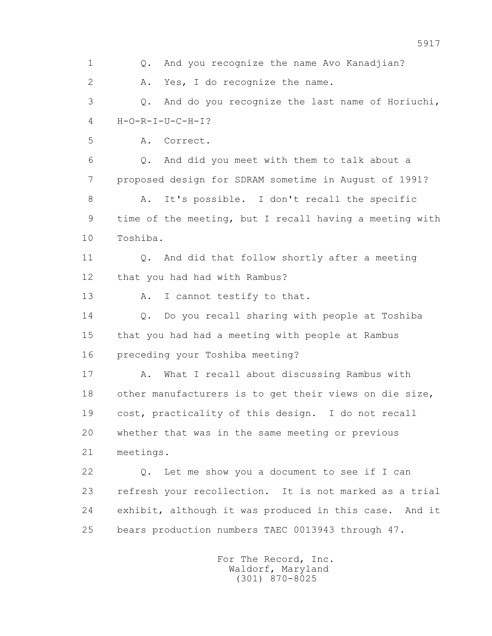1 Q. And you recognize the name Avo Kanadjian? 2 A. Yes, I do recognize the name. 3 Q. And do you recognize the last name of Horiuchi,  $4$   $H-O-R-T-U-C-H-T?$  5 A. Correct. 6 Q. And did you meet with them to talk about a 7 proposed design for SDRAM sometime in August of 1991? 8 A. It's possible. I don't recall the specific 9 time of the meeting, but I recall having a meeting with 10 Toshiba. 11 0. And did that follow shortly after a meeting 12 that you had had with Rambus? 13 A. I cannot testify to that. 14 Q. Do you recall sharing with people at Toshiba 15 that you had had a meeting with people at Rambus 16 preceding your Toshiba meeting? 17 A. What I recall about discussing Rambus with 18 other manufacturers is to get their views on die size, 19 cost, practicality of this design. I do not recall 20 whether that was in the same meeting or previous 21 meetings. 22 Q. Let me show you a document to see if I can 23 refresh your recollection. It is not marked as a trial 24 exhibit, although it was produced in this case. And it 25 bears production numbers TAEC 0013943 through 47.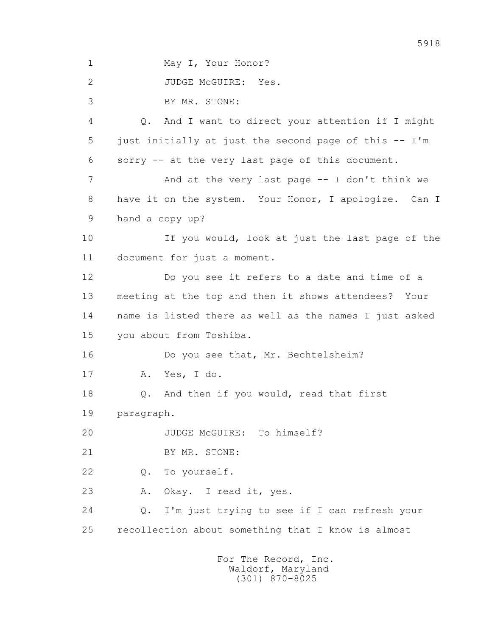1 May I, Your Honor?

2 JUDGE McGUIRE: Yes.

3 BY MR. STONE:

 4 Q. And I want to direct your attention if I might 5 just initially at just the second page of this -- I'm 6 sorry -- at the very last page of this document. 7 And at the very last page -- I don't think we 8 have it on the system. Your Honor, I apologize. Can I 9 hand a copy up? 10 If you would, look at just the last page of the 11 document for just a moment. 12 Do you see it refers to a date and time of a 13 meeting at the top and then it shows attendees? Your 14 name is listed there as well as the names I just asked 15 you about from Toshiba. 16 Do you see that, Mr. Bechtelsheim? 17 A. Yes, I do. 18 Q. And then if you would, read that first 19 paragraph. 20 JUDGE McGUIRE: To himself? 21 BY MR. STONE: 22 Q. To yourself. 23 A. Okay. I read it, yes. 24 Q. I'm just trying to see if I can refresh your 25 recollection about something that I know is almost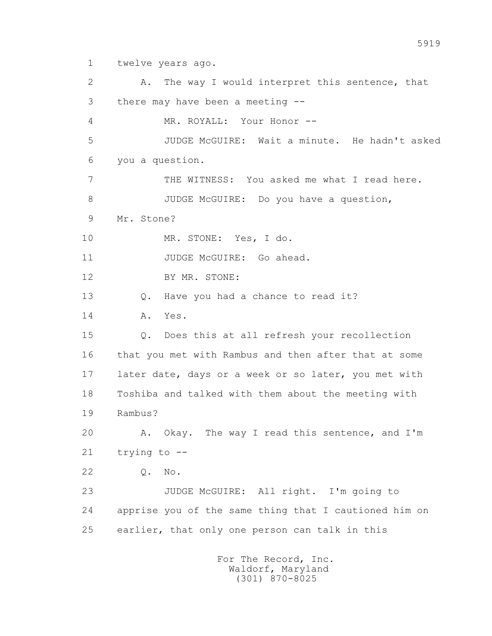1 twelve years ago.

 2 A. The way I would interpret this sentence, that 3 there may have been a meeting -- 4 MR. ROYALL: Your Honor -- 5 JUDGE McGUIRE: Wait a minute. He hadn't asked 6 you a question. 7 THE WITNESS: You asked me what I read here. 8 JUDGE McGUIRE: Do you have a question, 9 Mr. Stone? 10 MR. STONE: Yes, I do. 11 JUDGE McGUIRE: Go ahead. 12 BY MR. STONE: 13 Q. Have you had a chance to read it? 14 A. Yes. 15 Q. Does this at all refresh your recollection 16 that you met with Rambus and then after that at some 17 later date, days or a week or so later, you met with 18 Toshiba and talked with them about the meeting with 19 Rambus? 20 A. Okay. The way I read this sentence, and I'm 21 trying to -- 22 Q. No. 23 JUDGE McGUIRE: All right. I'm going to 24 apprise you of the same thing that I cautioned him on 25 earlier, that only one person can talk in this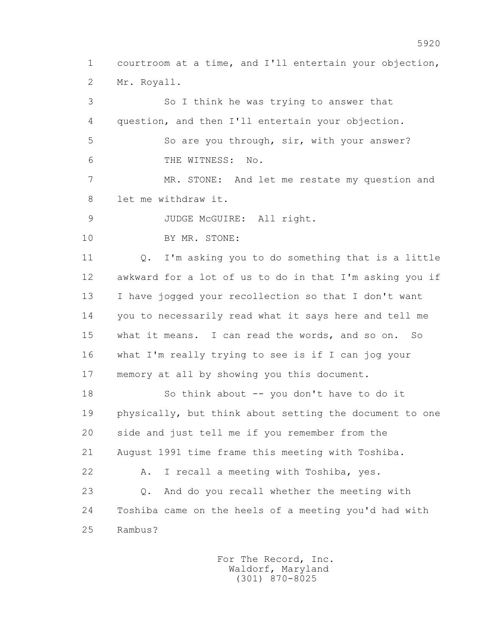1 courtroom at a time, and I'll entertain your objection, 2 Mr. Royall.

 3 So I think he was trying to answer that 4 question, and then I'll entertain your objection. 5 So are you through, sir, with your answer? 6 THE WITNESS: No. 7 MR. STONE: And let me restate my question and 8 let me withdraw it. 9 JUDGE McGUIRE: All right. 10 BY MR. STONE: 11 Q. I'm asking you to do something that is a little 12 awkward for a lot of us to do in that I'm asking you if 13 I have jogged your recollection so that I don't want 14 you to necessarily read what it says here and tell me 15 what it means. I can read the words, and so on. So 16 what I'm really trying to see is if I can jog your 17 memory at all by showing you this document. 18 So think about -- you don't have to do it 19 physically, but think about setting the document to one 20 side and just tell me if you remember from the 21 August 1991 time frame this meeting with Toshiba. 22 A. I recall a meeting with Toshiba, yes. 23 Q. And do you recall whether the meeting with 24 Toshiba came on the heels of a meeting you'd had with 25 Rambus?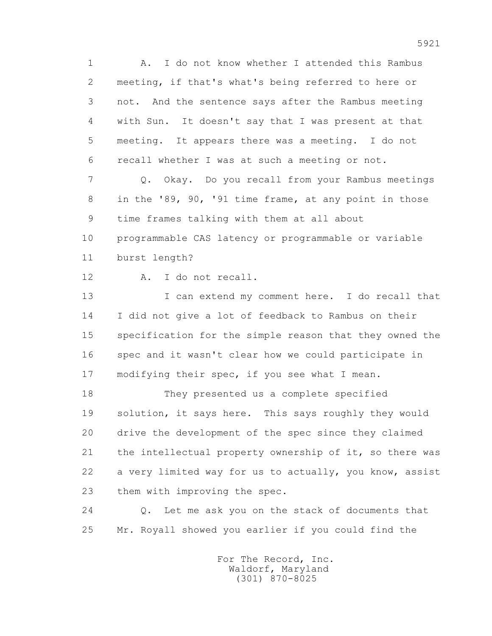1 A. I do not know whether I attended this Rambus 2 meeting, if that's what's being referred to here or 3 not. And the sentence says after the Rambus meeting 4 with Sun. It doesn't say that I was present at that 5 meeting. It appears there was a meeting. I do not 6 recall whether I was at such a meeting or not. 7 Q. Okay. Do you recall from your Rambus meetings 8 in the '89, 90, '91 time frame, at any point in those 9 time frames talking with them at all about 10 programmable CAS latency or programmable or variable 11 burst length? 12 A. I do not recall. 13 I can extend my comment here. I do recall that 14 I did not give a lot of feedback to Rambus on their 15 specification for the simple reason that they owned the 16 spec and it wasn't clear how we could participate in 17 modifying their spec, if you see what I mean. 18 They presented us a complete specified 19 solution, it says here. This says roughly they would 20 drive the development of the spec since they claimed 21 the intellectual property ownership of it, so there was 22 a very limited way for us to actually, you know, assist 23 them with improving the spec. 24 Q. Let me ask you on the stack of documents that

25 Mr. Royall showed you earlier if you could find the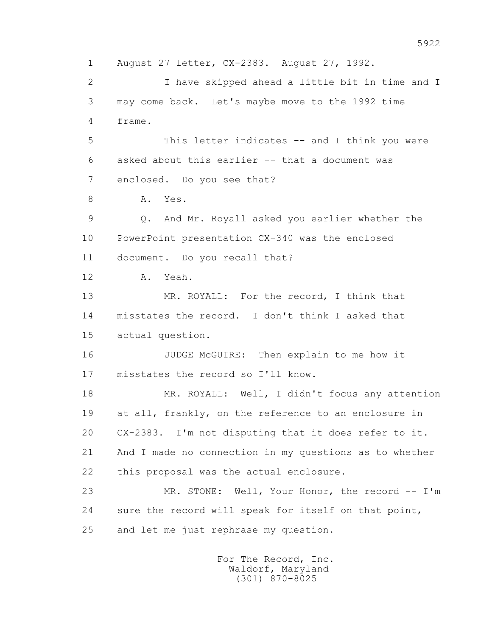1 August 27 letter, CX-2383. August 27, 1992. 2 I have skipped ahead a little bit in time and I 3 may come back. Let's maybe move to the 1992 time 4 frame. 5 This letter indicates -- and I think you were 6 asked about this earlier -- that a document was 7 enclosed. Do you see that? 8 A. Yes. 9 Q. And Mr. Royall asked you earlier whether the 10 PowerPoint presentation CX-340 was the enclosed 11 document. Do you recall that? 12 A. Yeah. 13 MR. ROYALL: For the record, I think that 14 misstates the record. I don't think I asked that 15 actual question. 16 JUDGE McGUIRE: Then explain to me how it 17 misstates the record so I'll know. 18 MR. ROYALL: Well, I didn't focus any attention 19 at all, frankly, on the reference to an enclosure in 20 CX-2383. I'm not disputing that it does refer to it. 21 And I made no connection in my questions as to whether 22 this proposal was the actual enclosure. 23 MR. STONE: Well, Your Honor, the record -- I'm 24 sure the record will speak for itself on that point, 25 and let me just rephrase my question.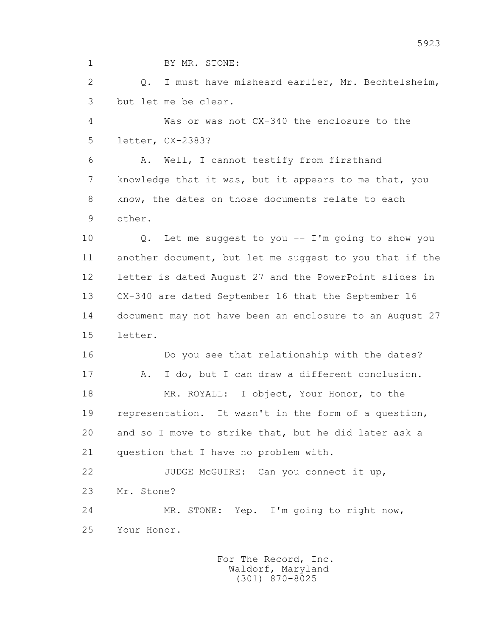1 BY MR. STONE:

 2 Q. I must have misheard earlier, Mr. Bechtelsheim, 3 but let me be clear.

 4 Was or was not CX-340 the enclosure to the 5 letter, CX-2383?

 6 A. Well, I cannot testify from firsthand 7 knowledge that it was, but it appears to me that, you 8 know, the dates on those documents relate to each 9 other.

 10 Q. Let me suggest to you -- I'm going to show you 11 another document, but let me suggest to you that if the 12 letter is dated August 27 and the PowerPoint slides in 13 CX-340 are dated September 16 that the September 16 14 document may not have been an enclosure to an August 27 15 letter.

 16 Do you see that relationship with the dates? 17 A. I do, but I can draw a different conclusion. 18 MR. ROYALL: I object, Your Honor, to the 19 representation. It wasn't in the form of a question, 20 and so I move to strike that, but he did later ask a 21 question that I have no problem with.

 22 JUDGE McGUIRE: Can you connect it up, 23 Mr. Stone? 24 MR. STONE: Yep. I'm going to right now,

25 Your Honor.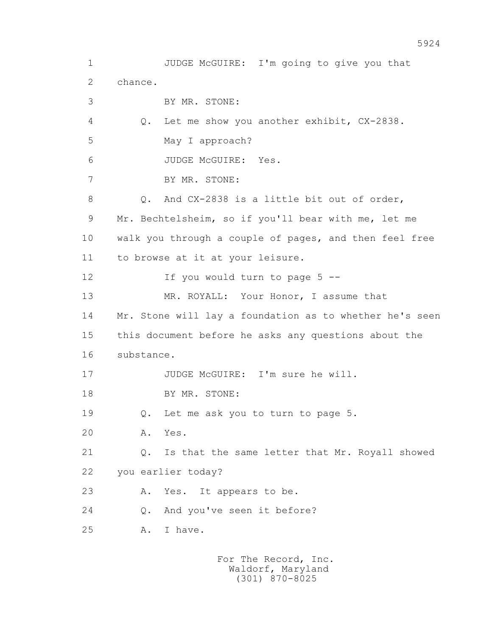1 JUDGE McGUIRE: I'm going to give you that 2 chance. 3 BY MR. STONE: 4 Q. Let me show you another exhibit, CX-2838. 5 May I approach? 6 JUDGE McGUIRE: Yes. 7 BY MR. STONE: 8 0. And CX-2838 is a little bit out of order, 9 Mr. Bechtelsheim, so if you'll bear with me, let me 10 walk you through a couple of pages, and then feel free 11 to browse at it at your leisure. 12 If you would turn to page 5 -- 13 MR. ROYALL: Your Honor, I assume that 14 Mr. Stone will lay a foundation as to whether he's seen 15 this document before he asks any questions about the 16 substance. 17 JUDGE McGUIRE: I'm sure he will. 18 BY MR. STONE: 19 Q. Let me ask you to turn to page 5. 20 A. Yes. 21 Q. Is that the same letter that Mr. Royall showed 22 you earlier today? 23 A. Yes. It appears to be. 24 Q. And you've seen it before? 25 A. I have.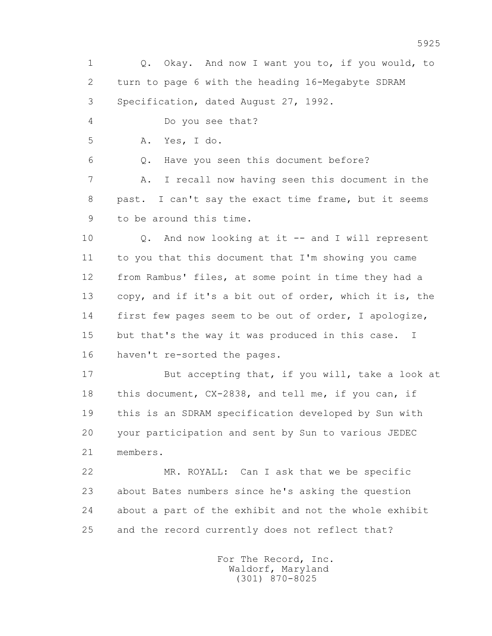1 Q. Okay. And now I want you to, if you would, to 2 turn to page 6 with the heading 16-Megabyte SDRAM 3 Specification, dated August 27, 1992. 4 Do you see that? 5 A. Yes, I do. 6 Q. Have you seen this document before? 7 A. I recall now having seen this document in the 8 past. I can't say the exact time frame, but it seems 9 to be around this time. 10 Q. And now looking at it -- and I will represent 11 to you that this document that I'm showing you came 12 from Rambus' files, at some point in time they had a 13 copy, and if it's a bit out of order, which it is, the 14 first few pages seem to be out of order, I apologize, 15 but that's the way it was produced in this case. I 16 haven't re-sorted the pages. 17 But accepting that, if you will, take a look at 18 this document, CX-2838, and tell me, if you can, if 19 this is an SDRAM specification developed by Sun with 20 your participation and sent by Sun to various JEDEC 21 members. 22 MR. ROYALL: Can I ask that we be specific 23 about Bates numbers since he's asking the question

24 about a part of the exhibit and not the whole exhibit

 For The Record, Inc. Waldorf, Maryland (301) 870-8025

25 and the record currently does not reflect that?

5925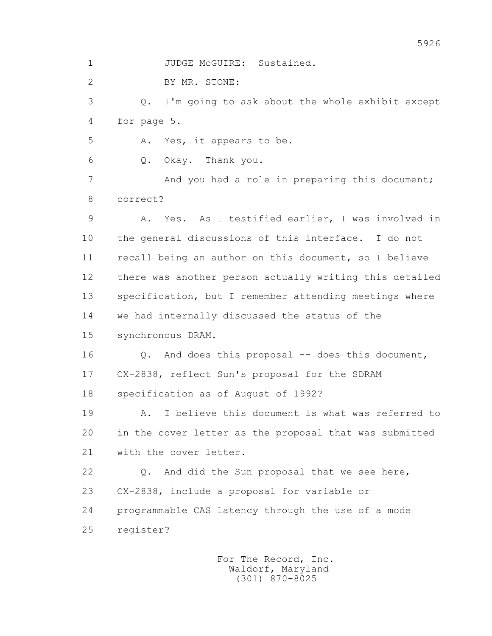1 JUDGE McGUIRE: Sustained.

2 BY MR. STONE:

 3 Q. I'm going to ask about the whole exhibit except 4 for page 5.

5 A. Yes, it appears to be.

6 Q. Okay. Thank you.

7 And you had a role in preparing this document; 8 correct?

 9 A. Yes. As I testified earlier, I was involved in 10 the general discussions of this interface. I do not 11 recall being an author on this document, so I believe 12 there was another person actually writing this detailed 13 specification, but I remember attending meetings where 14 we had internally discussed the status of the 15 synchronous DRAM.

16 0. And does this proposal -- does this document, 17 CX-2838, reflect Sun's proposal for the SDRAM 18 specification as of August of 1992?

 19 A. I believe this document is what was referred to 20 in the cover letter as the proposal that was submitted 21 with the cover letter.

 22 Q. And did the Sun proposal that we see here, 23 CX-2838, include a proposal for variable or 24 programmable CAS latency through the use of a mode 25 register?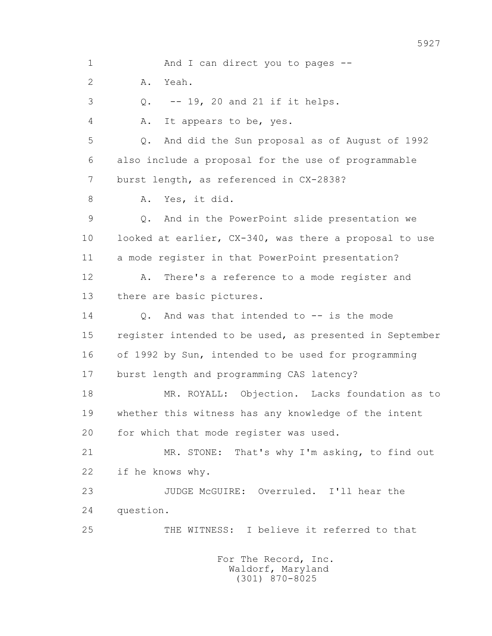1 And I can direct you to pages -- 2 A. Yeah. 3 Q. -- 19, 20 and 21 if it helps. 4 A. It appears to be, yes. 5 Q. And did the Sun proposal as of August of 1992 6 also include a proposal for the use of programmable 7 burst length, as referenced in CX-2838? 8 A. Yes, it did. 9 Q. And in the PowerPoint slide presentation we 10 looked at earlier, CX-340, was there a proposal to use 11 a mode register in that PowerPoint presentation? 12 A. There's a reference to a mode register and 13 there are basic pictures. 14 Q. And was that intended to -- is the mode 15 register intended to be used, as presented in September 16 of 1992 by Sun, intended to be used for programming 17 burst length and programming CAS latency? 18 MR. ROYALL: Objection. Lacks foundation as to 19 whether this witness has any knowledge of the intent 20 for which that mode register was used. 21 MR. STONE: That's why I'm asking, to find out 22 if he knows why. 23 JUDGE McGUIRE: Overruled. I'll hear the 24 question. 25 THE WITNESS: I believe it referred to that For The Record, Inc. Waldorf, Maryland (301) 870-8025

5927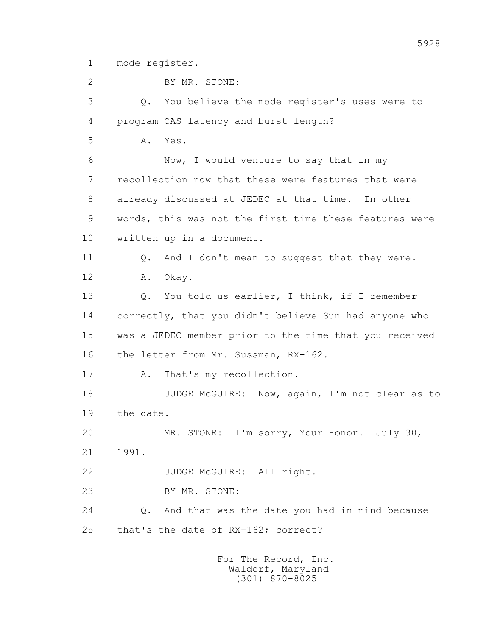1 mode register.

 2 BY MR. STONE: 3 Q. You believe the mode register's uses were to 4 program CAS latency and burst length? 5 A. Yes. 6 Now, I would venture to say that in my 7 recollection now that these were features that were 8 already discussed at JEDEC at that time. In other 9 words, this was not the first time these features were 10 written up in a document. 11 Q. And I don't mean to suggest that they were. 12 A. Okay. 13 Q. You told us earlier, I think, if I remember 14 correctly, that you didn't believe Sun had anyone who 15 was a JEDEC member prior to the time that you received 16 the letter from Mr. Sussman, RX-162. 17 A. That's my recollection. 18 JUDGE McGUIRE: Now, again, I'm not clear as to 19 the date. 20 MR. STONE: I'm sorry, Your Honor. July 30, 21 1991. 22 JUDGE McGUIRE: All right. 23 BY MR. STONE: 24 Q. And that was the date you had in mind because 25 that's the date of RX-162; correct?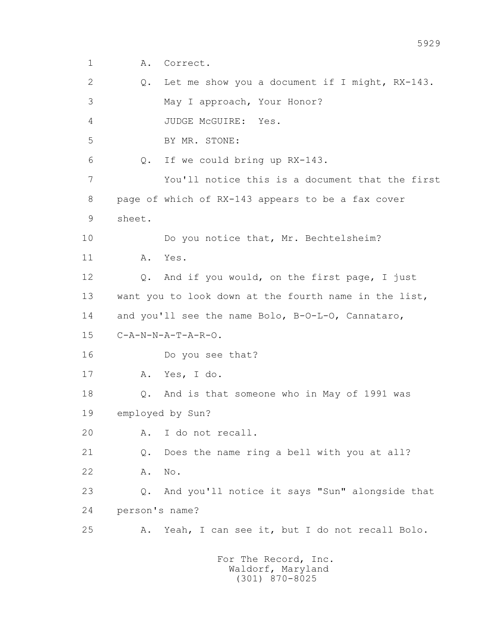1 A. Correct.

 2 Q. Let me show you a document if I might, RX-143. 3 May I approach, Your Honor? 4 JUDGE McGUIRE: Yes. 5 BY MR. STONE: 6 Q. If we could bring up RX-143. 7 You'll notice this is a document that the first 8 page of which of RX-143 appears to be a fax cover 9 sheet. 10 Do you notice that, Mr. Bechtelsheim? 11 A. Yes. 12 Q. And if you would, on the first page, I just 13 want you to look down at the fourth name in the list, 14 and you'll see the name Bolo, B-O-L-O, Cannataro, 15 C-A-N-N-A-T-A-R-O. 16 Do you see that? 17 A. Yes, I do. 18 Q. And is that someone who in May of 1991 was 19 employed by Sun? 20 A. I do not recall. 21 Q. Does the name ring a bell with you at all? 22 A. No. 23 Q. And you'll notice it says "Sun" alongside that 24 person's name? 25 A. Yeah, I can see it, but I do not recall Bolo.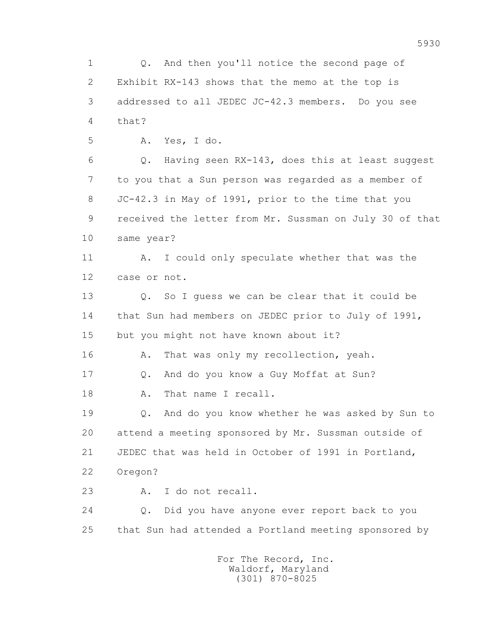1 Q. And then you'll notice the second page of 2 Exhibit RX-143 shows that the memo at the top is 3 addressed to all JEDEC JC-42.3 members. Do you see 4 that? 5 A. Yes, I do. 6 Q. Having seen RX-143, does this at least suggest 7 to you that a Sun person was regarded as a member of 8 JC-42.3 in May of 1991, prior to the time that you 9 received the letter from Mr. Sussman on July 30 of that 10 same year? 11 A. I could only speculate whether that was the 12 case or not. 13 0. So I quess we can be clear that it could be 14 that Sun had members on JEDEC prior to July of 1991, 15 but you might not have known about it? 16 A. That was only my recollection, yeah. 17 Q. And do you know a Guy Moffat at Sun? 18 A. That name I recall. 19 Q. And do you know whether he was asked by Sun to 20 attend a meeting sponsored by Mr. Sussman outside of 21 JEDEC that was held in October of 1991 in Portland, 22 Oregon? 23 A. I do not recall. 24 Q. Did you have anyone ever report back to you 25 that Sun had attended a Portland meeting sponsored by For The Record, Inc. Waldorf, Maryland

(301) 870-8025

5930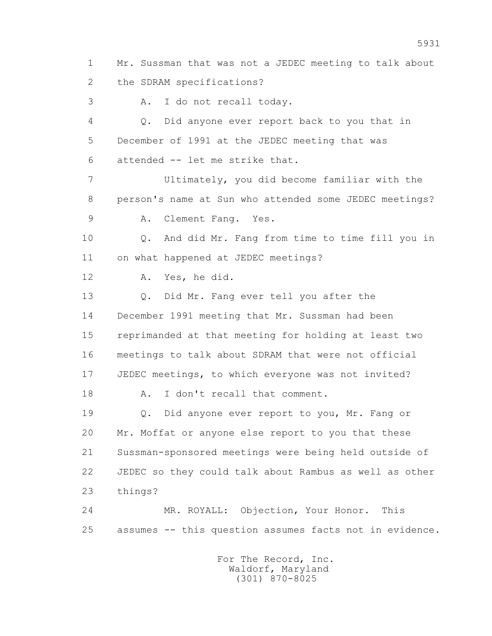1 Mr. Sussman that was not a JEDEC meeting to talk about 2 the SDRAM specifications?

3 A. I do not recall today.

 4 Q. Did anyone ever report back to you that in 5 December of 1991 at the JEDEC meeting that was 6 attended -- let me strike that.

 7 Ultimately, you did become familiar with the 8 person's name at Sun who attended some JEDEC meetings?

9 A. Clement Fang. Yes.

 10 Q. And did Mr. Fang from time to time fill you in 11 on what happened at JEDEC meetings?

12 A. Yes, he did.

 13 Q. Did Mr. Fang ever tell you after the 14 December 1991 meeting that Mr. Sussman had been 15 reprimanded at that meeting for holding at least two 16 meetings to talk about SDRAM that were not official 17 JEDEC meetings, to which everyone was not invited?

18 A. I don't recall that comment.

 19 Q. Did anyone ever report to you, Mr. Fang or 20 Mr. Moffat or anyone else report to you that these 21 Sussman-sponsored meetings were being held outside of 22 JEDEC so they could talk about Rambus as well as other 23 things?

 24 MR. ROYALL: Objection, Your Honor. This 25 assumes -- this question assumes facts not in evidence.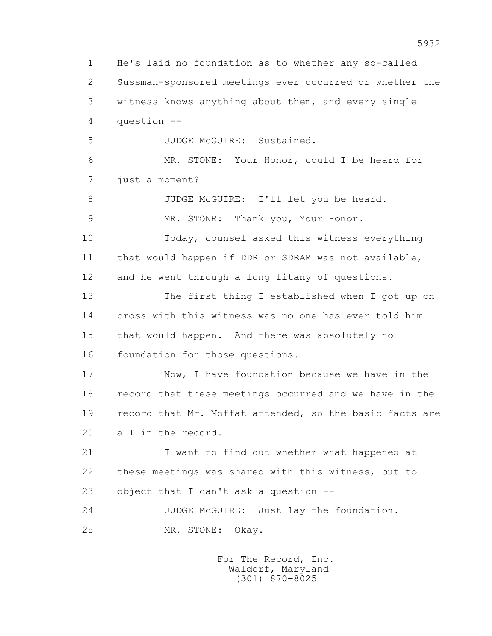1 He's laid no foundation as to whether any so-called 2 Sussman-sponsored meetings ever occurred or whether the 3 witness knows anything about them, and every single 4 question -- 5 JUDGE McGUIRE: Sustained. 6 MR. STONE: Your Honor, could I be heard for 7 just a moment? 8 JUDGE McGUIRE: I'll let you be heard. 9 MR. STONE: Thank you, Your Honor. 10 Today, counsel asked this witness everything 11 that would happen if DDR or SDRAM was not available, 12 and he went through a long litany of questions. 13 The first thing I established when I got up on 14 cross with this witness was no one has ever told him 15 that would happen. And there was absolutely no 16 foundation for those questions. 17 Now, I have foundation because we have in the 18 record that these meetings occurred and we have in the 19 record that Mr. Moffat attended, so the basic facts are 20 all in the record. 21 I want to find out whether what happened at 22 these meetings was shared with this witness, but to 23 object that I can't ask a question -- 24 JUDGE McGUIRE: Just lay the foundation. 25 MR. STONE: Okay. For The Record, Inc.

> Waldorf, Maryland (301) 870-8025

5932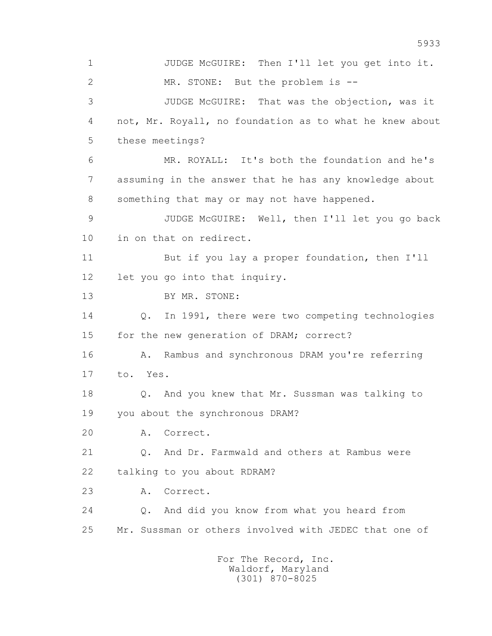1 JUDGE McGUIRE: Then I'll let you get into it. 2 MR. STONE: But the problem is -- 3 JUDGE McGUIRE: That was the objection, was it 4 not, Mr. Royall, no foundation as to what he knew about 5 these meetings? 6 MR. ROYALL: It's both the foundation and he's 7 assuming in the answer that he has any knowledge about 8 something that may or may not have happened. 9 JUDGE McGUIRE: Well, then I'll let you go back 10 in on that on redirect. 11 But if you lay a proper foundation, then I'll 12 let you go into that inquiry. 13 BY MR. STONE: 14 Q. In 1991, there were two competing technologies 15 for the new generation of DRAM; correct? 16 A. Rambus and synchronous DRAM you're referring 17 to. Yes. 18 Q. And you knew that Mr. Sussman was talking to 19 you about the synchronous DRAM? 20 A. Correct. 21 Q. And Dr. Farmwald and others at Rambus were 22 talking to you about RDRAM? 23 A. Correct. 24 Q. And did you know from what you heard from 25 Mr. Sussman or others involved with JEDEC that one of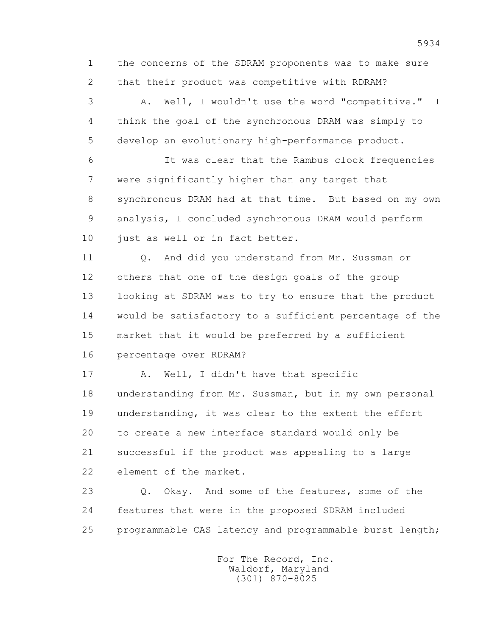1 the concerns of the SDRAM proponents was to make sure 2 that their product was competitive with RDRAM?

 3 A. Well, I wouldn't use the word "competitive." I 4 think the goal of the synchronous DRAM was simply to 5 develop an evolutionary high-performance product.

 6 It was clear that the Rambus clock frequencies 7 were significantly higher than any target that 8 synchronous DRAM had at that time. But based on my own 9 analysis, I concluded synchronous DRAM would perform 10 just as well or in fact better.

11 O. And did you understand from Mr. Sussman or 12 others that one of the design goals of the group 13 looking at SDRAM was to try to ensure that the product 14 would be satisfactory to a sufficient percentage of the 15 market that it would be preferred by a sufficient 16 percentage over RDRAM?

17 A. Well, I didn't have that specific 18 understanding from Mr. Sussman, but in my own personal 19 understanding, it was clear to the extent the effort 20 to create a new interface standard would only be 21 successful if the product was appealing to a large 22 element of the market.

23 Q. Okay. And some of the features, some of the 24 features that were in the proposed SDRAM included 25 programmable CAS latency and programmable burst length;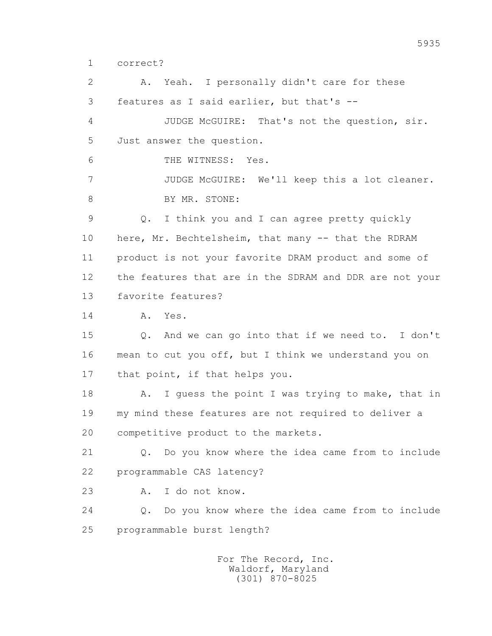1 correct?

 2 A. Yeah. I personally didn't care for these 3 features as I said earlier, but that's -- 4 JUDGE McGUIRE: That's not the question, sir. 5 Just answer the question. 6 THE WITNESS: Yes. 7 JUDGE McGUIRE: We'll keep this a lot cleaner. 8 BY MR. STONE: 9 Q. I think you and I can agree pretty quickly 10 here, Mr. Bechtelsheim, that many -- that the RDRAM 11 product is not your favorite DRAM product and some of 12 the features that are in the SDRAM and DDR are not your 13 favorite features? 14 A. Yes. 15 Q. And we can go into that if we need to. I don't 16 mean to cut you off, but I think we understand you on 17 that point, if that helps you. 18 A. I guess the point I was trying to make, that in 19 my mind these features are not required to deliver a 20 competitive product to the markets. 21 Q. Do you know where the idea came from to include 22 programmable CAS latency? 23 A. I do not know. 24 Q. Do you know where the idea came from to include 25 programmable burst length?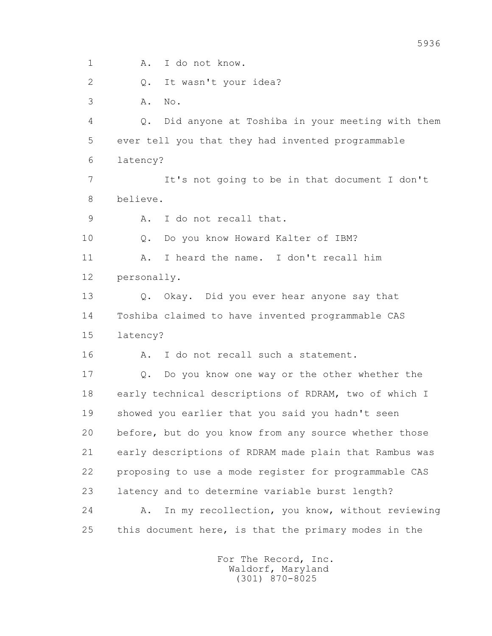1 A. I do not know.

2 Q. It wasn't your idea?

3 A. No.

 4 Q. Did anyone at Toshiba in your meeting with them 5 ever tell you that they had invented programmable 6 latency?

 7 It's not going to be in that document I don't 8 believe.

9 A. I do not recall that.

10 Q. Do you know Howard Kalter of IBM?

 11 A. I heard the name. I don't recall him 12 personally.

 13 Q. Okay. Did you ever hear anyone say that 14 Toshiba claimed to have invented programmable CAS 15 latency?

16 A. I do not recall such a statement.

 17 Q. Do you know one way or the other whether the 18 early technical descriptions of RDRAM, two of which I 19 showed you earlier that you said you hadn't seen 20 before, but do you know from any source whether those 21 early descriptions of RDRAM made plain that Rambus was 22 proposing to use a mode register for programmable CAS 23 latency and to determine variable burst length? 24 A. In my recollection, you know, without reviewing 25 this document here, is that the primary modes in the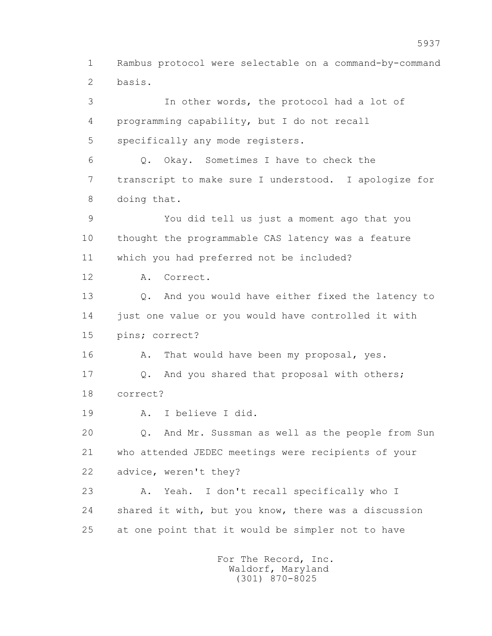1 Rambus protocol were selectable on a command-by-command 2 basis. 3 In other words, the protocol had a lot of 4 programming capability, but I do not recall 5 specifically any mode registers. 6 Q. Okay. Sometimes I have to check the 7 transcript to make sure I understood. I apologize for 8 doing that. 9 You did tell us just a moment ago that you 10 thought the programmable CAS latency was a feature 11 which you had preferred not be included? 12 A. Correct. 13 Q. And you would have either fixed the latency to 14 just one value or you would have controlled it with 15 pins; correct? 16 A. That would have been my proposal, yes. 17 Q. And you shared that proposal with others; 18 correct? 19 A. I believe I did. 20 Q. And Mr. Sussman as well as the people from Sun 21 who attended JEDEC meetings were recipients of your 22 advice, weren't they? 23 A. Yeah. I don't recall specifically who I 24 shared it with, but you know, there was a discussion 25 at one point that it would be simpler not to have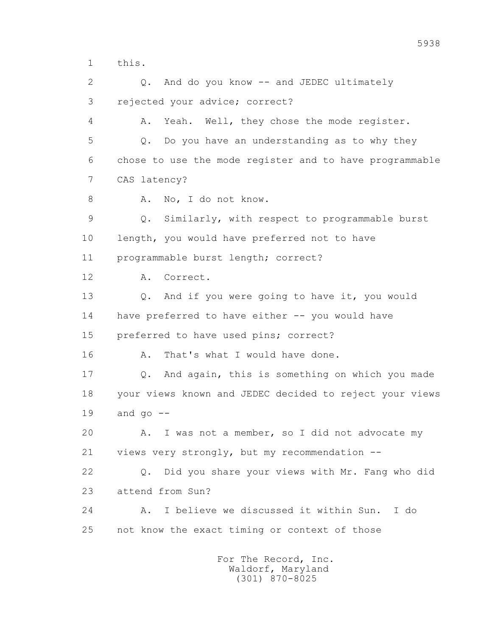1 this.

 2 Q. And do you know -- and JEDEC ultimately 3 rejected your advice; correct? 4 A. Yeah. Well, they chose the mode register. 5 Q. Do you have an understanding as to why they 6 chose to use the mode register and to have programmable 7 CAS latency? 8 A. No, I do not know. 9 Q. Similarly, with respect to programmable burst 10 length, you would have preferred not to have 11 programmable burst length; correct? 12 A. Correct. 13 Q. And if you were going to have it, you would 14 have preferred to have either -- you would have 15 preferred to have used pins; correct? 16 A. That's what I would have done. 17 Q. And again, this is something on which you made 18 your views known and JEDEC decided to reject your views  $19$  and  $90$   $-$  20 A. I was not a member, so I did not advocate my 21 views very strongly, but my recommendation -- 22 Q. Did you share your views with Mr. Fang who did 23 attend from Sun? 24 A. I believe we discussed it within Sun. I do 25 not know the exact timing or context of those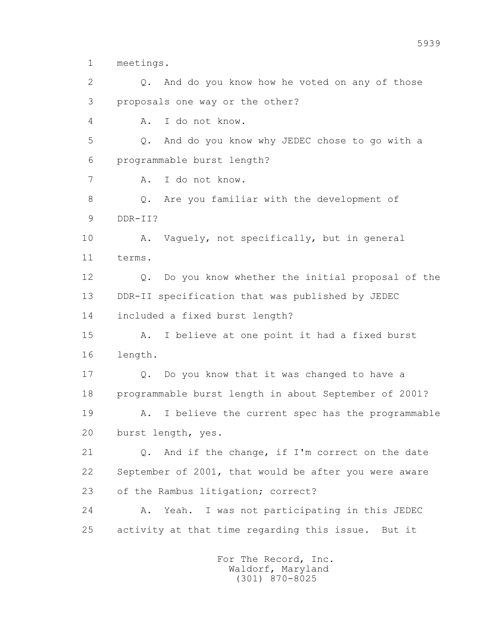1 meetings.

 2 Q. And do you know how he voted on any of those 3 proposals one way or the other? 4 A. I do not know. 5 Q. And do you know why JEDEC chose to go with a 6 programmable burst length? 7 A. I do not know. 8 Q. Are you familiar with the development of 9 DDR-II? 10 A. Vaguely, not specifically, but in general 11 terms. 12 Q. Do you know whether the initial proposal of the 13 DDR-II specification that was published by JEDEC 14 included a fixed burst length? 15 A. I believe at one point it had a fixed burst 16 length. 17 Q. Do you know that it was changed to have a 18 programmable burst length in about September of 2001? 19 A. I believe the current spec has the programmable 20 burst length, yes. 21 Q. And if the change, if I'm correct on the date 22 September of 2001, that would be after you were aware 23 of the Rambus litigation; correct? 24 A. Yeah. I was not participating in this JEDEC 25 activity at that time regarding this issue. But it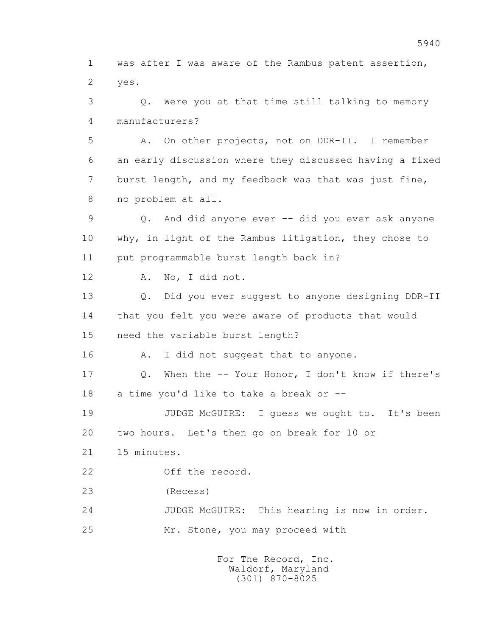1 was after I was aware of the Rambus patent assertion, 2 yes. 3 Q. Were you at that time still talking to memory 4 manufacturers? 5 A. On other projects, not on DDR-II. I remember 6 an early discussion where they discussed having a fixed 7 burst length, and my feedback was that was just fine, 8 no problem at all. 9 Q. And did anyone ever -- did you ever ask anyone 10 why, in light of the Rambus litigation, they chose to 11 put programmable burst length back in? 12 A. No, I did not. 13 Q. Did you ever suggest to anyone designing DDR-II 14 that you felt you were aware of products that would 15 need the variable burst length? 16 A. I did not suggest that to anyone. 17 Q. When the -- Your Honor, I don't know if there's 18 a time you'd like to take a break or -- 19 JUDGE McGUIRE: I guess we ought to. It's been 20 two hours. Let's then go on break for 10 or 21 15 minutes. 22 Off the record. 23 (Recess) 24 JUDGE McGUIRE: This hearing is now in order.

25 Mr. Stone, you may proceed with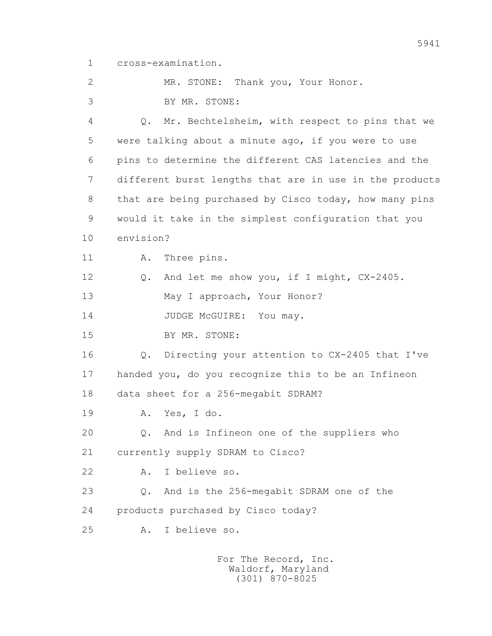1 cross-examination.

2 MR. STONE: Thank you, Your Honor.

3 BY MR. STONE:

 4 Q. Mr. Bechtelsheim, with respect to pins that we 5 were talking about a minute ago, if you were to use 6 pins to determine the different CAS latencies and the 7 different burst lengths that are in use in the products 8 that are being purchased by Cisco today, how many pins 9 would it take in the simplest configuration that you 10 envision? 11 A. Three pins. 12 Q. And let me show you, if I might, CX-2405. 13 May I approach, Your Honor? 14 JUDGE McGUIRE: You may. 15 BY MR. STONE: 16 Q. Directing your attention to CX-2405 that I've 17 handed you, do you recognize this to be an Infineon 18 data sheet for a 256-megabit SDRAM? 19 A. Yes, I do. 20 Q. And is Infineon one of the suppliers who 21 currently supply SDRAM to Cisco? 22 A. I believe so. 23 Q. And is the 256-megabit SDRAM one of the 24 products purchased by Cisco today? 25 A. I believe so.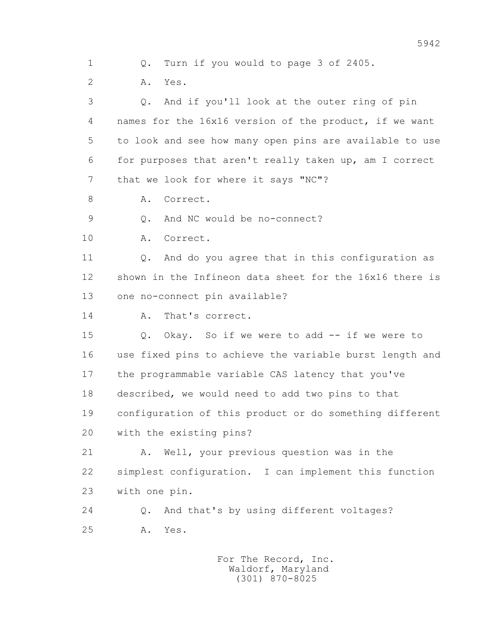1 Q. Turn if you would to page 3 of 2405. 2 A. Yes. 3 Q. And if you'll look at the outer ring of pin 4 names for the 16x16 version of the product, if we want 5 to look and see how many open pins are available to use 6 for purposes that aren't really taken up, am I correct 7 that we look for where it says "NC"? 8 A. Correct. 9 Q. And NC would be no-connect? 10 A. Correct. 11 0. And do you agree that in this configuration as 12 shown in the Infineon data sheet for the 16x16 there is 13 one no-connect pin available? 14 A. That's correct. 15 Q. Okay. So if we were to add -- if we were to 16 use fixed pins to achieve the variable burst length and 17 the programmable variable CAS latency that you've 18 described, we would need to add two pins to that 19 configuration of this product or do something different 20 with the existing pins? 21 A. Well, your previous question was in the 22 simplest configuration. I can implement this function 23 with one pin. 24 Q. And that's by using different voltages? 25 A. Yes.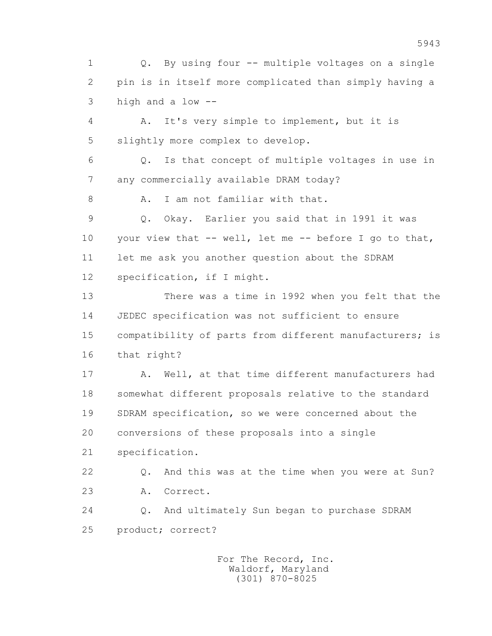1 Q. By using four -- multiple voltages on a single 2 pin is in itself more complicated than simply having a 3 high and a low --

 4 A. It's very simple to implement, but it is 5 slightly more complex to develop.

 6 Q. Is that concept of multiple voltages in use in 7 any commercially available DRAM today?

8 A. I am not familiar with that.

 9 Q. Okay. Earlier you said that in 1991 it was 10 your view that -- well, let me -- before I go to that, 11 let me ask you another question about the SDRAM 12 specification, if I might.

 13 There was a time in 1992 when you felt that the 14 JEDEC specification was not sufficient to ensure 15 compatibility of parts from different manufacturers; is 16 that right?

 17 A. Well, at that time different manufacturers had 18 somewhat different proposals relative to the standard 19 SDRAM specification, so we were concerned about the 20 conversions of these proposals into a single 21 specification.

 22 Q. And this was at the time when you were at Sun? 23 A. Correct.

 24 Q. And ultimately Sun began to purchase SDRAM 25 product; correct?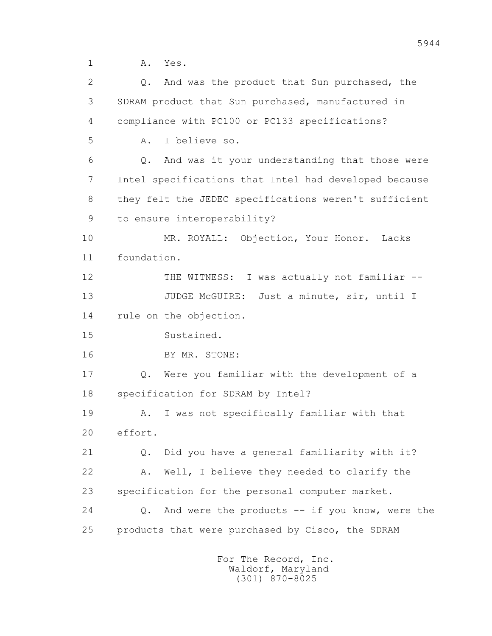1 A. Yes.

| $\overline{2}$ | And was the product that Sun purchased, the<br>$\circ$ .          |
|----------------|-------------------------------------------------------------------|
| 3              | SDRAM product that Sun purchased, manufactured in                 |
| 4              | compliance with PC100 or PC133 specifications?                    |
| 5              | I believe so.<br>Α.                                               |
| 6              | And was it your understanding that those were<br>$Q$ .            |
| 7              | Intel specifications that Intel had developed because             |
| 8              | they felt the JEDEC specifications weren't sufficient             |
| 9              | to ensure interoperability?                                       |
| 10             | MR. ROYALL: Objection, Your Honor.<br>Lacks                       |
| 11             | foundation.                                                       |
| 12             | I was actually not familiar --<br>THE WITNESS:                    |
| 13             | JUDGE MCGUIRE:<br>Just a minute, sir, until I                     |
| 14             | rule on the objection.                                            |
| 15             | Sustained.                                                        |
| 16             | BY MR. STONE:                                                     |
| 17             | Were you familiar with the development of a<br>Q.                 |
| 18             | specification for SDRAM by Intel?                                 |
| 19             | I was not specifically familiar with that<br>Α.                   |
| 20             | effort.                                                           |
| 21             | Did you have a general familiarity with it?<br>$Q$ .              |
| 22             | Well, I believe they needed to clarify the<br>Α.                  |
| 23             | specification for the personal computer market.                   |
| 24             | And were the products $--$ if you know, were the<br>$Q_{\bullet}$ |
| 25             | products that were purchased by Cisco, the SDRAM                  |
|                | For The Record, Inc.                                              |

Waldorf, Maryland (301) 870-8025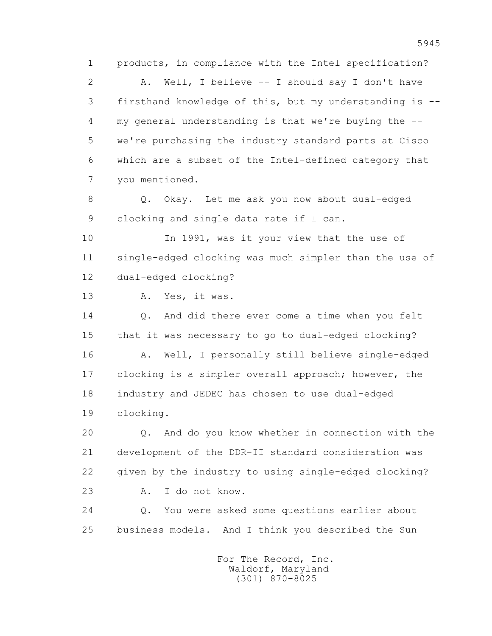1 products, in compliance with the Intel specification? 2 A. Well, I believe -- I should say I don't have 3 firsthand knowledge of this, but my understanding is -- 4 my general understanding is that we're buying the -- 5 we're purchasing the industry standard parts at Cisco 6 which are a subset of the Intel-defined category that 7 you mentioned. 8 Q. Okay. Let me ask you now about dual-edged 9 clocking and single data rate if I can. 10 In 1991, was it your view that the use of 11 single-edged clocking was much simpler than the use of 12 dual-edged clocking? 13 A. Yes, it was. 14 0. And did there ever come a time when you felt 15 that it was necessary to go to dual-edged clocking? 16 A. Well, I personally still believe single-edged 17 clocking is a simpler overall approach; however, the 18 industry and JEDEC has chosen to use dual-edged 19 clocking. 20 Q. And do you know whether in connection with the 21 development of the DDR-II standard consideration was 22 given by the industry to using single-edged clocking? 23 A. I do not know. 24 Q. You were asked some questions earlier about 25 business models. And I think you described the Sun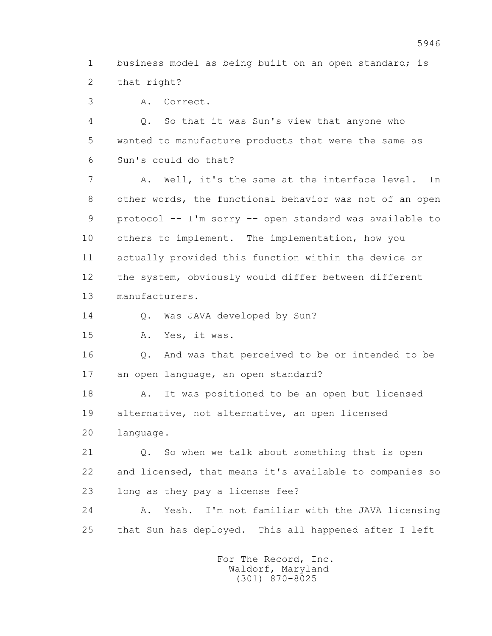1 business model as being built on an open standard; is 2 that right?

3 A. Correct.

 4 Q. So that it was Sun's view that anyone who 5 wanted to manufacture products that were the same as 6 Sun's could do that?

 7 A. Well, it's the same at the interface level. In 8 other words, the functional behavior was not of an open 9 protocol -- I'm sorry -- open standard was available to 10 others to implement. The implementation, how you 11 actually provided this function within the device or 12 the system, obviously would differ between different 13 manufacturers.

14 O. Was JAVA developed by Sun?

15 A. Yes, it was.

 16 Q. And was that perceived to be or intended to be 17 an open language, an open standard?

 18 A. It was positioned to be an open but licensed 19 alternative, not alternative, an open licensed 20 language.

 21 Q. So when we talk about something that is open 22 and licensed, that means it's available to companies so 23 long as they pay a license fee?

 24 A. Yeah. I'm not familiar with the JAVA licensing 25 that Sun has deployed. This all happened after I left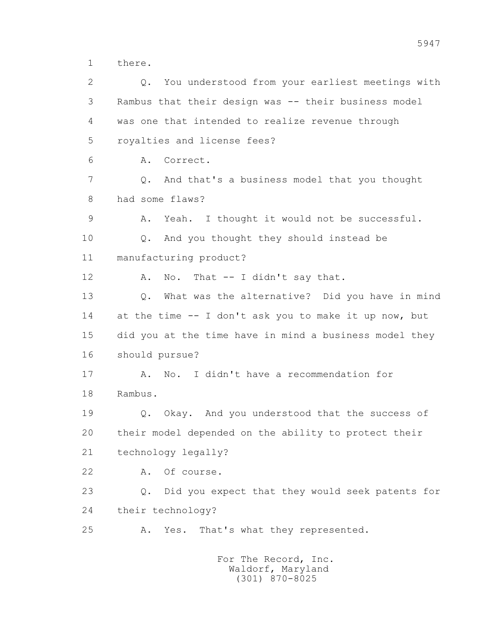1 there.

 2 Q. You understood from your earliest meetings with 3 Rambus that their design was -- their business model 4 was one that intended to realize revenue through 5 royalties and license fees? 6 A. Correct. 7 Q. And that's a business model that you thought 8 had some flaws? 9 A. Yeah. I thought it would not be successful. 10 Q. And you thought they should instead be 11 manufacturing product? 12 A. No. That -- I didn't say that. 13 Q. What was the alternative? Did you have in mind 14 at the time -- I don't ask you to make it up now, but 15 did you at the time have in mind a business model they 16 should pursue? 17 A. No. I didn't have a recommendation for 18 Rambus. 19 Q. Okay. And you understood that the success of 20 their model depended on the ability to protect their 21 technology legally? 22 A. Of course. 23 Q. Did you expect that they would seek patents for 24 their technology? 25 A. Yes. That's what they represented. For The Record, Inc. Waldorf, Maryland

5947

(301) 870-8025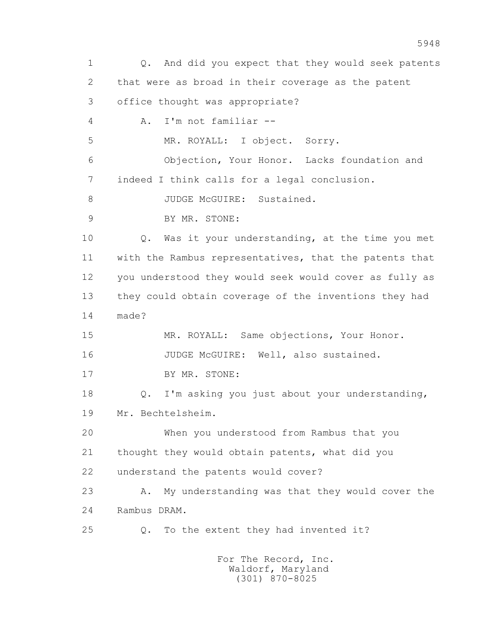1 Q. And did you expect that they would seek patents 2 that were as broad in their coverage as the patent 3 office thought was appropriate? 4 A. I'm not familiar -- 5 MR. ROYALL: I object. Sorry. 6 Objection, Your Honor. Lacks foundation and 7 indeed I think calls for a legal conclusion. 8 JUDGE McGUIRE: Sustained. 9 BY MR. STONE: 10 Q. Was it your understanding, at the time you met 11 with the Rambus representatives, that the patents that 12 you understood they would seek would cover as fully as 13 they could obtain coverage of the inventions they had 14 made? 15 MR. ROYALL: Same objections, Your Honor. 16 JUDGE McGUIRE: Well, also sustained. 17 BY MR. STONE: 18 Q. I'm asking you just about your understanding, 19 Mr. Bechtelsheim. 20 When you understood from Rambus that you 21 thought they would obtain patents, what did you 22 understand the patents would cover? 23 A. My understanding was that they would cover the 24 Rambus DRAM. 25 Q. To the extent they had invented it? For The Record, Inc.

 Waldorf, Maryland (301) 870-8025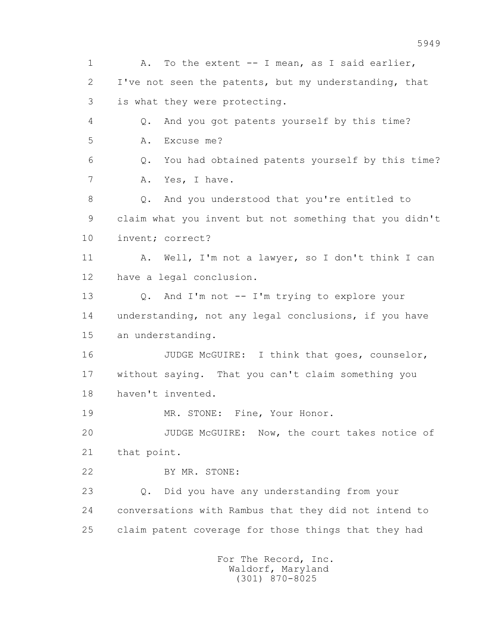1 A. To the extent -- I mean, as I said earlier, 2 I've not seen the patents, but my understanding, that 3 is what they were protecting. 4 Q. And you got patents yourself by this time? 5 A. Excuse me? 6 Q. You had obtained patents yourself by this time? 7 A. Yes, I have. 8 Q. And you understood that you're entitled to 9 claim what you invent but not something that you didn't 10 invent; correct? 11 A. Well, I'm not a lawyer, so I don't think I can 12 have a legal conclusion. 13 Q. And I'm not -- I'm trying to explore your 14 understanding, not any legal conclusions, if you have 15 an understanding. 16 JUDGE McGUIRE: I think that goes, counselor, 17 without saying. That you can't claim something you 18 haven't invented. 19 MR. STONE: Fine, Your Honor. 20 JUDGE McGUIRE: Now, the court takes notice of 21 that point. 22 BY MR. STONE: 23 Q. Did you have any understanding from your 24 conversations with Rambus that they did not intend to 25 claim patent coverage for those things that they had For The Record, Inc.

 Waldorf, Maryland (301) 870-8025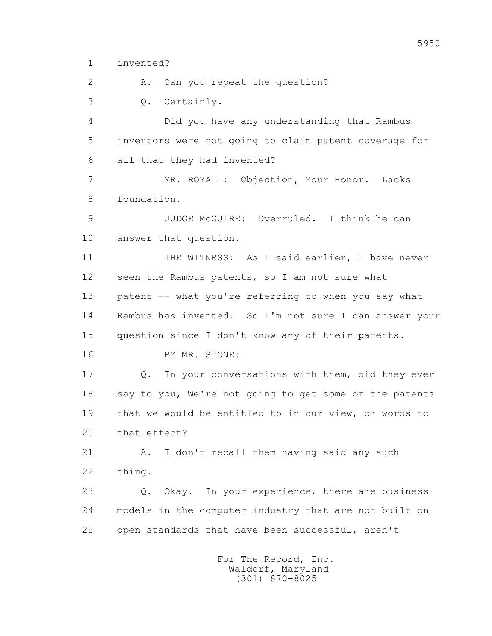1 invented?

2 A. Can you repeat the question?

3 Q. Certainly.

 4 Did you have any understanding that Rambus 5 inventors were not going to claim patent coverage for 6 all that they had invented?

 7 MR. ROYALL: Objection, Your Honor. Lacks 8 foundation.

 9 JUDGE McGUIRE: Overruled. I think he can 10 answer that question.

 11 THE WITNESS: As I said earlier, I have never 12 seen the Rambus patents, so I am not sure what 13 patent -- what you're referring to when you say what 14 Rambus has invented. So I'm not sure I can answer your 15 question since I don't know any of their patents.

16 BY MR. STONE:

 17 Q. In your conversations with them, did they ever 18 say to you, We're not going to get some of the patents 19 that we would be entitled to in our view, or words to 20 that effect?

21 A. I don't recall them having said any such 22 thing.

 23 Q. Okay. In your experience, there are business 24 models in the computer industry that are not built on 25 open standards that have been successful, aren't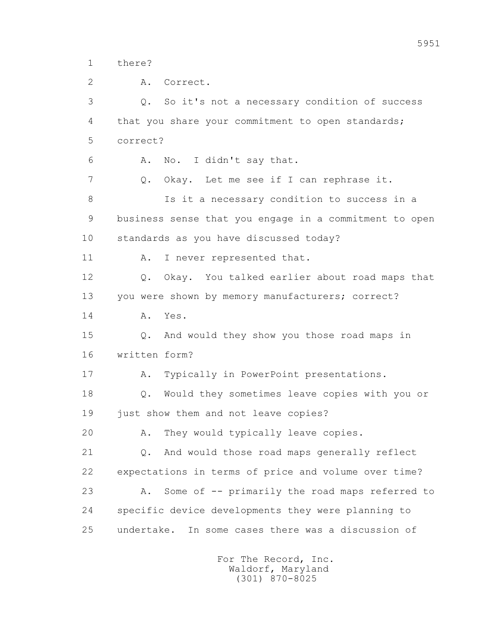1 there?

 2 A. Correct. 3 Q. So it's not a necessary condition of success 4 that you share your commitment to open standards; 5 correct? 6 A. No. I didn't say that. 7 Q. Okay. Let me see if I can rephrase it. 8 Is it a necessary condition to success in a 9 business sense that you engage in a commitment to open 10 standards as you have discussed today? 11 A. I never represented that. 12 Q. Okay. You talked earlier about road maps that 13 you were shown by memory manufacturers; correct? 14 A. Yes. 15 Q. And would they show you those road maps in 16 written form? 17 A. Typically in PowerPoint presentations. 18 Q. Would they sometimes leave copies with you or 19 just show them and not leave copies? 20 A. They would typically leave copies. 21 Q. And would those road maps generally reflect 22 expectations in terms of price and volume over time? 23 A. Some of -- primarily the road maps referred to 24 specific device developments they were planning to 25 undertake. In some cases there was a discussion of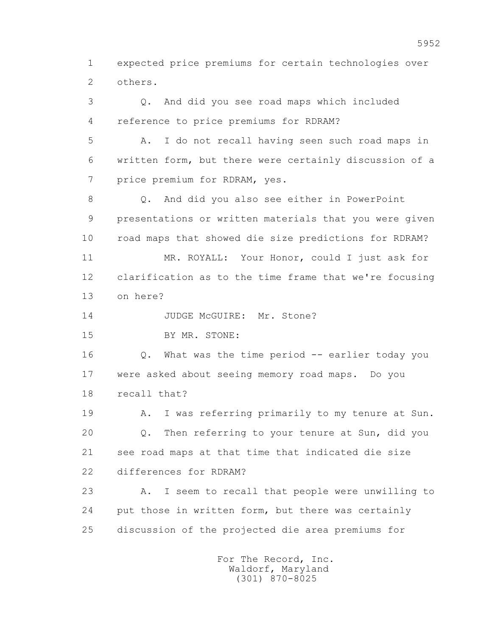1 expected price premiums for certain technologies over 2 others.

 3 Q. And did you see road maps which included 4 reference to price premiums for RDRAM? 5 A. I do not recall having seen such road maps in 6 written form, but there were certainly discussion of a 7 price premium for RDRAM, yes. 8 Q. And did you also see either in PowerPoint 9 presentations or written materials that you were given 10 road maps that showed die size predictions for RDRAM? 11 MR. ROYALL: Your Honor, could I just ask for 12 clarification as to the time frame that we're focusing 13 on here? 14 JUDGE McGUIRE: Mr. Stone? 15 BY MR. STONE: 16 Q. What was the time period -- earlier today you 17 were asked about seeing memory road maps. Do you 18 recall that? 19 A. I was referring primarily to my tenure at Sun. 20 Q. Then referring to your tenure at Sun, did you 21 see road maps at that time that indicated die size 22 differences for RDRAM? 23 A. I seem to recall that people were unwilling to 24 put those in written form, but there was certainly 25 discussion of the projected die area premiums for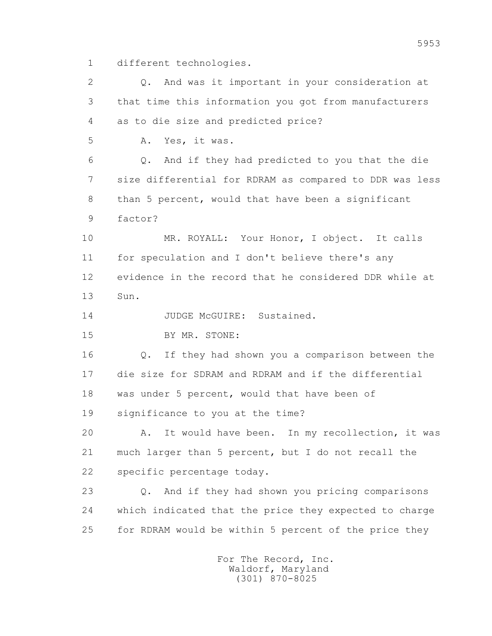1 different technologies.

 2 Q. And was it important in your consideration at 3 that time this information you got from manufacturers 4 as to die size and predicted price? 5 A. Yes, it was. 6 Q. And if they had predicted to you that the die 7 size differential for RDRAM as compared to DDR was less 8 than 5 percent, would that have been a significant 9 factor? 10 MR. ROYALL: Your Honor, I object. It calls 11 for speculation and I don't believe there's any 12 evidence in the record that he considered DDR while at 13 Sun. 14 JUDGE McGUIRE: Sustained. 15 BY MR. STONE: 16 Q. If they had shown you a comparison between the 17 die size for SDRAM and RDRAM and if the differential 18 was under 5 percent, would that have been of 19 significance to you at the time? 20 A. It would have been. In my recollection, it was 21 much larger than 5 percent, but I do not recall the 22 specific percentage today. 23 Q. And if they had shown you pricing comparisons 24 which indicated that the price they expected to charge 25 for RDRAM would be within 5 percent of the price they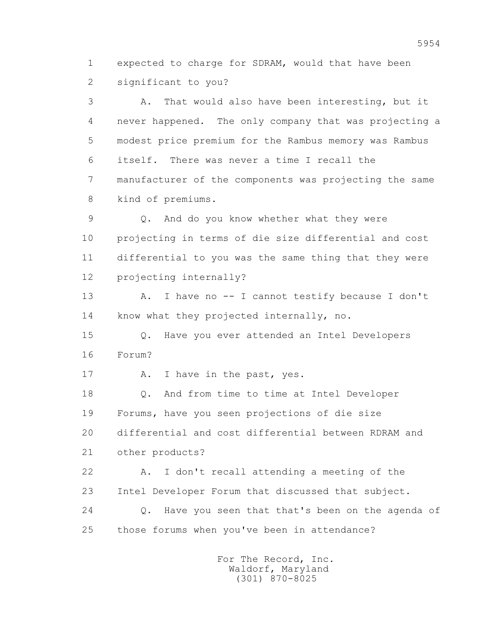1 expected to charge for SDRAM, would that have been 2 significant to you?

 3 A. That would also have been interesting, but it 4 never happened. The only company that was projecting a 5 modest price premium for the Rambus memory was Rambus 6 itself. There was never a time I recall the 7 manufacturer of the components was projecting the same 8 kind of premiums.

 9 Q. And do you know whether what they were 10 projecting in terms of die size differential and cost 11 differential to you was the same thing that they were 12 projecting internally?

 13 A. I have no -- I cannot testify because I don't 14 know what they projected internally, no.

 15 Q. Have you ever attended an Intel Developers 16 Forum?

17 A. I have in the past, yes.

 18 Q. And from time to time at Intel Developer 19 Forums, have you seen projections of die size 20 differential and cost differential between RDRAM and 21 other products?

 22 A. I don't recall attending a meeting of the 23 Intel Developer Forum that discussed that subject. 24 Q. Have you seen that that's been on the agenda of 25 those forums when you've been in attendance?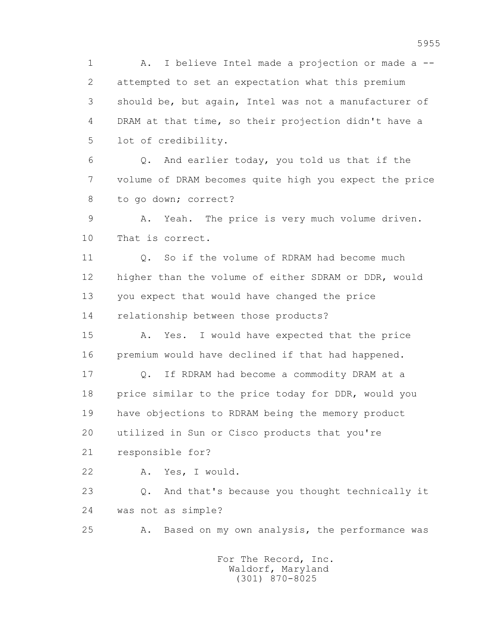1 A. I believe Intel made a projection or made a -- 2 attempted to set an expectation what this premium 3 should be, but again, Intel was not a manufacturer of 4 DRAM at that time, so their projection didn't have a 5 lot of credibility.

 6 Q. And earlier today, you told us that if the 7 volume of DRAM becomes quite high you expect the price 8 to go down; correct?

 9 A. Yeah. The price is very much volume driven. 10 That is correct.

 11 Q. So if the volume of RDRAM had become much 12 higher than the volume of either SDRAM or DDR, would 13 you expect that would have changed the price 14 relationship between those products?

 15 A. Yes. I would have expected that the price 16 premium would have declined if that had happened.

 17 Q. If RDRAM had become a commodity DRAM at a 18 price similar to the price today for DDR, would you 19 have objections to RDRAM being the memory product 20 utilized in Sun or Cisco products that you're

21 responsible for?

22 A. Yes, I would.

 23 Q. And that's because you thought technically it 24 was not as simple?

25 A. Based on my own analysis, the performance was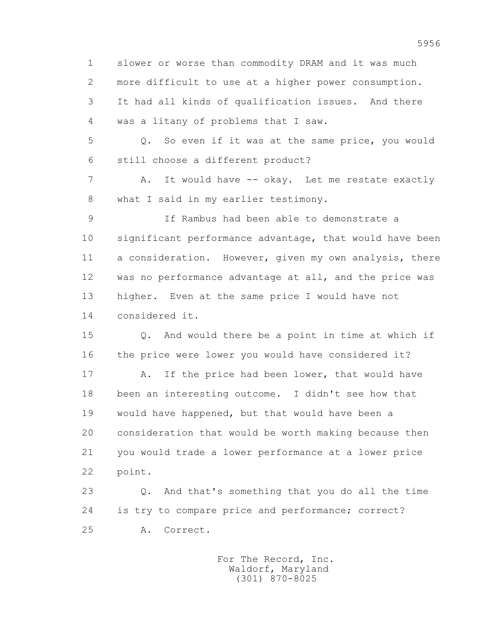1 slower or worse than commodity DRAM and it was much 2 more difficult to use at a higher power consumption. 3 It had all kinds of qualification issues. And there 4 was a litany of problems that I saw.

 5 Q. So even if it was at the same price, you would 6 still choose a different product?

7 A. It would have -- okay. Let me restate exactly 8 what I said in my earlier testimony.

 9 If Rambus had been able to demonstrate a 10 significant performance advantage, that would have been 11 a consideration. However, given my own analysis, there 12 was no performance advantage at all, and the price was 13 higher. Even at the same price I would have not 14 considered it.

 15 Q. And would there be a point in time at which if 16 the price were lower you would have considered it?

17 A. If the price had been lower, that would have 18 been an interesting outcome. I didn't see how that 19 would have happened, but that would have been a 20 consideration that would be worth making because then 21 you would trade a lower performance at a lower price 22 point.

 23 Q. And that's something that you do all the time 24 is try to compare price and performance; correct? 25 A. Correct.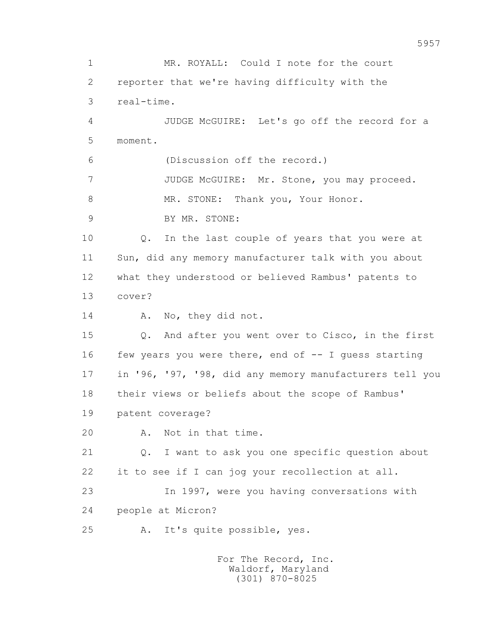1 MR. ROYALL: Could I note for the court 2 reporter that we're having difficulty with the 3 real-time. 4 JUDGE McGUIRE: Let's go off the record for a 5 moment. 6 (Discussion off the record.) 7 JUDGE McGUIRE: Mr. Stone, you may proceed. 8 MR. STONE: Thank you, Your Honor. 9 BY MR. STONE: 10 Q. In the last couple of years that you were at 11 Sun, did any memory manufacturer talk with you about 12 what they understood or believed Rambus' patents to 13 cover? 14 A. No, they did not. 15 Q. And after you went over to Cisco, in the first 16 few years you were there, end of -- I quess starting 17 in '96, '97, '98, did any memory manufacturers tell you 18 their views or beliefs about the scope of Rambus' 19 patent coverage? 20 A. Not in that time. 21 Q. I want to ask you one specific question about 22 it to see if I can jog your recollection at all. 23 In 1997, were you having conversations with 24 people at Micron? 25 A. It's quite possible, yes. For The Record, Inc.

 Waldorf, Maryland (301) 870-8025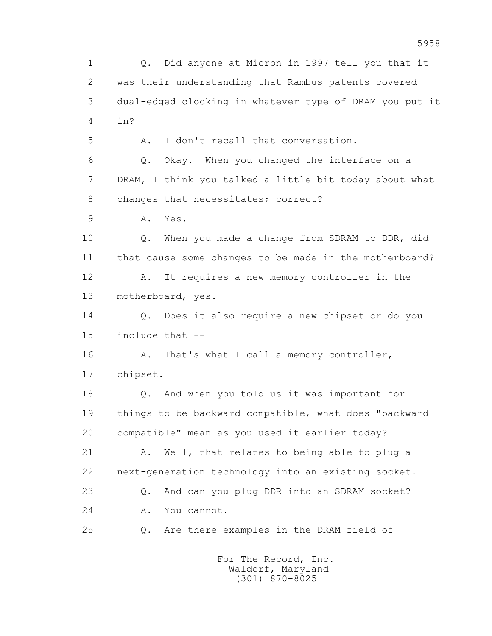1 Q. Did anyone at Micron in 1997 tell you that it 2 was their understanding that Rambus patents covered 3 dual-edged clocking in whatever type of DRAM you put it 4 in? 5 A. I don't recall that conversation. 6 Q. Okay. When you changed the interface on a 7 DRAM, I think you talked a little bit today about what 8 changes that necessitates; correct? 9 A. Yes. 10 Q. When you made a change from SDRAM to DDR, did 11 that cause some changes to be made in the motherboard? 12 A. It requires a new memory controller in the 13 motherboard, yes. 14 Q. Does it also require a new chipset or do you 15 include that -- 16 A. That's what I call a memory controller, 17 chipset. 18 Q. And when you told us it was important for 19 things to be backward compatible, what does "backward 20 compatible" mean as you used it earlier today? 21 A. Well, that relates to being able to plug a 22 next-generation technology into an existing socket. 23 Q. And can you plug DDR into an SDRAM socket? 24 A. You cannot. 25 Q. Are there examples in the DRAM field of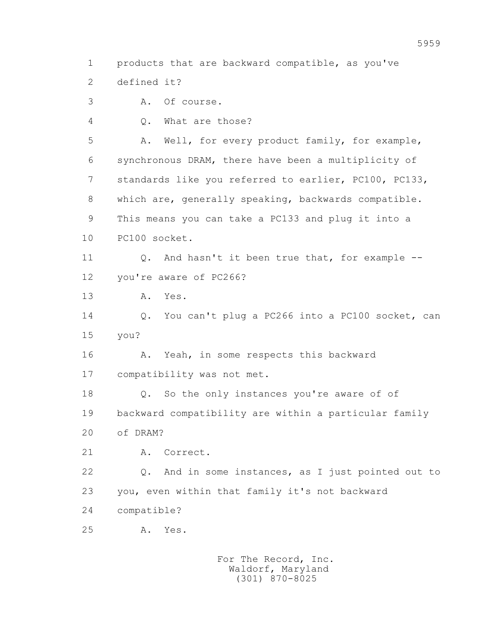1 products that are backward compatible, as you've

2 defined it?

3 A. Of course.

4 Q. What are those?

 5 A. Well, for every product family, for example, 6 synchronous DRAM, there have been a multiplicity of 7 standards like you referred to earlier, PC100, PC133, 8 which are, generally speaking, backwards compatible. 9 This means you can take a PC133 and plug it into a 10 PC100 socket.

11 Q. And hasn't it been true that, for example --12 you're aware of PC266?

13 A. Yes.

 14 Q. You can't plug a PC266 into a PC100 socket, can 15 you?

 16 A. Yeah, in some respects this backward 17 compatibility was not met.

 18 Q. So the only instances you're aware of of 19 backward compatibility are within a particular family 20 of DRAM?

21 A. Correct.

 22 Q. And in some instances, as I just pointed out to 23 you, even within that family it's not backward 24 compatible?

25 A. Yes.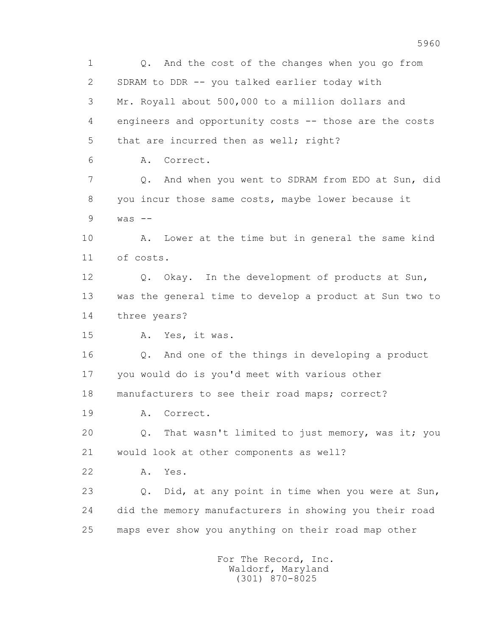1 Q. And the cost of the changes when you go from 2 SDRAM to DDR -- you talked earlier today with 3 Mr. Royall about 500,000 to a million dollars and 4 engineers and opportunity costs -- those are the costs 5 that are incurred then as well; right? 6 A. Correct. 7 Q. And when you went to SDRAM from EDO at Sun, did 8 you incur those same costs, maybe lower because it  $9$  was  $-$  10 A. Lower at the time but in general the same kind 11 of costs. 12 Q. Okay. In the development of products at Sun, 13 was the general time to develop a product at Sun two to 14 three years? 15 A. Yes, it was. 16 Q. And one of the things in developing a product 17 you would do is you'd meet with various other 18 manufacturers to see their road maps; correct? 19 A. Correct. 20 Q. That wasn't limited to just memory, was it; you 21 would look at other components as well? 22 A. Yes. 23 Q. Did, at any point in time when you were at Sun, 24 did the memory manufacturers in showing you their road 25 maps ever show you anything on their road map other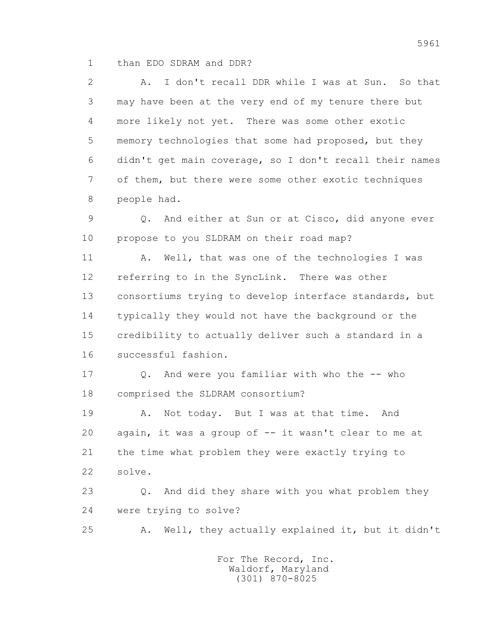1 than EDO SDRAM and DDR?

 2 A. I don't recall DDR while I was at Sun. So that 3 may have been at the very end of my tenure there but 4 more likely not yet. There was some other exotic 5 memory technologies that some had proposed, but they 6 didn't get main coverage, so I don't recall their names 7 of them, but there were some other exotic techniques 8 people had.

 9 Q. And either at Sun or at Cisco, did anyone ever 10 propose to you SLDRAM on their road map?

11 A. Well, that was one of the technologies I was 12 referring to in the SyncLink. There was other 13 consortiums trying to develop interface standards, but 14 typically they would not have the background or the 15 credibility to actually deliver such a standard in a 16 successful fashion.

17 Q. And were you familiar with who the -- who 18 comprised the SLDRAM consortium?

 19 A. Not today. But I was at that time. And 20 again, it was a group of -- it wasn't clear to me at 21 the time what problem they were exactly trying to 22 solve.

 23 Q. And did they share with you what problem they 24 were trying to solve?

25 A. Well, they actually explained it, but it didn't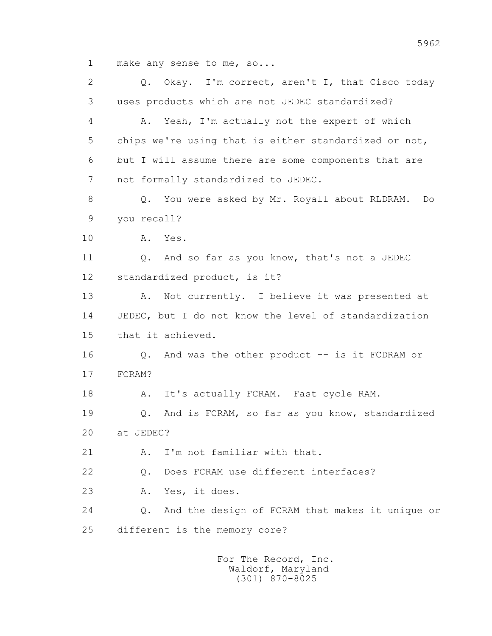1 make any sense to me, so...

 2 Q. Okay. I'm correct, aren't I, that Cisco today 3 uses products which are not JEDEC standardized? 4 A. Yeah, I'm actually not the expert of which 5 chips we're using that is either standardized or not, 6 but I will assume there are some components that are 7 not formally standardized to JEDEC. 8 Q. You were asked by Mr. Royall about RLDRAM. Do 9 you recall? 10 A. Yes. 11 0. And so far as you know, that's not a JEDEC 12 standardized product, is it? 13 A. Not currently. I believe it was presented at 14 JEDEC, but I do not know the level of standardization 15 that it achieved. 16 Q. And was the other product -- is it FCDRAM or 17 FCRAM? 18 A. It's actually FCRAM. Fast cycle RAM. 19 Q. And is FCRAM, so far as you know, standardized 20 at JEDEC? 21 A. I'm not familiar with that. 22 Q. Does FCRAM use different interfaces? 23 A. Yes, it does. 24 Q. And the design of FCRAM that makes it unique or 25 different is the memory core?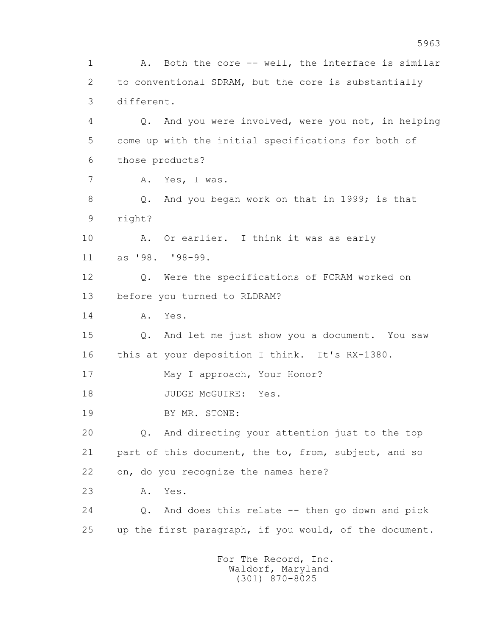1 A. Both the core -- well, the interface is similar 2 to conventional SDRAM, but the core is substantially 3 different. 4 Q. And you were involved, were you not, in helping 5 come up with the initial specifications for both of 6 those products? 7 A. Yes, I was. 8 Q. And you began work on that in 1999; is that 9 right? 10 A. Or earlier. I think it was as early 11 as '98. '98-99. 12 Q. Were the specifications of FCRAM worked on 13 before you turned to RLDRAM? 14 A. Yes. 15 Q. And let me just show you a document. You saw 16 this at your deposition I think. It's RX-1380. 17 May I approach, Your Honor? 18 JUDGE McGUIRE: Yes. 19 BY MR. STONE: 20 Q. And directing your attention just to the top 21 part of this document, the to, from, subject, and so 22 on, do you recognize the names here? 23 A. Yes. 24 Q. And does this relate -- then go down and pick 25 up the first paragraph, if you would, of the document.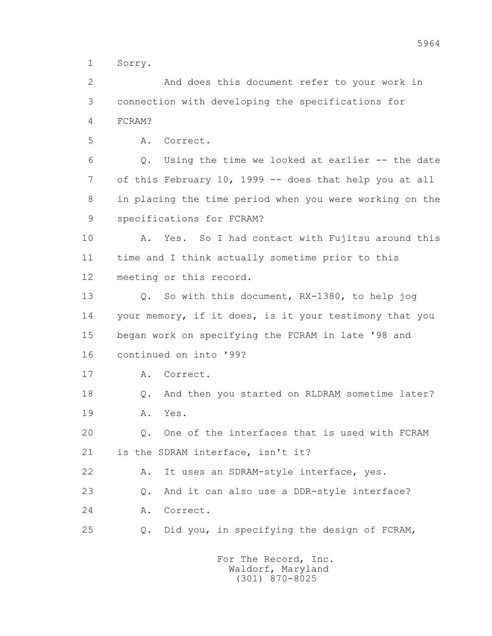1 Sorry.

 2 And does this document refer to your work in 3 connection with developing the specifications for 4 FCRAM?

5 A. Correct.

 6 Q. Using the time we looked at earlier -- the date 7 of this February 10, 1999 -- does that help you at all 8 in placing the time period when you were working on the 9 specifications for FCRAM?

 10 A. Yes. So I had contact with Fujitsu around this 11 time and I think actually sometime prior to this 12 meeting or this record.

 13 Q. So with this document, RX-1380, to help jog 14 your memory, if it does, is it your testimony that you 15 began work on specifying the FCRAM in late '98 and 16 continued on into '99?

17 A. Correct.

 18 Q. And then you started on RLDRAM sometime later? 19 A. Yes.

 20 Q. One of the interfaces that is used with FCRAM 21 is the SDRAM interface, isn't it?

22 A. It uses an SDRAM-style interface, yes.

23 0. And it can also use a DDR-style interface?

24 A. Correct.

25 Q. Did you, in specifying the design of FCRAM,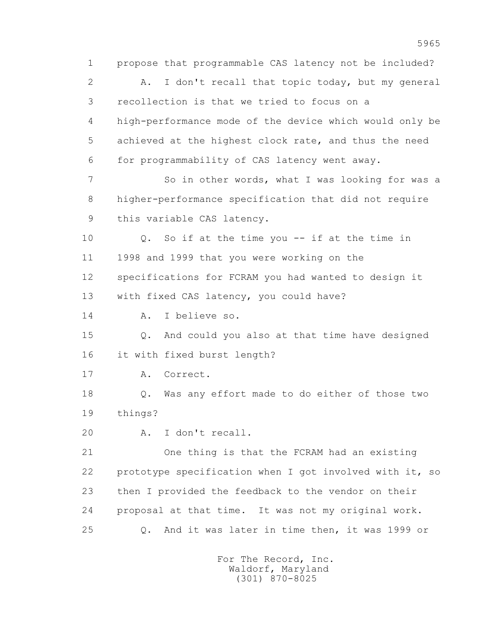1 propose that programmable CAS latency not be included? 2 A. I don't recall that topic today, but my general 3 recollection is that we tried to focus on a 4 high-performance mode of the device which would only be 5 achieved at the highest clock rate, and thus the need 6 for programmability of CAS latency went away. 7 So in other words, what I was looking for was a 8 higher-performance specification that did not require 9 this variable CAS latency. 10 Q. So if at the time you -- if at the time in 11 1998 and 1999 that you were working on the 12 specifications for FCRAM you had wanted to design it 13 with fixed CAS latency, you could have? 14 A. I believe so. 15 Q. And could you also at that time have designed 16 it with fixed burst length? 17 A. Correct. 18 Q. Was any effort made to do either of those two 19 things? 20 A. I don't recall. 21 One thing is that the FCRAM had an existing 22 prototype specification when I got involved with it, so 23 then I provided the feedback to the vendor on their 24 proposal at that time. It was not my original work. 25 Q. And it was later in time then, it was 1999 or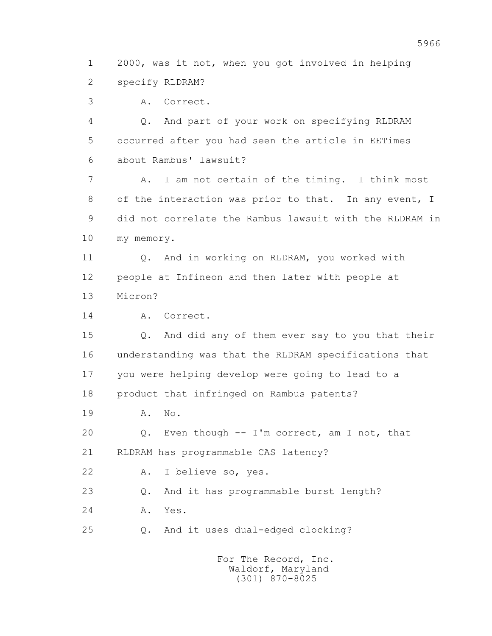1 2000, was it not, when you got involved in helping 2 specify RLDRAM?

3 A. Correct.

 4 Q. And part of your work on specifying RLDRAM 5 occurred after you had seen the article in EETimes 6 about Rambus' lawsuit?

 7 A. I am not certain of the timing. I think most 8 of the interaction was prior to that. In any event, I 9 did not correlate the Rambus lawsuit with the RLDRAM in 10 my memory.

 11 Q. And in working on RLDRAM, you worked with 12 people at Infineon and then later with people at 13 Micron?

14 A. Correct.

 15 Q. And did any of them ever say to you that their 16 understanding was that the RLDRAM specifications that 17 you were helping develop were going to lead to a 18 product that infringed on Rambus patents?

19 A. No.

 20 Q. Even though -- I'm correct, am I not, that 21 RLDRAM has programmable CAS latency?

22 A. I believe so, yes.

23 Q. And it has programmable burst length?

24 A. Yes.

25 Q. And it uses dual-edged clocking?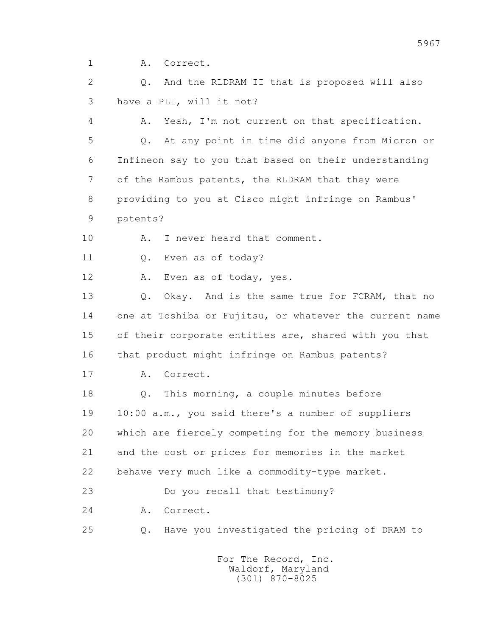1 A. Correct.

 2 Q. And the RLDRAM II that is proposed will also 3 have a PLL, will it not?

 4 A. Yeah, I'm not current on that specification. 5 Q. At any point in time did anyone from Micron or 6 Infineon say to you that based on their understanding 7 of the Rambus patents, the RLDRAM that they were 8 providing to you at Cisco might infringe on Rambus' 9 patents?

10 A. I never heard that comment.

11 0. Even as of today?

12 A. Even as of today, yes.

13 O. Okay. And is the same true for FCRAM, that no 14 one at Toshiba or Fujitsu, or whatever the current name 15 of their corporate entities are, shared with you that 16 that product might infringe on Rambus patents?

17 A. Correct.

 18 Q. This morning, a couple minutes before 19 10:00 a.m., you said there's a number of suppliers 20 which are fiercely competing for the memory business 21 and the cost or prices for memories in the market 22 behave very much like a commodity-type market.

23 Do you recall that testimony?

24 A. Correct.

25 Q. Have you investigated the pricing of DRAM to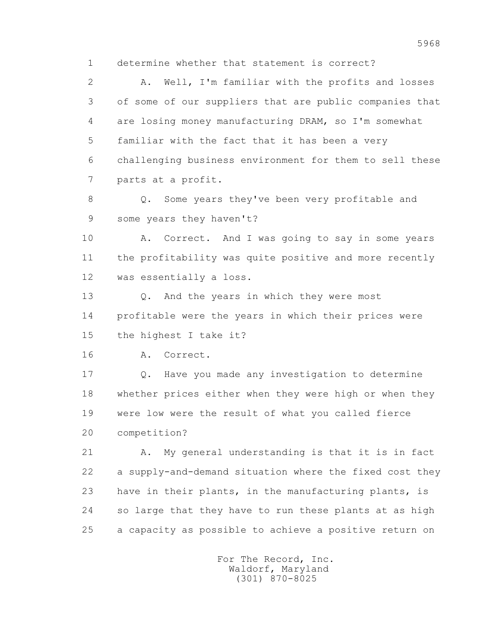1 determine whether that statement is correct?

 2 A. Well, I'm familiar with the profits and losses 3 of some of our suppliers that are public companies that 4 are losing money manufacturing DRAM, so I'm somewhat 5 familiar with the fact that it has been a very 6 challenging business environment for them to sell these 7 parts at a profit.

 8 Q. Some years they've been very profitable and 9 some years they haven't?

 10 A. Correct. And I was going to say in some years 11 the profitability was quite positive and more recently 12 was essentially a loss.

13 Q. And the years in which they were most 14 profitable were the years in which their prices were 15 the highest I take it?

16 A. Correct.

 17 Q. Have you made any investigation to determine 18 whether prices either when they were high or when they 19 were low were the result of what you called fierce 20 competition?

 21 A. My general understanding is that it is in fact 22 a supply-and-demand situation where the fixed cost they 23 have in their plants, in the manufacturing plants, is 24 so large that they have to run these plants at as high 25 a capacity as possible to achieve a positive return on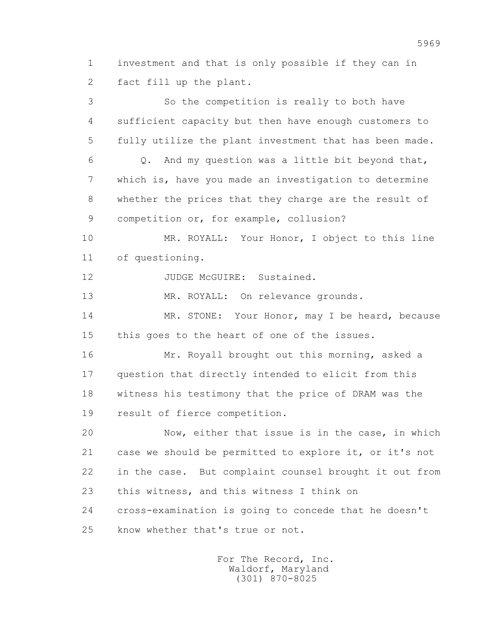1 investment and that is only possible if they can in 2 fact fill up the plant.

 3 So the competition is really to both have 4 sufficient capacity but then have enough customers to 5 fully utilize the plant investment that has been made.  $6$  Q. And my question was a little bit beyond that, 7 which is, have you made an investigation to determine 8 whether the prices that they charge are the result of 9 competition or, for example, collusion? 10 MR. ROYALL: Your Honor, I object to this line 11 of questioning. 12 JUDGE McGUIRE: Sustained. 13 MR. ROYALL: On relevance grounds. 14 MR. STONE: Your Honor, may I be heard, because 15 this goes to the heart of one of the issues. 16 Mr. Royall brought out this morning, asked a 17 question that directly intended to elicit from this 18 witness his testimony that the price of DRAM was the 19 result of fierce competition. 20 Now, either that issue is in the case, in which 21 case we should be permitted to explore it, or it's not 22 in the case. But complaint counsel brought it out from 23 this witness, and this witness I think on 24 cross-examination is going to concede that he doesn't 25 know whether that's true or not.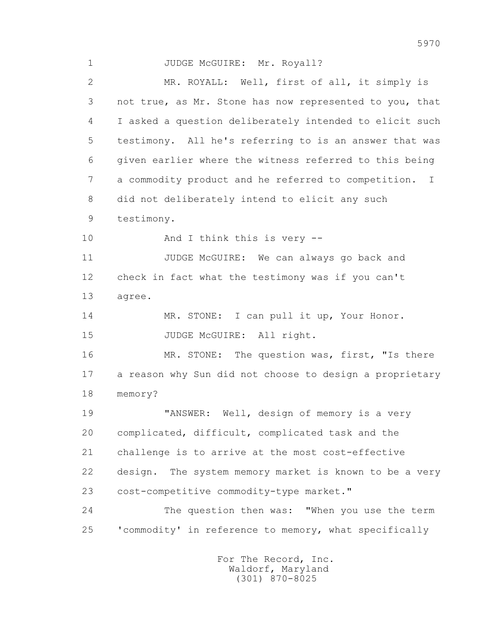1 JUDGE McGUIRE: Mr. Royall? 2 MR. ROYALL: Well, first of all, it simply is 3 not true, as Mr. Stone has now represented to you, that 4 I asked a question deliberately intended to elicit such 5 testimony. All he's referring to is an answer that was 6 given earlier where the witness referred to this being 7 a commodity product and he referred to competition. I 8 did not deliberately intend to elicit any such 9 testimony. 10 And I think this is very -- 11 JUDGE McGUIRE: We can always go back and 12 check in fact what the testimony was if you can't 13 agree. 14 MR. STONE: I can pull it up, Your Honor. 15 JUDGE McGUIRE: All right. 16 MR. STONE: The question was, first, "Is there 17 a reason why Sun did not choose to design a proprietary 18 memory? 19 "ANSWER: Well, design of memory is a very 20 complicated, difficult, complicated task and the 21 challenge is to arrive at the most cost-effective 22 design. The system memory market is known to be a very 23 cost-competitive commodity-type market." 24 The question then was: "When you use the term 25 'commodity' in reference to memory, what specifically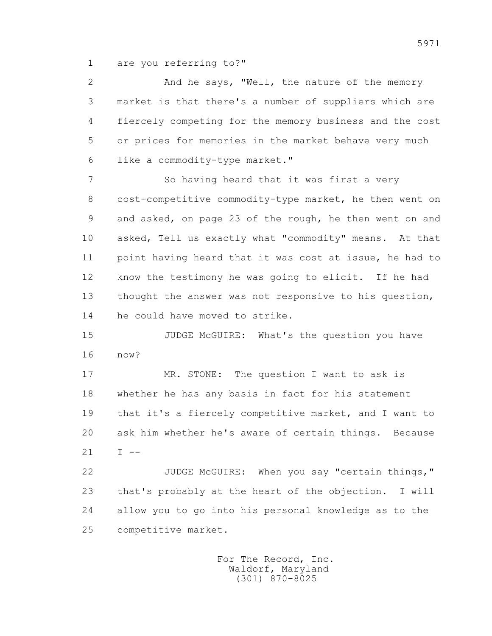1 are you referring to?"

 2 And he says, "Well, the nature of the memory 3 market is that there's a number of suppliers which are 4 fiercely competing for the memory business and the cost 5 or prices for memories in the market behave very much 6 like a commodity-type market."

 7 So having heard that it was first a very 8 cost-competitive commodity-type market, he then went on 9 and asked, on page 23 of the rough, he then went on and 10 asked, Tell us exactly what "commodity" means. At that 11 point having heard that it was cost at issue, he had to 12 know the testimony he was going to elicit. If he had 13 thought the answer was not responsive to his question, 14 he could have moved to strike.

 15 JUDGE McGUIRE: What's the question you have 16 now?

 17 MR. STONE: The question I want to ask is 18 whether he has any basis in fact for his statement 19 that it's a fiercely competitive market, and I want to 20 ask him whether he's aware of certain things. Because  $21 \tI = -$ 

 22 JUDGE McGUIRE: When you say "certain things," 23 that's probably at the heart of the objection. I will 24 allow you to go into his personal knowledge as to the 25 competitive market.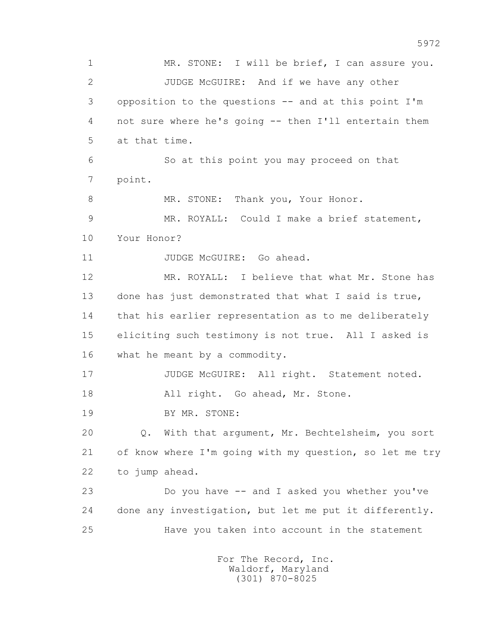1 MR. STONE: I will be brief, I can assure you. 2 JUDGE McGUIRE: And if we have any other 3 opposition to the questions -- and at this point I'm 4 not sure where he's going -- then I'll entertain them 5 at that time. 6 So at this point you may proceed on that 7 point. 8 MR. STONE: Thank you, Your Honor. 9 MR. ROYALL: Could I make a brief statement, 10 Your Honor? 11 JUDGE McGUIRE: Go ahead. 12 MR. ROYALL: I believe that what Mr. Stone has 13 done has just demonstrated that what I said is true, 14 that his earlier representation as to me deliberately 15 eliciting such testimony is not true. All I asked is 16 what he meant by a commodity. 17 JUDGE McGUIRE: All right. Statement noted. 18 All right. Go ahead, Mr. Stone. 19 BY MR. STONE: 20 Q. With that argument, Mr. Bechtelsheim, you sort 21 of know where I'm going with my question, so let me try 22 to jump ahead. 23 Do you have -- and I asked you whether you've 24 done any investigation, but let me put it differently. 25 Have you taken into account in the statement For The Record, Inc.

 Waldorf, Maryland (301) 870-8025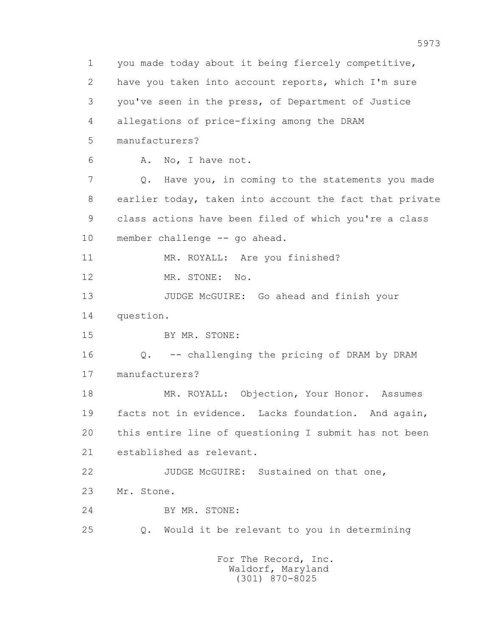1 you made today about it being fiercely competitive, 2 have you taken into account reports, which I'm sure 3 you've seen in the press, of Department of Justice 4 allegations of price-fixing among the DRAM 5 manufacturers? 6 A. No, I have not. 7 Q. Have you, in coming to the statements you made 8 earlier today, taken into account the fact that private 9 class actions have been filed of which you're a class 10 member challenge -- go ahead. 11 MR. ROYALL: Are you finished? 12 MR. STONE: No. 13 JUDGE McGUIRE: Go ahead and finish your 14 question. 15 BY MR. STONE: 16 Q. -- challenging the pricing of DRAM by DRAM 17 manufacturers? 18 MR. ROYALL: Objection, Your Honor. Assumes 19 facts not in evidence. Lacks foundation. And again, 20 this entire line of questioning I submit has not been 21 established as relevant. 22 JUDGE McGUIRE: Sustained on that one, 23 Mr. Stone. 24 BY MR. STONE: 25 Q. Would it be relevant to you in determining For The Record, Inc.

> Waldorf, Maryland (301) 870-8025

5973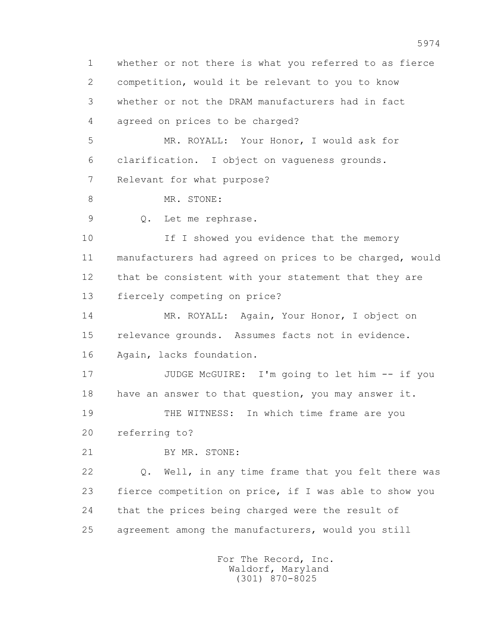1 whether or not there is what you referred to as fierce 2 competition, would it be relevant to you to know 3 whether or not the DRAM manufacturers had in fact 4 agreed on prices to be charged? 5 MR. ROYALL: Your Honor, I would ask for 6 clarification. I object on vagueness grounds. 7 Relevant for what purpose? 8 MR. STONE: 9 Q. Let me rephrase. 10 If I showed you evidence that the memory 11 manufacturers had agreed on prices to be charged, would 12 that be consistent with your statement that they are 13 fiercely competing on price? 14 MR. ROYALL: Again, Your Honor, I object on 15 relevance grounds. Assumes facts not in evidence. 16 Again, lacks foundation. 17 JUDGE McGUIRE: I'm going to let him -- if you 18 have an answer to that question, you may answer it. 19 THE WITNESS: In which time frame are you 20 referring to? 21 BY MR. STONE: 22 Q. Well, in any time frame that you felt there was 23 fierce competition on price, if I was able to show you 24 that the prices being charged were the result of 25 agreement among the manufacturers, would you still For The Record, Inc.

 Waldorf, Maryland (301) 870-8025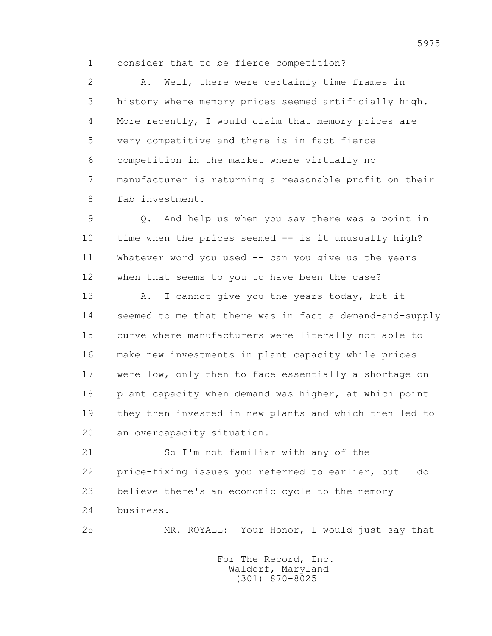1 consider that to be fierce competition?

 2 A. Well, there were certainly time frames in 3 history where memory prices seemed artificially high. 4 More recently, I would claim that memory prices are 5 very competitive and there is in fact fierce 6 competition in the market where virtually no 7 manufacturer is returning a reasonable profit on their 8 fab investment.

 9 Q. And help us when you say there was a point in 10 time when the prices seemed -- is it unusually high? 11 Whatever word you used -- can you give us the years 12 when that seems to you to have been the case?

13 A. I cannot give you the years today, but it 14 seemed to me that there was in fact a demand-and-supply 15 curve where manufacturers were literally not able to 16 make new investments in plant capacity while prices 17 were low, only then to face essentially a shortage on 18 plant capacity when demand was higher, at which point 19 they then invested in new plants and which then led to 20 an overcapacity situation.

 21 So I'm not familiar with any of the 22 price-fixing issues you referred to earlier, but I do 23 believe there's an economic cycle to the memory 24 business.

25 MR. ROYALL: Your Honor, I would just say that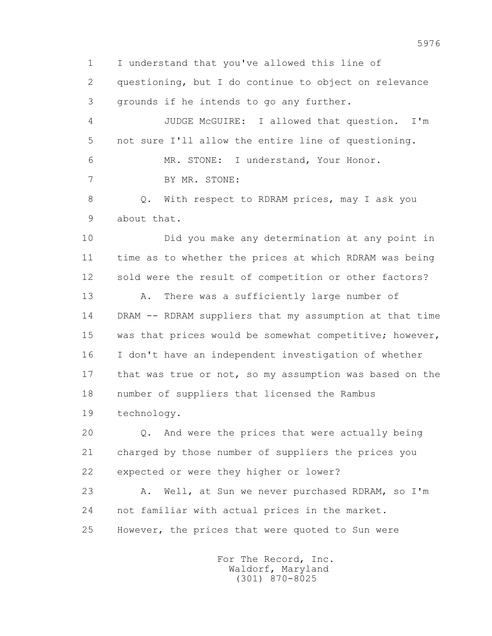1 I understand that you've allowed this line of 2 questioning, but I do continue to object on relevance 3 grounds if he intends to go any further. 4 JUDGE McGUIRE: I allowed that question. I'm 5 not sure I'll allow the entire line of questioning. 6 MR. STONE: I understand, Your Honor. 7 BY MR. STONE: 8 Q. With respect to RDRAM prices, may I ask you 9 about that. 10 Did you make any determination at any point in 11 time as to whether the prices at which RDRAM was being 12 sold were the result of competition or other factors? 13 A. There was a sufficiently large number of 14 DRAM -- RDRAM suppliers that my assumption at that time 15 was that prices would be somewhat competitive; however, 16 I don't have an independent investigation of whether 17 that was true or not, so my assumption was based on the 18 number of suppliers that licensed the Rambus 19 technology. 20 Q. And were the prices that were actually being 21 charged by those number of suppliers the prices you 22 expected or were they higher or lower? 23 A. Well, at Sun we never purchased RDRAM, so I'm 24 not familiar with actual prices in the market. 25 However, the prices that were quoted to Sun were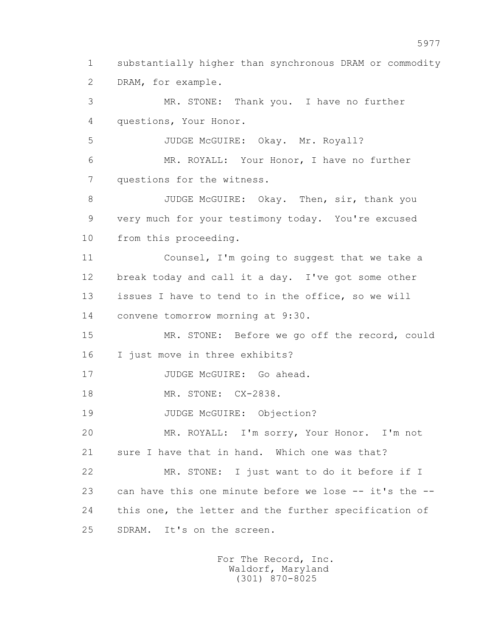1 substantially higher than synchronous DRAM or commodity 2 DRAM, for example.

 3 MR. STONE: Thank you. I have no further 4 questions, Your Honor.

5 JUDGE McGUIRE: Okay. Mr. Royall?

 6 MR. ROYALL: Your Honor, I have no further 7 questions for the witness.

8 JUDGE McGUIRE: Okay. Then, sir, thank you 9 very much for your testimony today. You're excused 10 from this proceeding.

 11 Counsel, I'm going to suggest that we take a 12 break today and call it a day. I've got some other 13 issues I have to tend to in the office, so we will 14 convene tomorrow morning at 9:30.

 15 MR. STONE: Before we go off the record, could 16 I just move in three exhibits?

17 JUDGE McGUIRE: Go ahead.

18 MR. STONE: CX-2838.

19 JUDGE McGUIRE: Objection?

 20 MR. ROYALL: I'm sorry, Your Honor. I'm not 21 sure I have that in hand. Which one was that?

 22 MR. STONE: I just want to do it before if I 23 can have this one minute before we lose -- it's the -- 24 this one, the letter and the further specification of 25 SDRAM. It's on the screen.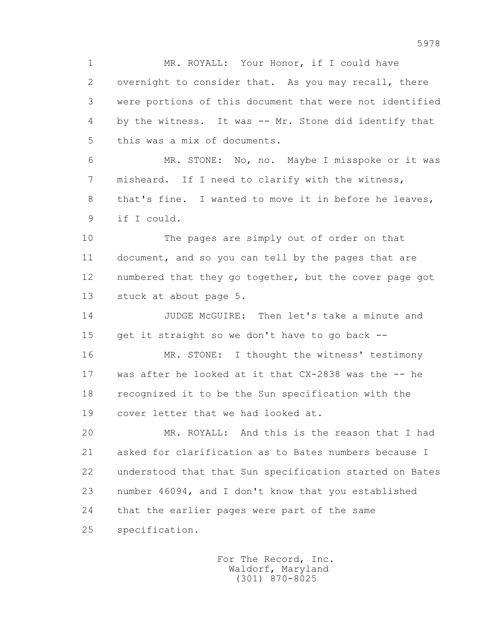1 MR. ROYALL: Your Honor, if I could have 2 overnight to consider that. As you may recall, there 3 were portions of this document that were not identified 4 by the witness. It was -- Mr. Stone did identify that 5 this was a mix of documents.

 6 MR. STONE: No, no. Maybe I misspoke or it was 7 misheard. If I need to clarify with the witness, 8 that's fine. I wanted to move it in before he leaves, 9 if I could.

 10 The pages are simply out of order on that 11 document, and so you can tell by the pages that are 12 numbered that they go together, but the cover page got 13 stuck at about page 5.

 14 JUDGE McGUIRE: Then let's take a minute and 15 get it straight so we don't have to go back --

 16 MR. STONE: I thought the witness' testimony 17 was after he looked at it that CX-2838 was the -- he 18 recognized it to be the Sun specification with the 19 cover letter that we had looked at.

 20 MR. ROYALL: And this is the reason that I had 21 asked for clarification as to Bates numbers because I 22 understood that that Sun specification started on Bates 23 number 46094, and I don't know that you established 24 that the earlier pages were part of the same 25 specification.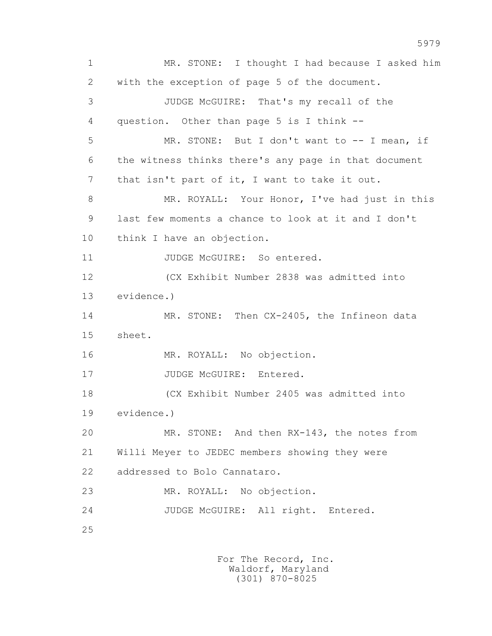1 MR. STONE: I thought I had because I asked him 2 with the exception of page 5 of the document. 3 JUDGE McGUIRE: That's my recall of the 4 question. Other than page 5 is I think -- 5 MR. STONE: But I don't want to -- I mean, if 6 the witness thinks there's any page in that document 7 that isn't part of it, I want to take it out. 8 MR. ROYALL: Your Honor, I've had just in this 9 last few moments a chance to look at it and I don't 10 think I have an objection. 11 JUDGE McGUIRE: So entered. 12 (CX Exhibit Number 2838 was admitted into 13 evidence.) 14 MR. STONE: Then CX-2405, the Infineon data 15 sheet. 16 MR. ROYALL: No objection. 17 JUDGE McGUIRE: Entered. 18 (CX Exhibit Number 2405 was admitted into 19 evidence.) 20 MR. STONE: And then RX-143, the notes from 21 Willi Meyer to JEDEC members showing they were 22 addressed to Bolo Cannataro. 23 MR. ROYALL: No objection. 24 JUDGE McGUIRE: All right. Entered. 25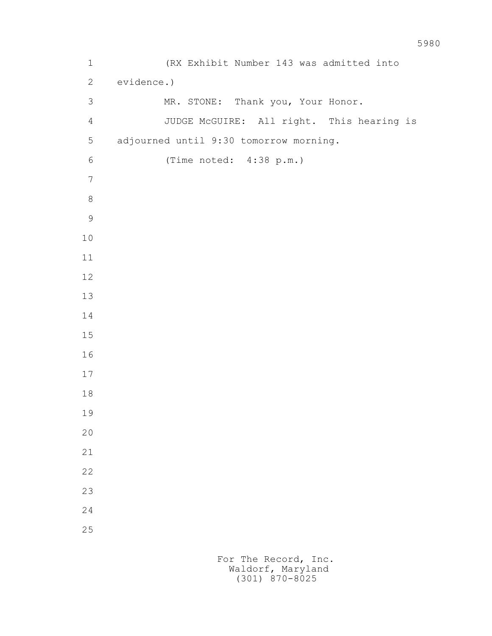1 (RX Exhibit Number 143 was admitted into 2 evidence.) 3 MR. STONE: Thank you, Your Honor. 4 JUDGE McGUIRE: All right. This hearing is 5 adjourned until 9:30 tomorrow morning. 6 (Time noted: 4:38 p.m.)